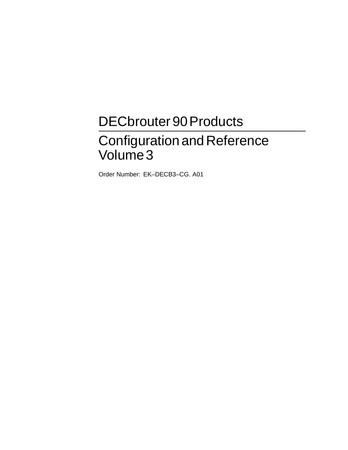# DECbrouter 90 Products

# ConfigurationandReference Volume3

Order Number: EK–DECB3–CG. A01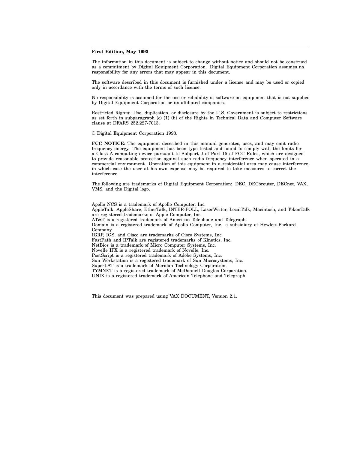#### **First Edition, May 1993**

The information in this document is subject to change without notice and should not be construed as a commitment by Digital Equipment Corporation. Digital Equipment Corporation assumes no responsibility for any errors that may appear in this document.

The software described in this document is furnished under a license and may be used or copied only in accordance with the terms of such license.

No responsibility is assumed for the use or reliability of software on equipment that is not supplied by Digital Equipment Corporation or its affiliated companies.

Restricted Rights: Use, duplication, or disclosure by the U.S. Government is subject to restrictions as set forth in subparagraph (c) (1) (ii) of the Rights in Technical Data and Computer Software clause at DFARS 252.227-7013.

© Digital Equipment Corporation 1993.

**FCC NOTICE:** The equipment described in this manual generates, uses, and may emit radio frequency energy. The equipment has been type tested and found to comply with the limits for a Class A computing device pursuant to Subpart J of Part 15 of FCC Rules, which are designed to provide reasonable protection against such radio frequency interference when operated in a commercial environment. Operation of this equipment in a residential area may cause interference, in which case the user at his own expense may be required to take measures to correct the interference.

The following are trademarks of Digital Equipment Corporation: DEC, DECbrouter, DECnet, VAX, VMS, and the Digital logo.

Apollo NCS is a trademark of Apollo Computer, Inc. AppleTalk, AppleShare, EtherTalk, INTER-POLL, LaserWriter, LocalTalk, Macintosh, and TokenTalk are registered trademarks of Apple Computer, Inc. AT&T is a registered trademark of American Telephone and Telegraph. Domain is a registered trademark of Apollo Computer, Inc. a subsidiary of Hewlett-Packard Company. IGRP, IGS, and Cisco are trademarks of Cisco Systems, Inc. FastPath and IPTalk are registered trademarks of Kinetics, Inc. NetBios is a trademark of Micro Computer Systems, Inc. Novelle IPX is a registered trademark of Novelle, Inc. PostScript is a registered trademark of Adobe Systems, Inc. Sun Workstation is a registered trademark of Sun Microsystems, Inc. SuperLAT is a trademark of Meridan Technology Corporation. TYMNET is a registered trademark of McDonnell Douglas Corporation. UNIX is a registered trademark of American Telephone and Telegraph.

This document was prepared using VAX DOCUMENT, Version 2.1.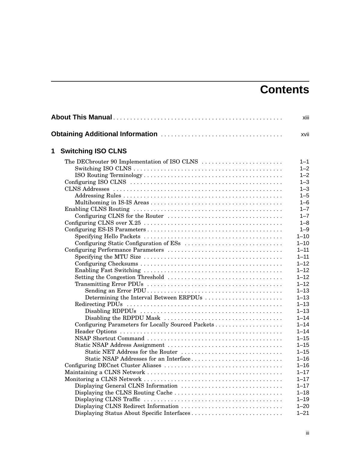# **Contents**

|   |                                                    | xiii     |
|---|----------------------------------------------------|----------|
|   |                                                    | xvii     |
| 1 | <b>Switching ISO CLNS</b>                          |          |
|   |                                                    | $1 - 1$  |
|   |                                                    | $1 - 2$  |
|   |                                                    | $1 - 2$  |
|   |                                                    | $1 - 3$  |
|   |                                                    | $1 - 3$  |
|   |                                                    | $1 - 5$  |
|   |                                                    | $1 - 6$  |
|   |                                                    | $1 - 7$  |
|   |                                                    | $1 - 7$  |
|   |                                                    | $1 - 8$  |
|   |                                                    | $1 - 9$  |
|   |                                                    | $1 - 10$ |
|   |                                                    | $1 - 10$ |
|   |                                                    | $1 - 11$ |
|   |                                                    | $1 - 11$ |
|   |                                                    | $1 - 12$ |
|   |                                                    | $1 - 12$ |
|   |                                                    | $1 - 12$ |
|   |                                                    | $1 - 12$ |
|   |                                                    | $1 - 13$ |
|   | Determining the Interval Between ERPDUs            | $1 - 13$ |
|   |                                                    | $1 - 13$ |
|   |                                                    | $1 - 13$ |
|   |                                                    | $1 - 14$ |
|   | Configuring Parameters for Locally Sourced Packets | $1 - 14$ |
|   |                                                    | $1 - 14$ |
|   |                                                    | $1 - 15$ |
|   |                                                    | $1 - 15$ |
|   | Static NET Address for the Router                  | $1 - 15$ |
|   | Static NSAP Addresses for an Interface             | $1 - 16$ |
|   |                                                    | $1 - 16$ |
|   |                                                    | $1 - 17$ |
|   |                                                    | $1 - 17$ |
|   |                                                    | $1 - 17$ |
|   |                                                    | $1 - 18$ |
|   |                                                    | $1 - 19$ |
|   |                                                    | $1 - 20$ |
|   | Displaying Status About Specific Interfaces        | $1 - 21$ |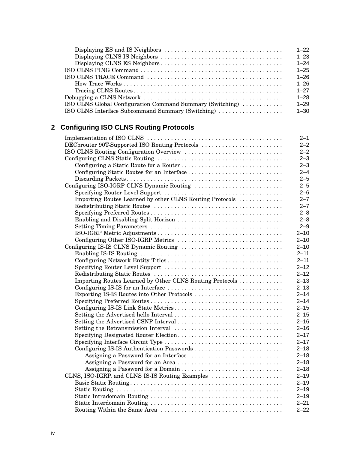|                                                           | $1 - 22$ |
|-----------------------------------------------------------|----------|
|                                                           | $1 - 23$ |
|                                                           | $1 - 24$ |
|                                                           | $1 - 25$ |
|                                                           | $1 - 26$ |
|                                                           | $1 - 26$ |
|                                                           | $1 - 27$ |
|                                                           | $1 - 28$ |
| ISO CLNS Global Configuration Command Summary (Switching) | $1 - 29$ |
| ISO CLNS Interface Subcommand Summary (Switching)         | $1 - 30$ |

# **2 Configuring ISO CLNS Routing Protocols**

|                                                          | $2 - 1$  |
|----------------------------------------------------------|----------|
| DECbrouter 90T-Supported ISO Routing Protocols           | $2 - 2$  |
| ISO CLNS Routing Configuration Overview                  | $2 - 2$  |
|                                                          | $2 - 3$  |
|                                                          | $2 - 3$  |
|                                                          | $2 - 4$  |
|                                                          | $2 - 5$  |
| Configuring ISO-IGRP CLNS Dynamic Routing                | $2 - 5$  |
|                                                          | $2 - 6$  |
| Importing Routes Learned by other CLNS Routing Protocols | $2 - 7$  |
|                                                          | $2 - 7$  |
|                                                          | $2 - 8$  |
|                                                          | $2 - 8$  |
|                                                          | $2 - 9$  |
|                                                          | $2 - 10$ |
|                                                          | $2 - 10$ |
|                                                          | $2 - 10$ |
|                                                          | $2 - 11$ |
|                                                          | $2 - 11$ |
|                                                          | $2 - 12$ |
|                                                          | $2 - 12$ |
| Importing Routes Learned by Other CLNS Routing Protocols | $2 - 13$ |
|                                                          | $2 - 13$ |
| Exporting IS-IS Routes into Other Protocols              | $2 - 14$ |
|                                                          | $2 - 14$ |
|                                                          | $2 - 15$ |
|                                                          | $2 - 15$ |
|                                                          | $2 - 16$ |
|                                                          | $2 - 16$ |
|                                                          | $2 - 17$ |
|                                                          | $2 - 17$ |
| Configuring IS-IS Authentication Passwords               | $2 - 18$ |
|                                                          | $2 - 18$ |
| Assigning a Password for an Area                         | $2 - 18$ |
| Assigning a Password for a Domain                        | $2 - 18$ |
| CLNS, ISO-IGRP, and CLNS IS-IS Routing Examples          | $2 - 19$ |
|                                                          | $2 - 19$ |
|                                                          | $2 - 19$ |
|                                                          | $2 - 19$ |
|                                                          | $2 - 21$ |
|                                                          | $2 - 22$ |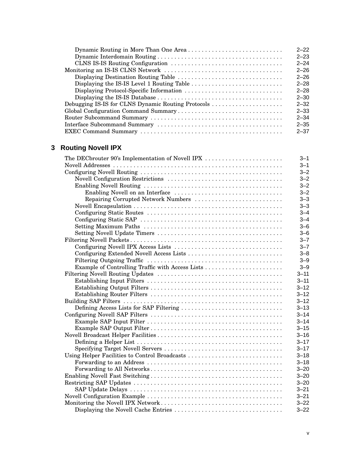|                                                    | $2 - 22$ |
|----------------------------------------------------|----------|
|                                                    | $2 - 23$ |
|                                                    | $2 - 24$ |
|                                                    | $2 - 26$ |
|                                                    | $2 - 26$ |
|                                                    | $2 - 28$ |
| Displaying Protocol-Specific Information           | $2 - 28$ |
|                                                    | $2 - 30$ |
| Debugging IS-IS for CLNS Dynamic Routing Protocols | $2 - 32$ |
|                                                    | $2 - 33$ |
|                                                    | $2 - 34$ |
|                                                    | $2 - 35$ |
|                                                    | $2 - 37$ |

# **3 Routing Novell IPX**

| $3 - 1$<br>$3 - 2$<br>$3 - 2$<br>$3 - 2$<br>$3 - 2$<br>$3 - 3$<br>Repairing Corrupted Network Numbers<br>$3 - 3$<br>$3 - 4$<br>$3 - 4$<br>$3 - 6$<br>$3 - 6$<br>$3 - 7$<br>$3 - 7$<br>Configuring Extended Novell Access Lists<br>$3 - 8$<br>$3 - 9$<br>$3 - 9$<br>$3 - 11$<br>$3 - 11$<br>$3 - 12$<br>$3 - 12$<br>$3 - 12$<br>Defining Access Lists for SAP Filtering<br>$3 - 13$<br>$3 - 14$<br>$3 - 14$<br>$3 - 15$<br>$3 - 16$<br>$3 - 17$<br>$3 - 17$<br>Using Helper Facilities to Control Broadcasts<br>$3 - 18$<br>$3 - 18$<br>$3 - 20$<br>$3 - 20$<br>$3 - 20$<br>$3 - 21$<br>$3 - 21$<br>$3 - 22$ | The DECbrouter 90's Implementation of Novell IPX | $3 - 1$  |
|-------------------------------------------------------------------------------------------------------------------------------------------------------------------------------------------------------------------------------------------------------------------------------------------------------------------------------------------------------------------------------------------------------------------------------------------------------------------------------------------------------------------------------------------------------------------------------------------------------------|--------------------------------------------------|----------|
|                                                                                                                                                                                                                                                                                                                                                                                                                                                                                                                                                                                                             |                                                  |          |
|                                                                                                                                                                                                                                                                                                                                                                                                                                                                                                                                                                                                             |                                                  |          |
|                                                                                                                                                                                                                                                                                                                                                                                                                                                                                                                                                                                                             |                                                  |          |
|                                                                                                                                                                                                                                                                                                                                                                                                                                                                                                                                                                                                             |                                                  |          |
|                                                                                                                                                                                                                                                                                                                                                                                                                                                                                                                                                                                                             |                                                  |          |
|                                                                                                                                                                                                                                                                                                                                                                                                                                                                                                                                                                                                             |                                                  |          |
|                                                                                                                                                                                                                                                                                                                                                                                                                                                                                                                                                                                                             |                                                  |          |
|                                                                                                                                                                                                                                                                                                                                                                                                                                                                                                                                                                                                             |                                                  |          |
|                                                                                                                                                                                                                                                                                                                                                                                                                                                                                                                                                                                                             |                                                  |          |
|                                                                                                                                                                                                                                                                                                                                                                                                                                                                                                                                                                                                             |                                                  |          |
|                                                                                                                                                                                                                                                                                                                                                                                                                                                                                                                                                                                                             |                                                  |          |
|                                                                                                                                                                                                                                                                                                                                                                                                                                                                                                                                                                                                             |                                                  |          |
|                                                                                                                                                                                                                                                                                                                                                                                                                                                                                                                                                                                                             |                                                  |          |
|                                                                                                                                                                                                                                                                                                                                                                                                                                                                                                                                                                                                             |                                                  |          |
|                                                                                                                                                                                                                                                                                                                                                                                                                                                                                                                                                                                                             |                                                  |          |
|                                                                                                                                                                                                                                                                                                                                                                                                                                                                                                                                                                                                             |                                                  |          |
|                                                                                                                                                                                                                                                                                                                                                                                                                                                                                                                                                                                                             |                                                  |          |
|                                                                                                                                                                                                                                                                                                                                                                                                                                                                                                                                                                                                             |                                                  |          |
|                                                                                                                                                                                                                                                                                                                                                                                                                                                                                                                                                                                                             |                                                  |          |
|                                                                                                                                                                                                                                                                                                                                                                                                                                                                                                                                                                                                             |                                                  |          |
|                                                                                                                                                                                                                                                                                                                                                                                                                                                                                                                                                                                                             |                                                  |          |
|                                                                                                                                                                                                                                                                                                                                                                                                                                                                                                                                                                                                             |                                                  |          |
|                                                                                                                                                                                                                                                                                                                                                                                                                                                                                                                                                                                                             |                                                  |          |
|                                                                                                                                                                                                                                                                                                                                                                                                                                                                                                                                                                                                             |                                                  |          |
|                                                                                                                                                                                                                                                                                                                                                                                                                                                                                                                                                                                                             |                                                  |          |
|                                                                                                                                                                                                                                                                                                                                                                                                                                                                                                                                                                                                             |                                                  |          |
|                                                                                                                                                                                                                                                                                                                                                                                                                                                                                                                                                                                                             |                                                  |          |
|                                                                                                                                                                                                                                                                                                                                                                                                                                                                                                                                                                                                             |                                                  |          |
|                                                                                                                                                                                                                                                                                                                                                                                                                                                                                                                                                                                                             |                                                  |          |
|                                                                                                                                                                                                                                                                                                                                                                                                                                                                                                                                                                                                             |                                                  |          |
|                                                                                                                                                                                                                                                                                                                                                                                                                                                                                                                                                                                                             |                                                  |          |
|                                                                                                                                                                                                                                                                                                                                                                                                                                                                                                                                                                                                             |                                                  |          |
|                                                                                                                                                                                                                                                                                                                                                                                                                                                                                                                                                                                                             |                                                  |          |
|                                                                                                                                                                                                                                                                                                                                                                                                                                                                                                                                                                                                             |                                                  |          |
|                                                                                                                                                                                                                                                                                                                                                                                                                                                                                                                                                                                                             |                                                  |          |
|                                                                                                                                                                                                                                                                                                                                                                                                                                                                                                                                                                                                             |                                                  |          |
|                                                                                                                                                                                                                                                                                                                                                                                                                                                                                                                                                                                                             |                                                  | $3 - 22$ |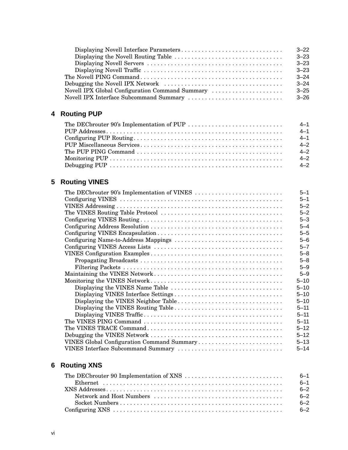|                                                 | $3 - 22$ |
|-------------------------------------------------|----------|
|                                                 | $3 - 23$ |
|                                                 | $3 - 23$ |
|                                                 | $3 - 23$ |
|                                                 | $3 - 24$ |
|                                                 | $3 - 24$ |
| Novell IPX Global Configuration Command Summary | $3 - 25$ |
| Novell IPX Interface Subcommand Summary         | $3 - 26$ |

# **4 Routing PUP**

| $4 - 1$ |
|---------|
| $4 - 1$ |
| $4 - 1$ |
| $4 - 2$ |
| $4 - 2$ |
| $4 - 2$ |
| $4 - 2$ |

# **5 Routing VINES**

| The DECbrouter 90's Implementation of VINES | $5 - 1$  |
|---------------------------------------------|----------|
|                                             | $5 - 1$  |
|                                             | $5 - 2$  |
|                                             | $5 - 2$  |
|                                             | $5 - 3$  |
|                                             | $5 - 4$  |
|                                             | $5 - 5$  |
|                                             | $5 - 6$  |
|                                             | $5 - 7$  |
|                                             | $5 - 8$  |
|                                             | $5 - 8$  |
|                                             | $5 - 9$  |
|                                             | $5 - 9$  |
|                                             | $5 - 10$ |
|                                             | $5 - 10$ |
|                                             | $5 - 10$ |
|                                             | $5 - 10$ |
|                                             | $5 - 11$ |
|                                             | $5 - 11$ |
|                                             | $5 - 11$ |
|                                             | $5 - 12$ |
|                                             | $5 - 12$ |
| VINES Global Configuration Command Summary  | $5 - 13$ |
| VINES Interface Subcommand Summary          | $5 - 14$ |

# **6 Routing XNS**

| $6 - 1$ |
|---------|
| $6 - 1$ |
| $6 - 2$ |
| $6 - 2$ |
| $6 - 2$ |
| $6 - 2$ |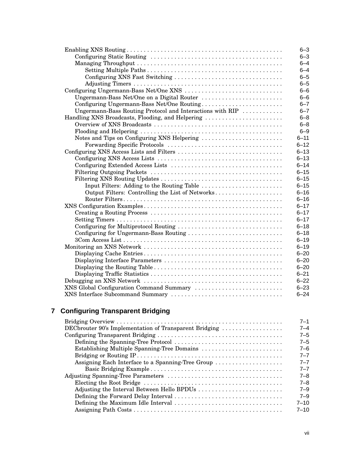| $6 - 3$<br>$6 - 4$<br>$6 - 4$<br>$6 - 5$<br>Configuring XNS Fast Switching<br>$6 - 5$<br>$6 - 6$<br>$6 - 6$<br>Ungermann-Bass Net/One on a Digital Router<br>Configuring Ungermann-Bass Net/One Routing<br>$6 - 7$<br>Ungermann-Bass Routing Protocol and Interactions with RIP<br>$6 - 7$<br>Handling XNS Broadcasts, Flooding, and Helpering<br>$6 - 8$<br>$6 - 8$<br>$6 - 9$<br>Notes and Tips on Configuring XNS Helpering<br>$6 - 11$<br>$6 - 12$<br>$6 - 13$<br>$6 - 13$<br>$6 - 14$<br>$6 - 15$<br>$6 - 15$<br>$6 - 15$<br>Input Filters: Adding to the Routing Table<br>Output Filters: Controlling the List of Networks<br>$6 - 16$<br>$6 - 16$<br>$6 - 17$<br>$6 - 17$<br>$6 - 17$<br>$6 - 18$<br>Configuring for Ungermann-Bass Routing<br>$6 - 18$ |
|----------------------------------------------------------------------------------------------------------------------------------------------------------------------------------------------------------------------------------------------------------------------------------------------------------------------------------------------------------------------------------------------------------------------------------------------------------------------------------------------------------------------------------------------------------------------------------------------------------------------------------------------------------------------------------------------------------------------------------------------------------------|
|                                                                                                                                                                                                                                                                                                                                                                                                                                                                                                                                                                                                                                                                                                                                                                |
|                                                                                                                                                                                                                                                                                                                                                                                                                                                                                                                                                                                                                                                                                                                                                                |
|                                                                                                                                                                                                                                                                                                                                                                                                                                                                                                                                                                                                                                                                                                                                                                |
|                                                                                                                                                                                                                                                                                                                                                                                                                                                                                                                                                                                                                                                                                                                                                                |
|                                                                                                                                                                                                                                                                                                                                                                                                                                                                                                                                                                                                                                                                                                                                                                |
|                                                                                                                                                                                                                                                                                                                                                                                                                                                                                                                                                                                                                                                                                                                                                                |
|                                                                                                                                                                                                                                                                                                                                                                                                                                                                                                                                                                                                                                                                                                                                                                |
|                                                                                                                                                                                                                                                                                                                                                                                                                                                                                                                                                                                                                                                                                                                                                                |
|                                                                                                                                                                                                                                                                                                                                                                                                                                                                                                                                                                                                                                                                                                                                                                |
|                                                                                                                                                                                                                                                                                                                                                                                                                                                                                                                                                                                                                                                                                                                                                                |
|                                                                                                                                                                                                                                                                                                                                                                                                                                                                                                                                                                                                                                                                                                                                                                |
|                                                                                                                                                                                                                                                                                                                                                                                                                                                                                                                                                                                                                                                                                                                                                                |
|                                                                                                                                                                                                                                                                                                                                                                                                                                                                                                                                                                                                                                                                                                                                                                |
|                                                                                                                                                                                                                                                                                                                                                                                                                                                                                                                                                                                                                                                                                                                                                                |
|                                                                                                                                                                                                                                                                                                                                                                                                                                                                                                                                                                                                                                                                                                                                                                |
|                                                                                                                                                                                                                                                                                                                                                                                                                                                                                                                                                                                                                                                                                                                                                                |
|                                                                                                                                                                                                                                                                                                                                                                                                                                                                                                                                                                                                                                                                                                                                                                |
|                                                                                                                                                                                                                                                                                                                                                                                                                                                                                                                                                                                                                                                                                                                                                                |
|                                                                                                                                                                                                                                                                                                                                                                                                                                                                                                                                                                                                                                                                                                                                                                |
|                                                                                                                                                                                                                                                                                                                                                                                                                                                                                                                                                                                                                                                                                                                                                                |
|                                                                                                                                                                                                                                                                                                                                                                                                                                                                                                                                                                                                                                                                                                                                                                |
|                                                                                                                                                                                                                                                                                                                                                                                                                                                                                                                                                                                                                                                                                                                                                                |
|                                                                                                                                                                                                                                                                                                                                                                                                                                                                                                                                                                                                                                                                                                                                                                |
|                                                                                                                                                                                                                                                                                                                                                                                                                                                                                                                                                                                                                                                                                                                                                                |
|                                                                                                                                                                                                                                                                                                                                                                                                                                                                                                                                                                                                                                                                                                                                                                |
|                                                                                                                                                                                                                                                                                                                                                                                                                                                                                                                                                                                                                                                                                                                                                                |
|                                                                                                                                                                                                                                                                                                                                                                                                                                                                                                                                                                                                                                                                                                                                                                |
| $6 - 19$                                                                                                                                                                                                                                                                                                                                                                                                                                                                                                                                                                                                                                                                                                                                                       |
| $6 - 19$                                                                                                                                                                                                                                                                                                                                                                                                                                                                                                                                                                                                                                                                                                                                                       |
| $6 - 20$                                                                                                                                                                                                                                                                                                                                                                                                                                                                                                                                                                                                                                                                                                                                                       |
| $6 - 20$                                                                                                                                                                                                                                                                                                                                                                                                                                                                                                                                                                                                                                                                                                                                                       |
| $6 - 20$                                                                                                                                                                                                                                                                                                                                                                                                                                                                                                                                                                                                                                                                                                                                                       |
| $6 - 21$                                                                                                                                                                                                                                                                                                                                                                                                                                                                                                                                                                                                                                                                                                                                                       |
|                                                                                                                                                                                                                                                                                                                                                                                                                                                                                                                                                                                                                                                                                                                                                                |
| $6 - 22$                                                                                                                                                                                                                                                                                                                                                                                                                                                                                                                                                                                                                                                                                                                                                       |
| XNS Global Configuration Command Summary<br>$6 - 23$                                                                                                                                                                                                                                                                                                                                                                                                                                                                                                                                                                                                                                                                                                           |

# **7 Configuring Transparent Bridging**

|                                                        | $7 - 1$  |
|--------------------------------------------------------|----------|
| DECbrouter 90's Implementation of Transparent Bridging | 7–4      |
|                                                        | $7 - 5$  |
|                                                        | $7 - 5$  |
|                                                        | $7 - 6$  |
|                                                        | $7 - 7$  |
| Assigning Each Interface to a Spanning-Tree Group      | $7 - 7$  |
|                                                        | $7 - 7$  |
|                                                        | $7 - 8$  |
|                                                        | $7 - 8$  |
|                                                        | $7 - 9$  |
|                                                        | $7 - 9$  |
|                                                        | $7 - 10$ |
|                                                        | $7 - 10$ |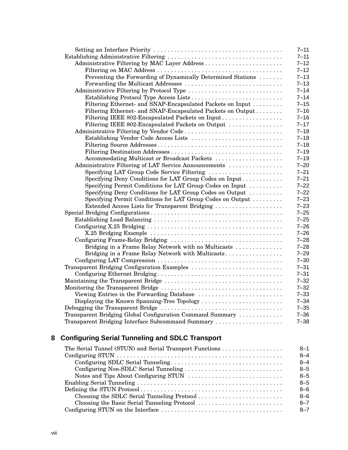|                                                              | $7 - 11$ |
|--------------------------------------------------------------|----------|
|                                                              | $7 - 11$ |
|                                                              | $7 - 12$ |
|                                                              | $7 - 12$ |
| Preventing the Forwarding of Dynamically Determined Stations | $7 - 13$ |
| Forwarding the Multicast Addresses                           | $7 - 13$ |
|                                                              | $7 - 14$ |
|                                                              | $7 - 14$ |
| Filtering Ethernet- and SNAP-Encapsulated Packets on Input   | $7 - 15$ |
| Filtering Ethernet- and SNAP-Encapsulated Packets on Output  | $7 - 16$ |
| Filtering IEEE 802-Encapsulated Packets on Input             | $7 - 16$ |
| Filtering IEEE 802-Encapsulated Packets on Output            | $7 - 17$ |
|                                                              | $7 - 18$ |
| Establishing Vendor Code Access Lists                        | $7 - 18$ |
|                                                              | $7 - 18$ |
|                                                              | $7 - 19$ |
| Accommodating Multicast or Broadcast Packets                 | $7 - 19$ |
| Administrative Filtering of LAT Service Announcements        | $7 - 20$ |
| Specifying LAT Group Code Service Filtering                  | $7 - 21$ |
| Specifying Deny Conditions for LAT Group Codes on Input      | $7 - 21$ |
| Specifying Permit Conditions for LAT Group Codes on Input    | $7 - 22$ |
| Specifying Deny Conditions for LAT Group Codes on Output     | $7 - 22$ |
| Specifying Permit Conditions for LAT Group Codes on Output   | $7 - 23$ |
| Extended Access Lists for Transparent Bridging               | $7 - 23$ |
|                                                              | $7 - 25$ |
|                                                              | $7 - 25$ |
|                                                              | $7 - 26$ |
|                                                              | $7 - 26$ |
|                                                              | $7 - 28$ |
| Bridging in a Frame Relay Network with no Multicasts         | $7 - 28$ |
| Bridging in a Frame Relay Network with Multicasts            | $7 - 29$ |
|                                                              | $7 - 30$ |
| Transparent Bridging Configuration Examples                  | $7 - 31$ |
|                                                              | $7 - 31$ |
|                                                              | $7 - 32$ |
|                                                              | $7 - 32$ |
|                                                              | $7 - 33$ |
| Displaying the Known Spanning-Tree Topology                  | $7 - 34$ |
|                                                              | $7 - 35$ |
| Transparent Bridging Global Configuration Command Summary    | $7 - 36$ |
| Transparent Bridging Interface Subcommand Summary            | $7 - 38$ |

# **8 Configuring Serial Tunneling and SDLC Transport**

| $8 - 1$ |
|---------|
| $8 - 4$ |
| $8 - 4$ |
| $8 - 5$ |
| $8 - 5$ |
| $8 - 5$ |
| $8 - 6$ |
| $8 - 6$ |
| $8 - 7$ |
| $8 - 7$ |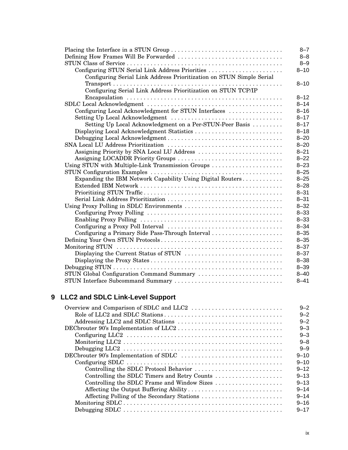|                                                                      | $8 - 7$  |
|----------------------------------------------------------------------|----------|
|                                                                      | $8 - 8$  |
|                                                                      | $8 - 9$  |
| Configuring STUN Serial Link Address Priorities                      | $8 - 10$ |
| Configuring Serial Link Address Prioritization on STUN Simple Serial |          |
|                                                                      | $8 - 10$ |
| Configuring Serial Link Address Prioritization on STUN TCP/IP        |          |
|                                                                      | $8 - 12$ |
|                                                                      | $8 - 14$ |
| Configuring Local Acknowledgment for STUN Interfaces                 | $8 - 16$ |
|                                                                      | $8 - 17$ |
| Setting Up Local Acknowledgment on a Per-STUN-Peer Basis             | $8 - 17$ |
|                                                                      | $8 - 18$ |
|                                                                      | $8 - 20$ |
|                                                                      | $8 - 20$ |
|                                                                      | $8 - 21$ |
| Assigning LOCADDR Priority Groups                                    | $8 - 22$ |
| Using STUN with Multiple-Link Transmission Groups                    | $8 - 23$ |
|                                                                      | $8 - 25$ |
| Expanding the IBM Network Capability Using Digital Routers           | $8 - 25$ |
|                                                                      | $8 - 28$ |
|                                                                      | $8 - 31$ |
|                                                                      | $8 - 31$ |
| Using Proxy Polling in SDLC Environments                             | $8 - 32$ |
|                                                                      | $8 - 33$ |
|                                                                      | $8 - 33$ |
|                                                                      | $8 - 34$ |
| Configuring a Primary Side Pass-Through Interval                     | $8 - 35$ |
|                                                                      | $8 - 35$ |
|                                                                      | $8 - 37$ |
|                                                                      | $8 - 37$ |
|                                                                      | $8 - 38$ |
|                                                                      | $8 - 39$ |
| STUN Global Configuration Command Summary                            | $8 - 40$ |
|                                                                      | $8 - 41$ |

# **9 LLC2 and SDLC Link-Level Support**

|                                                                                                                  | $9 - 2$  |
|------------------------------------------------------------------------------------------------------------------|----------|
|                                                                                                                  | $9 - 2$  |
|                                                                                                                  | $9 - 2$  |
|                                                                                                                  | $9 - 3$  |
|                                                                                                                  | $9 - 3$  |
|                                                                                                                  | $9 - 8$  |
| Debugging LLC2 $\dots \dots \dots \dots \dots \dots \dots \dots \dots \dots \dots \dots \dots \dots \dots \dots$ | $9 - 9$  |
|                                                                                                                  | $9 - 10$ |
|                                                                                                                  | $9 - 10$ |
| Controlling the SDLC Protocol Behavior                                                                           | $9 - 12$ |
| Controlling the SDLC Timers and Retry Counts                                                                     | $9 - 13$ |
| Controlling the SDLC Frame and Window Sizes                                                                      | $9 - 13$ |
| Affecting the Output Buffering Ability                                                                           | $9 - 14$ |
| Affecting Polling of the Secondary Stations                                                                      | $9 - 14$ |
|                                                                                                                  | $9 - 16$ |
|                                                                                                                  | $9 - 17$ |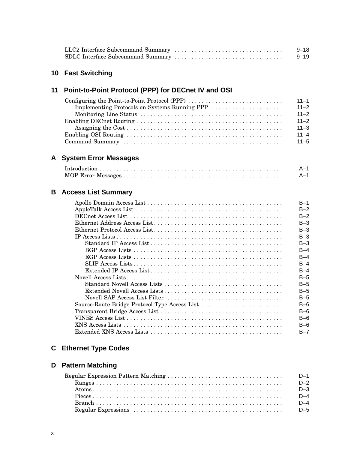|  | $9 - 18$ |
|--|----------|
|  | $9 - 19$ |

# **10 Fast Switching**

# **11 Point-to-Point Protocol (PPP) for DECnet IV and OSI**

| Configuring the Point-to-Point Protocol (PPP) $\dots \dots \dots \dots \dots \dots \dots \dots \dots$ | $11 - 1$ |
|-------------------------------------------------------------------------------------------------------|----------|
|                                                                                                       |          |
|                                                                                                       | $11 - 2$ |
|                                                                                                       | $11 - 2$ |
|                                                                                                       | $11 - 3$ |
|                                                                                                       | $11 - 4$ |
|                                                                                                       |          |

# **A System Error Messages**

| $A-1$ |
|-------|
| $A-1$ |

# **B Access List Summary**

|                                               | $B-1$   |
|-----------------------------------------------|---------|
|                                               | $B-2$   |
|                                               | $B-2$   |
|                                               | $B-3$   |
|                                               | $B-3$   |
|                                               | $B-3$   |
|                                               | $B-3$   |
|                                               | $B-4$   |
|                                               | $B-4$   |
|                                               | $B-4$   |
|                                               | $B-4$   |
|                                               | $B-5$   |
|                                               | $B-5$   |
|                                               | $B-5$   |
|                                               | $B-5$   |
| Source-Route Bridge Protocol Type Access List | $B-6$   |
|                                               | $B-6$   |
|                                               | $B-6$   |
|                                               | $B-6$   |
|                                               | $B - 7$ |

# **C Ethernet Type Codes**

# **D Pattern Matching**

| $D-1$ |
|-------|
| $D-2$ |
| $D-3$ |
| $D-4$ |
| $D-4$ |
|       |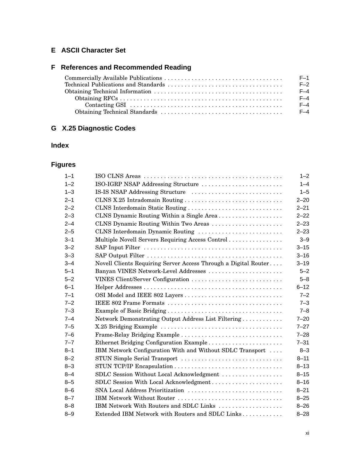# **E ASCII Character Set**

# **F References and Recommended Reading**

| $F-1$ |
|-------|
| $F-2$ |
| $F-4$ |
| $F-4$ |
| $F-4$ |
| $F-4$ |

# **G X.25 Diagnostic Codes**

# **Index**

# **Figures**

| $1 - 1$ |                                                                 | $1 - 2$  |
|---------|-----------------------------------------------------------------|----------|
| $1 - 2$ | ISO-IGRP NSAP Addressing Structure                              | $1 - 4$  |
| $1 - 3$ | IS-IS NSAP Addressing Structure                                 | $1 - 5$  |
| $2 - 1$ |                                                                 | $2 - 20$ |
| $2 - 2$ | CLNS Interdomain Static Routing                                 | $2 - 21$ |
| $2 - 3$ | CLNS Dynamic Routing Within a Single Area                       | $2 - 22$ |
| $2 - 4$ | CLNS Dynamic Routing Within Two Areas                           | $2 - 23$ |
| $2 - 5$ | CLNS Interdomain Dynamic Routing                                | $2 - 23$ |
| $3 - 1$ | Multiple Novell Servers Requiring Access Control                | $3 - 9$  |
| $3 - 2$ |                                                                 | $3 - 15$ |
| $3 - 3$ |                                                                 | $3 - 16$ |
| $3 - 4$ | Novell Clients Requiring Server Access Through a Digital Router | $3 - 19$ |
| $5 - 1$ | Banyan VINES Network-Level Addresses                            | $5 - 2$  |
| $5 - 2$ | VINES Client/Server Configuration                               | $5 - 8$  |
| $6 - 1$ |                                                                 | $6 - 12$ |
| $7 - 1$ |                                                                 | $7 - 2$  |
| $7 - 2$ |                                                                 | $7 - 3$  |
| $7 - 3$ |                                                                 | $7 - 8$  |
| $7 - 4$ | Network Demonstrating Output Address List Filtering             | $7 - 20$ |
| $7 - 5$ |                                                                 | $7 - 27$ |
| $7 - 6$ | Frame-Relay Bridging Example                                    | $7 - 28$ |
| $7 - 7$ | Ethernet Bridging Configuration Example                         | $7 - 31$ |
| $8 - 1$ | IBM Network Configuration With and Without SDLC Transport       | $8 - 3$  |
| $8 - 2$ | STUN Simple Serial Transport                                    | $8 - 11$ |
| $8 - 3$ |                                                                 | $8 - 13$ |
| $8 - 4$ | SDLC Session Without Local Acknowledgment                       | $8 - 15$ |
| $8 - 5$ | SDLC Session With Local Acknowledgment                          | $8 - 16$ |
| $8 - 6$ | SNA Local Address Prioritization                                | $8 - 21$ |
| $8 - 7$ | IBM Network Without Router                                      | $8 - 25$ |
| $8 - 8$ | IBM Network With Routers and SDLC Links                         | $8 - 26$ |
| $8 - 9$ | Extended IBM Network with Routers and SDLC Links                | $8 - 28$ |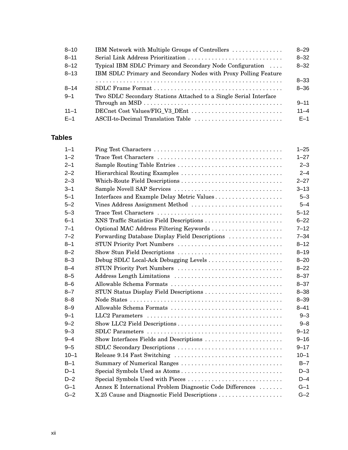| $8 - 10$ | IBM Network with Multiple Groups of Controllers                   | $8 - 29$ |
|----------|-------------------------------------------------------------------|----------|
| $8 - 11$ | Serial Link Address Prioritization                                | $8 - 32$ |
| $8 - 12$ | Typical IBM SDLC Primary and Secondary Node Configuration         | $8 - 32$ |
| $8 - 13$ | IBM SDLC Primary and Secondary Nodes with Proxy Polling Feature   |          |
|          |                                                                   | $8 - 33$ |
| $8 - 14$ |                                                                   | $8 - 36$ |
| $9 - 1$  | Two SDLC Secondary Stations Attached to a Single Serial Interface |          |
|          |                                                                   | $9 - 11$ |
| $11 - 1$ | DECnet Cost Values/FIG_V3_DEnt                                    | $11 - 4$ |
| $F-1$    | ASCII-to-Decimal Translation Table                                | $F-1$    |

# **Tables**

| $1 - 1$  |                                                           | $1 - 25$ |
|----------|-----------------------------------------------------------|----------|
| $1 - 2$  |                                                           | $1 - 27$ |
| $2 - 1$  | Sample Routing Table Entries                              | $2 - 3$  |
| $2 - 2$  |                                                           | $2 - 4$  |
| $2 - 3$  | Which-Route Field Descriptions                            | $2 - 27$ |
| $3 - 1$  | Sample Novell SAP Services                                | $3 - 13$ |
| $5 - 1$  | Interfaces and Example Delay Metric Values                | $5 - 3$  |
| $5 - 2$  | Vines Address Assignment Method                           | $5 - 4$  |
| $5 - 3$  |                                                           | $5 - 12$ |
| $6 - 1$  | XNS Traffic Statistics Field Descriptions                 | $6 - 22$ |
| $7 - 1$  | Optional MAC Address Filtering Keywords                   | $7 - 12$ |
| $7 - 2$  | Forwarding Database Display Field Descriptions            | $7 - 34$ |
| $8 - 1$  | STUN Priority Port Numbers                                | $8 - 12$ |
| $8 - 2$  | Show Stun Field Descriptions                              | $8 - 19$ |
| $8 - 3$  |                                                           | $8 - 20$ |
| $8 - 4$  | STUN Priority Port Numbers                                | $8 - 22$ |
| $8 - 5$  |                                                           | $8 - 37$ |
| $8 - 6$  | Allowable Schema Formats                                  | $8 - 37$ |
| $8 - 7$  | STUN Status Display Field Descriptions                    | $8 - 38$ |
| $8 - 8$  |                                                           | $8 - 39$ |
| $8 - 9$  | Allowable Schema Formats                                  | $8 - 41$ |
| $9 - 1$  |                                                           | $9 - 3$  |
| $9 - 2$  |                                                           | $9 - 8$  |
| $9 - 3$  |                                                           | $9 - 12$ |
| $9 - 4$  | Show Interfaces Fields and Descriptions                   | $9 - 16$ |
| $9 - 5$  | SDLC Secondary Descriptions                               | $9 - 17$ |
| $10 - 1$ |                                                           | $10 - 1$ |
| $B-1$    | Summary of Numerical Ranges                               | $B - 7$  |
| $D-1$    | Special Symbols Used as Atoms                             | $D-3$    |
| $D-2$    | Special Symbols Used with Pieces                          | $D-4$    |
| $G-1$    | Annex E International Problem Diagnostic Code Differences | $G-1$    |
| $G-2$    |                                                           | $G-2$    |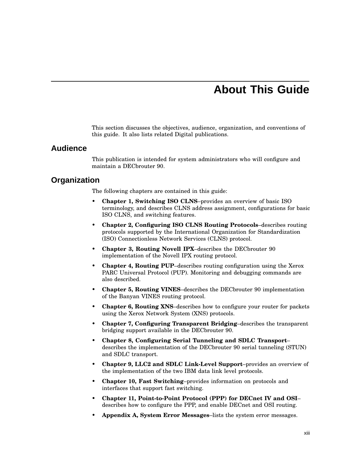# **About This Guide**

This section discusses the objectives, audience, organization, and conventions of this guide. It also lists related Digital publications.

#### **Audience**

This publication is intended for system administrators who will configure and maintain a DECbrouter 90.

### **Organization**

The following chapters are contained in this guide:

- **Chapter 1, Switching ISO CLNS**–provides an overview of basic ISO terminology, and describes CLNS address assignment, configurations for basic ISO CLNS, and switching features.
- **Chapter 2, Configuring ISO CLNS Routing Protocols**–describes routing protocols supported by the International Organization for Standardization (ISO) Connectionless Network Services (CLNS) protocol.
- **Chapter 3, Routing Novell IPX**–describes the DECbrouter 90 implementation of the Novell IPX routing protocol.
- **Chapter 4, Routing PUP**–describes routing configuration using the Xerox PARC Universal Protocol (PUP). Monitoring and debugging commands are also described.
- **Chapter 5, Routing VINES**–describes the DECbrouter 90 implementation of the Banyan VINES routing protocol.
- **Chapter 6, Routing XNS**–describes how to configure your router for packets using the Xerox Network System (XNS) protocols.
- **Chapter 7, Configuring Transparent Bridging**–describes the transparent bridging support available in the DECbrouter 90.
- **Chapter 8, Configuring Serial Tunneling and SDLC Transport** describes the implementation of the DECbrouter 90 serial tunneling (STUN) and SDLC transport.
- **Chapter 9, LLC2 and SDLC Link-Level Support**–provides an overview of the implementation of the two IBM data link level protocols.
- **Chapter 10, Fast Switching**–provides information on protocols and interfaces that support fast switching.
- **Chapter 11, Point-to-Point Protocol (PPP) for DECnet IV and OSI** describes how to configure the PPP, and enable DECnet and OSI routing.
- **Appendix A, System Error Messages**–lists the system error messages.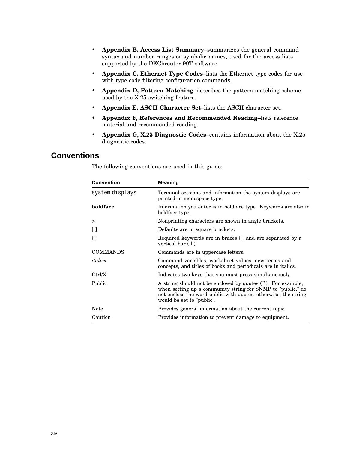- **Appendix B, Access List Summary**–summarizes the general command syntax and number ranges or symbolic names, used for the access lists supported by the DECbrouter 90T software.
- **Appendix C, Ethernet Type Codes**–lists the Ethernet type codes for use with type code filtering configuration commands.
- **Appendix D, Pattern Matching**–describes the pattern-matching scheme used by the X.25 switching feature.
- **Appendix E, ASCII Character Set**–lists the ASCII character set.
- **Appendix F, References and Recommended Reading**–lists reference material and recommended reading.
- **Appendix G, X.25 Diagnostic Codes**–contains information about the X.25 diagnostic codes.

# **Conventions**

| <b>Convention</b> | <b>Meaning</b>                                                                                                                                                                                                             |
|-------------------|----------------------------------------------------------------------------------------------------------------------------------------------------------------------------------------------------------------------------|
| system displays   | Terminal sessions and information the system displays are<br>printed in monospace type.                                                                                                                                    |
| boldface          | Information you enter is in boldface type. Keywords are also in<br>boldface type.                                                                                                                                          |
| >                 | Nonprinting characters are shown in angle brackets.                                                                                                                                                                        |
| $\Box$            | Defaults are in square brackets.                                                                                                                                                                                           |
| $\{\}$            | Required keywords are in braces { } and are separated by a<br>vertical bar $(1)$ .                                                                                                                                         |
| <b>COMMANDS</b>   | Commands are in uppercase letters.                                                                                                                                                                                         |
| italics           | Command variables, worksheet values, new terms and<br>concepts, and titles of books and periodicals are in italics.                                                                                                        |
| Ctrl/X            | Indicates two keys that you must press simultaneously.                                                                                                                                                                     |
| Public            | A string should not be enclosed by quotes (""). For example,<br>when setting up a community string for SNMP to "public," do<br>not enclose the word public with quotes; otherwise, the string<br>would be set to "public". |
| Note              | Provides general information about the current topic.                                                                                                                                                                      |
| Caution           | Provides information to prevent damage to equipment.                                                                                                                                                                       |

The following conventions are used in this guide: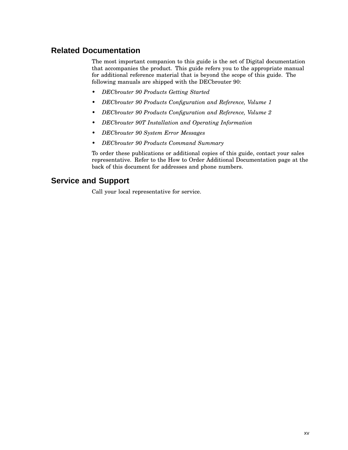# **Related Documentation**

The most important companion to this guide is the set of Digital documentation that accompanies the product. This guide refers you to the appropriate manual for additional reference material that is beyond the scope of this guide. The following manuals are shipped with the DECbrouter 90:

- *DECbrouter 90 Products Getting Started*
- *DECbrouter 90 Products Configuration and Reference, Volume 1*
- *DECbrouter 90 Products Configuration and Reference, Volume 2*
- *DECbrouter 90T Installation and Operating Information*
- *DECbrouter 90 System Error Messages*
- *DECbrouter 90 Products Command Summary*

To order these publications or additional copies of this guide, contact your sales representative. Refer to the How to Order Additional Documentation page at the back of this document for addresses and phone numbers.

## **Service and Support**

Call your local representative for service.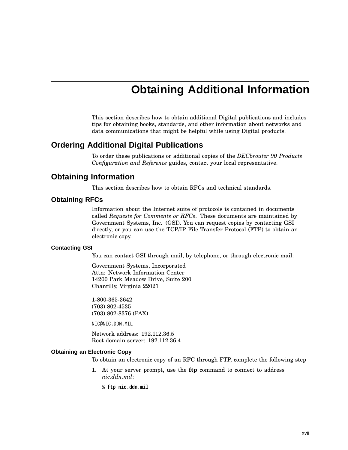# **Obtaining Additional Information**

This section describes how to obtain additional Digital publications and includes tips for obtaining books, standards, and other information about networks and data communications that might be helpful while using Digital products.

## **Ordering Additional Digital Publications**

To order these publications or additional copies of the *DECbrouter 90 Products Configuration and Reference* guides, contact your local representative.

### **Obtaining Information**

This section describes how to obtain RFCs and technical standards.

#### **Obtaining RFCs**

Information about the Internet suite of protocols is contained in documents called *Requests for Comments or RFCs*. These documents are maintained by Government Systems, Inc. (GSI). You can request copies by contacting GSI directly, or you can use the TCP/IP File Transfer Protocol (FTP) to obtain an electronic copy.

#### **Contacting GSI**

You can contact GSI through mail, by telephone, or through electronic mail:

Government Systems, Incorporated Attn: Network Information Center 14200 Park Meadow Drive, Suite 200 Chantilly, Virginia 22021

1-800-365-3642 (703) 802-4535 (703) 802-8376 (FAX)

NIC@NIC.DDN.MIL

Network address: 192.112.36.5 Root domain server: 192.112.36.4

#### **Obtaining an Electronic Copy**

To obtain an electronic copy of an RFC through FTP, complete the following step

1. At your server prompt, use the **ftp** command to connect to address *nic.ddn.mil*:

% **ftp nic.ddn.mil**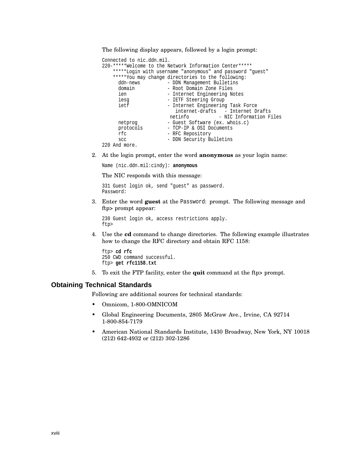The following display appears, followed by a login prompt:

```
Connected to nic.ddn.mil.
220-*****Welcome to the Network Information Center*****
   *****Login with username "anonymous" and password "guest"
   *****You may change directories to the following:
     ddn-news - DDN Management Bulletins
     domain - Root Domain Zone Files
     ien - Internet Engineering Notes
     iesg - IETF Steering Group
     ietf - Internet Engineering Task Force
                        internet-drafts - Internet Drafts
                      netinfo - NIC Information Files
     netprog - Guest Software (ex. whois.c)
     protocols - TCP-IP & OSI Documents<br>
rfc - RFC Repository
                    - RFC Repository
     scc - DDN Security Bulletins
220 And more.
```
2. At the login prompt, enter the word **anonymous** as your login name:

Name (nic.ddn.mil:cindy): **anonymous**

The NIC responds with this message:

331 Guest login ok, send "guest" as password. Password:

3. Enter the word **guest** at the Password: prompt. The following message and ftp> prompt appear:

230 Guest login ok, access restrictions apply. ftp>

4. Use the **cd** command to change directories. The following example illustrates how to change the RFC directory and obtain RFC 1158:

```
ftp> cd rfc
250 CWD command successful.
ftp> get rfc1158.txt
```
5. To exit the FTP facility, enter the **quit** command at the ftp> prompt.

#### **Obtaining Technical Standards**

Following are additional sources for technical standards:

- Omnicom, 1-800-OMNICOM
- Global Engineering Documents, 2805 McGraw Ave., Irvine, CA 92714 1-800-854-7179
- American National Standards Institute, 1430 Broadway, New York, NY 10018 (212) 642-4932 or (212) 302-1286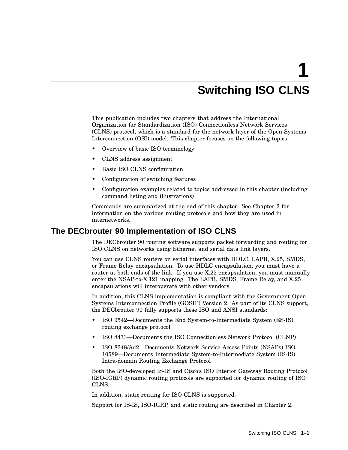# **1 Switching ISO CLNS**

This publication includes two chapters that address the International Organization for Standardization (ISO) Connectionless Network Services (CLNS) protocol, which is a standard for the network layer of the Open Systems Interconnection (OSI) model. This chapter focuses on the following topics:

- Overview of basic ISO terminology
- CLNS address assignment
- Basic ISO CLNS configuration
- Configuration of switching features
- Configuration examples related to topics addressed in this chapter (including command listing and illustrations)

Commands are summarized at the end of this chapter. See Chapter 2 for information on the various routing protocols and how they are used in internetworks.

### **The DECbrouter 90 Implementation of ISO CLNS**

The DECbrouter 90 routing software supports packet forwarding and routing for ISO CLNS on networks using Ethernet and serial data link layers.

You can use CLNS routers on serial interfaces with HDLC, LAPB, X.25, SMDS, or Frame Relay encapsulation. To use HDLC encapsulation, you must have a router at both ends of the link. If you use X.25 encapsulation, you must manually enter the NSAP-to-X.121 mapping. The LAPB, SMDS, Frame Relay, and X.25 encapsulations will interoperate with other vendors.

In addition, this CLNS implementation is compliant with the Government Open Systems Interconnection Profile (GOSIP) Version 2. As part of its CLNS support, the DECbrouter 90 fully supports these ISO and ANSI standards:

- ISO 9542—Documents the End System-to-Intermediate System (ES-IS) routing exchange protocol
- ISO 8473—Documents the ISO Connectionless Network Protocol (CLNP)
- ISO 8348/Ad2—Documents Network Service Access Points (NSAPs) ISO 10589—Documents Intermediate System-to-Intermediate System (IS-IS) Intra-domain Routing Exchange Protocol

Both the ISO-developed IS-IS and Cisco's ISO Interior Gateway Routing Protocol (ISO-IGRP) dynamic routing protocols are supported for dynamic routing of ISO CLNS.

In addition, static routing for ISO CLNS is supported.

Support for IS-IS, ISO-IGRP, and static routing are described in Chapter 2.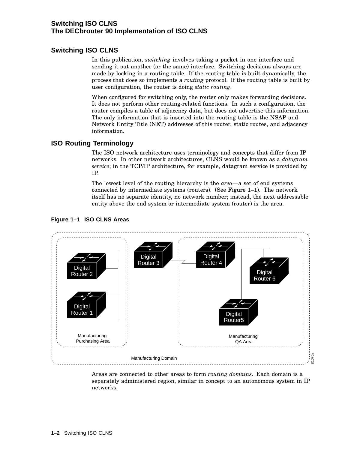### **Switching ISO CLNS The DECbrouter 90 Implementation of ISO CLNS**

## **Switching ISO CLNS**

In this publication, *switching* involves taking a packet in one interface and sending it out another (or the same) interface. Switching decisions always are made by looking in a routing table. If the routing table is built dynamically, the process that does so implements a *routing* protocol. If the routing table is built by user configuration, the router is doing *static routing*.

When configured for switching only, the router only makes forwarding decisions. It does not perform other routing-related functions. In such a configuration, the router compiles a table of adjacency data, but does not advertise this information. The only information that is inserted into the routing table is the NSAP and Network Entity Title (NET) addresses of this router, static routes, and adjacency information.

## **ISO Routing Terminology**

The ISO network architecture uses terminology and concepts that differ from IP networks. In other network architectures, CLNS would be known as a *datagram service*; in the TCP/IP architecture, for example, datagram service is provided by IP.

The lowest level of the routing hierarchy is the *area*—a set of end systems connected by intermediate systems (routers). (See Figure 1–1). The network itself has no separate identity, no network number; instead, the next addressable entity above the end system or intermediate system (router) is the area.



#### **Figure 1–1 ISO CLNS Areas**

Areas are connected to other areas to form *routing domains*. Each domain is a separately administered region, similar in concept to an autonomous system in IP networks.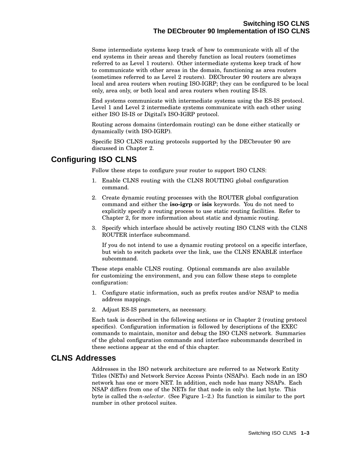Some intermediate systems keep track of how to communicate with all of the end systems in their areas and thereby function as local routers (sometimes referred to as Level 1 routers). Other intermediate systems keep track of how to communicate with other areas in the domain, functioning as area routers (sometimes referred to as Level 2 routers). DECbrouter 90 routers are always local and area routers when routing ISO-IGRP; they can be configured to be local only, area only, or both local and area routers when routing IS-IS.

End systems communicate with intermediate systems using the ES-IS protocol. Level 1 and Level 2 intermediate systems communicate with each other using either ISO IS-IS or Digital's ISO-IGRP protocol.

Routing across domains (interdomain routing) can be done either statically or dynamically (with ISO-IGRP).

Specific ISO CLNS routing protocols supported by the DECbrouter 90 are discussed in Chapter 2.

# **Configuring ISO CLNS**

Follow these steps to configure your router to support ISO CLNS:

- 1. Enable CLNS routing with the CLNS ROUTING global configuration command.
- 2. Create dynamic routing processes with the ROUTER global configuration command and either the **iso-igrp** or **isis** keywords. You do not need to explicitly specify a routing process to use static routing facilities. Refer to Chapter 2, for more information about static and dynamic routing.
- 3. Specify which interface should be actively routing ISO CLNS with the CLNS ROUTER interface subcommand.

If you do not intend to use a dynamic routing protocol on a specific interface, but wish to switch packets over the link, use the CLNS ENABLE interface subcommand.

These steps enable CLNS routing. Optional commands are also available for customizing the environment, and you can follow these steps to complete configuration:

- 1. Configure static information, such as prefix routes and/or NSAP to media address mappings.
- 2. Adjust ES-IS parameters, as necessary.

Each task is described in the following sections or in Chapter 2 (routing protocol specifics). Configuration information is followed by descriptions of the EXEC commands to maintain, monitor and debug the ISO CLNS network. Summaries of the global configuration commands and interface subcommands described in these sections appear at the end of this chapter.

## **CLNS Addresses**

Addresses in the ISO network architecture are referred to as Network Entity Titles (NETs) and Network Service Access Points (NSAPs). Each node in an ISO network has one or more NET. In addition, each node has many NSAPs. Each NSAP differs from one of the NETs for that node in only the last byte. This byte is called the *n-selector*. (See Figure 1–2.) Its function is similar to the port number in other protocol suites.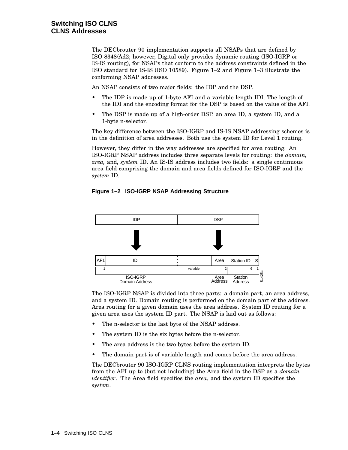The DECbrouter 90 implementation supports all NSAPs that are defined by ISO 8348/Ad2; however, Digital only provides dynamic routing (ISO-IGRP or IS-IS routing), for NSAPs that conform to the address constraints defined in the ISO standard for IS-IS (ISO 10589). Figure 1–2 and Figure 1–3 illustrate the conforming NSAP addresses.

An NSAP consists of two major fields: the IDP and the DSP.

- The IDP is made up of 1-byte AFI and a variable length IDI. The length of the IDI and the encoding format for the DSP is based on the value of the AFI.
- The DSP is made up of a high-order DSP, an area ID, a system ID, and a 1-byte n-selector.

The key difference between the ISO-IGRP and IS-IS NSAP addressing schemes is in the definition of area addresses. Both use the system ID for Level 1 routing.

However, they differ in the way addresses are specified for area routing. An ISO-IGRP NSAP address includes three separate levels for routing: the *domain, area,* and, *system* ID. An IS-IS address includes two fields: a single continuous area field comprising the domain and area fields defined for ISO-IGRP and the *system* ID.

#### **Figure 1–2 ISO-IGRP NSAP Addressing Structure**



The ISO-IGRP NSAP is divided into three parts: a domain part, an area address, and a system ID. Domain routing is performed on the domain part of the address. Area routing for a given domain uses the area address. System ID routing for a given area uses the system ID part. The NSAP is laid out as follows:

- The n-selector is the last byte of the NSAP address.
- The system ID is the six bytes before the n-selector.
- The area address is the two bytes before the system ID.
- The domain part is of variable length and comes before the area address.

The DECbrouter 90 ISO-IGRP CLNS routing implementation interprets the bytes from the AFI up to (but not including) the Area field in the DSP as a *domain identifier*. The Area field specifies the *area*, and the system ID specifies the *system*.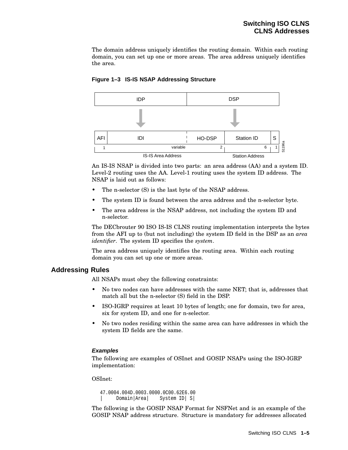The domain address uniquely identifies the routing domain. Within each routing domain, you can set up one or more areas. The area address uniquely identifies the area.



#### **Figure 1–3 IS-IS NSAP Addressing Structure**

An IS-IS NSAP is divided into two parts: an area address (AA) and a system ID. Level-2 routing uses the AA. Level-1 routing uses the system ID address. The NSAP is laid out as follows:

- The n-selector  $(S)$  is the last byte of the NSAP address.
- The system ID is found between the area address and the n-selector byte.
- The area address is the NSAP address, not including the system ID and n-selector.

The DECbrouter 90 ISO IS-IS CLNS routing implementation interprets the bytes from the AFI up to (but not including) the system ID field in the DSP as an *area identifier*. The system ID specifies the *system*.

The area address uniquely identifies the routing area. Within each routing domain you can set up one or more areas.

#### **Addressing Rules**

All NSAPs must obey the following constraints:

- No two nodes can have addresses with the same NET; that is, addresses that match all but the n-selector (S) field in the DSP.
- ISO-IGRP requires at least 10 bytes of length; one for domain, two for area, six for system ID, and one for n-selector.
- No two nodes residing within the same area can have addresses in which the system ID fields are the same.

#### **Examples**

The following are examples of OSInet and GOSIP NSAPs using the ISO-IGRP implementation:

OSInet:

```
47.0004.004D.0003.0000.0C00.62E6.00
     | Domain|Area| System ID| S|
```
The following is the GOSIP NSAP Format for NSFNet and is an example of the GOSIP NSAP address structure. Structure is mandatory for addresses allocated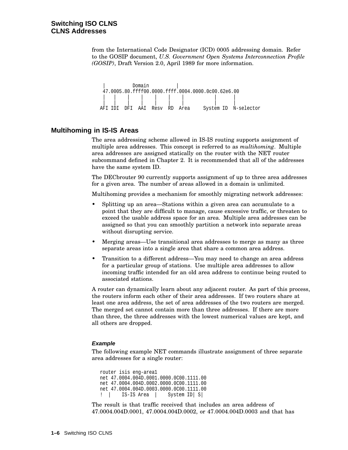from the International Code Designator (ICD) 0005 addressing domain. Refer to the GOSIP document, *U.S. Government Open Systems Interconnection Profile (GOSIP)*, Draft Version 2.0, April 1989 for more information.

| Domain | 47.0005.80.ffff00.0000.ffff.0004.0000.0c00.62e6.00 | | | | | | | | | | | | | | | | | | AFI IDI DFI AAI Resv RD Area System ID N-selector

#### **Multihoming in IS-IS Areas**

The area addressing scheme allowed in IS-IS routing supports assignment of multiple area addresses. This concept is referred to as *multihoming*. Multiple area addresses are assigned statically on the router with the NET router subcommand defined in Chapter 2. It is recommended that all of the addresses have the same system ID.

The DECbrouter 90 currently supports assignment of up to three area addresses for a given area. The number of areas allowed in a domain is unlimited.

Multihoming provides a mechanism for smoothly migrating network addresses:

- Splitting up an area—Stations within a given area can accumulate to a point that they are difficult to manage, cause excessive traffic, or threaten to exceed the usable address space for an area. Multiple area addresses can be assigned so that you can smoothly partition a network into separate areas without disrupting service.
- Merging areas—Use transitional area addresses to merge as many as three separate areas into a single area that share a common area address.
- Transition to a different address—You may need to change an area address for a particular group of stations. Use multiple area addresses to allow incoming traffic intended for an old area address to continue being routed to associated stations.

A router can dynamically learn about any adjacent router. As part of this process, the routers inform each other of their area addresses. If two routers share at least one area address, the set of area addresses of the two routers are merged. The merged set cannot contain more than three addresses. If there are more than three, the three addresses with the lowest numerical values are kept, and all others are dropped.

#### **Example**

The following example NET commands illustrate assignment of three separate area addresses for a single router:

router isis eng-area1 net 47.0004.004D.0001.0000.0C00.1111.00 net 47.0004.004D.0002.0000.0C00.1111.00 net 47.0004.004D.0003.0000.0C00.1111.00 ! | IS-IS Area | System ID| S|

The result is that traffic received that includes an area address of 47.0004.004D.0001, 47.0004.004D.0002, or 47.0004.004D.0003 and that has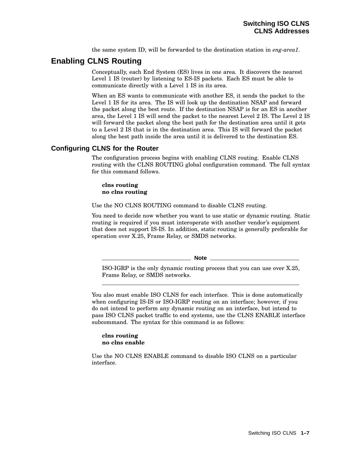the same system ID, will be forwarded to the destination station in *eng-area1*.

# **Enabling CLNS Routing**

Conceptually, each End System (ES) lives in one area. It discovers the nearest Level 1 IS (router) by listening to ES-IS packets. Each ES must be able to communicate directly with a Level 1 IS in its area.

When an ES wants to communicate with another ES, it sends the packet to the Level 1 IS for its area. The IS will look up the destination NSAP and forward the packet along the best route. If the destination NSAP is for an ES in another area, the Level 1 IS will send the packet to the nearest Level 2 IS. The Level 2 IS will forward the packet along the best path for the destination area until it gets to a Level 2 IS that is in the destination area. This IS will forward the packet along the best path inside the area until it is delivered to the destination ES.

### **Configuring CLNS for the Router**

The configuration process begins with enabling CLNS routing. Enable CLNS routing with the CLNS ROUTING global configuration command. The full syntax for this command follows.

**clns routing no clns routing**

Use the NO CLNS ROUTING command to disable CLNS routing.

You need to decide now whether you want to use static or dynamic routing. Static routing is required if you must interoperate with another vendor's equipment that does not support IS-IS. In addition, static routing is generally preferable for operation over X.25, Frame Relay, or SMDS networks.

**Note**

ISO-IGRP is the only dynamic routing process that you can use over X.25, Frame Relay, or SMDS networks.

You also must enable ISO CLNS for each interface. This is done automatically when configuring IS-IS or ISO-IGRP routing on an interface; however, if you do not intend to perform any dynamic routing on an interface, but intend to pass ISO CLNS packet traffic to end systems, use the CLNS ENABLE interface subcommand. The syntax for this command is as follows:

#### **clns routing no clns enable**

Use the NO CLNS ENABLE command to disable ISO CLNS on a particular interface.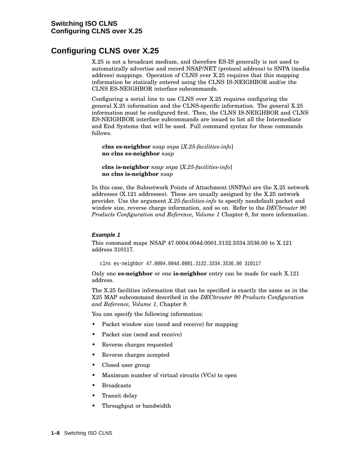# **Configuring CLNS over X.25**

X.25 is not a broadcast medium, and therefore ES-IS generally is not used to automatically advertise and record NSAP/NET (protocol address) to SNPA (media address) mappings. Operation of CLNS over X.25 requires that this mapping information be statically entered using the CLNS IS-NEIGHBOR and/or the CLNS ES-NEIGHBOR interface subcommands.

Configuring a serial line to use CLNS over X.25 requires configuring the general X.25 information and the CLNS-specific information. The general X.25 information must be configured first. Then, the CLNS IS-NEIGHBOR and CLNS ES-NEIGHBOR interface subcommands are issued to list all the Intermediate and End Systems that will be used. Full command syntax for these commands follows.

**clns es-neighbor** *nsap snpa* [*X.25-facilities-info*] **no clns es-neighbor** *nsap*

**clns is-neighbor** *nsap snpa* [*X.25-facilities-info*] **no clns is-neighbor** *nsap*

In this case, the Subnetwork Points of Attachment (SNPAs) are the X.25 network addresses (X.121 addresses). These are usually assigned by the X.25 network provider. Use the argument *X.25-facilities-info* to specify nondefault packet and window size, reverse charge information, and so on. Refer to the *DECbrouter 90 Products Configuration and Reference, Volume 1* Chapter 8, for more information.

#### **Example 1**

This command maps NSAP 47.0004.004d.0001.3132.3334.3536.00 to X.121 address 310117.

clns es-neighbor 47.0004.004d.0001.3132.3334.3536.00 310117

Only one **es-neighbor** or one **is-neighbor** entry can be made for each X.121 address.

The X.25 facilities information that can be specified is exactly the same as in the X25 MAP subcommand described in the *DECbrouter 90 Products Configuration and Reference, Volume 1*, Chapter 8.

You can specify the following information:

- Packet window size (send and receive) for mapping
- Packet size (send and receive)
- Reverse charges requested
- Reverse charges accepted
- Closed user group
- Maximum number of virtual circuits (VCs) to open
- Broadcasts
- Transit delay
- Throughput or bandwidth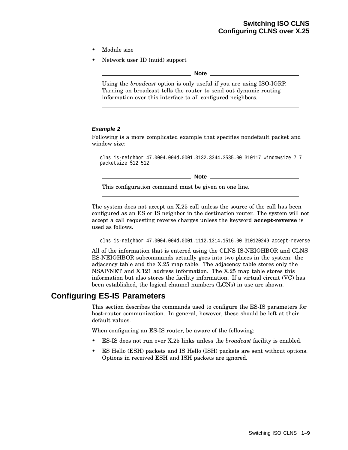- Module size
- Network user ID (nuid) support

**Note**

Using the *broadcast* option is only useful if you are using ISO-IGRP. Turning on broadcast tells the router to send out dynamic routing information over this interface to all configured neighbors.

#### **Example 2**

Following is a more complicated example that specifies nondefault packet and window size:

clns is-neighbor 47.0004.004d.0001.3132.3344.3535.00 310117 windowsize 7 7 packetsize 512 512

**Note**

This configuration command must be given on one line.

The system does not accept an X.25 call unless the source of the call has been configured as an ES or IS neighbor in the destination router. The system will not accept a call requesting reverse charges unless the keyword **accept-reverse** is used as follows.

clns is-neighbor 47.0004.004d.0001.1112.1314.1516.00 310120249 accept-reverse

All of the information that is entered using the CLNS IS-NEIGHBOR and CLNS ES-NEIGHBOR subcommands actually goes into two places in the system: the adjacency table and the X.25 map table. The adjacency table stores only the NSAP/NET and X.121 address information. The X.25 map table stores this information but also stores the facility information. If a virtual circuit (VC) has been established, the logical channel numbers (LCNs) in use are shown.

# **Configuring ES-IS Parameters**

This section describes the commands used to configure the ES-IS parameters for host-router communication. In general, however, these should be left at their default values.

When configuring an ES-IS router, be aware of the following:

- ES-IS does not run over X.25 links unless the *broadcast* facility is enabled.
- ES Hello (ESH) packets and IS Hello (ISH) packets are sent without options. Options in received ESH and ISH packets are ignored.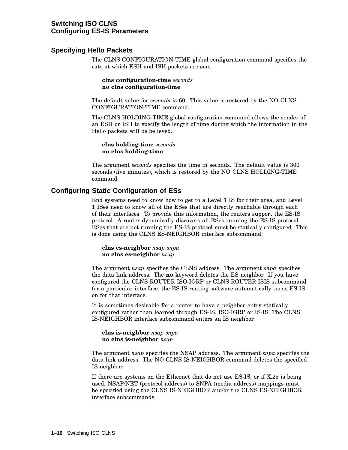### **Specifying Hello Packets**

The CLNS CONFIGURATION-TIME global configuration command specifies the rate at which ESH and ISH packets are sent.

**clns configuration-time** *seconds* **no clns configuration-time**

The default value for *seconds* is 60. This value is restored by the NO CLNS CONFIGURATION-TIME command.

The CLNS HOLDING-TIME global configuration command allows the sender of an ESH or ISH to specify the length of time during which the information in the Hello packets will be believed.

**clns holding-time** *seconds* **no clns holding-time**

The argument *seconds* specifies the time in seconds. The default value is 300 seconds (five minutes), which is restored by the NO CLNS HOLDING-TIME command.

### **Configuring Static Configuration of ESs**

End systems need to know how to get to a Level 1 IS for their area, and Level 1 ISes need to know all of the ESes that are directly reachable through each of their interfaces. To provide this information, the routers support the ES-IS protocol. A router dynamically discovers all ESes running the ES-IS protocol. ESes that are not running the ES-IS protocol must be statically configured. This is done using the CLNS ES-NEIGHBOR interface subcommand:

**clns es-neighbor** *nsap snpa* **no clns es-neighbor** *nsap*

The argument *nsap* specifies the CLNS address. The argument *snpa* specifies the data link address. The **no** keyword deletes the ES neighbor. If you have configured the CLNS ROUTER ISO-IGRP or CLNS ROUTER ISIS subcommand for a particular interface, the ES-IS routing software automatically turns ES-IS on for that interface.

It is sometimes desirable for a router to have a neighbor entry statically configured rather than learned through ES-IS, ISO-IGRP or IS-IS. The CLNS IS-NEIGHBOR interface subcommand enters an IS neighbor.

**clns is-neighbor** *nsap snpa* **no clns is-neighbor** *nsap*

The argument *nsap* specifies the NSAP address. The argument *snpa* specifies the data link address. The NO CLNS IS-NEIGHBOR command deletes the specified IS neighbor.

If there are systems on the Ethernet that do not use ES-IS, or if X.25 is being used, NSAP/NET (protocol address) to SNPA (media address) mappings must be specified using the CLNS IS-NEIGHBOR and/or the CLNS ES-NEIGHBOR interface subcommands.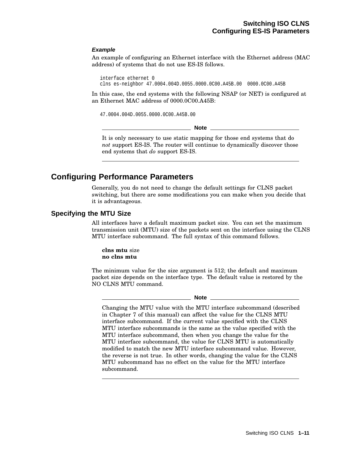#### **Example**

An example of configuring an Ethernet interface with the Ethernet address (MAC address) of systems that do not use ES-IS follows.

interface ethernet 0 clns es-neighbor 47.0004.004D.0055.0000.0C00.A45B.00 0000.0C00.A45B

In this case, the end systems with the following NSAP (or NET) is configured at an Ethernet MAC address of 0000.0C00.A45B:

47.0004.004D.0055.0000.0C00.A45B.00

**Note** 

It is only necessary to use static mapping for those end systems that do *not* support ES-IS. The router will continue to dynamically discover those end systems that *do* support ES-IS.

# **Configuring Performance Parameters**

Generally, you do not need to change the default settings for CLNS packet switching, but there are some modifications you can make when you decide that it is advantageous.

#### **Specifying the MTU Size**

All interfaces have a default maximum packet size. You can set the maximum transmission unit (MTU) size of the packets sent on the interface using the CLNS MTU interface subcommand. The full syntax of this command follows.

**clns mtu** size **no clns mtu**

The minimum value for the size argument is 512; the default and maximum packet size depends on the interface type. The default value is restored by the NO CLNS MTU command.

#### **Note**

Changing the MTU value with the MTU interface subcommand (described in Chapter 7 of this manual) can affect the value for the CLNS MTU interface subcommand. If the current value specified with the CLNS MTU interface subcommands is the same as the value specified with the MTU interface subcommand, then when you change the value for the MTU interface subcommand, the value for CLNS MTU is automatically modified to match the new MTU interface subcommand value. However, the reverse is not true. In other words, changing the value for the CLNS MTU subcommand has no effect on the value for the MTU interface subcommand.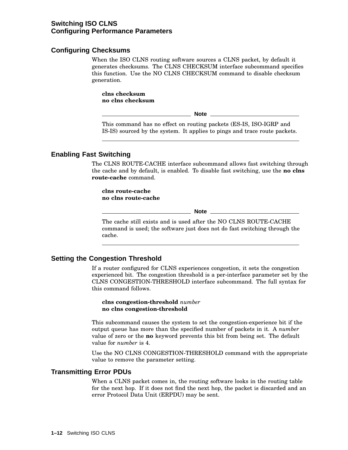### **Switching ISO CLNS Configuring Performance Parameters**

#### **Configuring Checksums**

When the ISO CLNS routing software sources a CLNS packet, by default it generates checksums. The CLNS CHECKSUM interface subcommand specifies this function. Use the NO CLNS CHECKSUM command to disable checksum generation.

**clns checksum no clns checksum**

**Note**

This command has no effect on routing packets (ES-IS, ISO-IGRP and IS-IS) sourced by the system. It applies to pings and trace route packets.

#### **Enabling Fast Switching**

The CLNS ROUTE-CACHE interface subcommand allows fast switching through the cache and by default, is enabled. To disable fast switching, use the **no clns route-cache** command.

**clns route-cache no clns route-cache**

**Note** \_

The cache still exists and is used after the NO CLNS ROUTE-CACHE command is used; the software just does not do fast switching through the cache.

### **Setting the Congestion Threshold**

If a router configured for CLNS experiences congestion, it sets the congestion experienced bit. The congestion threshold is a per-interface parameter set by the CLNS CONGESTION-THRESHOLD interface subcommand. The full syntax for this command follows.

#### **clns congestion-threshold** *number* **no clns congestion-threshold**

This subcommand causes the system to set the congestion-experience bit if the output queue has more than the specified number of packets in it. A *number* value of zero or the **no** keyword prevents this bit from being set. The default value for *number* is 4.

Use the NO CLNS CONGESTION-THRESHOLD command with the appropriate value to remove the parameter setting.

#### **Transmitting Error PDUs**

When a CLNS packet comes in, the routing software looks in the routing table for the next hop. If it does not find the next hop, the packet is discarded and an error Protocol Data Unit (ERPDU) may be sent.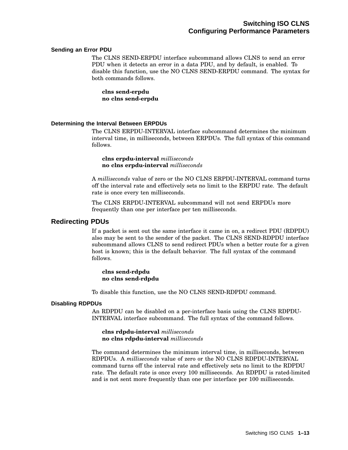#### **Sending an Error PDU**

The CLNS SEND-ERPDU interface subcommand allows CLNS to send an error PDU when it detects an error in a data PDU, and by default, is enabled. To disable this function, use the NO CLNS SEND-ERPDU command. The syntax for both commands follows.

**clns send-erpdu no clns send-erpdu**

#### **Determining the Interval Between ERPDUs**

The CLNS ERPDU-INTERVAL interface subcommand determines the minimum interval time, in milliseconds, between ERPDUs. The full syntax of this command follows.

**clns erpdu-interval** *milliseconds* **no clns erpdu-interval** *milliseconds*

A *milliseconds* value of zero or the NO CLNS ERPDU-INTERVAL command turns off the interval rate and effectively sets no limit to the ERPDU rate. The default rate is once every ten milliseconds.

The CLNS ERPDU-INTERVAL subcommand will not send ERPDUs more frequently than one per interface per ten milliseconds.

#### **Redirecting PDUs**

If a packet is sent out the same interface it came in on, a redirect PDU (RDPDU) also may be sent to the sender of the packet. The CLNS SEND-RDPDU interface subcommand allows CLNS to send redirect PDUs when a better route for a given host is known; this is the default behavior. The full syntax of the command follows.

**clns send-rdpdu no clns send-rdpdu**

To disable this function, use the NO CLNS SEND-RDPDU command.

#### **Disabling RDPDUs**

An RDPDU can be disabled on a per-interface basis using the CLNS RDPDU-INTERVAL interface subcommand. The full syntax of the command follows.

**clns rdpdu-interval** *milliseconds* **no clns rdpdu-interval** *milliseconds*

The command determines the minimum interval time, in milliseconds, between RDPDUs. A *milliseconds* value of zero or the NO CLNS RDPDU-INTERVAL command turns off the interval rate and effectively sets no limit to the RDPDU rate. The default rate is once every 100 milliseconds. An RDPDU is rated-limited and is not sent more frequently than one per interface per 100 milliseconds.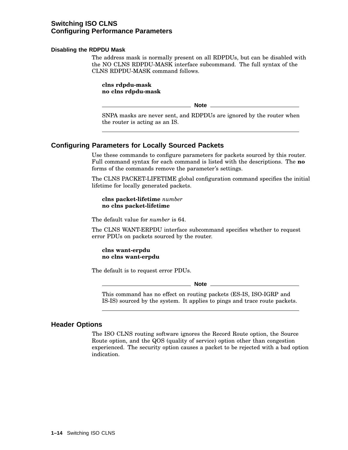### **Switching ISO CLNS Configuring Performance Parameters**

#### **Disabling the RDPDU Mask**

The address mask is normally present on all RDPDUs, but can be disabled with the NO CLNS RDPDU-MASK interface subcommand. The full syntax of the CLNS RDPDU-MASK command follows.

**clns rdpdu-mask no clns rdpdu-mask**

**Note**

SNPA masks are never sent, and RDPDUs are ignored by the router when the router is acting as an IS.

### **Configuring Parameters for Locally Sourced Packets**

Use these commands to configure parameters for packets sourced by this router. Full command syntax for each command is listed with the descriptions. The **no** forms of the commands remove the parameter's settings.

The CLNS PACKET-LIFETIME global configuration command specifies the initial lifetime for locally generated packets.

**clns packet-lifetime** *number* **no clns packet-lifetime**

The default value for *number* is 64.

The CLNS WANT-ERPDU interface subcommand specifies whether to request error PDUs on packets sourced by the router.

#### **clns want-erpdu no clns want-erpdu**

The default is to request error PDUs.

**Note**

This command has no effect on routing packets (ES-IS, ISO-IGRP and IS-IS) sourced by the system. It applies to pings and trace route packets.

#### **Header Options**

The ISO CLNS routing software ignores the Record Route option, the Source Route option, and the QOS (quality of service) option other than congestion experienced. The security option causes a packet to be rejected with a bad option indication.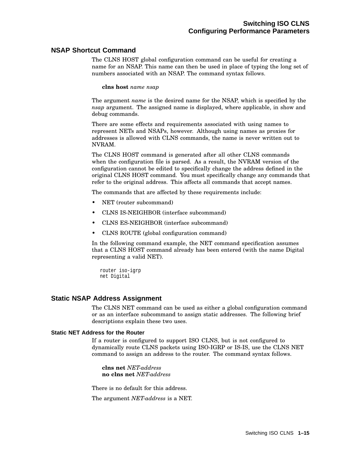#### **NSAP Shortcut Command**

The CLNS HOST global configuration command can be useful for creating a name for an NSAP. This name can then be used in place of typing the long set of numbers associated with an NSAP. The command syntax follows.

**clns host** *name nsap*

The argument *name* is the desired name for the NSAP, which is specified by the *nsap* argument. The assigned name is displayed, where applicable, in show and debug commands.

There are some effects and requirements associated with using names to represent NETs and NSAPs, however. Although using names as proxies for addresses is allowed with CLNS commands, the name is never written out to NVRAM.

The CLNS HOST command is generated after all other CLNS commands when the configuration file is parsed. As a result, the NVRAM version of the configuration cannot be edited to specifically change the address defined in the original CLNS HOST command. You must specifically change any commands that refer to the original address. This affects all commands that accept names.

The commands that are affected by these requirements include:

- NET (router subcommand)
- CLNS IS-NEIGHBOR (interface subcommand)
- CLNS ES-NEIGHBOR (interface subcommand)
- CLNS ROUTE (global configuration command)

In the following command example, the NET command specification assumes that a CLNS HOST command already has been entered (with the name Digital representing a valid NET).

router iso-igrp net Digital

#### **Static NSAP Address Assignment**

The CLNS NET command can be used as either a global configuration command or as an interface subcommand to assign static addresses. The following brief descriptions explain these two uses.

#### **Static NET Address for the Router**

If a router is configured to support ISO CLNS, but is not configured to dynamically route CLNS packets using ISO-IGRP or IS-IS, use the CLNS NET command to assign an address to the router. The command syntax follows.

**clns net** *NET-address* **no clns net** *NET-address*

There is no default for this address.

The argument *NET-address* is a NET.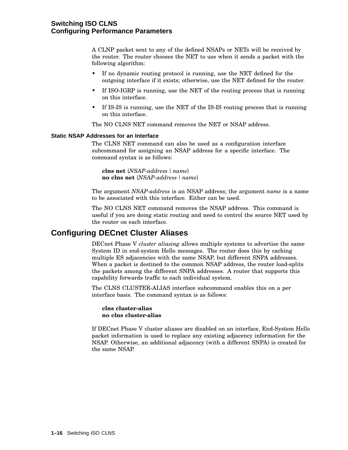A CLNP packet sent to any of the defined NSAPs or NETs will be received by the router. The router chooses the NET to use when it sends a packet with the following algorithm:

- If no dynamic routing protocol is running, use the NET defined for the outgoing interface if it exists; otherwise, use the NET defined for the router.
- If ISO-IGRP is running, use the NET of the routing process that is running on this interface.
- If IS-IS is running, use the NET of the IS-IS routing process that is running on this interface.

The NO CLNS NET command removes the NET or NSAP address.

#### **Static NSAP Addresses for an Interface**

The CLNS NET command can also be used as a configuration interface subcommand for assigning an NSAP address for a specific interface. The command syntax is as follows:

**clns net** {*NSAP-address | name*} **no clns net** {*NSAP-address | name*}

The argument *NSAP-address* is an NSAP address; the argument *name* is a name to be associated with this interface. Either can be used.

The NO CLNS NET command removes the NSAP address. This command is useful if you are doing static routing and need to control the source NET used by the router on each interface.

## **Configuring DECnet Cluster Aliases**

DECnet Phase V *cluster aliasing* allows multiple systems to advertise the same System ID in end-system Hello messages. The router does this by caching multiple ES adjacencies with the same NSAP, but different SNPA addresses. When a packet is destined to the common NSAP address, the router load-splits the packets among the different SNPA addresses. A router that supports this capability forwards traffic to each individual system.

The CLNS CLUSTER-ALIAS interface subcommand enables this on a per interface basis. The command syntax is as follows:

#### **clns cluster-alias no clns cluster-alias**

If DECnet Phase V cluster aliases are disabled on an interface, End-System Hello packet information is used to replace any existing adjacency information for the NSAP. Otherwise, an additional adjacency (with a different SNPA) is created for the same NSAP.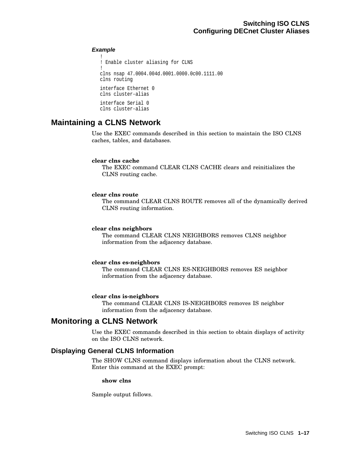#### **Example**

```
!
! Enable cluster aliasing for CLNS
!
clns nsap 47.0004.004d.0001.0000.0c00.1111.00
clns routing
interface Ethernet 0
clns cluster-alias
interface Serial 0
clns cluster-alias
```
# **Maintaining a CLNS Network**

Use the EXEC commands described in this section to maintain the ISO CLNS caches, tables, and databases.

#### **clear clns cache**

The EXEC command CLEAR CLNS CACHE clears and reinitializes the CLNS routing cache.

#### **clear clns route**

The command CLEAR CLNS ROUTE removes all of the dynamically derived CLNS routing information.

#### **clear clns neighbors**

The command CLEAR CLNS NEIGHBORS removes CLNS neighbor information from the adjacency database.

#### **clear clns es-neighbors**

The command CLEAR CLNS ES-NEIGHBORS removes ES neighbor information from the adjacency database.

#### **clear clns is-neighbors**

The command CLEAR CLNS IS-NEIGHBORS removes IS neighbor information from the adjacency database.

# **Monitoring a CLNS Network**

Use the EXEC commands described in this section to obtain displays of activity on the ISO CLNS network.

### **Displaying General CLNS Information**

The SHOW CLNS command displays information about the CLNS network. Enter this command at the EXEC prompt:

#### **show clns**

Sample output follows.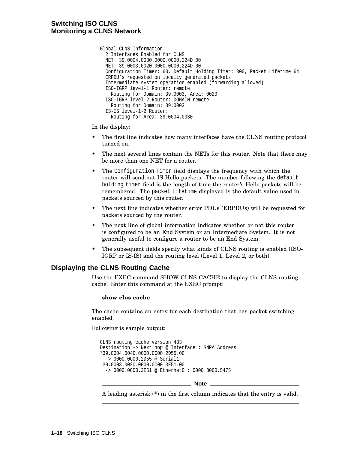```
Global CLNS Information:
  2 Interfaces Enabled for CLNS
  NET: 39.0004.0030.0000.0C00.224D.00
 NET: 39.0003.0020.0000.0C00.224D.00
  Configuration Timer: 60, Default Holding Timer: 300, Packet Lifetime 64
  ERPDU's requested on locally generated packets
  Intermediate system operation enabled (forwarding allowed)
  ISO-IGRP level-1 Router: remote
   Routing for Domain: 39.0003, Area: 0020
  ISO-IGRP level-2 Router: DOMAIN_remote
   Routing for Domain: 39.0003
  IS-IS level-1-2 Router:
   Routing for Area: 39.0004.0030
```
In the display:

- The first line indicates how many interfaces have the CLNS routing protocol turned on.
- The next several lines contain the NETs for this router. Note that there may be more than one NET for a router.
- The Configuration Timer field displays the frequency with which the router will send out IS Hello packets. The number following the default holding timer field is the length of time the router's Hello packets will be remembered. The packet lifetime displayed is the default value used in packets sourced by this router.
- The next line indicates whether error PDUs (ERPDUs) will be requested for packets sourced by the router.
- The next line of global information indicates whether or not this router is configured to be an End System or an Intermediate System. It is not generally useful to configure a router to be an End System.
- The subsequent fields specify what kinds of CLNS routing is enabled (ISO-IGRP or IS-IS) and the routing level (Level 1, Level 2, or both).

### **Displaying the CLNS Routing Cache**

Use the EXEC command SHOW CLNS CACHE to display the CLNS routing cache. Enter this command at the EXEC prompt:

#### **show clns cache**

The cache contains an entry for each destination that has packet switching enabled.

Following is sample output:

```
CLNS routing cache version 433
Destination -> Next hop @ Interface : SNPA Address
*39.0004.0040.0000.0C00.2D55.00
 -> 0000.0C00.2D55 @ Serial1
39.0003.0020.0000.0C00.3E51.00
  -> 0000.0C00.3E51 @ Ethernet0 : 0000.3000.5475
```
**Note**

A leading asterisk (\*) in the first column indicates that the entry is valid.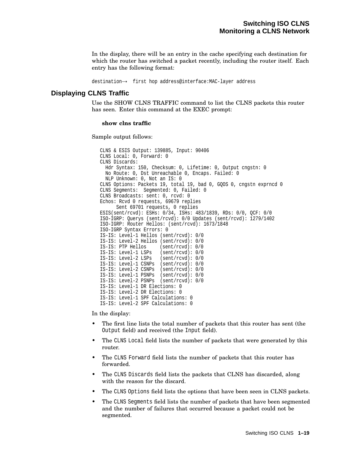In the display, there will be an entry in the cache specifying each destination for which the router has switched a packet recently, including the router itself. Each entry has the following format:

destination→ first hop address@interface:MAC-layer address

### **Displaying CLNS Traffic**

Use the SHOW CLNS TRAFFIC command to list the CLNS packets this router has seen. Enter this command at the EXEC prompt:

#### **show clns traffic**

Sample output follows:

CLNS & ESIS Output: 139885, Input: 90406 CLNS Local: 0, Forward: 0 CLNS Discards: Hdr Syntax: 150, Checksum: 0, Lifetime: 0, Output cngstn: 0 No Route: 0, Dst Unreachable 0, Encaps. Failed: 0 NLP Unknown: 0, Not an IS: 0 CLNS Options: Packets 19, total 19, bad 0, GQOS 0, cngstn exprncd 0 CLNS Segments: Segmented: 0, Failed: 0 CLNS Broadcasts: sent: 0, rcvd: 0 Echos: Rcvd 0 requests, 69679 replies Sent 69701 requests, 0 replies ESIS(sent/rcvd): ESHs: 0/34, ISHs: 483/1839, RDs: 0/0, QCF: 0/0 ISO-IGRP: Querys (sent/rcvd): 0/0 Updates (sent/rcvd): 1279/1402 ISO-IGRP: Router Hellos: (sent/rcvd): 1673/1848 ISO-IGRP Syntax Errors: 0 IS-IS: Level-1 Hellos (sent/rcvd): 0/0 IS-IS: Level-2 Hellos (sent/rcvd): 0/0 IS-IS: PTP Hellos (sent/rcvd): 0/0 IS-IS: Level-1 LSPs (sent/rcvd): 0/0 IS-IS: Level-2 LSPs (sent/rcvd): 0/0 IS-IS: Level-1 CSNPs (sent/rcvd): 0/0 IS-IS: Level-2 CSNPs (sent/rcvd): 0/0 IS-IS: Level-1 PSNPs (sent/rcvd): 0/0 IS-IS: Level-2 PSNPs (sent/rcvd): 0/0 IS-IS: Level-1 DR Elections: 0 IS-IS: Level-2 DR Elections: 0 IS-IS: Level-1 SPF Calculations: 0 IS-IS: Level-2 SPF Calculations: 0

In the display:

- The first line lists the total number of packets that this router has sent (the Output field) and received (the Input field).
- The CLNS Local field lists the number of packets that were generated by this router.
- The CLNS Forward field lists the number of packets that this router has forwarded.
- The CLNS Discards field lists the packets that CLNS has discarded, along with the reason for the discard.
- The CLNS Options field lists the options that have been seen in CLNS packets.
- The CLNS Segments field lists the number of packets that have been segmented and the number of failures that occurred because a packet could not be segmented.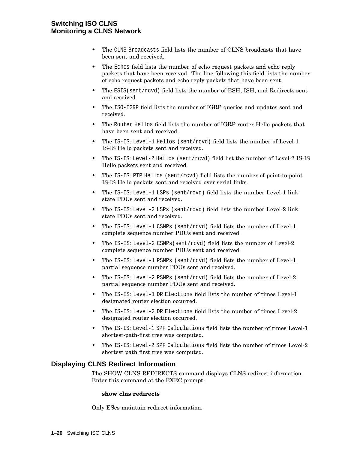### **Switching ISO CLNS Monitoring a CLNS Network**

- The CLNS Broadcasts field lists the number of CLNS broadcasts that have been sent and received.
- The Echos field lists the number of echo request packets and echo reply packets that have been received. The line following this field lists the number of echo request packets and echo reply packets that have been sent.
- The ESIS(sent/rcvd) field lists the number of ESH, ISH, and Redirects sent and received.
- The ISO-IGRP field lists the number of IGRP queries and updates sent and received.
- The Router Hellos field lists the number of IGRP router Hello packets that have been sent and received.
- The IS-IS: Level-1 Hellos (sent/rcvd) field lists the number of Level-1 IS-IS Hello packets sent and received.
- The IS-IS: Level-2 Hellos (sent/rcvd) field list the number of Level-2 IS-IS Hello packets sent and received.
- The IS-IS: PTP Hellos (sent/rcvd) field lists the number of point-to-point IS-IS Hello packets sent and received over serial links.
- The IS-IS: Level-1 LSPs (sent/rcvd) field lists the number Level-1 link state PDUs sent and received.
- The IS-IS: Level-2 LSPs (sent/rcvd) field lists the number Level-2 link state PDUs sent and received.
- The IS-IS: Level-1 CSNPs (sent/rcvd) field lists the number of Level-1 complete sequence number PDUs sent and received.
- The IS-IS: Level-2 CSNPs(sent/rcvd) field lists the number of Level-2 complete sequence number PDUs sent and received.
- The IS-IS: Level-1 PSNPs (sent/rcvd) field lists the number of Level-1 partial sequence number PDUs sent and received.
- The IS-IS: Level-2 PSNPs (sent/rcvd) field lists the number of Level-2 partial sequence number PDUs sent and received.
- The IS-IS: Level-1 DR Elections field lists the number of times Level-1 designated router election occurred.
- The IS-IS: Level-2 DR Elections field lists the number of times Level-2 designated router election occurred.
- The IS-IS: Level-1 SPF Calculations field lists the number of times Level-1 shortest-path-first tree was computed.
- The IS-IS: Level-2 SPF Calculations field lists the number of times Level-2 shortest path first tree was computed.

### **Displaying CLNS Redirect Information**

The SHOW CLNS REDIRECTS command displays CLNS redirect information. Enter this command at the EXEC prompt:

### **show clns redirects**

Only ESes maintain redirect information.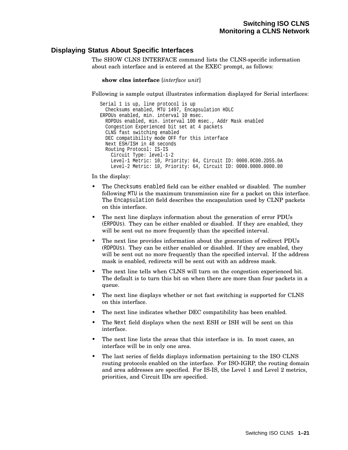### **Displaying Status About Specific Interfaces**

The SHOW CLNS INTERFACE command lists the CLNS-specific information about each interface and is entered at the EXEC prompt, as follows:

```
show clns interface [interface unit]
```
Following is sample output illustrates information displayed for Serial interfaces:

```
Serial 1 is up, line protocol is up
  Checksums enabled, MTU 1497, Encapsulation HDLC
ERPDUs enabled, min. interval 10 msec.
 RDPDUs enabled, min. interval 100 msec., Addr Mask enabled
  Congestion Experienced bit set at 4 packets
  CLNS fast switching enabled
  DEC compatibility mode OFF for this interface
 Next ESH/ISH in 48 seconds
 Routing Protocol: IS-IS
   Circuit Type: level-1-2
   Level-1 Metric: 10, Priority: 64, Circuit ID: 0000.0C00.2D55.0A
   Level-2 Metric: 10, Priority: 64, Circuit ID: 0000.0000.0000.00
```
In the display:

- The Checksums enabled field can be either enabled or disabled. The number following MTU is the maximum transmission size for a packet on this interface. The Encapsulation field describes the encapsulation used by CLNP packets on this interface.
- The next line displays information about the generation of error PDUs (ERPDUs). They can be either enabled or disabled. If they are enabled, they will be sent out no more frequently than the specified interval.
- The next line provides information about the generation of redirect PDUs (RDPDUs). They can be either enabled or disabled. If they are enabled, they will be sent out no more frequently than the specified interval. If the address mask is enabled, redirects will be sent out with an address mask.
- The next line tells when CLNS will turn on the congestion experienced bit. The default is to turn this bit on when there are more than four packets in a queue.
- The next line displays whether or not fast switching is supported for CLNS on this interface.
- The next line indicates whether DEC compatibility has been enabled.
- The Next field displays when the next ESH or ISH will be sent on this interface.
- The next line lists the areas that this interface is in. In most cases, an interface will be in only one area.
- The last series of fields displays information pertaining to the ISO CLNS routing protocols enabled on the interface. For ISO-IGRP, the routing domain and area addresses are specified. For IS-IS, the Level 1 and Level 2 metrics, priorities, and Circuit IDs are specified.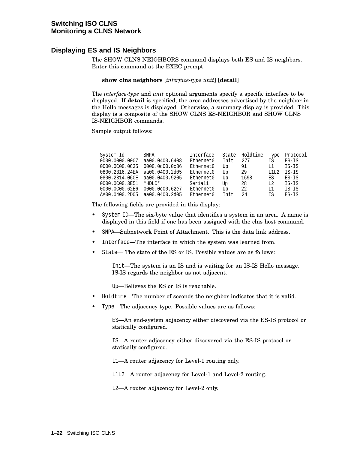### **Displaying ES and IS Neighbors**

The SHOW CLNS NEIGHBORS command displays both ES and IS neighbors. Enter this command at the EXEC prompt:

#### **show clns neighbors** [*interface-type unit*] [**detail**]

The *interface-type* and *unit* optional arguments specify a specific interface to be displayed. If **detail** is specified, the area addresses advertised by the neighbor in the Hello messages is displayed. Otherwise, a summary display is provided. This display is a composite of the SHOW CLNS ES-NEIGHBOR and SHOW CLNS IS-NEIGHBOR commands.

Sample output follows:

| System Id                     | SNPA           | Interface |      | State Holdtime | Type   | Protocol |
|-------------------------------|----------------|-----------|------|----------------|--------|----------|
| 0000.0000.0007                | aa00.0400.6408 | Ethernet0 | Init | 277            | ΙS     | ES-IS    |
| 0000.0C00.0C35                | 0000.0c00.0c36 | Ethernet0 | Up   | 91             | L1     | IS-IS    |
| 0800.2B16.24EA                | aa00.0400.2d05 | Ethernet0 | Up   | -29            | T.1T.2 | IS-IS    |
| 0800.2B14.060E aa00.0400.9205 |                | Ethernet0 | Up   | 1698           | ES     | $ES-IS$  |
| 0000.0C00.3E51                | $*$ HDLC $*$   | Serial1   | Up   | -28            | L2     | IS-IS    |
| 0000.0C00.62E6 0000.0c00.62e7 |                | Ethernet0 | Up   | 22             | L1     | IS-IS    |
| AA00.0400.2D05 aa00.0400.2d05 |                | Ethernet0 | Init | 2.4            | ΙS     | $FS-TS$  |

The following fields are provided in this display:

- System ID—The six-byte value that identifies a system in an area. A name is displayed in this field if one has been assigned with the clns host command.
- SNPA—Subnetwork Point of Attachment. This is the data link address.
- Interface—The interface in which the system was learned from.
- State— The state of the ES or IS. Possible values are as follows:

Init—The system is an IS and is waiting for an IS-IS Hello message. IS-IS regards the neighbor as not adjacent.

Up—Believes the ES or IS is reachable.

- Holdtime—The number of seconds the neighbor indicates that it is valid.
- Type—The adjacency type. Possible values are as follows:

ES—An end-system adjacency either discovered via the ES-IS protocol or statically configured.

IS—A router adjacency either discovered via the ES-IS protocol or statically configured.

L1—A router adjacency for Level-1 routing only.

L1L2—A router adjacency for Level-1 and Level-2 routing.

L2—A router adjacency for Level-2 only.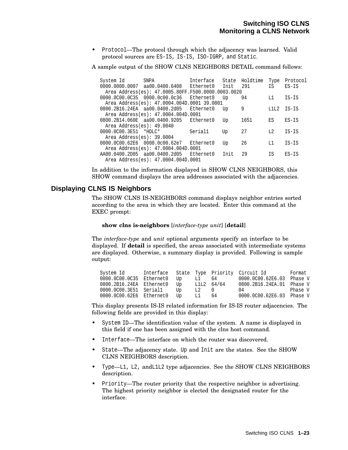• Protocol—The protocol through which the adjacency was learned. Valid protocol sources are ES-IS, IS-IS, ISO-IGRP, and Static.

A sample output of the SHOW CLNS NEIGHBORS DETAIL command follows:

| System Id                    | SNPA                                               | Interface | State | Holdtime | Type           | Protocol |
|------------------------------|----------------------------------------------------|-----------|-------|----------|----------------|----------|
|                              | 0000.0000.0007 aa00.0400.6408                      | Ethernet0 | Init  | 291      | IS             | $ES-IS$  |
|                              | Area Address(es): 47.0005.80FF.F500.0000.0003.0020 |           |       |          |                |          |
|                              | 0000.0C00.0C35 0000.0c00.0c36                      | Ethernet0 | Up    | 94       | L1             | IS-IS    |
|                              | Area Address(es): 47.0004.004D.0001 39.0001        |           |       |          |                |          |
|                              | 0800.2B16.24EA aa00.0400.2d05                      | Ethernet0 | Up    | 9        | L1L2           | IS-IS    |
|                              | Area Address(es): 47.0004.004D.0001                |           |       |          |                |          |
|                              | 0800.2B14.060E aa00.0400.9205                      | Ethernet0 | Up    | 1651     | ES             | $ES-IS$  |
| Area Address $(es): 49.0040$ |                                                    |           |       |          |                |          |
| $0000.0000.3E51$ *HDLC*      |                                                    | Serial1   | Up    | 27       | L <sub>2</sub> | $IS-IS$  |
| Area Address $(es): 39.0004$ |                                                    |           |       |          |                |          |
|                              | 0000.0C00.62E6 0000.0c00.62e7                      | Ethernet0 | Up    | 26       | L1             | IS-IS    |
|                              | Area Address(es): 47.0004.004D.0001                |           |       |          |                |          |
|                              | AA00.0400.2D05 aa00.0400.2d05                      | Ethernet0 | Init  | 29       | ΙS             | $ES-IS$  |
|                              | Area Address(es): 47.0004.004D.0001                |           |       |          |                |          |

In addition to the information displayed in SHOW CLNS NEIGHBORS, this SHOW command displays the area addresses associated with the adjacencies.

### **Displaying CLNS IS Neighbors**

The SHOW CLNS IS-NEIGHBORS command displays neighbor entries sorted according to the area in which they are located. Enter this command at the EXEC prompt:

#### **show clns is-neighbors** [*interface-type unit*] [**detail**]

The *interface-type* and *unit* optional arguments specify an interface to be displayed. If **detail** is specified, the areas associated with intermediate systems are displayed. Otherwise, a summary display is provided. Following is sample output:

| System Id                |      |       |              | Interface State Type Priority Circuit Id | Format  |
|--------------------------|------|-------|--------------|------------------------------------------|---------|
| 0000.0C00.0C35 Ethernet0 | . Up | L1 64 |              | 0000.0C00.62E6.03 Phase V                |         |
| 0800.2B16.24EA Ethernet0 | Up   |       | $L1L2$ 64/64 | 0800.2B16.24EA.01 Phase V                |         |
| 0000.0C00.3E51 Serial1   | Un   | L2    |              | 04                                       | Phase V |
| 0000.0C00.62E6 Ethernet0 | Th.  | L1 -  | -64          | 0000.0C00.62E6.03 Phase V                |         |

This display presents IS-IS related information for IS-IS router adjacencies. The following fields are provided in this display:

- System ID—The identification value of the system. A name is displayed in this field if one has been assigned with the clns host command.
- Interface—The interface on which the router was discovered.
- State—The adjacency state. Up and Init are the states. See the SHOW CLNS NEIGHBORS description.
- Type—L1, L2, andL1L2 type adjacencies. See the SHOW CLNS NEIGHBORS description.
- Priority—The router priority that the respective neighbor is advertising. The highest priority neighbor is elected the designated router for the interface.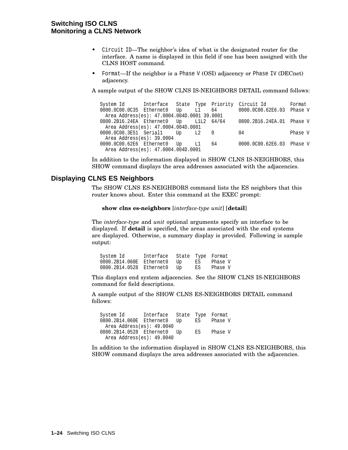### **Switching ISO CLNS Monitoring a CLNS Network**

- Circuit ID—The neighbor's idea of what is the designated router for the interface. A name is displayed in this field if one has been assigned with the CLNS HOST command.
- Format—If the neighbor is a Phase V (OSI) adjacency or Phase IV (DECnet) adjacency.

A sample output of the SHOW CLNS IS-NEIGHBORS DETAIL command follows:

|                                             |  |    |    | System Id 1 Interface State Type Priority Circuit Id | Format  |
|---------------------------------------------|--|----|----|------------------------------------------------------|---------|
| 0000.0000.0035 Ethernet0 Up L1 64           |  |    |    | 0000.0C00.62E6.03 Phase V                            |         |
| Area Address(es): 47.0004.004D.0001 39.0001 |  |    |    |                                                      |         |
| 0800.2B16.24EA Ethernet0 Up L1L2 64/64      |  |    |    | 0800.2B16.24EA.01 Phase V                            |         |
| Area Address(es): 47.0004.004D.0001         |  |    |    |                                                      |         |
| 0000.0C00.3E51 Serial1 Up L2 0              |  |    |    | 04                                                   | Phase V |
| Area Address(es): 39.0004                   |  |    |    |                                                      |         |
| 0000.0C00.62E6 Ethernet0 Up                 |  | L1 | 64 | 0000.0C00.62E6.03 Phase V                            |         |
| Area Address(es): 47.0004.004D.0001         |  |    |    |                                                      |         |

In addition to the information displayed in SHOW CLNS IS-NEIGHBORS, this SHOW command displays the area addresses associated with the adjacencies.

### **Displaying CLNS ES Neighbors**

The SHOW CLNS ES-NEIGHBORS command lists the ES neighbors that this router knows about. Enter this command at the EXEC prompt:

```
show clns es-neighbors [interface-type unit] [detail]
```
The *interface-type* and *unit* optional arguments specify an interface to be displayed. If **detail** is specified, the areas associated with the end systems are displayed. Otherwise, a summary display is provided. Following is sample output:

| System Id      | Interface |    |    | State Type Format |
|----------------|-----------|----|----|-------------------|
| 0800.2B14.060E | Ethernet0 | Up | ES | Phase V           |
| 0800.2B14.0528 | Ethernet0 | Up | ES | Phase V           |

This displays end system adjacencies. See the SHOW CLNS IS-NEIGHBORS command for field descriptions.

A sample output of the SHOW CLNS ES-NEIGHBORS DETAIL command follows:

System Id Interface State Type Format 0800.2B14.060E Ethernet0 Up ES Phase V Area Address(es): 49.0040 0800.2B14.0528 Ethernet0 Up ES Phase V Area Address(es): 49.0040

In addition to the information displayed in SHOW CLNS ES-NEIGHBORS, this SHOW command displays the area addresses associated with the adjacencies.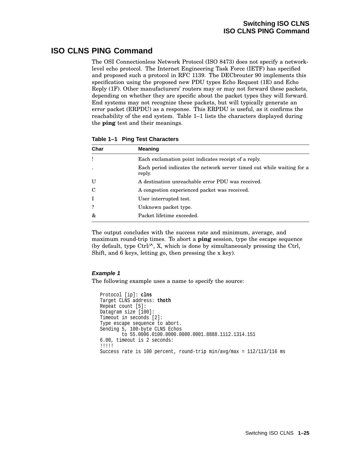# **ISO CLNS PING Command**

The OSI Connectionless Network Protocol (ISO 8473) does not specify a networklevel echo protocol. The Internet Engineering Task Force (IETF) has specified and proposed such a protocol in RFC 1139. The DECbrouter 90 implements this specification using the proposed new PDU types Echo Request (1E) and Echo Reply (1F). Other manufacturers' routers may or may not forward these packets, depending on whether they are specific about the packet types they will forward. End systems may not recognize these packets, but will typically generate an error packet (ERPDU) as a response. This ERPDU is useful, as it confirms the reachability of the end system. Table 1–1 lists the characters displayed during the **ping** test and their meanings.

| Char | <b>Meaning</b>                                                                   |
|------|----------------------------------------------------------------------------------|
|      | Each exclamation point indicates receipt of a reply.                             |
|      | Each period indicates the network server timed out while waiting for a<br>reply. |
| U    | A destination unreachable error PDU was received.                                |
| C    | A congestion experienced packet was received.                                    |
|      | User interrupted test.                                                           |
|      | Unknown packet type.                                                             |
| &    | Packet lifetime exceeded.                                                        |

**Table 1–1 Ping Test Characters**

The output concludes with the success rate and minimum, average, and maximum round-trip times. To abort a **ping** session, type the escape sequence (by default, type Ctrl/^, X, which is done by simultaneously pressing the Ctrl, Shift, and 6 keys, letting go, then pressing the x key).

### **Example 1**

The following example uses a name to specify the source:

```
Protocol [ip]: clns
Target CLNS address: thoth
Repeat count [5]:
Datagram size [100]:
Timeout in seconds [2]:
Type escape sequence to abort.
Sending 5, 100-byte CLNS Echos
        to 55.0006.0100.0000.0000.0001.8888.1112.1314.151
6.00, timeout is 2 seconds:
!!!!!
Success rate is 100 percent, round-trip min/avg/max = 112/113/116 ms
```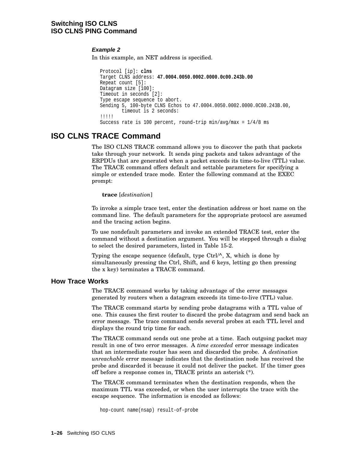### **Switching ISO CLNS ISO CLNS PING Command**

### **Example 2**

In this example, an NET address is specified.

```
Protocol [ip]: clns
Target CLNS address: 47.0004.0050.0002.0000.0c00.243b.00
Repeat count [5]:
Datagram size [100]:
Timeout in seconds [2]:
Type escape sequence to abort.
Sending 5, 100-byte CLNS Echos to 47.0004.0050.0002.0000.0C00.243B.00,
        timeout is 2 seconds:
!!!!!
Success rate is 100 percent, round-trip min/avg/max = 1/4/8 ms
```
# **ISO CLNS TRACE Command**

The ISO CLNS TRACE command allows you to discover the path that packets take through your network. It sends ping packets and takes advantage of the ERPDUs that are generated when a packet exceeds its time-to-live (TTL) value. The TRACE command offers default and settable parameters for specifying a simple or extended trace mode. Enter the following command at the EXEC prompt:

#### **trace** [*destination*]

To invoke a simple trace test, enter the destination address or host name on the command line. The default parameters for the appropriate protocol are assumed and the tracing action begins.

To use nondefault parameters and invoke an extended TRACE test, enter the command without a destination argument. You will be stepped through a dialog to select the desired parameters, listed in Table 15-2.

Typing the escape sequence (default, type Ctrl/^, X, which is done by simultaneously pressing the Ctrl, Shift, and 6 keys, letting go then pressing the x key) terminates a TRACE command.

### **How Trace Works**

The TRACE command works by taking advantage of the error messages generated by routers when a datagram exceeds its time-to-live (TTL) value.

The TRACE command starts by sending probe datagrams with a TTL value of one. This causes the first router to discard the probe datagram and send back an error message. The trace command sends several probes at each TTL level and displays the round trip time for each.

The TRACE command sends out one probe at a time. Each outgoing packet may result in one of two error messages. A *time exceeded* error message indicates that an intermediate router has seen and discarded the probe. A *destination unreachable* error message indicates that the destination node has received the probe and discarded it because it could not deliver the packet. If the timer goes off before a response comes in, TRACE prints an asterisk (\*).

The TRACE command terminates when the destination responds, when the maximum TTL was exceeded, or when the user interrupts the trace with the escape sequence. The information is encoded as follows:

hop-count name(nsap) result-of-probe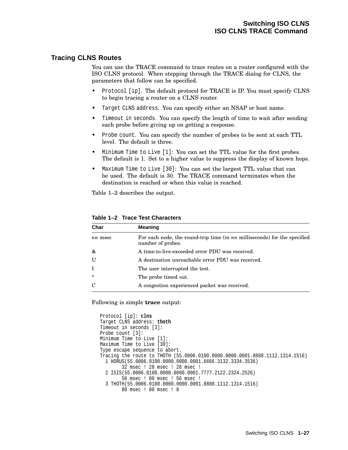### **Tracing CLNS Routes**

You can use the TRACE command to trace routes on a router configured with the ISO CLNS protocol. When stepping through the TRACE dialog for CLNS, the parameters that follow can be specified.

- Protocol [ip]. The default protocol for TRACE is IP. You must specify CLNS to begin tracing a router on a CLNS router.
- Target CLNS address. You can specify either an NSAP or host name.
- Timeout in seconds. You can specify the length of time to wait after sending each probe before giving up on getting a response.
- Probe count. You can specify the number of probes to be sent at each TTL level. The default is three.
- Minimum Time to Live [1]: You can set the TTL value for the first probes. The default is 1. Set to a higher value to suppress the display of known hops.
- Maximum Time to Live [30]: You can set the largest TTL value that can be used. The default is 30. The TRACE command terminates when the destination is reached or when this value is reached.

Table 1–2 describes the output.

| Char           | <b>Meaning</b>                                                                                 |
|----------------|------------------------------------------------------------------------------------------------|
| <i>nn</i> msec | For each node, the round-trip time (in nn milliseconds) for the specified<br>number of probes. |
| &              | A time-to-live-exceeded error PDU was received.                                                |
| U              | A destination unreachable error PDU was received.                                              |
|                | The user interrupted the test.                                                                 |
| *              | The probe timed out.                                                                           |
| C              | A congestion experienced packet was received.                                                  |

**Table 1–2 Trace Test Characters**

Following is simple **trace** output:

```
Protocol [ip]: clns
Target CLNS address: thoth
Timeout in seconds [3]:
Probe count [3]:
Minimum Time to Live [1]:
Maximum Time to Live [30]:
Type escape sequence to abort.
Tracing the route to THOTH (55.0006.0100.0000.0000.0001.8888.1112.1314.1516)
 1 HORUS(55.0006.0100.0000.0000.0001.6666.3132.3334.3536)
        32 msec ! 28 msec ! 28 msec !
  2 ISIS(55.0006.0100.0000.0000.0001.7777.2122.2324.2526)
       56 msec ! 80 msec ! 56 msec !
  3 THOTH(55.0006.0100.0000.0000.0001.8888.1112.1314.1516)
        80 msec ! 80 msec ! 8
```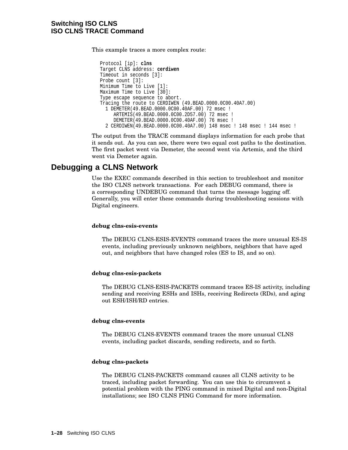### **Switching ISO CLNS ISO CLNS TRACE Command**

This example traces a more complex route:

Protocol [ip]: **clns** Target CLNS address: **cerdiwen** Timeout in seconds [3]: Probe count [3]: Minimum Time to Live [1]: Maximum Time to Live [30]: Type escape sequence to abort. Tracing the route to CERDIWEN (49.BEAD.0000.0C00.40A7.00) 1 DEMETER(49.BEAD.0000.0C00.40AF.00) 72 msec ! ARTEMIS(49.BEAD.0000.0C00.2D57.00) 72 msec ! DEMETER(49.BEAD.0000.0C00.40AF.00) 76 msec ! 2 CERDIWEN(49.BEAD.0000.0C00.40A7.00) 148 msec ! 148 msec ! 144 msec !

The output from the TRACE command displays information for each probe that it sends out. As you can see, there were two equal cost paths to the destination. The first packet went via Demeter, the second went via Artemis, and the third went via Demeter again.

## **Debugging a CLNS Network**

Use the EXEC commands described in this section to troubleshoot and monitor the ISO CLNS network transactions. For each DEBUG command, there is a corresponding UNDEBUG command that turns the message logging off. Generally, you will enter these commands during troubleshooting sessions with Digital engineers.

#### **debug clns-esis-events**

The DEBUG CLNS-ESIS-EVENTS command traces the more unusual ES-IS events, including previously unknown neighbors, neighbors that have aged out, and neighbors that have changed roles (ES to IS, and so on).

#### **debug clns-esis-packets**

The DEBUG CLNS-ESIS-PACKETS command traces ES-IS activity, including sending and receiving ESHs and ISHs, receiving Redirects (RDs), and aging out ESH/ISH/RD entries.

#### **debug clns-events**

The DEBUG CLNS-EVENTS command traces the more unusual CLNS events, including packet discards, sending redirects, and so forth.

#### **debug clns-packets**

The DEBUG CLNS-PACKETS command causes all CLNS activity to be traced, including packet forwarding. You can use this to circumvent a potential problem with the PING command in mixed Digital and non-Digital installations; see ISO CLNS PING Command for more information.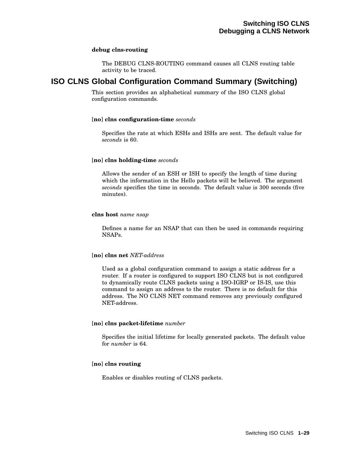#### **debug clns-routing**

The DEBUG CLNS-ROUTING command causes all CLNS routing table activity to be traced.

# **ISO CLNS Global Configuration Command Summary (Switching)**

This section provides an alphabetical summary of the ISO CLNS global configuration commands.

### [**no**] **clns configuration-time** *seconds*

Specifies the rate at which ESHs and ISHs are sent. The default value for *seconds* is 60.

### [**no**] **clns holding-time** *seconds*

Allows the sender of an ESH or ISH to specify the length of time during which the information in the Hello packets will be believed. The argument *seconds* specifies the time in seconds. The default value is 300 seconds (five minutes).

#### **clns host** *name nsap*

Defines a name for an NSAP that can then be used in commands requiring NSAPs.

#### [**no**] **clns net** *NET-address*

Used as a global configuration command to assign a static address for a router. If a router is configured to support ISO CLNS but is not configured to dynamically route CLNS packets using a ISO-IGRP or IS-IS, use this command to assign an address to the router. There is no default for this address. The NO CLNS NET command removes any previously configured NET-address.

### [**no**] **clns packet-lifetime** *number*

Specifies the initial lifetime for locally generated packets. The default value for *number* is 64.

### [**no**] **clns routing**

Enables or disables routing of CLNS packets.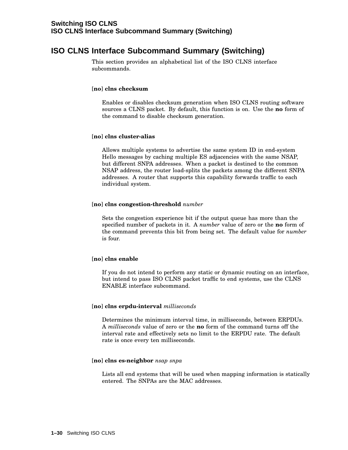# **ISO CLNS Interface Subcommand Summary (Switching)**

This section provides an alphabetical list of the ISO CLNS interface subcommands.

#### [**no**] **clns checksum**

Enables or disables checksum generation when ISO CLNS routing software sources a CLNS packet. By default, this function is on. Use the **no** form of the command to disable checksum generation.

#### [**no**] **clns cluster-alias**

Allows multiple systems to advertise the same system ID in end-system Hello messages by caching multiple ES adjacencies with the same NSAP, but different SNPA addresses. When a packet is destined to the common NSAP address, the router load-splits the packets among the different SNPA addresses. A router that supports this capability forwards traffic to each individual system.

#### [**no**] **clns congestion-threshold** *number*

Sets the congestion experience bit if the output queue has more than the specified number of packets in it. A *number* value of zero or the **no** form of the command prevents this bit from being set. The default value for *number* is four.

#### [**no**] **clns enable**

If you do not intend to perform any static or dynamic routing on an interface, but intend to pass ISO CLNS packet traffic to end systems, use the CLNS ENABLE interface subcommand.

#### [**no**] **clns erpdu-interval** *milliseconds*

Determines the minimum interval time, in milliseconds, between ERPDUs. A *milliseconds* value of zero or the **no** form of the command turns off the interval rate and effectively sets no limit to the ERPDU rate. The default rate is once every ten milliseconds.

#### [**no**] **clns es-neighbor** *nsap snpa*

Lists all end systems that will be used when mapping information is statically entered. The SNPAs are the MAC addresses.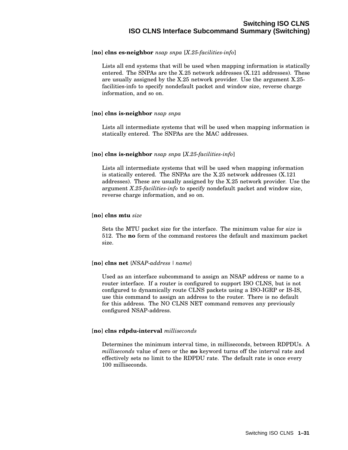#### [**no**] **clns es-neighbor** *nsap snpa* [*X.25-facilities-info*]

Lists all end systems that will be used when mapping information is statically entered. The SNPAs are the X.25 network addresses (X.121 addresses). These are usually assigned by the X.25 network provider. Use the argument X.25 facilities-info to specify nondefault packet and window size, reverse charge information, and so on.

#### [**no**] **clns is-neighbor** *nsap snpa*

Lists all intermediate systems that will be used when mapping information is statically entered. The SNPAs are the MAC addresses.

#### [**no**] **clns is-neighbor** *nsap snpa* [*X.25-facilities-info*]

Lists all intermediate systems that will be used when mapping information is statically entered. The SNPAs are the X.25 network addresses (X.121 addresses). These are usually assigned by the X.25 network provider. Use the argument *X.25-facilities-info* to specify nondefault packet and window size, reverse charge information, and so on.

#### [**no**] **clns mtu** *size*

Sets the MTU packet size for the interface. The minimum value for *size* is 512. The **no** form of the command restores the default and maximum packet size.

#### [**no**] **clns net** {*NSAP-address | name*}

Used as an interface subcommand to assign an NSAP address or name to a router interface. If a router is configured to support ISO CLNS, but is not configured to dynamically route CLNS packets using a ISO-IGRP or IS-IS, use this command to assign an address to the router. There is no default for this address. The NO CLNS NET command removes any previously configured NSAP-address.

#### [**no**] **clns rdpdu-interval** *milliseconds*

Determines the minimum interval time, in milliseconds, between RDPDUs. A *milliseconds* value of zero or the **no** keyword turns off the interval rate and effectively sets no limit to the RDPDU rate. The default rate is once every 100 milliseconds.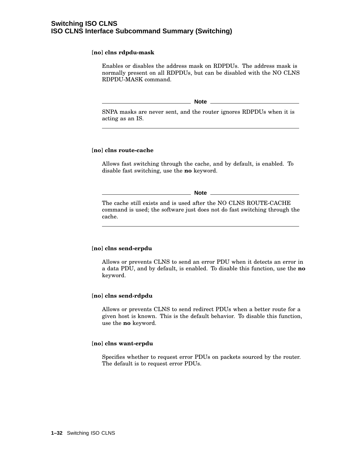#### [**no**] **clns rdpdu-mask**

Enables or disables the address mask on RDPDUs. The address mask is normally present on all RDPDUs, but can be disabled with the NO CLNS RDPDU-MASK command.

**Note** 

SNPA masks are never sent, and the router ignores RDPDUs when it is acting as an IS.

#### [**no**] **clns route-cache**

Allows fast switching through the cache, and by default, is enabled. To disable fast switching, use the **no** keyword.

**Note**

The cache still exists and is used after the NO CLNS ROUTE-CACHE command is used; the software just does not do fast switching through the cache.

#### [**no**] **clns send-erpdu**

Allows or prevents CLNS to send an error PDU when it detects an error in a data PDU, and by default, is enabled. To disable this function, use the **no** keyword.

#### [**no**] **clns send-rdpdu**

Allows or prevents CLNS to send redirect PDUs when a better route for a given host is known. This is the default behavior. To disable this function, use the **no** keyword.

#### [**no**] **clns want-erpdu**

Specifies whether to request error PDUs on packets sourced by the router. The default is to request error PDUs.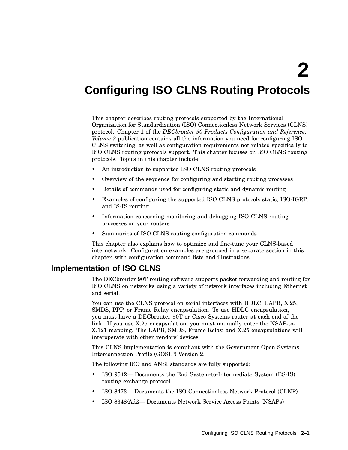# **Configuring ISO CLNS Routing Protocols**

This chapter describes routing protocols supported by the International Organization for Standardization (ISO) Connectionless Network Services (CLNS) protocol. Chapter 1 of the *DECbrouter 90 Products Configuration and Reference, Volume 3* publication contains all the information you need for configuring ISO CLNS switching, as well as configuration requirements not related specifically to ISO CLNS routing protocols support. This chapter focuses on ISO CLNS routing protocols. Topics in this chapter include:

- An introduction to supported ISO CLNS routing protocols
- Overview of the sequence for configuring and starting routing processes
- Details of commands used for configuring static and dynamic routing
- Examples of configuring the supported ISO CLNS protocols˙static, ISO-IGRP, and IS-IS routing
- Information concerning monitoring and debugging ISO CLNS routing processes on your routers
- Summaries of ISO CLNS routing configuration commands

This chapter also explains how to optimize and fine-tune your CLNS-based internetwork. Configuration examples are grouped in a separate section in this chapter, with configuration command lists and illustrations.

### **Implementation of ISO CLNS**

The DECbrouter 90T routing software supports packet forwarding and routing for ISO CLNS on networks using a variety of network interfaces including Ethernet and serial.

You can use the CLNS protocol on serial interfaces with HDLC, LAPB, X.25, SMDS, PPP, or Frame Relay encapsulation. To use HDLC encapsulation, you must have a DECbrouter 90T or Cisco Systems router at each end of the link. If you use X.25 encapsulation, you must manually enter the NSAP-to-X.121 mapping. The LAPB, SMDS, Frame Relay, and X.25 encapsulations will interoperate with other vendors' devices.

This CLNS implementation is compliant with the Government Open Systems Interconnection Profile (GOSIP) Version 2.

The following ISO and ANSI standards are fully supported:

- ISO 9542— Documents the End System-to-Intermediate System (ES-IS) routing exchange protocol
- ISO 8473— Documents the ISO Connectionless Network Protocol (CLNP)
- ISO 8348/Ad2— Documents Network Service Access Points (NSAPs)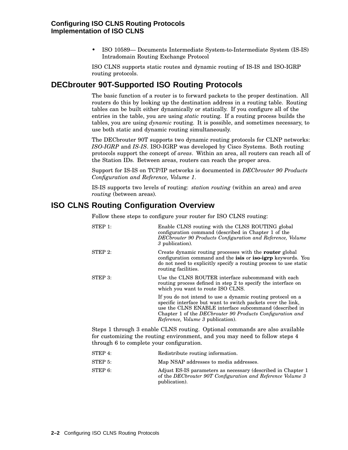• ISO 10589— Documents Intermediate System-to-Intermediate System (IS-IS) Intradomain Routing Exchange Protocol

ISO CLNS supports static routes and dynamic routing of IS-IS and ISO-IGRP routing protocols.

# **DECbrouter 90T-Supported ISO Routing Protocols**

The basic function of a router is to forward packets to the proper destination. All routers do this by looking up the destination address in a routing table. Routing tables can be built either dynamically or statically. If you configure all of the entries in the table, you are using *static* routing. If a routing process builds the tables, you are using *dynamic* routing. It is possible, and sometimes necessary, to use both static and dynamic routing simultaneously.

The DECbrouter 90T supports two dynamic routing protocols for CLNP networks: *ISO-IGRP* and *IS-IS*. ISO-IGRP was developed by Cisco Systems. Both routing protocols support the concept of *areas*. Within an area, all routers can reach all of the Station IDs. Between areas, routers can reach the proper area.

Support for IS-IS on TCP/IP networks is documented in *DECbrouter 90 Products Configuration and Reference, Volume 1*.

IS-IS supports two levels of routing: *station routing* (within an area) and *area routing* (between areas).

# **ISO CLNS Routing Configuration Overview**

Follow these steps to configure your router for ISO CLNS routing:

| $STEP$ 1: | Enable CLNS routing with the CLNS ROUTING global<br>configuration command (described in Chapter 1 of the<br>DECbrouter 90 Products Configuration and Reference, Volume<br>3 publication).                                                                                                             |
|-----------|-------------------------------------------------------------------------------------------------------------------------------------------------------------------------------------------------------------------------------------------------------------------------------------------------------|
| STEP 2:   | Create dynamic routing processes with the <b>router</b> global<br>configuration command and the <b>isis</b> or <b>iso-igrp</b> keywords. You<br>do not need to explicitly specify a routing process to use static<br>routing facilities.                                                              |
| $STEP$ 3: | Use the CLNS ROUTER interface subcommand with each<br>routing process defined in step 2 to specify the interface on<br>which you want to route ISO CLNS.                                                                                                                                              |
|           | If you do not intend to use a dynamic routing protocol on a<br>specific interface but want to switch packets over the link,<br>use the CLNS ENABLE interface subcommand (described in<br>Chapter 1 of the <i>DECbrouter</i> 90 Products Configuration and<br><i>Reference, Volume 3 publication).</i> |
|           |                                                                                                                                                                                                                                                                                                       |

Steps 1 through 3 enable CLNS routing. Optional commands are also available for customizing the routing environment, and you may need to follow steps 4 through 6 to complete your configuration.

| STEP 4: | Redistribute routing information.                                                                                                           |
|---------|---------------------------------------------------------------------------------------------------------------------------------------------|
| STEP 5: | Map NSAP addresses to media addresses.                                                                                                      |
| STEP 6: | Adjust ES-IS parameters as necessary (described in Chapter 1<br>of the DECbrouter 90T Configuration and Reference Volume 3<br>publication). |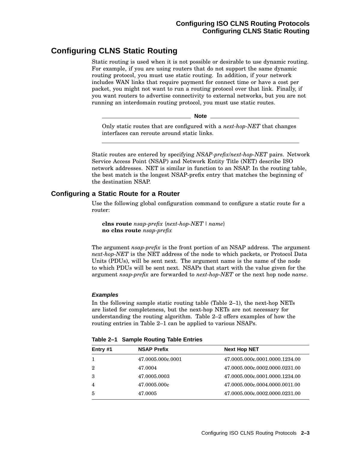# **Configuring CLNS Static Routing**

Static routing is used when it is not possible or desirable to use dynamic routing. For example, if you are using routers that do not support the same dynamic routing protocol, you must use static routing. In addition, if your network includes WAN links that require payment for connect time or have a cost per packet, you might not want to run a routing protocol over that link. Finally, if you want routers to advertise connectivity to external networks, but you are not running an interdomain routing protocol, you must use static routes.

**Note**

Only static routes that are configured with a *next-hop-NET* that changes interfaces can reroute around static links.

Static routes are entered by specifying *NSAP-prefix*/*next-hop-NET* pairs. Network Service Access Point (NSAP) and Network Entity Title (NET) describe ISO network addresses. NET is similar in function to an NSAP. In the routing table, the best match is the longest NSAP-prefix entry that matches the beginning of the destination NSAP.

### **Configuring a Static Route for a Router**

Use the following global configuration command to configure a static route for a router:

**clns route** *nsap-prefix* {*next-hop-NET*| *name*} **no clns route** *nsap-prefix*

The argument *nsap-prefix* is the front portion of an NSAP address. The argument *next-hop-NET* is the NET address of the node to which packets, or Protocol Data Units (PDUs), will be sent next. The argument name is the name of the node to which PDUs will be sent next. NSAPs that start with the value given for the argument *nsap-prefix* are forwarded to *next-hop-NET* or the next hop node *name*.

### **Examples**

In the following sample static routing table (Table 2–1), the next-hop NETs are listed for completeness, but the next-hop NETs are not necessary for understanding the routing algorithm. Table 2–2 offers examples of how the routing entries in Table 2–1 can be applied to various NSAPs.

| Entry #1 | <b>NSAP Prefix</b> | <b>Next Hop NET</b>            |
|----------|--------------------|--------------------------------|
|          | 47.0005.000c.0001  | 47.0005.000c.0001.0000.1234.00 |
| 2        | 47.0004            | 47.0005.000c.0002.0000.0231.00 |
| 3        | 47.0005.0003       | 47.0005.000c.0001.0000.1234.00 |
|          | 47.0005.000c       | 47.0005.000c.0004.0000.0011.00 |
| 5        | 47.0005            | 47.0005.000c.0002.0000.0231.00 |

**Table 2–1 Sample Routing Table Entries**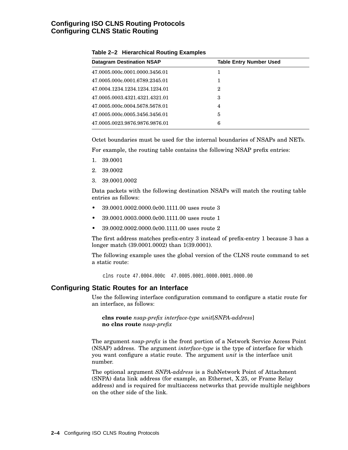### **Configuring ISO CLNS Routing Protocols Configuring CLNS Static Routing**

| <b>Datagram Destination NSAP</b> | <b>Table Entry Number Used</b> |
|----------------------------------|--------------------------------|
| 47.0005.000c.0001.0000.3456.01   |                                |
| 47.0005.000c.0001.6789.2345.01   |                                |
| 47.0004.1234.1234.1234.1234.01   | $\overline{2}$                 |
| 47.0005.0003.4321.4321.4321.01   | 3                              |
| 47.0005.000c.0004.5678.5678.01   | 4                              |
| 47.0005.000c.0005.3456.3456.01   | 5                              |
| 47.0005.0023.9876.9876.9876.01   | 6                              |
|                                  |                                |

#### **Table 2–2 Hierarchical Routing Examples**

Octet boundaries must be used for the internal boundaries of NSAPs and NETs.

For example, the routing table contains the following NSAP prefix entries:

- 1. 39.0001
- 2. 39.0002
- 3. 39.0001.0002

Data packets with the following destination NSAPs will match the routing table entries as follows:

- 39.0001.0002.0000.0c00.1111.00 uses route 3
- 39.0001.0003.0000.0c00.1111.00 uses route 1
- 39.0002.0002.0000.0c00.1111.00 uses route 2

The first address matches prefix-entry 3 instead of prefix-entry 1 because 3 has a longer match (39.0001.0002) than 1(39.0001).

The following example uses the global version of the CLNS route command to set a static route:

clns route 47.0004.000c 47.0005.0001.0000.0001.0000.00

#### **Configuring Static Routes for an Interface**

Use the following interface configuration command to configure a static route for an interface, as follows:

**clns route** *nsap-prefix interface-type unit*[*SNPA-address*] **no clns route** *nsap-prefix*

The argument *nsap-prefix* is the front portion of a Network Service Access Point (NSAP) address. The argument *interface-type* is the type of interface for which you want configure a static route. The argument *unit* is the interface unit number.

The optional argument *SNPA-address* is a SubNetwork Point of Attachment (SNPA) data link address (for example, an Ethernet, X.25, or Frame Relay address) and is required for multiaccess networks that provide multiple neighbors on the other side of the link.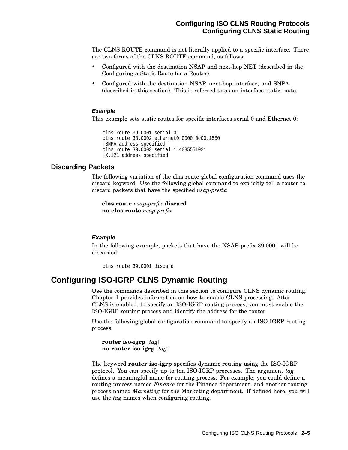The CLNS ROUTE command is not literally applied to a specific interface. There are two forms of the CLNS ROUTE command, as follows:

- Configured with the destination NSAP and next-hop NET (described in the Configuring a Static Route for a Router).
- Configured with the destination NSAP, next-hop interface, and SNPA (described in this section). This is referred to as an interface-static route.

#### **Example**

This example sets static routes for specific interfaces serial 0 and Ethernet 0:

```
clns route 39.0001 serial 0
clns route 38.0002 ethernet0 0000.0c00.1550
!SNPA address specified
clns route 39.0003 serial 1 4085551021
!X.121 address specified
```
### **Discarding Packets**

The following variation of the clns route global configuration command uses the discard keyword. Use the following global command to explicitly tell a router to discard packets that have the specified *nsap-prefix*:

**clns route** *nsap-prefix* **discard no clns route** *nsap-prefix*

#### **Example**

In the following example, packets that have the NSAP prefix 39.0001 will be discarded.

clns route 39.0001 discard

### **Configuring ISO-IGRP CLNS Dynamic Routing**

Use the commands described in this section to configure CLNS dynamic routing. Chapter 1 provides information on how to enable CLNS processing. After CLNS is enabled, to specify an ISO-IGRP routing process, you must enable the ISO-IGRP routing process and identify the address for the router.

Use the following global configuration command to specify an ISO-IGRP routing process:

**router iso-igrp** [*tag*] **no router iso-igrp** [*tag*]

The keyword **router iso-igrp** specifies dynamic routing using the ISO-IGRP protocol. You can specify up to ten ISO-IGRP processes. The argument *tag* defines a meaningful name for routing process. For example, you could define a routing process named *Finance* for the Finance department, and another routing process named *Marketing* for the Marketing department. If defined here, you will use the *tag* names when configuring routing.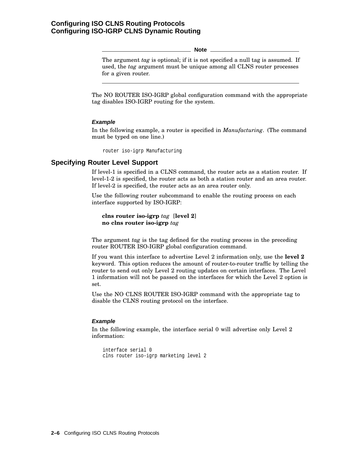**Note**

The argument *tag* is optional; if it is not specified a null tag is assumed. If used, the *tag* argument must be unique among all CLNS router processes for a given router.

The NO ROUTER ISO-IGRP global configuration command with the appropriate tag disables ISO-IGRP routing for the system.

#### **Example**

In the following example, a router is specified in *Manufacturing*. (The command must be typed on one line.)

router iso-igrp Manufacturing

### **Specifying Router Level Support**

If level-1 is specified in a CLNS command, the router acts as a station router. If level-1-2 is specified, the router acts as both a station router and an area router. If level-2 is specified, the router acts as an area router only.

Use the following router subcommand to enable the routing process on each interface supported by ISO-IGRP:

```
clns router iso-igrp tag [level 2]
no clns router iso-igrp tag
```
The argument *tag* is the tag defined for the routing process in the preceding router ROUTER ISO-IGRP global configuration command.

If you want this interface to advertise Level 2 information only, use the **level 2** keyword. This option reduces the amount of router-to-router traffic by telling the router to send out only Level 2 routing updates on certain interfaces. The Level 1 information will not be passed on the interfaces for which the Level 2 option is set.

Use the NO CLNS ROUTER ISO-IGRP command with the appropriate tag to disable the CLNS routing protocol on the interface.

#### **Example**

In the following example, the interface serial 0 will advertise only Level 2 information:

```
interface serial 0
clns router iso-igrp marketing level 2
```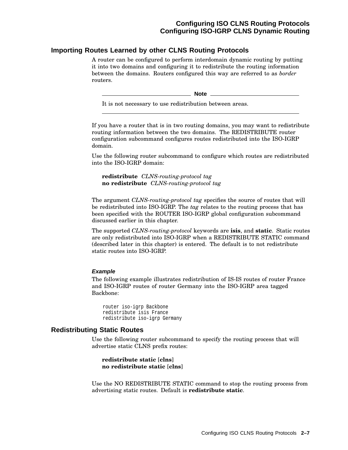### **Importing Routes Learned by other CLNS Routing Protocols**

A router can be configured to perform interdomain dynamic routing by putting it into two domains and configuring it to redistribute the routing information between the domains. Routers configured this way are referred to as *border* routers.

\_ Note \_

It is not necessary to use redistribution between areas.

If you have a router that is in two routing domains, you may want to redistribute routing information between the two domains. The REDISTRIBUTE router configuration subcommand configures routes redistributed into the ISO-IGRP domain.

Use the following router subcommand to configure which routes are redistributed into the ISO-IGRP domain:

**redistribute** *CLNS-routing-protocol tag* **no redistribute** *CLNS-routing-protocol tag*

The argument *CLNS-routing-protocol tag* specifies the source of routes that will be redistributed into ISO-IGRP. The *tag* relates to the routing process that has been specified with the ROUTER ISO-IGRP global configuration subcommand discussed earlier in this chapter.

The supported *CLNS-routing-protocol* keywords are **isis**, and **static**. Static routes are only redistributed into ISO-IGRP when a REDISTRIBUTE STATIC command (described later in this chapter) is entered. The default is to not redistribute static routes into ISO-IGRP.

#### **Example**

The following example illustrates redistribution of IS-IS routes of router France and ISO-IGRP routes of router Germany into the ISO-IGRP area tagged Backbone:

router iso-igrp Backbone redistribute isis France redistribute iso-igrp Germany

#### **Redistributing Static Routes**

Use the following router subcommand to specify the routing process that will advertise static CLNS prefix routes:

**redistribute static** [**clns**] **no redistribute static** [**clns**]

Use the NO REDISTRIBUTE STATIC command to stop the routing process from advertising static routes. Default is **redistribute static**.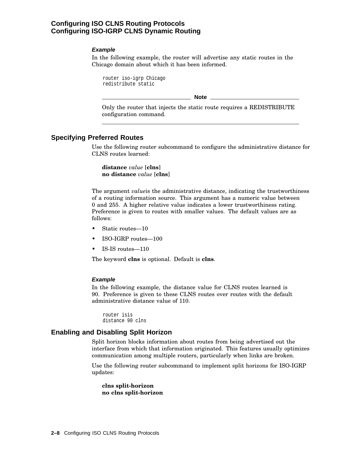### **Configuring ISO CLNS Routing Protocols Configuring ISO-IGRP CLNS Dynamic Routing**

#### **Example**

In the following example, the router will advertise any static routes in the Chicago domain about which it has been informed.

router iso-igrp Chicago redistribute static

**Note** \_

Only the router that injects the static route requires a REDISTRIBUTE configuration command.

### **Specifying Preferred Routes**

Use the following router subcommand to configure the administrative distance for CLNS routes learned:

**distance** *value* [**clns**] **no distance** *value* [**clns**]

The argument *value*is the administrative distance, indicating the trustworthiness of a routing information source. This argument has a numeric value between 0 and 255. A higher relative value indicates a lower trustworthiness rating. Preference is given to routes with smaller values. The default values are as follows:

- Static routes-10
- ISO-IGRP routes—100
- IS-IS routes—110

The keyword **clns** is optional. Default is **clns**.

#### **Example**

In the following example, the distance value for CLNS routes learned is 90. Preference is given to these CLNS routes over routes with the default administrative distance value of 110.

router isis distance 90 clns

### **Enabling and Disabling Split Horizon**

Split horizon blocks information about routes from being advertised out the interface from which that information originated. This features usually optimizes communication among multiple routers, particularly when links are broken.

Use the following router subcommand to implement split horizons for ISO-IGRP updates:

**clns split-horizon no clns split-horizon**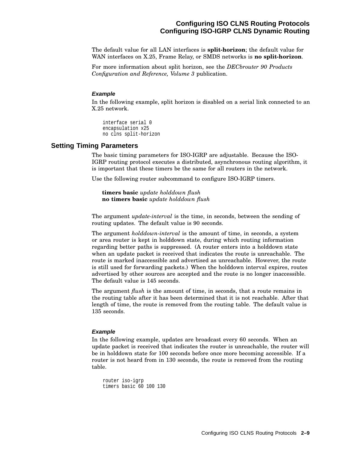### **Configuring ISO CLNS Routing Protocols Configuring ISO-IGRP CLNS Dynamic Routing**

The default value for all LAN interfaces is **split-horizon**; the default value for WAN interfaces on X.25, Frame Relay, or SMDS networks is **no split-horizon**.

For more information about split horizon, see the *DECbrouter 90 Products Configuration and Reference, Volume 3* publication.

#### **Example**

In the following example, split horizon is disabled on a serial link connected to an X.25 network.

interface serial 0 encapsulation x25 no clns split-horizon

#### **Setting Timing Parameters**

The basic timing parameters for ISO-IGRP are adjustable. Because the ISO-IGRP routing protocol executes a distributed, asynchronous routing algorithm, it is important that these timers be the same for all routers in the network.

Use the following router subcommand to configure ISO-IGRP timers.

**timers basic** *update holddown flush* **no timers basic** *update holddown flush*

The argument *update-interval* is the time, in seconds, between the sending of routing updates. The default value is 90 seconds.

The argument *holddown-interval* is the amount of time, in seconds, a system or area router is kept in holddown state, during which routing information regarding better paths is suppressed. (A router enters into a holddown state when an update packet is received that indicates the route is unreachable. The route is marked inaccessible and advertised as unreachable. However, the route is still used for forwarding packets.) When the holddown interval expires, routes advertised by other sources are accepted and the route is no longer inaccessible. The default value is 145 seconds.

The argument *flush* is the amount of time, in seconds, that a route remains in the routing table after it has been determined that it is not reachable. After that length of time, the route is removed from the routing table. The default value is 135 seconds.

#### **Example**

In the following example, updates are broadcast every 60 seconds. When an update packet is received that indicates the router is unreachable, the router will be in holddown state for 100 seconds before once more becoming accessible. If a router is not heard from in 130 seconds, the route is removed from the routing table.

```
router iso-igrp
timers basic 60 100 130
```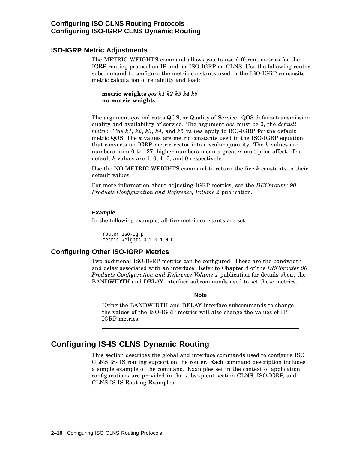### **Configuring ISO CLNS Routing Protocols Configuring ISO-IGRP CLNS Dynamic Routing**

### **ISO-IGRP Metric Adjustments**

The METRIC WEIGHTS command allows you to use different metrics for the IGRP routing protocol on IP and for ISO-IGRP on CLNS. Use the following router subcommand to configure the metric constants used in the ISO-IGRP composite metric calculation of reliability and load:

**metric weights** *qos k1 k2 k3 k4 k5* **no metric weights**

The argument *qos* indicates QOS, or Quality of Service. QOS defines transmission quality and availability of service. The argument *qos* must be 0, the *default metric*. The *k1*, *k2*, *k3*, *k4*, and *k5* values apply to ISO-IGRP for the default metric QOS. The *k* values are metric constants used in the ISO-IGRP equation that converts an IGRP metric vector into a scalar quantity. The *k* values are numbers from 0 to 127; higher numbers mean a greater multiplier affect. The default *k* values are 1, 0, 1, 0, and 0 respectively.

Use the NO METRIC WEIGHTS command to return the five *k* constants to their default values.

For more information about adjusting IGRP metrics, see the *DECbrouter 90 Products Configuration and Reference, Volume 2* publication.

#### **Example**

In the following example, all five metric constants are set.

router iso-igrp metric weights 0 2 0 1 0 0

### **Configuring Other ISO-IGRP Metrics**

Two additional ISO-IGRP metrics can be configured. These are the bandwidth and delay associated with an interface. Refer to Chapter 8 of the *DECbrouter 90 Products Configuration and Reference Volume 1* publication for details about the BANDWIDTH and DELAY interface subcommands used to set these metrics.

#### **Note**

Using the BANDWIDTH and DELAY interface subcommands to change the values of the ISO-IGRP metrics will also change the values of IP IGRP metrics.

# **Configuring IS-IS CLNS Dynamic Routing**

This section describes the global and interface commands used to configure ISO CLNS IS- IS routing support on the router. Each command description includes a simple example of the command. Examples set in the context of application configurations are provided in the subsequent section CLNS, ISO-IGRP, and CLNS IS-IS Routing Examples.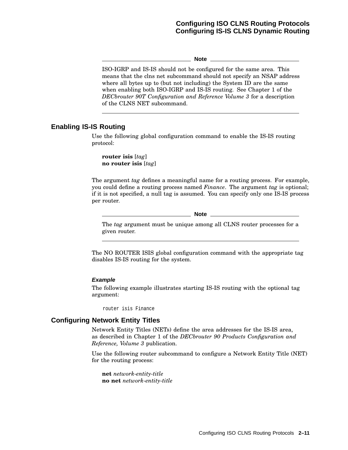### **Configuring ISO CLNS Routing Protocols Configuring IS-IS CLNS Dynamic Routing**

#### **Note**

ISO-IGRP and IS-IS should not be configured for the same area. This means that the clns net subcommand should not specify an NSAP address where all bytes up to (but not including) the System ID are the same when enabling both ISO-IGRP and IS-IS routing. See Chapter 1 of the *DECbrouter 90T Configuration and Reference Volume 3* for a description of the CLNS NET subcommand.

### **Enabling IS-IS Routing**

Use the following global configuration command to enable the IS-IS routing protocol:

**router isis** [*tag*] **no router isis** [*tag*]

The argument *tag* defines a meaningful name for a routing process. For example, you could define a routing process named *Finance*. The argument *tag* is optional; if it is not specified, a null tag is assumed. You can specify only one IS-IS process per router.

#### **Note**

The *tag* argument must be unique among all CLNS router processes for a given router.

The NO ROUTER ISIS global configuration command with the appropriate tag disables IS-IS routing for the system.

#### **Example**

The following example illustrates starting IS-IS routing with the optional tag argument:

router isis Finance

### **Configuring Network Entity Titles**

Network Entity Titles (NETs) define the area addresses for the IS-IS area, as described in Chapter 1 of the *DECbrouter 90 Products Configuration and Reference, Volume 3* publication.

Use the following router subcommand to configure a Network Entity Title (NET) for the routing process:

**net** *network-entity-title* **no net** *network-entity-title*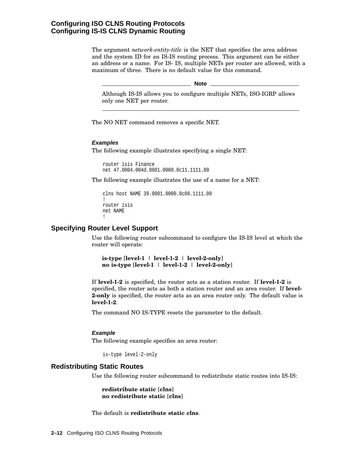### **Configuring ISO CLNS Routing Protocols Configuring IS-IS CLNS Dynamic Routing**

The argument *network-entity-title* is the NET that specifies the area address and the system ID for an IS-IS routing process. This argument can be either an address or a name. For IS- IS, multiple NETs per router are allowed, with a maximum of three. There is no default value for this command.

**Note** \_\_\_

Although IS-IS allows you to configure multiple NETs, ISO-IGRP allows only one NET per router.

The NO NET command removes a specific NET.

#### **Examples**

The following example illustrates specifying a single NET:

router isis Finance net 47.0004.004d.0001.0000.0c11.1111.00

The following example illustrates the use of a name for a NET:

```
clns host NAME 39.0001.0000.0c00.1111.00
!
router isis
net NAME
!
```
### **Specifying Router Level Support**

Use the following router subcommand to configure the IS-IS level at which the router will operate:

**is-type** [**level-1** | **level-1-2** | **level-2-only**] **no is-type** [**level-1** | **level-1-2** | **level-2-only**]

If **level-1-2** is specified, the router acts as a station router. If **level-1-2** is specified, the router acts as both a station router and an area router. If **level-2-only** is specified, the router acts as an area router only. The default value is **level-1-2**.

The command NO IS-TYPE resets the parameter to the default.

#### **Example**

The following example specifies an area router:

is-type level-2-only

#### **Redistributing Static Routes**

Use the following router subcommand to redistribute static routes into IS-IS:

**redistribute static** [**clns**] **no redistribute static** [**clns**]

The default is **redistribute static clns**.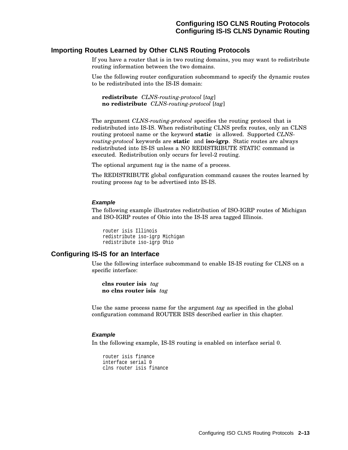### **Importing Routes Learned by Other CLNS Routing Protocols**

If you have a router that is in two routing domains, you may want to redistribute routing information between the two domains.

Use the following router configuration subcommand to specify the dynamic routes to be redistributed into the IS-IS domain:

**redistribute** *CLNS-routing-protocol* [*tag*] **no redistribute** *CLNS-routing-protocol* [*tag*]

The argument *CLNS-routing-protocol* specifies the routing protocol that is redistributed into IS-IS. When redistributing CLNS prefix routes, only an CLNS routing protocol name or the keyword **static** is allowed. Supported *CLNSrouting-protocol* keywords are **static** and **iso-igrp**. Static routes are always redistributed into IS-IS unless a NO REDISTRIBUTE STATIC command is executed. Redistribution only occurs for level-2 routing.

The optional argument *tag* is the name of a process.

The REDISTRIBUTE global configuration command causes the routes learned by routing process *tag* to be advertised into IS-IS.

#### **Example**

The following example illustrates redistribution of ISO-IGRP routes of Michigan and ISO-IGRP routes of Ohio into the IS-IS area tagged Illinois.

```
router isis Illinois
redistribute iso-igrp Michigan
redistribute iso-igrp Ohio
```
### **Configuring IS-IS for an Interface**

Use the following interface subcommand to enable IS-IS routing for CLNS on a specific interface:

**clns router isis** *tag* **no clns router isis** *tag*

Use the same process name for the argument *tag* as specified in the global configuration command ROUTER ISIS described earlier in this chapter.

#### **Example**

In the following example, IS-IS routing is enabled on interface serial 0.

router isis finance interface serial 0 clns router isis finance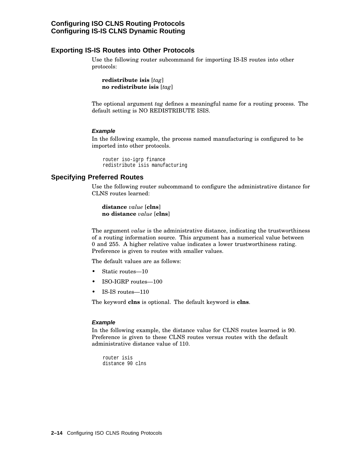### **Configuring ISO CLNS Routing Protocols Configuring IS-IS CLNS Dynamic Routing**

### **Exporting IS-IS Routes into Other Protocols**

Use the following router subcommand for importing IS-IS routes into other protocols:

**redistribute isis** [*tag*] **no redistribute isis** [*tag*]

The optional argument *tag* defines a meaningful name for a routing process. The default setting is NO REDISTRIBUTE ISIS.

### **Example**

In the following example, the process named manufacturing is configured to be imported into other protocols.

```
router iso-igrp finance
redistribute isis manufacturing
```
### **Specifying Preferred Routes**

Use the following router subcommand to configure the administrative distance for CLNS routes learned:

**distance** *value* [**clns**] **no distance** *value* [**clns**]

The argument *value* is the administrative distance, indicating the trustworthiness of a routing information source. This argument has a numerical value between 0 and 255. A higher relative value indicates a lower trustworthiness rating. Preference is given to routes with smaller values.

The default values are as follows:

- Static routes-10
- ISO-IGRP routes—100
- IS-IS routes—110

The keyword **clns** is optional. The default keyword is **clns**.

#### **Example**

In the following example, the distance value for CLNS routes learned is 90. Preference is given to these CLNS routes versus routes with the default administrative distance value of 110.

```
router isis
distance 90 clns
```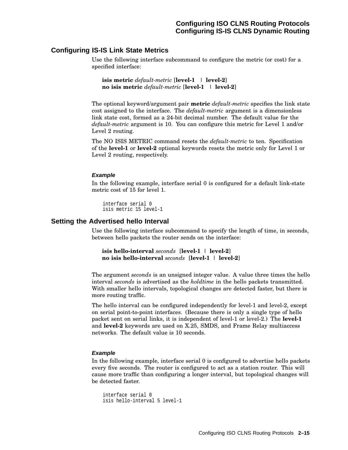### **Configuring IS-IS Link State Metrics**

Use the following interface subcommand to configure the metric (or cost) for a specified interface:

**isis metric** *default-metric* [**level-1** | **level-2**] **no isis metric** *default-metric* [**level-1** | **level-2**]

The optional keyword/argument pair **metric** *default-metric* specifies the link state cost assigned to the interface. The *default-metric* argument is a dimensionless link state cost, formed as a 24-bit decimal number. The default value for the *default-metric* argument is 10. You can configure this metric for Level 1 and/or Level 2 routing.

The NO ISIS METRIC command resets the *default-metric* to ten. Specification of the **level-1** or **level-2** optional keywords resets the metric only for Level 1 or Level 2 routing, respectively.

#### **Example**

In the following example, interface serial 0 is configured for a default link-state metric cost of 15 for level 1.

interface serial 0 isis metric 15 level-1

### **Setting the Advertised hello Interval**

Use the following interface subcommand to specify the length of time, in seconds, between hello packets the router sends on the interface:

```
isis hello-interval seconds [level-1 | level-2]
no isis hello-interval seconds [level-1 | level-2]
```
The argument *seconds* is an unsigned integer value. A value three times the hello interval *seconds* is advertised as the *holdtime* in the hello packets transmitted. With smaller hello intervals, topological changes are detected faster, but there is more routing traffic.

The hello interval can be configured independently for level-1 and level-2, except on serial point-to-point interfaces. (Because there is only a single type of hello packet sent on serial links, it is independent of level-1 or level-2.) The **level-1** and **level-2** keywords are used on X.25, SMDS, and Frame Relay multiaccess networks. The default value is 10 seconds.

#### **Example**

In the following example, interface serial 0 is configured to advertise hello packets every five seconds. The router is configured to act as a station router. This will cause more traffic than configuring a longer interval, but topological changes will be detected faster.

```
interface serial 0
isis hello-interval 5 level-1
```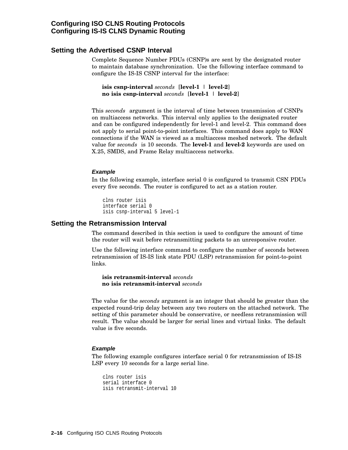### **Setting the Advertised CSNP Interval**

Complete Sequence Number PDUs (CSNP)s are sent by the designated router to maintain database synchronization. Use the following interface command to configure the IS-IS CSNP interval for the interface:

```
isis csnp-interval seconds [level-1 | level-2]
no isis csnp-interval seconds [level-1 | level-2]
```
This *seconds* argument is the interval of time between transmission of CSNPs on multiaccess networks. This interval only applies to the designated router and can be configured independently for level-1 and level-2. This command does not apply to serial point-to-point interfaces. This command does apply to WAN connections if the WAN is viewed as a multiaccess meshed network. The default value for *seconds* is 10 seconds. The **level-1** and **level-2** keywords are used on X.25, SMDS, and Frame Relay multiaccess networks.

#### **Example**

In the following example, interface serial 0 is configured to transmit CSN PDUs every five seconds. The router is configured to act as a station router.

```
clns router isis
interface serial 0
isis csnp-interval 5 level-1
```
#### **Setting the Retransmission Interval**

The command described in this section is used to configure the amount of time the router will wait before retransmitting packets to an unresponsive router.

Use the following interface command to configure the number of seconds between retransmission of IS-IS link state PDU (LSP) retransmission for point-to-point links.

**isis retransmit-interval** *seconds* **no isis retransmit-interval** *seconds*

The value for the *seconds* argument is an integer that should be greater than the expected round-trip delay between any two routers on the attached network. The setting of this parameter should be conservative, or needless retransmission will result. The value should be larger for serial lines and virtual links. The default value is five seconds.

#### **Example**

The following example configures interface serial 0 for retransmission of IS-IS LSP every 10 seconds for a large serial line.

```
clns router isis
serial interface 0
isis retransmit-interval 10
```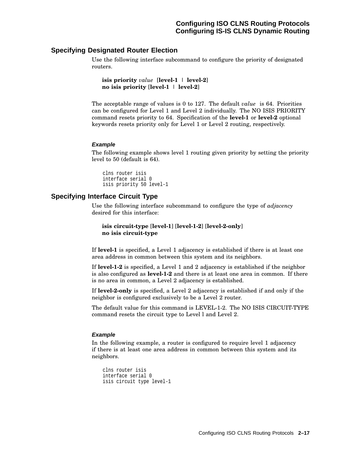### **Specifying Designated Router Election**

Use the following interface subcommand to configure the priority of designated routers.

```
isis priority value [level-1 | level-2]
no isis priority [level-1 | level-2]
```
The acceptable range of values is 0 to 127. The default *value* is 64. Priorities can be configured for Level 1 and Level 2 individually. The NO ISIS PRIORITY command resets priority to 64. Specification of the **level-1** or **level-2** optional keywords resets priority only for Level 1 or Level 2 routing, respectively.

### **Example**

The following example shows level 1 routing given priority by setting the priority level to 50 (default is 64).

```
clns router isis
interface serial 0
isis priority 50 level-1
```
### **Specifying Interface Circuit Type**

Use the following interface subcommand to configure the type of *adjacency* desired for this interface:

**isis circuit-type** [**level-1**] [**level-1-2**] [**level-2-only**] **no isis circuit-type**

If **level-1** is specified, a Level 1 adjacency is established if there is at least one area address in common between this system and its neighbors.

If **level-1-2** is specified, a Level 1 and 2 adjacency is established if the neighbor is also configured as **level-1-2** and there is at least one area in common. If there is no area in common, a Level 2 adjacency is established.

If **level-2-only** is specified, a Level 2 adjacency is established if and only if the neighbor is configured exclusively to be a Level 2 router.

The default value for this command is LEVEL-1-2. The NO ISIS CIRCUIT-TYPE command resets the circuit type to Level l and Level 2.

### **Example**

In the following example, a router is configured to require level 1 adjacency if there is at least one area address in common between this system and its neighbors.

```
clns router isis
interface serial 0
isis circuit type level-1
```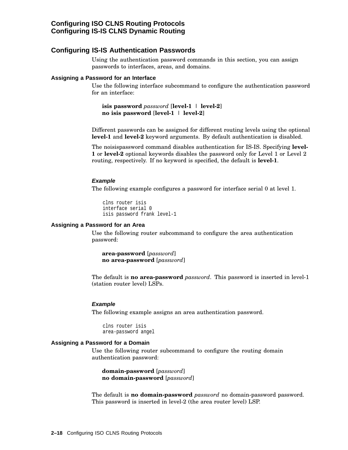### **Configuring ISO CLNS Routing Protocols Configuring IS-IS CLNS Dynamic Routing**

### **Configuring IS-IS Authentication Passwords**

Using the authentication password commands in this section, you can assign passwords to interfaces, areas, and domains.

#### **Assigning a Password for an Interface**

Use the following interface subcommand to configure the authentication password for an interface:

**isis password** *password* [**level-1** | **level-2**] **no isis password** [**level-1** | **level-2**]

Different passwords can be assigned for different routing levels using the optional **level-1** and **level-2** keyword arguments. By default authentication is disabled.

The noisispassword command disables authentication for IS-IS. Specifying **level-1** or **level-2** optional keywords disables the password only for Level 1 or Level 2 routing, respectively. If no keyword is specified, the default is **level-1**.

#### **Example**

The following example configures a password for interface serial 0 at level 1.

```
clns router isis
interface serial 0
isis password frank level-1
```
### **Assigning a Password for an Area**

Use the following router subcommand to configure the area authentication password:

**area-password** [*password*] **no area-password** [*password*]

The default is **no area-password** *password*. This password is inserted in level-1 (station router level) LSPs.

#### **Example**

The following example assigns an area authentication password.

clns router isis area-password angel

#### **Assigning a Password for a Domain**

Use the following router subcommand to configure the routing domain authentication password:

**domain-password** [*password*] **no domain-password** [*password*]

The default is **no domain-password** *password* no domain-password password. This password is inserted in level-2 (the area router level) LSP.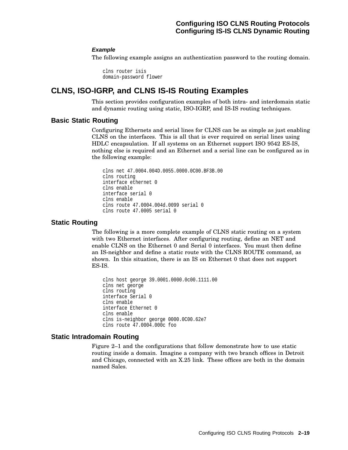### **Example**

The following example assigns an authentication password to the routing domain.

clns router isis domain-password flower

# **CLNS, ISO-IGRP, and CLNS IS-IS Routing Examples**

This section provides configuration examples of both intra- and interdomain static and dynamic routing using static, ISO-IGRP, and IS-IS routing techniques.

### **Basic Static Routing**

Configuring Ethernets and serial lines for CLNS can be as simple as just enabling CLNS on the interfaces. This is all that is ever required on serial lines using HDLC encapsulation. If all systems on an Ethernet support ISO 9542 ES-IS, nothing else is required and an Ethernet and a serial line can be configured as in the following example:

```
clns net 47.0004.004D.0055.0000.0C00.BF3B.00
clns routing
interface ethernet 0
clns enable
interface serial 0
clns enable
clns route 47.0004.004d.0099 serial 0
clns route 47.0005 serial 0
```
### **Static Routing**

The following is a more complete example of CLNS static routing on a system with two Ethernet interfaces. After configuring routing, define an NET and enable CLNS on the Ethernet 0 and Serial 0 interfaces. You must then define an IS-neighbor and define a static route with the CLNS ROUTE command, as shown. In this situation, there is an IS on Ethernet 0 that does not support ES-IS.

```
clns host george 39.0001.0000.0c00.1111.00
clns net george
clns routing
interface Serial 0
clns enable
interface Ethernet 0
clns enable
clns is-neighbor george 0000.0C00.62e7
clns route 47.0004.000c foo
```
### **Static Intradomain Routing**

Figure 2–1 and the configurations that follow demonstrate how to use static routing inside a domain. Imagine a company with two branch offices in Detroit and Chicago, connected with an X.25 link. These offices are both in the domain named Sales.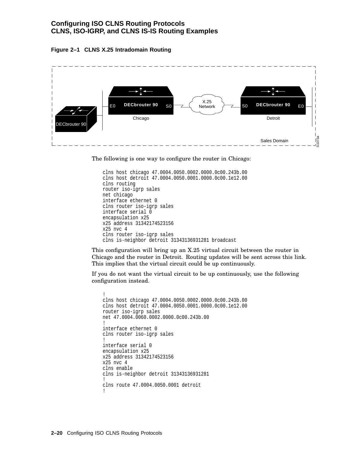### **Configuring ISO CLNS Routing Protocols CLNS, ISO-IGRP, and CLNS IS-IS Routing Examples**





The following is one way to configure the router in Chicago:

```
clns host chicago 47.0004.0050.0002.0000.0c00.243b.00
clns host detroit 47.0004.0050.0001.0000.0c00.1e12.00
clns routing
router iso-igrp sales
net chicago
interface ethernet 0
clns router iso-igrp sales
interface serial 0
encapsulation x25
x25 address 31342174523156
x25 nvc 4
clns router iso-igrp sales
clns is-neighbor detroit 31343136931281 broadcast
```
This configuration will bring up an X.25 virtual circuit between the router in Chicago and the router in Detroit. Routing updates will be sent across this link. This implies that the virtual circuit could be up continuously.

If you do not want the virtual circuit to be up continuously, use the following configuration instead.

```
!
clns host chicago 47.0004.0050.0002.0000.0c00.243b.00
clns host detroit 47.0004.0050.0001.0000.0c00.1e12.00
router iso-igrp sales
net 47.0004.0060.0002.0000.0c00.243b.00
!
interface ethernet 0
clns router iso-igrp sales
!
interface serial 0
encapsulation x25
x25 address 31342174523156
x25 nvc 4
clns enable
clns is-neighbor detroit 31343136931281
!
clns route 47.0004.0050.0001 detroit
!
```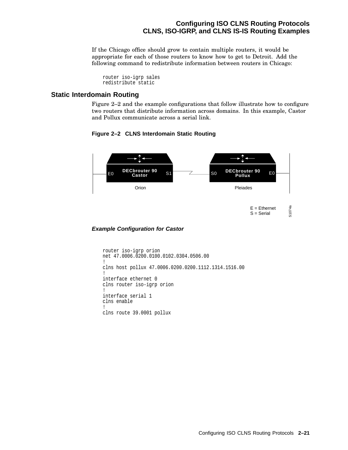### **Configuring ISO CLNS Routing Protocols CLNS, ISO-IGRP, and CLNS IS-IS Routing Examples**

If the Chicago office should grow to contain multiple routers, it would be appropriate for each of those routers to know how to get to Detroit. Add the following command to redistribute information between routers in Chicago:

router iso-igrp sales redistribute static

### **Static Interdomain Routing**

Figure 2–2 and the example configurations that follow illustrate how to configure two routers that distribute information across domains. In this example, Castor and Pollux communicate across a serial link.



### **Figure 2–2 CLNS Interdomain Static Routing**

#### **Example Configuration for Castor**

```
router iso-igrp orion
net 47.0006.0200.0100.0102.0304.0506.00
!
clns host pollux 47.0006.0200.0200.1112.1314.1516.00
!
interface ethernet 0
clns router iso-igrp orion
!
interface serial 1
clns enable
!
clns route 39.0001 pollux
```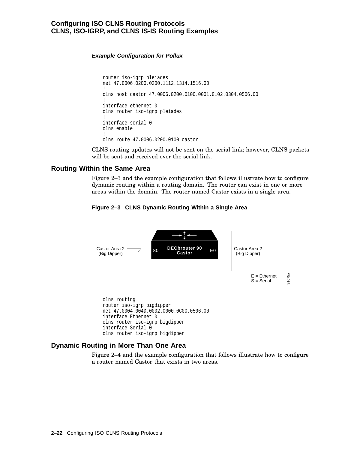### **Configuring ISO CLNS Routing Protocols CLNS, ISO-IGRP, and CLNS IS-IS Routing Examples**

### **Example Configuration for Pollux**

```
router iso-igrp pleiades
net 47.0006.0200.0200.1112.1314.1516.00
!
clns host castor 47.0006.0200.0100.0001.0102.0304.0506.00
!
interface ethernet 0
clns router iso-igrp pleiades
!
interface serial 0
clns enable
!
clns route 47.0006.0200.0100 castor
```
CLNS routing updates will not be sent on the serial link; however, CLNS packets will be sent and received over the serial link.

### **Routing Within the Same Area**

Figure 2–3 and the example configuration that follows illustrate how to configure dynamic routing within a routing domain. The router can exist in one or more areas within the domain. The router named Castor exists in a single area.



### **Figure 2–3 CLNS Dynamic Routing Within a Single Area**

### **Dynamic Routing in More Than One Area**

Figure 2–4 and the example configuration that follows illustrate how to configure a router named Castor that exists in two areas.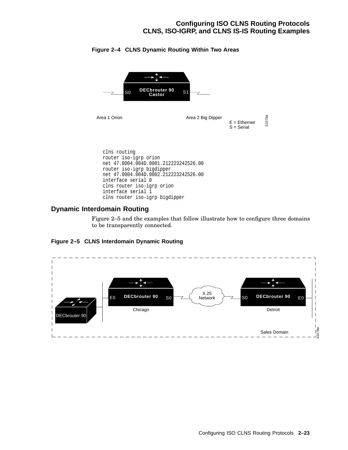# **Configuring ISO CLNS Routing Protocols CLNS, ISO-IGRP, and CLNS IS-IS Routing Examples**



## **Figure 2–4 CLNS Dynamic Routing Within Two Areas**

# **Dynamic Interdomain Routing**

Figure 2–5 and the examples that follow illustrate how to configure three domains to be transparently connected.



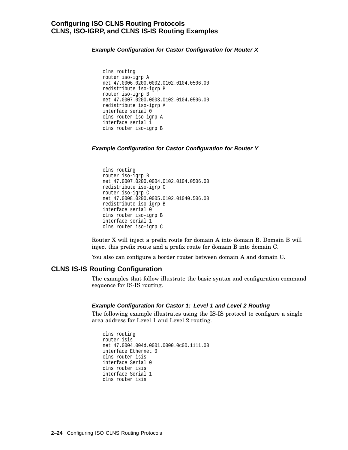**Example Configuration for Castor Configuration for Router X**

```
clns routing
router iso-igrp A
net 47.0006.0200.0002.0102.0104.0506.00
redistribute iso-igrp B
router iso-igrp B
net 47.0007.0200.0003.0102.0104.0506.00
redistribute iso-igrp A
interface serial 0
clns router iso-igrp A
interface serial 1
clns router iso-igrp B
```
**Example Configuration for Castor Configuration for Router Y**

```
clns routing
router iso-igrp B
net 47.0007.0200.0004.0102.0104.0506.00
redistribute iso-igrp C
router iso-igrp C
net 47.0008.0200.0005.0102.01040.506.00
redistribute iso-igrp B
interface serial 0
clns router iso-igrp B
interface serial 1
clns router iso-igrp C
```
Router X will inject a prefix route for domain A into domain B. Domain B will inject this prefix route and a prefix route for domain B into domain C.

You also can configure a border router between domain A and domain C.

## **CLNS IS-IS Routing Configuration**

The examples that follow illustrate the basic syntax and configuration command sequence for IS-IS routing.

#### **Example Configuration for Castor 1: Level 1 and Level 2 Routing**

The following example illustrates using the IS-IS protocol to configure a single area address for Level 1 and Level 2 routing.

```
clns routing
router isis
net 47.0004.004d.0001.0000.0c00.1111.00
interface Ethernet 0
clns router isis
interface Serial 0
clns router isis
interface Serial 1
clns router isis
```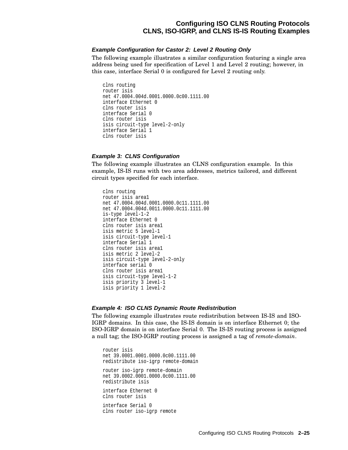# **Configuring ISO CLNS Routing Protocols CLNS, ISO-IGRP, and CLNS IS-IS Routing Examples**

#### **Example Configuration for Castor 2: Level 2 Routing Only**

The following example illustrates a similar configuration featuring a single area address being used for specification of Level 1 and Level 2 routing; however, in this case, interface Serial 0 is configured for Level 2 routing only.

```
clns routing
router isis
net 47.0004.004d.0001.0000.0c00.1111.00
interface Ethernet 0
clns router isis
interface Serial 0
clns router isis
isis circuit-type level-2-only
interface Serial 1
clns router isis
```
#### **Example 3: CLNS Configuration**

The following example illustrates an CLNS configuration example. In this example, IS-IS runs with two area addresses, metrics tailored, and different circuit types specified for each interface.

```
clns routing
router isis area1
net 47.0004.004d.0001.0000.0c11.1111.00
net 47.0004.004d.0011.0000.0c11.1111.00
is-type level-1-2
interface Ethernet 0
clns router isis area1
isis metric 5 level-1
isis circuit-type level-1
interface Serial 1
clns router isis area1
isis metric 2 level-2
isis circuit-type level-2-only
interface serial 0
clns router isis area1
isis circuit-type level-1-2
isis priority 3 level-1
isis priority 1 level-2
```
#### **Example 4: ISO CLNS Dynamic Route Redistribution**

The following example illustrates route redistribution between IS-IS and ISO-IGRP domains. In this case, the IS-IS domain is on interface Ethernet 0; the ISO-IGRP domain is on interface Serial 0. The IS-IS routing process is assigned a null tag; the ISO-IGRP routing process is assigned a tag of *remote-domain*.

router isis net 39.0001.0001.0000.0c00.1111.00 redistribute iso-igrp remote-domain router iso-igrp remote-domain net 39.0002.0001.0000.0c00.1111.00 redistribute isis interface Ethernet 0 clns router isis interface Serial 0 clns router iso-igrp remote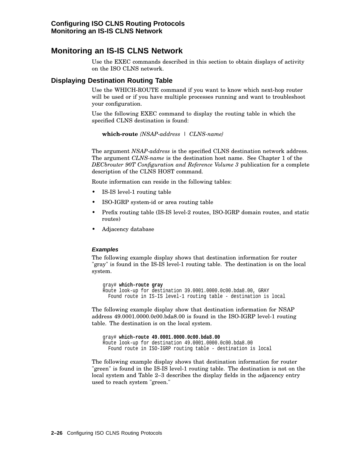# **Monitoring an IS-IS CLNS Network**

Use the EXEC commands described in this section to obtain displays of activity on the ISO CLNS network.

# **Displaying Destination Routing Table**

Use the WHICH-ROUTE command if you want to know which next-hop router will be used or if you have multiple processes running and want to troubleshoot your configuration.

Use the following EXEC command to display the routing table in which the specified CLNS destination is found:

**which-route** *{NSAP-address* | *CLNS-name}*

The argument *NSAP-address* is the specified CLNS destination network address. The argument *CLNS-name* is the destination host name. See Chapter 1 of the *DECbrouter 90T Configuration and Reference Volume 3* publication for a complete description of the CLNS HOST command.

Route information can reside in the following tables:

- IS-IS level-1 routing table
- ISO-IGRP system-id or area routing table
- Prefix routing table (IS-IS level-2 routes, ISO-IGRP domain routes, and static routes)
- Adjacency database

#### **Examples**

The following example display shows that destination information for router "gray" is found in the IS-IS level-1 routing table. The destination is on the local system.

```
gray# which-route gray
Route look-up for destination 39.0001.0000.0c00.bda8.00, GRAY
  Found route in IS-IS level-1 routing table - destination is local
```
The following example display show that destination information for NSAP address 49.0001.0000.0c00.bda8.00 is found in the ISO-IGRP level-1 routing table. The destination is on the local system.

gray# **which-route 49.0001.0000.0c00.bda8.00** Route look-up for destination 49.0001.0000.0c00.bda8.00 Found route in ISO-IGRP routing table - destination is local

The following example display shows that destination information for router "green" is found in the IS-IS level-1 routing table. The destination is not on the local system and Table 2–3 describes the display fields in the adjacency entry used to reach system "green."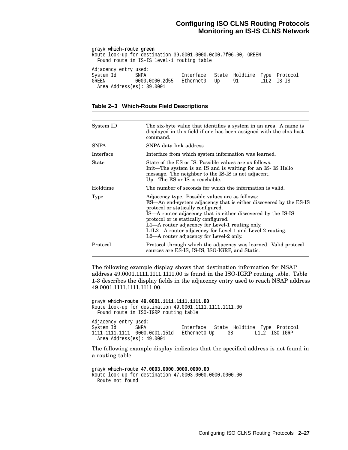gray# **which-route green** Route look-up for destination 39.0001.0000.0c00.7f06.00, GREEN Found route in IS-IS level-1 routing table Adjacency entry used: System Id SNPA Interface State Holdtime Type Protocol GREEN 0000.0c00.2d55 Ethernet0 Up 91 L1L2 IS-IS Area Address(es): 39.0001

#### **Table 2–3 Which-Route Field Descriptions**

| System ID   | The six-byte value that identifies a system in an area. A name is<br>displayed in this field if one has been assigned with the clns host<br>command.                                                                                                                                                                                                                                                                          |
|-------------|-------------------------------------------------------------------------------------------------------------------------------------------------------------------------------------------------------------------------------------------------------------------------------------------------------------------------------------------------------------------------------------------------------------------------------|
| <b>SNPA</b> | SNPA data link address                                                                                                                                                                                                                                                                                                                                                                                                        |
| Interface   | Interface from which system information was learned.                                                                                                                                                                                                                                                                                                                                                                          |
| State       | State of the ES or IS. Possible values are as follows:<br>Init—The system is an IS and is waiting for an IS-IS Hello<br>message. The neighbor to the IS-IS is not adjacent.<br>$Up$ –The ES or IS is reachable.                                                                                                                                                                                                               |
| Holdtime    | The number of seconds for which the information is valid.                                                                                                                                                                                                                                                                                                                                                                     |
| Type        | Adjacency type. Possible values are as follows:<br>ES—An end-system adjacency that is either discovered by the ES-IS<br>protocol or statically configured.<br>IS—A router adjacency that is either discovered by the IS-IS<br>protocol or is statically configured.<br>L1—A router adjacency for Level-1 routing only.<br>L1L2—A router adjacency for Level-1 and Level-2 routing.<br>L2—A router adjacency for Level-2 only. |
| Protocol    | Protocol through which the adjacency was learned. Valid protocol<br>sources are ES-IS, IS-IS, ISO-IGRP, and Static.                                                                                                                                                                                                                                                                                                           |

The following example display shows that destination information for NSAP address 49.0001.1111.1111.1111.00 is found in the ISO-IGRP routing table. Table 1-3 describes the display fields in the adjacency entry used to reach NSAP address 49.0001.1111.1111.1111.00.

gray# **which-route 49.0001.1111.1111.1111.00** Route look-up for destination 49.0001.1111.1111.1111.00 Found route in ISO-IGRP routing table Adjacency entry used:<br>System Id SNPA Interface State Holdtime Type Protocol 1111.1111.1111 0000.0c01.151d Ethernet0 Up 38 L1L2 ISO-IGRP Area Address(es): 49.0001

The following example display indicates that the specified address is not found in a routing table.

```
gray# which-route 47.0003.0000.0000.0000.00
Route look-up for destination 47.0003.0000.0000.0000.00
 Route not found
```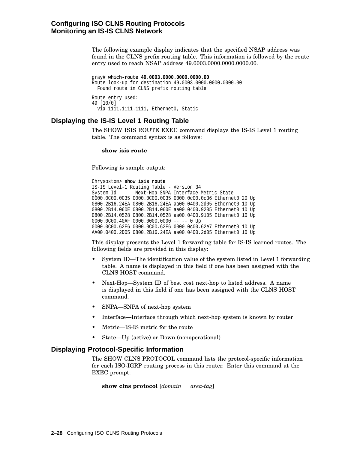The following example display indicates that the specified NSAP address was found in the CLNS prefix routing table. This information is followed by the route entry used to reach NSAP address 49,0003,0000,0000,0000,000.

gray# **which-route 49.0003.0000.0000.0000.00** Route look-up for destination 49.0003.0000.0000.0000.00 Found route in CLNS prefix routing table Route entry used: 49 [10/0] via 1111.1111.1111, Ethernet0, Static

# **Displaying the IS-IS Level 1 Routing Table**

The SHOW ISIS ROUTE EXEC command displays the IS-IS Level 1 routing table. The command syntax is as follows:

#### **show isis route**

Following is sample output:

Chrysostom> **show isis route** IS-IS Level-1 Routing Table - Version 34 System Id Next-Hop SNPA Interface Metric State 0000.0C00.0C35 0000.0C00.0C35 0000.0c00.0c36 Ethernet0 20 Up 0800.2B16.24EA 0800.2B16.24EA aa00.0400.2d05 Ethernet0 10 Up 0800.2B14.060E 0800.2B14.060E aa00.0400.9205 Ethernet0 10 Up 0800.2B14.0528 0800.2B14.0528 aa00.0400.9105 Ethernet0 10 Up 0000.0C00.40AF 0000.0000.0000 -- -- 0 Up 0000.0C00.62E6 0000.0C00.62E6 0000.0c00.62e7 Ethernet0 10 Up AA00.0400.2D05 0800.2B16.24EA aa00.0400.2d05 Ethernet0 10 Up

This display presents the Level 1 forwarding table for IS-IS learned routes. The following fields are provided in this display:

- System ID—The identification value of the system listed in Level 1 forwarding table. A name is displayed in this field if one has been assigned with the CLNS HOST command.
- Next-Hop—System ID of best cost next-hop to listed address. A name is displayed in this field if one has been assigned with the CLNS HOST command.
- SNPA—SNPA of next-hop system
- Interface—Interface through which next-hop system is known by router
- Metric—IS-IS metric for the route
- State—Up (active) or Down (nonoperational)

## **Displaying Protocol-Specific Information**

The SHOW CLNS PROTOCOL command lists the protocol-specific information for each ISO-IGRP routing process in this router. Enter this command at the EXEC prompt:

```
show clns protocol [domain | area-tag]
```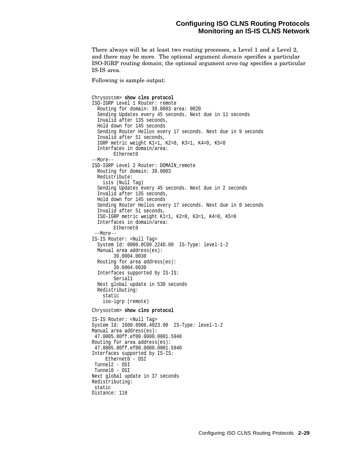There always will be at least two routing processes, a Level 1 and a Level 2, and there may be more. The optional argument *domain* specifies a particular ISO-IGRP routing domain; the optional argument *area-tag* specifies a particular IS-IS area.

Following is sample output:

```
Chrysostom> show clns protocol
ISO-IGRP Level 1 Router: remote
 Routing for domain: 39.0003 area: 0020
 Sending Updates every 45 seconds. Next due in 11 seconds
 Invalid after 135 seconds,
 Hold down for 145 seconds
 Sending Router Hellos every 17 seconds. Next due in 9 seconds
 Invalid after 51 seconds,
 IGRP metric weight K1=1, K2=0, K3=1, K4=0, K5=0
 Interfaces in domain/area:
       Ethernet0
--More--
ISO-IGRP Level 2 Router: DOMAIN_remote
 Routing for domain: 39.0003
 Redistribute:
   isis (Null Tag)
 Sending Updates every 45 seconds. Next due in 2 seconds
 Invalid after 135 seconds,
 Hold down for 145 seconds
 Sending Router Hellos every 17 seconds. Next due in 0 seconds
 Invalid after 51 seconds,
 ISO-IGRP metric weight K1=1, K2=0, K3=1, K4=0, K5=0
 Interfaces in domain/area:
       Ethernet0
--More--
IS-IS Router: <Null Tag>
 System Id: 0000.0C00.224D.00 IS-Type: level-1-2
 Manual area address(es):
       39.0004.0030
 Routing for area address(es):
       39.0004.0030
  Interfaces supported by IS-IS:
       Serial1
 Next global update in 530 seconds
 Redistributing:
   static
   iso-igrp (remote)
Chrysostom> show clns protocol
IS-IS Router: <Null Tag>
System Id: 1600.8906.4023.00 IS-Type: level-1-2
Manual area address(es):
47.0005.80ff.ef00.0000.0001.5940
Routing for area address(es):
 47.0005.80ff.ef00.0000.0001.5940
Interfaces supported by IS-IS:
    Ethernet0 - OSI
Tunnel2 - OSI
Tunnel0 - OSI
Next global update in 37 seconds
Redistributing:
static
Distance: 110
```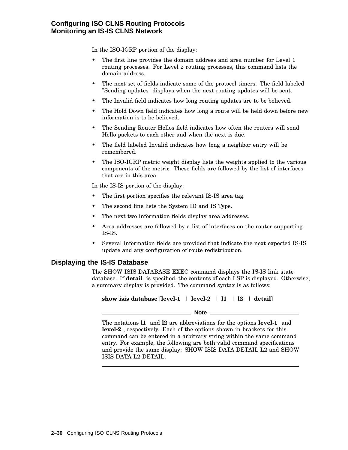In the ISO-IGRP portion of the display:

- The first line provides the domain address and area number for Level 1 routing processes. For Level 2 routing processes, this command lists the domain address.
- The next set of fields indicate some of the protocol timers. The field labeled "Sending updates" displays when the next routing updates will be sent.
- The Invalid field indicates how long routing updates are to be believed.
- The Hold Down field indicates how long a route will be held down before new information is to be believed.
- The Sending Router Hellos field indicates how often the routers will send Hello packets to each other and when the next is due.
- The field labeled Invalid indicates how long a neighbor entry will be remembered.
- The ISO-IGRP metric weight display lists the weights applied to the various components of the metric. These fields are followed by the list of interfaces that are in this area.

In the IS-IS portion of the display:

- The first portion specifies the relevant IS-IS area tag.
- The second line lists the System ID and IS Type.
- The next two information fields display area addresses.
- Area addresses are followed by a list of interfaces on the router supporting IS-IS.
- Several information fields are provided that indicate the next expected IS-IS update and any configuration of route redistribution.

# **Displaying the IS-IS Database**

The SHOW ISIS DATABASE EXEC command displays the IS-IS link state database. If **detail** is specified, the contents of each LSP is displayed. Otherwise, a summary display is provided. The command syntax is as follows:

show is is database  $[level-1 \mid level-2 \mid 11 \mid 12 \mid detail]$ 

#### **Note** 2008 2014

The notations **l1** and **l2** are abbreviations for the options **level-1** and **level-2** , respectively. Each of the options shown in brackets for this command can be entered in a arbitrary string within the same command entry. For example, the following are both valid command specifications and provide the same display: SHOW ISIS DATA DETAIL L2 and SHOW ISIS DATA L2 DETAIL.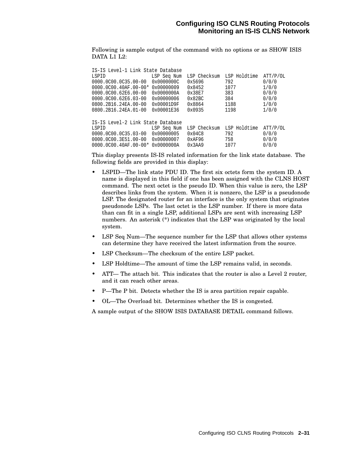Following is sample output of the command with no options or as SHOW ISIS DATA L1 L2:

| IS-IS Level-1 Link State Database |             |                  |              |          |  |  |  |  |
|-----------------------------------|-------------|------------------|--------------|----------|--|--|--|--|
| LSPID                             | LSP Seq Num | LSP Checksum     | LSP Holdtime | ATT/P/OL |  |  |  |  |
| $0000.0000.0035.00-00$            | 0x0000000C  | 0x5696           | 792          | 0/0/0    |  |  |  |  |
| $0000.0000.40AF.00-00*$           | 0x00000009  | 0x8452           | 1077         | 1/0/0    |  |  |  |  |
| $0000.0000.62E6.00-00$            | 0x0000000A  | 0x38E7           | 383          | 0/0/0    |  |  |  |  |
| 0000.0C00.62E6.03-00              | 0x00000006  | 0x82BC           | 384          | 0/0/0    |  |  |  |  |
| 0800.2B16.24EA.00-00              | 0x00001D9F  | 0x8864           | 1188         | 1/0/0    |  |  |  |  |
| 0800.2B16.24EA.01-00              | 0x00001E36  | 0x0935           | 1198         | 1/0/0    |  |  |  |  |
| IS-IS Level-2 Link State Database |             |                  |              |          |  |  |  |  |
| LSPID                             | LSP Seq Num | LSP Checksum     | LSP Holdtime | ATT/P/OL |  |  |  |  |
| $0000.0000.0035.03 - 00$          | 0x00000005  | $0 \times 04 C8$ | 792          | 0/0/0    |  |  |  |  |
| 0000.0C00.3E51.00-00              | 0x00000007  | 0xAF96           | 758          | 0/0/0    |  |  |  |  |
| $0000.0000.40AF.00-00*$           | 0x0000000A  | 0x3AA9           | 1077         | 0/0/0    |  |  |  |  |

This display presents IS-IS related information for the link state database. The following fields are provided in this display:

- LSPID—The link state PDU ID. The first six octets form the system ID. A name is displayed in this field if one has been assigned with the CLNS HOST command. The next octet is the pseudo ID. When this value is zero, the LSP describes links from the system. When it is nonzero, the LSP is a pseudonode LSP. The designated router for an interface is the only system that originates pseudonode LSPs. The last octet is the LSP number. If there is more data than can fit in a single LSP, additional LSPs are sent with increasing LSP numbers. An asterisk (\*) indicates that the LSP was originated by the local system.
- LSP Seq Num—The sequence number for the LSP that allows other systems can determine they have received the latest information from the source.
- LSP Checksum—The checksum of the entire LSP packet.
- LSP Holdtime—The amount of time the LSP remains valid, in seconds.
- ATT— The attach bit. This indicates that the router is also a Level 2 router, and it can reach other areas.
- P—The P bit. Detects whether the IS is area partition repair capable.
- OL—The Overload bit. Determines whether the IS is congested.

A sample output of the SHOW ISIS DATABASE DETAIL command follows.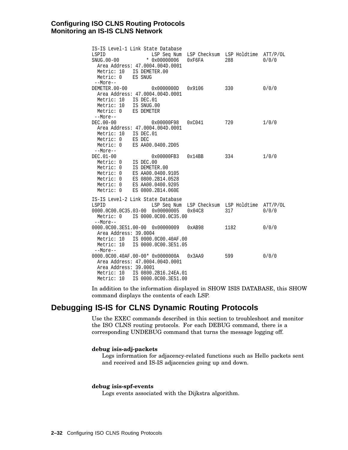| IS-IS Level-1 Link State Database                                     |        |                                    |                   |  |  |  |
|-----------------------------------------------------------------------|--------|------------------------------------|-------------------|--|--|--|
| LSPID<br>LSP Seq Num                                                  |        | LSP Checksum LSP Holdtime ATT/P/OL |                   |  |  |  |
| SNUG.00-00<br>$*$ 0x00000006                                          | 0xF6FA | 288                                | 0/0/0             |  |  |  |
| Area Address: 47.0004.004D.0001                                       |        |                                    |                   |  |  |  |
| Metric: 10 IS DEMETER.00                                              |        |                                    |                   |  |  |  |
| ES SNUG<br>Metric: 0                                                  |        |                                    |                   |  |  |  |
| --More--                                                              |        |                                    |                   |  |  |  |
| DEMETER.00-00<br>0x0000000D                                           | 0x9106 | 330                                | 0/0/0             |  |  |  |
| Area Address: 47.0004.004D.0001                                       |        |                                    |                   |  |  |  |
| Metric: 10<br>IS DEC.01                                               |        |                                    |                   |  |  |  |
| Metric: 10<br>IS SNUG.00                                              |        |                                    |                   |  |  |  |
| Metric: 0<br>ES DEMETER                                               |        |                                    |                   |  |  |  |
| $--More--$                                                            |        |                                    |                   |  |  |  |
| DEC.00-00<br>0x00000F98                                               | 0xC041 | 720                                | 1/0/0             |  |  |  |
| Area Address: 47.0004.004D.0001                                       |        |                                    |                   |  |  |  |
| Metric: 10<br>IS DEC.01                                               |        |                                    |                   |  |  |  |
| Metric: 0<br>ES DEC                                                   |        |                                    |                   |  |  |  |
| Metric: 0<br>ES AA00.0400.2D05                                        |        |                                    |                   |  |  |  |
| $--More--$                                                            |        |                                    |                   |  |  |  |
| DEC.01-00<br>0x00000FB3                                               | 0x14BB | 334                                | 1/0/0             |  |  |  |
| Metric: 0<br>IS DEC.00                                                |        |                                    |                   |  |  |  |
| IS DEMETER.00<br>Metric: 0                                            |        |                                    |                   |  |  |  |
| Metric: 0<br>ES AA00.0400.9105                                        |        |                                    |                   |  |  |  |
| ES 0800.2B14.0528<br>Metric: 0                                        |        |                                    |                   |  |  |  |
| ES AA00.0400.9205<br>Metric: 0                                        |        |                                    |                   |  |  |  |
| ES 0800.2B14.060E<br>Metric: 0                                        |        |                                    |                   |  |  |  |
|                                                                       |        |                                    |                   |  |  |  |
| IS-IS Level-2 Link State Database                                     |        |                                    |                   |  |  |  |
| LSPID<br>LSP Seg Num<br>0000.0C00.0C35.03-00 0x00000005               | 0x04C8 | LSP Checksum LSP Holdtime<br>317   | ATT/P/OL<br>0/0/0 |  |  |  |
| Metric: 0 IS 0000.0C00.0C35.00                                        |        |                                    |                   |  |  |  |
|                                                                       |        |                                    |                   |  |  |  |
| $--More--$                                                            |        |                                    |                   |  |  |  |
| 0000.0C00.3E51.00-00<br>0x00000009                                    | 0xAB98 | 1182                               | 0/0/0             |  |  |  |
| Area Address: 39.0004                                                 |        |                                    |                   |  |  |  |
| IS 0000.0C00.40AF.00<br>Metric: 10                                    |        |                                    |                   |  |  |  |
| Metric: 10<br>IS 0000.0C00.3E51.05                                    |        |                                    |                   |  |  |  |
| $--More--$                                                            | 0x3AA9 | 599                                | 0/0/0             |  |  |  |
| 0000.0C00.40AF.00-00* 0x0000000A                                      |        |                                    |                   |  |  |  |
| Area Address: 47.0004.004D.0001                                       |        |                                    |                   |  |  |  |
| Area Address: 39.0001                                                 |        |                                    |                   |  |  |  |
| Metric: 10 IS 0800.2B16.24EA.01<br>Metric: 10<br>IS 0000.0C00.3E51.00 |        |                                    |                   |  |  |  |
|                                                                       |        |                                    |                   |  |  |  |

In addition to the information displayed in SHOW ISIS DATABASE, this SHOW command displays the contents of each LSP.

# **Debugging IS-IS for CLNS Dynamic Routing Protocols**

Use the EXEC commands described in this section to troubleshoot and monitor the ISO CLNS routing protocols. For each DEBUG command, there is a corresponding UNDEBUG command that turns the message logging off.

#### **debug isis-adj-packets**

Logs information for adjacency-related functions such as Hello packets sent and received and IS-IS adjacencies going up and down.

#### **debug isis-spf-events**

Logs events associated with the Dijkstra algorithm.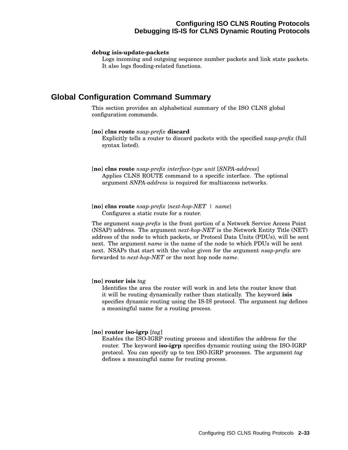# **Configuring ISO CLNS Routing Protocols Debugging IS-IS for CLNS Dynamic Routing Protocols**

#### **debug isis-update-packets**

Logs incoming and outgoing sequence number packets and link state packets. It also logs flooding-related functions.

# **Global Configuration Command Summary**

This section provides an alphabetical summary of the ISO CLNS global configuration commands.

#### [**no**] **clns route** *nsap-prefix* **discard**

Explicitly tells a router to discard packets with the specified *nsap-prefix* (full syntax listed).

[**no**] **clns route** *nsap-prefix interface-type unit* [*SNPA-address*] Applies CLNS ROUTE command to a specific interface. The optional argument *SNPA-address* is required for multiaccess networks.

[**no**] **clns route** *nsap-prefix* {*next-hop-NET* | *name*} Configures a static route for a router.

The argument *nsap-prefix* is the front portion of a Network Service Access Point (NSAP) address. The argument *next-hop-NET* is the Network Entity Title (NET) address of the node to which packets, or Protocol Data Units (PDUs), will be sent next. The argument *name* is the name of the node to which PDUs will be sent next. NSAPs that start with the value given for the argument *nsap-prefix* are forwarded to *next-hop-NET* or the next hop node *name*.

#### [**no**] **router isis** *tag*

Identifies the area the router will work in and lets the router know that it will be routing dynamically rather than statically. The keyword **isis** specifies dynamic routing using the IS-IS protocol. The argument *tag* defines a meaningful name for a routing process.

#### [**no**] **router iso-igrp** [*tag*]

Enables the ISO-IGRP routing process and identifies the address for the router. The keyword **iso-igrp** specifies dynamic routing using the ISO-IGRP protocol. You can specify up to ten ISO-IGRP processes. The argument *tag* defines a meaningful name for routing process.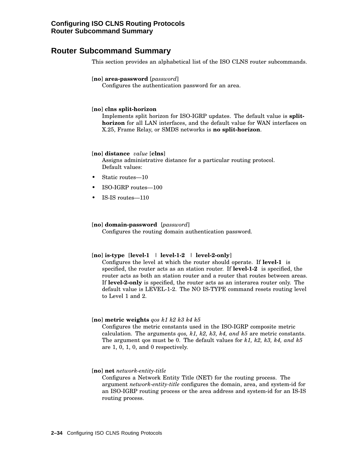# **Router Subcommand Summary**

This section provides an alphabetical list of the ISO CLNS router subcommands.

#### [**no**] **area-password** [*password*]

Configures the authentication password for an area.

#### [**no**] **clns split-horizon**

Implements split horizon for ISO-IGRP updates. The default value is **splithorizon** for all LAN interfaces, and the default value for WAN interfaces on X.25, Frame Relay, or SMDS networks is **no split-horizon**.

#### [**no**] **distance** *value* [**clns**]

Assigns administrative distance for a particular routing protocol. Default values:

- Static routes-10
- ISO-IGRP routes—100
- IS-IS routes—110

#### [**no**] **domain-password** [*password*]

Configures the routing domain authentication password.

#### [**no**] **is-type** [**level-1** | **level-1-2** | **level-2-only**]

Configures the level at which the router should operate. If **level-1** is specified, the router acts as an station router. If **level-1-2** is specified, the router acts as both an station router and a router that routes between areas. If **level-2-only** is specified, the router acts as an interarea router only. The default value is LEVEL-1-2. The NO IS-TYPE command resets routing level to Level 1 and 2.

#### [**no**] **metric weights** *qos k1 k2 k3 k4 k5*

Configures the metric constants used in the ISO-IGRP composite metric calculation. The arguments *qos, k1, k2, k3, k4, and k5* are metric constants. The argument qos must be 0. The default values for *k1, k2, k3, k4, and k5* are 1, 0, 1, 0, and 0 respectively.

#### [**no**] **net** *network-entity-title*

Configures a Network Entity Title (NET) for the routing process. The argument *network-entity-title* configures the domain, area, and system-id for an ISO-IGRP routing process or the area address and system-id for an IS-IS routing process.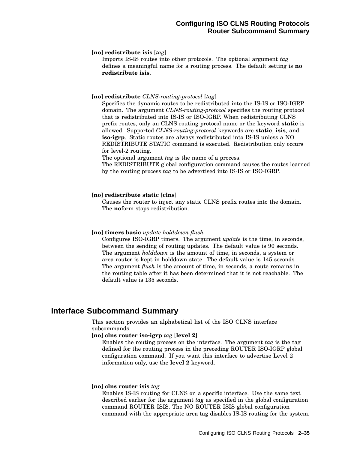#### [**no**] **redistribute isis** [*tag*]

Imports IS-IS routes into other protocols. The optional argument *tag* defines a meaningful name for a routing process. The default setting is **no redistribute isis**.

#### [**no**] **redistribute** *CLNS-routing-protocol* [*tag*]

Specifies the dynamic routes to be redistributed into the IS-IS or ISO-IGRP domain. The argument *CLNS-routing-protocol* specifies the routing protocol that is redistributed into IS-IS or ISO-IGRP. When redistributing CLNS prefix routes, only an CLNS routing protocol name or the keyword **static** is allowed. Supported *CLNS-routing-protocol* keywords are **static**, **isis**, and **iso-igrp**. Static routes are always redistributed into IS-IS unless a NO REDISTRIBUTE STATIC command is executed. Redistribution only occurs for level-2 routing.

The optional argument *tag* is the name of a process.

The REDISTRIBUTE global configuration command causes the routes learned by the routing process *tag* to be advertised into IS-IS or ISO-IGRP.

#### [**no**] **redistribute static** [**clns**]

Causes the router to inject any static CLNS prefix routes into the domain. The **no**form stops redistribution.

#### [**no**] **timers basic** *update holddown flush*

Configures ISO-IGRP timers. The argument *update* is the time, in seconds, between the sending of routing updates. The default value is 90 seconds. The argument *holddown* is the amount of time, in seconds, a system or area router is kept in holddown state. The default value is 145 seconds. The argument *flush* is the amount of time, in seconds, a route remains in the routing table after it has been determined that it is not reachable. The default value is 135 seconds.

# **Interface Subcommand Summary**

This section provides an alphabetical list of the ISO CLNS interface subcommands.

#### [**no**] **clns router iso-igrp** *tag* [**level 2**]

Enables the routing process on the interface. The argument *tag* is the tag defined for the routing process in the preceding ROUTER ISO-IGRP global configuration command. If you want this interface to advertise Level 2 information only, use the **level 2** keyword.

#### [**no**] **clns router isis** *tag*

Enables IS-IS routing for CLNS on a specific interface. Use the same text described earlier for the argument *tag* as specified in the global configuration command ROUTER ISIS. The NO ROUTER ISIS global configuration command with the appropriate area tag disables IS-IS routing for the system.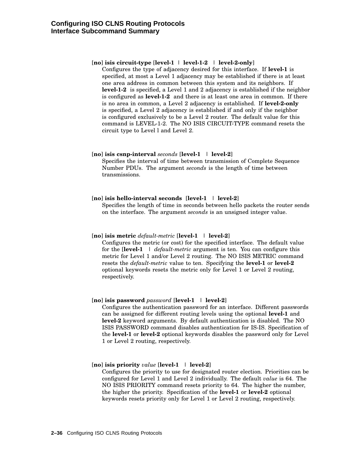#### [**no**] **isis circuit-type** [**level-1** | **level-1-2** | **level-2-only**]

Configures the type of adjacency desired for this interface. If **level-1** is specified, at most a Level 1 adjacency may be established if there is at least one area address in common between this system and its neighbors. If **level-1-2** is specified, a Level 1 and 2 adjacency is established if the neighbor is configured as **level-1-2** and there is at least one area in common. If there is no area in common, a Level 2 adjacency is established. If **level-2-only** is specified, a Level 2 adjacency is established if and only if the neighbor is configured exclusively to be a Level 2 router. The default value for this command is LEVEL-1-2. The NO ISIS CIRCUIT-TYPE command resets the circuit type to Level l and Level 2.

#### [**no**] **isis csnp-interval** *seconds* [**level-1** | **level-2**]

Specifies the interval of time between transmission of Complete Sequence Number PDUs. The argument *seconds* is the length of time between transmissions.

#### [**no**] **isis hello-interval seconds** [**level-1** | **level-2**]

Specifies the length of time in seconds between hello packets the router sends on the interface. The argument *seconds* is an unsigned integer value.

#### [**no**] **isis metric** *default-metric* [**level-1** | **level-2**]

Configures the metric (or cost) for the specified interface. The default value for the [**level-1** | *default-metric* argument is ten. You can configure this metric for Level 1 and/or Level 2 routing. The NO ISIS METRIC command resets the *default-metric* value to ten. Specifying the **level-1** or **level-2** optional keywords resets the metric only for Level 1 or Level 2 routing, respectively.

#### [**no**] **isis password** *password* [**level-1** | **level-2**]

Configures the authentication password for an interface. Different passwords can be assigned for different routing levels using the optional **level-1** and **level-2** keyword arguments. By default authentication is disabled. The NO ISIS PASSWORD command disables authentication for IS-IS. Specification of the **level-1** or **level-2** optional keywords disables the password only for Level 1 or Level 2 routing, respectively.

#### [**no**] **isis priority** *value* [**level-1** | **level-2**]

Configures the priority to use for designated router election. Priorities can be configured for Level 1 and Level 2 individually. The default *value* is 64. The NO ISIS PRIORITY command resets priority to 64. The higher the number, the higher the priority. Specification of the **level-1** or **level-2** optional keywords resets priority only for Level 1 or Level 2 routing, respectively.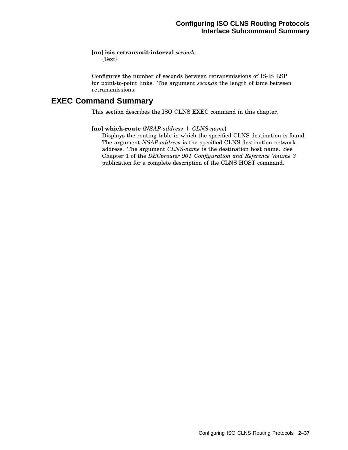#### [**no**] **isis retransmit-interval** *seconds* {Text}

Configures the number of seconds between retransmissions of IS-IS LSP for point-to-point links. The argument *seconds* the length of time between retransmissions.

# **EXEC Command Summary**

This section describes the ISO CLNS EXEC command in this chapter.

#### [**no**] **which-route** {*NSAP-address* | *CLNS-name*}

Displays the routing table in which the specified CLNS destination is found. The argument *NSAP-address* is the specified CLNS destination network address. The argument *CLNS-name* is the destination host name. See Chapter 1 of the *DECbrouter 90T Configuration and Reference Volume 3* publication for a complete description of the CLNS HOST command.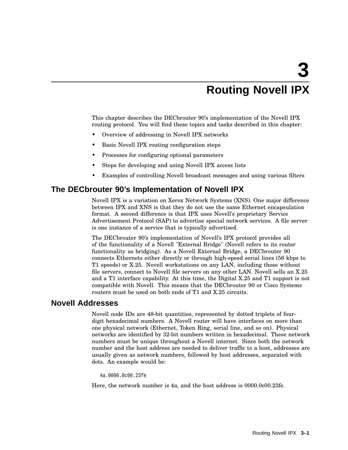# **3 Routing Novell IPX**

This chapter describes the DECbrouter 90's implementation of the Novell IPX routing protocol. You will find these topics and tasks described in this chapter:

- Overview of addressing in Novell IPX networks
- Basic Novell IPX routing configuration steps
- Processes for configuring optional parameters
- Steps for developing and using Novell IPX access lists
- Examples of controlling Novell broadcast messages and using various filters

# **The DECbrouter 90's Implementation of Novell IPX**

Novell IPX is a variation on Xerox Network Systems (XNS). One major difference between IPX and XNS is that they do not use the same Ethernet encapsulation format. A second difference is that IPX uses Novell's proprietary Service Advertisement Protocol (SAP) to advertise special network services. A file server is one instance of a service that is typically advertised.

The DECbrouter 90's implementation of Novell's IPX protocol provides all of the functionality of a Novell "External Bridge" (Novell refers to its router functionality as bridging). As a Novell External Bridge, a DECbrouter 90 connects Ethernets either directly or through high-speed serial lines (56 kbps to T1 speeds) or X.25. Novell workstations on any LAN, including those without file servers, connect to Novell file servers on any other LAN. Novell sells an X.25 and a T1 interface capability. At this time, the Digital X.25 and T1 support is not compatible with Novell. This means that the DECbrouter 90 or Cisco Systems routers must be used on both ends of T1 and X.25 circuits.

# **Novell Addresses**

Novell node IDs are 48-bit quantities, represented by dotted triplets of fourdigit hexadecimal numbers. A Novell router will have interfaces on more than one physical network (Ethernet, Token Ring, serial line, and so on). Physical networks are identified by 32-bit numbers written in hexadecimal. These network numbers must be unique throughout a Novell internet. Since both the network number and the host address are needed to deliver traffic to a host, addresses are usually given as network numbers, followed by host addresses, separated with dots. An example would be:

4a.0000.0c00.23fe

Here, the network number is 4a, and the host address is 0000.0c00.23fe.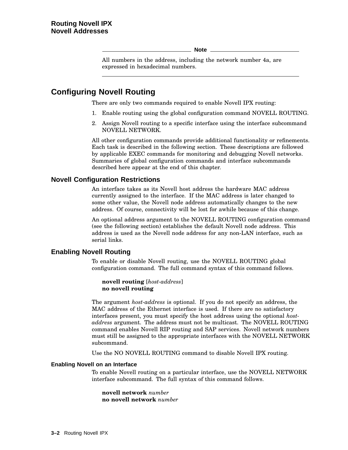**Note**

All numbers in the address, including the network number 4a, are expressed in hexadecimal numbers.

# **Configuring Novell Routing**

There are only two commands required to enable Novell IPX routing:

- 1. Enable routing using the global configuration command NOVELL ROUTING.
- 2. Assign Novell routing to a specific interface using the interface subcommand NOVELL NETWORK.

All other configuration commands provide additional functionality or refinements. Each task is described in the following section. These descriptions are followed by applicable EXEC commands for monitoring and debugging Novell networks. Summaries of global configuration commands and interface subcommands described here appear at the end of this chapter.

## **Novell Configuration Restrictions**

An interface takes as its Novell host address the hardware MAC address currently assigned to the interface. If the MAC address is later changed to some other value, the Novell node address automatically changes to the new address. Of course, connectivity will be lost for awhile because of this change.

An optional address argument to the NOVELL ROUTING configuration command (see the following section) establishes the default Novell node address. This address is used as the Novell node address for any non-LAN interface, such as serial links.

## **Enabling Novell Routing**

To enable or disable Novell routing, use the NOVELL ROUTING global configuration command. The full command syntax of this command follows.

**novell routing** [*host-address*] **no novell routing**

The argument *host-address* is optional. If you do not specify an address, the MAC address of the Ethernet interface is used. If there are no satisfactory interfaces present, you must specify the host address using the optional *hostaddress* argument. The address must not be multicast. The NOVELL ROUTING command enables Novell RIP routing and SAP services. Novell network numbers must still be assigned to the appropriate interfaces with the NOVELL NETWORK subcommand.

Use the NO NOVELL ROUTING command to disable Novell IPX routing.

#### **Enabling Novell on an Interface**

To enable Novell routing on a particular interface, use the NOVELL NETWORK interface subcommand. The full syntax of this command follows.

**novell network** *number* **no novell network** *number*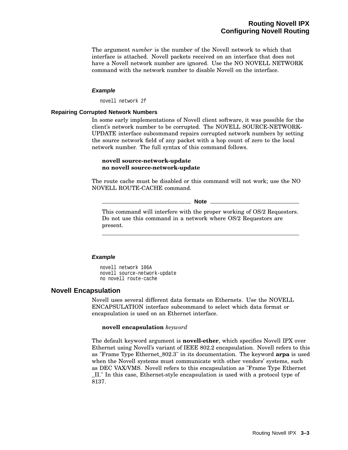The argument *number* is the number of the Novell network to which that interface is attached. Novell packets received on an interface that does not have a Novell network number are ignored. Use the NO NOVELL NETWORK command with the network number to disable Novell on the interface.

#### **Example**

novell network 2f

#### **Repairing Corrupted Network Numbers**

In some early implementations of Novell client software, it was possible for the client's network number to be corrupted. The NOVELL SOURCE-NETWORK-UPDATE interface subcommand repairs corrupted network numbers by setting the source network field of any packet with a hop count of zero to the local network number. The full syntax of this command follows.

#### **novell source-network-update no novell source-network-update**

The route cache must be disabled or this command will not work; use the NO NOVELL ROUTE-CACHE command.

**Note**

This command will interfere with the proper working of OS/2 Requestors. Do not use this command in a network where OS/2 Requestors are present.

#### **Example**

novell network 106A novell source-network-update no novell route-cache

#### **Novell Encapsulation**

Novell uses several different data formats on Ethernets. Use the NOVELL ENCAPSULATION interface subcommand to select which data format or encapsulation is used on an Ethernet interface.

#### **novell encapsulation** *keyword*

The default keyword argument is **novell-ether**, which specifies Novell IPX over Ethernet using Novell's variant of IEEE 802.2 encapsulation. Novell refers to this as "Frame Type Ethernet\_802.3" in its documentation. The keyword **arpa** is used when the Novell systems must communicate with other vendors' systems, such as DEC VAX/VMS. Novell refers to this encapsulation as "Frame Type Ethernet \_II." In this case, Ethernet-style encapsulation is used with a protocol type of 8137.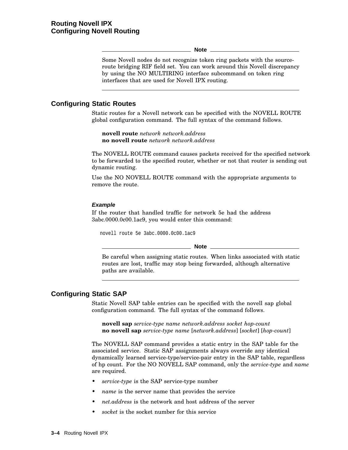#### **Note**

Some Novell nodes do not recognize token ring packets with the sourceroute bridging RIF field set. You can work around this Novell discrepancy by using the NO MULTIRING interface subcommand on token ring interfaces that are used for Novell IPX routing.

#### **Configuring Static Routes**

Static routes for a Novell network can be specified with the NOVELL ROUTE global configuration command. The full syntax of the command follows.

**novell route** *network network.address* **no novell route** *network network.address*

The NOVELL ROUTE command causes packets received for the specified network to be forwarded to the specified router, whether or not that router is sending out dynamic routing.

Use the NO NOVELL ROUTE command with the appropriate arguments to remove the route.

#### **Example**

If the router that handled traffic for network 5e had the address 3abc.0000.0c00.1ac9, you would enter this command:

novell route 5e 3abc.0000.0c00.1ac9

**Note** \_

Be careful when assigning static routes. When links associated with static routes are lost, traffic may stop being forwarded, although alternative paths are available.

# **Configuring Static SAP**

Static Novell SAP table entries can be specified with the novell sap global configuration command. The full syntax of the command follows.

**novell sap** *service-type name network.address socket hop-count* **no novell sap** *service-type name* [*network.address*] [*socket*] [*hop-count*]

The NOVELL SAP command provides a static entry in the SAP table for the associated service. Static SAP assignments always override any identical dynamically learned service-type/service-pair entry in the SAP table, regardless of hp count. For the NO NOVELL SAP command, only the *service-type* and *name* are required.

- *service-type* is the SAP service-type number
- *name* is the server name that provides the service
- *net.address* is the network and host address of the server
- *socket* is the socket number for this service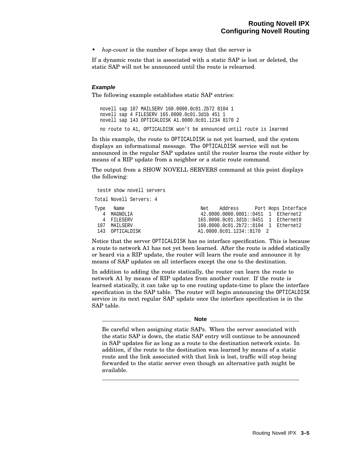• *hop-count* is the number of hops away that the server is

If a dynamic route that is associated with a static SAP is lost or deleted, the static SAP will not be announced until the route is relearned.

#### **Example**

The following example establishes static SAP entries:

```
novell sap 107 MAILSERV 160.0000.0c01.2b72 8104 1
novell sap 4 FILESERV 165.0000.0c01.3d1b 451 1
novell sap 143 OPTICALDISK A1.0000.0c01.1234 8170 2
no route to A1, OPTICALDISK won't be announced until route is learned
```
In this example, the route to OPTICALDISK is not yet learned, and the system displays an informational message. The OPTICALDISK service will not be announced in the regular SAP updates until the router learns the route either by means of a RIP update from a neighbor or a static route command.

The output from a SHOW NOVELL SERVERS command at this point displays the following:

```
test# show novell servers
Total Novell Servers: 4
Type Name Net Address Port Hops Interface
  4 MAGNOLIA 42.0000.0000.0001::0451 1 Ethernet2
4 FILESERV 165.0000.0c01.3d1b::0451 1 Ethernet0<br>160.0000.0c01.2b72::8104 1 Ethernet2
                              160.0000.0c01.2b72::8104 1 Ethernet2
143 OPTICALDISK A1.0000.0c01.1234::8170 2
```
Notice that the server OPTICALDISK has no interface specification. This is because a route to network A1 has not yet been learned. After the route is added statically or heard via a RIP update, the router will learn the route and announce it by means of SAP updates on all interfaces except the one to the destination.

In addition to adding the route statically, the router can learn the route to network A1 by means of RIP updates from another router. If the route is learned statically, it can take up to one routing update-time to place the interface specification in the SAP table. The router will begin announcing the OPTICALDISK service in its next regular SAP update once the interface specification is in the SAP table.

```
Note
```
Be careful when assigning static SAPs. When the server associated with the static SAP is down, the static SAP entry will continue to be announced in SAP updates for as long as a route to the destination network exists. In addition, if the route to the destination was learned by means of a static route and the link associated with that link is lost, traffic will stop being forwarded to the static server even though an alternative path might be available.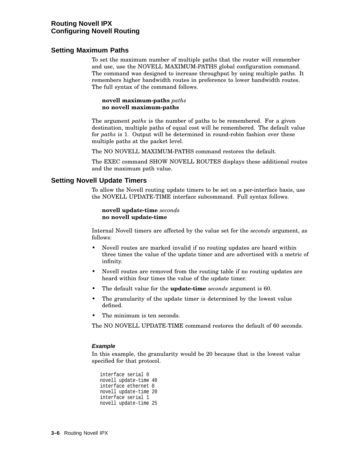# **Routing Novell IPX Configuring Novell Routing**

# **Setting Maximum Paths**

To set the maximum number of multiple paths that the router will remember and use, use the NOVELL MAXIMUM-PATHS global configuration command. The command was designed to increase throughput by using multiple paths. It remembers higher bandwidth routes in preference to lower bandwidth routes. The full syntax of the command follows.

#### **novell maximum-paths** *paths* **no novell maximum-paths**

The argument *paths* is the number of paths to be remembered. For a given destination, multiple paths of equal cost will be remembered. The default value for *paths* is 1. Output will be determined in round-robin fashion over these multiple paths at the packet level.

The NO NOVELL MAXIMUM-PATHS command restores the default.

The EXEC command SHOW NOVELL ROUTES displays these additional routes and the maximum path value.

# **Setting Novell Update Timers**

To allow the Novell routing update timers to be set on a per-interface basis, use the NOVELL UPDATE-TIME interface subcommand. Full syntax follows.

#### **novell update-time** *seconds* **no novell update-time**

Internal Novell timers are affected by the value set for the *seconds* argument, as follows:

- Novell routes are marked invalid if no routing updates are heard within three times the value of the update timer and are advertised with a metric of infinity.
- Novell routes are removed from the routing table if no routing updates are heard within four times the value of the update timer.
- The default value for the **update-time** *seconds* argument is 60.
- The granularity of the update timer is determined by the lowest value defined.
- The minimum is ten seconds

The NO NOVELL UPDATE-TIME command restores the default of 60 seconds.

#### **Example**

In this example, the granularity would be 20 because that is the lowest value specified for that protocol.

```
interface serial 0
novell update-time 40
interface ethernet 0
novell update-time 20
interface serial 1
novell update-time 25
```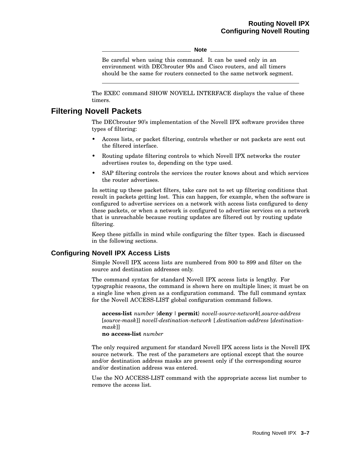**Note**

Be careful when using this command. It can be used only in an environment with DECbrouter 90s and Cisco routers, and all timers should be the same for routers connected to the same network segment.

The EXEC command SHOW NOVELL INTERFACE displays the value of these timers.

# **Filtering Novell Packets**

The DECbrouter 90's implementation of the Novell IPX software provides three types of filtering:

- Access lists, or packet filtering, controls whether or not packets are sent out the filtered interface.
- Routing update filtering controls to which Novell IPX networks the router advertises routes to, depending on the type used.
- SAP filtering controls the services the router knows about and which services the router advertises.

In setting up these packet filters, take care not to set up filtering conditions that result in packets getting lost. This can happen, for example, when the software is configured to advertise services on a network with access lists configured to deny these packets, or when a network is configured to advertise services on a network that is unreachable because routing updates are filtered out by routing update filtering.

Keep these pitfalls in mind while configuring the filter types. Each is discussed in the following sections.

## **Configuring Novell IPX Access Lists**

Simple Novell IPX access lists are numbered from 800 to 899 and filter on the source and destination addresses only.

The command syntax for standard Novell IPX access lists is lengthy. For typographic reasons, the command is shown here on multiple lines; it must be on a single line when given as a configuration command. The full command syntax for the Novell ACCESS-LIST global configuration command follows.

**access-list** *number* {**deny** |**permit**} *novell-source-network*[.*source-address* [*source-mask*]] *novell-destination-network* [.*destination-address* [*destinationmask*]]

**no access-list** *number*

The only required argument for standard Novell IPX access lists is the Novell IPX source network. The rest of the parameters are optional except that the source and/or destination address masks are present only if the corresponding source and/or destination address was entered.

Use the NO ACCESS-LIST command with the appropriate access list number to remove the access list.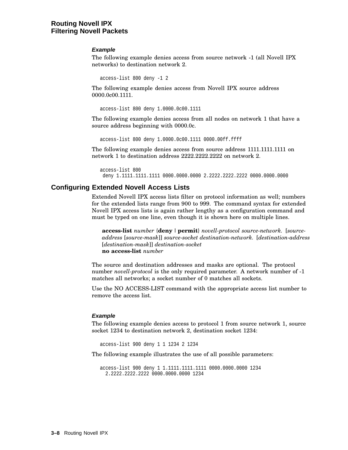# **Routing Novell IPX Filtering Novell Packets**

#### **Example**

The following example denies access from source network -1 (all Novell IPX networks) to destination network 2.

```
access-list 800 deny -1 2
```
The following example denies access from Novell IPX source address 0000.0c00.1111.

```
access-list 800 deny 1.0000.0c00.1111
```
The following example denies access from all nodes on network 1 that have a source address beginning with 0000.0c.

access-list 800 deny 1.0000.0c00.1111 0000.00ff.ffff

The following example denies access from source address 1111.1111.1111 on network 1 to destination address 2222.2222.2222 on network 2.

```
access-list 800
deny 1.1111.1111.1111 0000.0000.0000 2.2222.2222.2222 0000.0000.0000
```
## **Configuring Extended Novell Access Lists**

Extended Novell IPX access lists filter on protocol information as well; numbers for the extended lists range from 900 to 999. The command syntax for extended Novell IPX access lists is again rather lengthy as a configuration command and must be typed on one line, even though it is shown here on multiple lines.

**access-list** *number* {**deny** |**permit**} *novell-protocol source-network.* [*sourceaddress* [*source-mask*]] *source-socket destination-network.* [*destination-address* [*destination-mask*]] *destination-socket* **no access-list** *number*

The source and destination addresses and masks are optional. The protocol number *novell-protocol* is the only required parameter. A network number of -1 matches all networks; a socket number of 0 matches all sockets.

Use the NO ACCESS-LIST command with the appropriate access list number to remove the access list.

#### **Example**

The following example denies access to protocol 1 from source network 1, source socket 1234 to destination network 2, destination socket 1234:

access-list 900 deny 1 1 1234 2 1234

The following example illustrates the use of all possible parameters:

```
access-list 900 deny 1 1.1111.1111.1111 0000.0000.0000 1234
  2.2222.2222.2222 0000.0000.0000 1234
```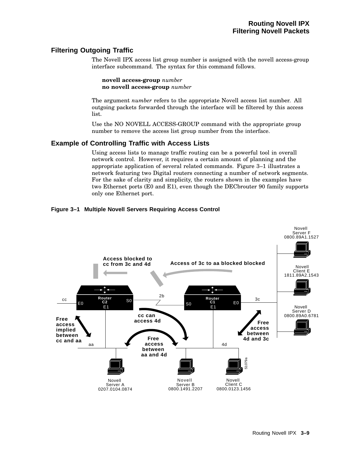# **Filtering Outgoing Traffic**

The Novell IPX access list group number is assigned with the novell access-group interface subcommand. The syntax for this command follows.

**novell access-group** *number* **no novell access-group** *number*

The argument *number* refers to the appropriate Novell access list number. All outgoing packets forwarded through the interface will be filtered by this access list.

Use the NO NOVELL ACCESS-GROUP command with the appropriate group number to remove the access list group number from the interface.

# **Example of Controlling Traffic with Access Lists**

Using access lists to manage traffic routing can be a powerful tool in overall network control. However, it requires a certain amount of planning and the appropriate application of several related commands. Figure 3–1 illustrates a network featuring two Digital routers connecting a number of network segments. For the sake of clarity and simplicity, the routers shown in the examples have two Ethernet ports (E0 and E1), even though the DECbrouter 90 family supports only one Ethernet port.

## **Figure 3–1 Multiple Novell Servers Requiring Access Control**

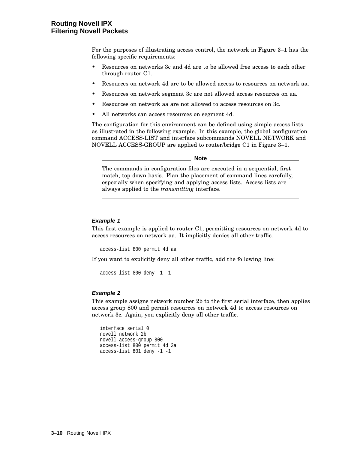# **Routing Novell IPX Filtering Novell Packets**

For the purposes of illustrating access control, the network in Figure 3–1 has the following specific requirements:

- Resources on networks 3c and 4d are to be allowed free access to each other through router C1.
- Resources on network 4d are to be allowed access to resources on network aa.
- Resources on network segment 3c are not allowed access resources on aa.
- Resources on network aa are not allowed to access resources on 3c.
- All networks can access resources on segment 4d.

The configuration for this environment can be defined using simple access lists as illustrated in the following example. In this example, the global configuration command ACCESS-LIST and interface subcommands NOVELL NETWORK and NOVELL ACCESS-GROUP are applied to router/bridge C1 in Figure 3–1.

**Note**

The commands in configuration files are executed in a sequential, first match, top down basis. Plan the placement of command lines carefully, especially when specifying and applying access lists. Access lists are always applied to the *transmitting* interface.

#### **Example 1**

This first example is applied to router C1, permitting resources on network 4d to access resources on network aa. It implicitly denies all other traffic.

access-list 800 permit 4d aa

If you want to explicitly deny all other traffic, add the following line:

```
access-list 800 deny -1 -1
```
#### **Example 2**

This example assigns network number 2b to the first serial interface, then applies access group 800 and permit resources on network 4d to access resources on network 3c. Again, you explicitly deny all other traffic.

```
interface serial 0
novell network 2b
novell access-group 800
access-list 800 permit 4d 3a
access-list 801 deny -1 -1
```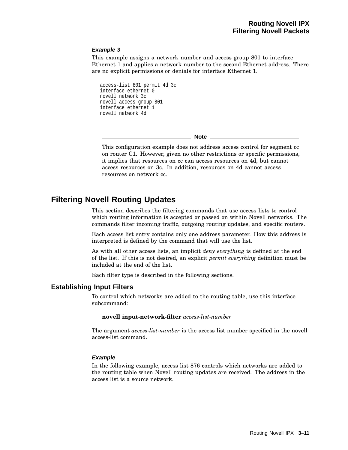#### **Example 3**

This example assigns a network number and access group 801 to interface Ethernet 1 and applies a network number to the second Ethernet address. There are no explicit permissions or denials for interface Ethernet 1.

access-list 801 permit 4d 3c interface ethernet 0 novell network 3c novell access-group 801 interface ethernet 1 novell network 4d

**Note**

This configuration example does not address access control for segment cc on router C1. However, given no other restrictions or specific permissions, it implies that resources on cc can access resources on 4d, but cannot access resources on 3c. In addition, resources on 4d cannot access resources on network cc.

# **Filtering Novell Routing Updates**

This section describes the filtering commands that use access lists to control which routing information is accepted or passed on within Novell networks. The commands filter incoming traffic, outgoing routing updates, and specific routers.

Each access list entry contains only one address parameter. How this address is interpreted is defined by the command that will use the list.

As with all other access lists, an implicit *deny everything* is defined at the end of the list. If this is not desired, an explicit *permit everything* definition must be included at the end of the list.

Each filter type is described in the following sections.

#### **Establishing Input Filters**

To control which networks are added to the routing table, use this interface subcommand:

**novell input-network-filter** *access-list-number*

The argument *access-list-number* is the access list number specified in the novell access-list command.

#### **Example**

In the following example, access list 876 controls which networks are added to the routing table when Novell routing updates are received. The address in the access list is a source network.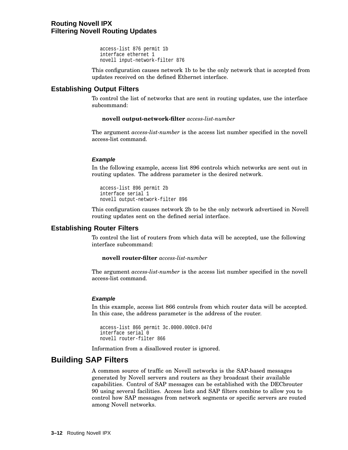```
access-list 876 permit 1b
interface ethernet 1
novell input-network-filter 876
```
This configuration causes network 1b to be the only network that is accepted from updates received on the defined Ethernet interface.

# **Establishing Output Filters**

To control the list of networks that are sent in routing updates, use the interface subcommand:

#### **novell output-network-filter** *access-list-number*

The argument *access-list-number* is the access list number specified in the novell access-list command.

#### **Example**

In the following example, access list 896 controls which networks are sent out in routing updates. The address parameter is the desired network.

```
access-list 896 permit 2b
interface serial 1
novell output-network-filter 896
```
This configuration causes network 2b to be the only network advertised in Novell routing updates sent on the defined serial interface.

## **Establishing Router Filters**

To control the list of routers from which data will be accepted, use the following interface subcommand:

#### **novell router-filter** *access-list-number*

The argument *access-list-number* is the access list number specified in the novell access-list command.

#### **Example**

In this example, access list 866 controls from which router data will be accepted. In this case, the address parameter is the address of the router.

```
access-list 866 permit 3c.0000.000c0.047d
interface serial 0
novell router-filter 866
```
Information from a disallowed router is ignored.

# **Building SAP Filters**

A common source of traffic on Novell networks is the SAP-based messages generated by Novell servers and routers as they broadcast their available capabilities. Control of SAP messages can be established with the DECbrouter 90 using several facilities. Access lists and SAP filters combine to allow you to control how SAP messages from network segments or specific servers are routed among Novell networks.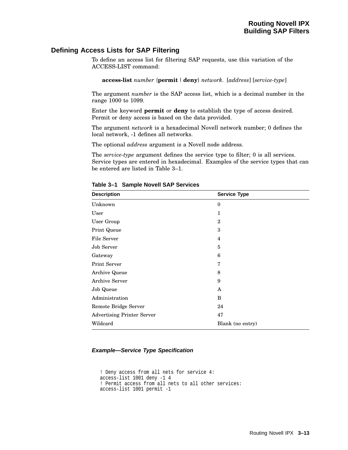# **Defining Access Lists for SAP Filtering**

To define an access list for filtering SAP requests, use this variation of the ACCESS-LIST command:

**access-list** *number* {**permit** |**deny**} *network.* [*address*] [*service-type*]

The argument *number* is the SAP access list, which is a decimal number in the range 1000 to 1099.

Enter the keyword **permit** or **deny** to establish the type of access desired. Permit or deny access is based on the data provided.

The argument *network* is a hexadecimal Novell network number; 0 defines the local network, -1 defines all networks.

The optional *address* argument is a Novell node address.

The *service-type* argument defines the service type to filter; 0 is all services. Service types are entered in hexadecimal. Examples of the service types that can be entered are listed in Table 3–1.

| <b>Description</b>                | <b>Service Type</b> |  |
|-----------------------------------|---------------------|--|
| Unknown                           | $\mathbf{0}$        |  |
| User                              | 1                   |  |
| User Group                        | $\overline{2}$      |  |
| Print Queue                       | 3                   |  |
| File Server                       | 4                   |  |
| Job Server                        | 5                   |  |
| Gateway                           | 6                   |  |
| Print Server                      | 7                   |  |
| Archive Queue                     | 8                   |  |
| Archive Server                    | 9                   |  |
| Job Queue                         | A                   |  |
| Administration                    | B                   |  |
| Remote Bridge Server              | 24                  |  |
| <b>Advertising Printer Server</b> | 47                  |  |
| Wildcard                          | Blank (no entry)    |  |

**Table 3–1 Sample Novell SAP Services**

#### **Example—Service Type Specification**

```
! Deny access from all nets for service 4:
access-list 1001 deny -1 4
! Permit access from all nets to all other services:
access-list 1001 permit -1
```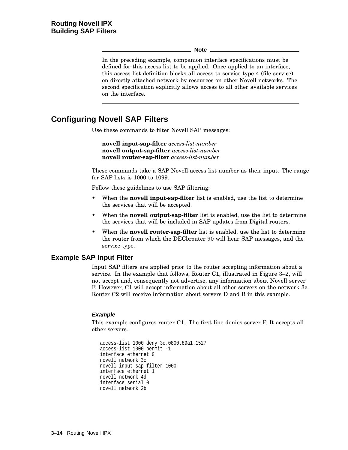**Note**

In the preceding example, companion interface specifications must be defined for this access list to be applied. Once applied to an interface, this access list definition blocks all access to service type 4 (file service) on directly attached network by resources on other Novell networks. The second specification explicitly allows access to all other available services on the interface.

# **Configuring Novell SAP Filters**

Use these commands to filter Novell SAP messages:

**novell input-sap-filter** *access-list-number* **novell output-sap-filter** *access-list-number* **novell router-sap-filter** *access-list-number*

These commands take a SAP Novell access list number as their input. The range for SAP lists is 1000 to 1099.

Follow these guidelines to use SAP filtering:

- When the **novell input-sap-filter** list is enabled, use the list to determine the services that will be accepted.
- When the **novell output-sap-filter** list is enabled, use the list to determine the services that will be included in SAP updates from Digital routers.
- When the **novell router-sap-filter** list is enabled, use the list to determine the router from which the DECbrouter 90 will hear SAP messages, and the service type.

# **Example SAP Input Filter**

Input SAP filters are applied prior to the router accepting information about a service. In the example that follows, Router C1, illustrated in Figure 3–2, will not accept and, consequently not advertise, any information about Novell server F. However, C1 will accept information about all other servers on the network 3c. Router C2 will receive information about servers D and B in this example.

## **Example**

This example configures router C1. The first line denies server F. It accepts all other servers.

```
access-list 1000 deny 3c.0800.89a1.1527
access-list 1000 permit -1
interface ethernet 0
novell network 3c
novell input-sap-filter 1000
interface ethernet 1
novell network 4d
interface serial 0
novell network 2b
```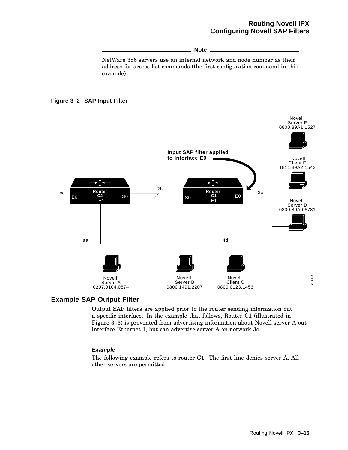# **Routing Novell IPX Configuring Novell SAP Filters**

**Note**

NetWare 386 servers use an internal network and node number as their address for access list commands (the first configuration command in this example).





# **Example SAP Output Filter**

Output SAP filters are applied prior to the router sending information out a specific interface. In the example that follows, Router C1 (illustrated in Figure 3–3) is prevented from advertising information about Novell server A out interface Ethernet 1, but can advertise server A on network 3c.

## **Example**

The following example refers to router C1. The first line denies server A. All other servers are permitted.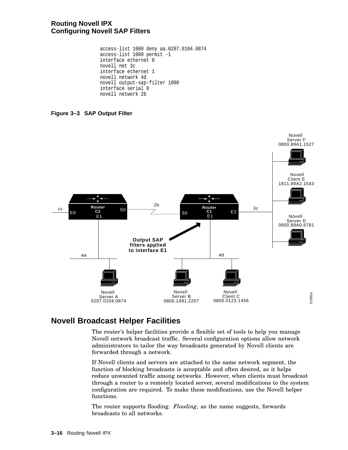# **Routing Novell IPX Configuring Novell SAP Filters**

access-list 1000 deny aa.0207.0104.0874 access-list 1000 permit -1 interface ethernet 0 novell net 3c interface ethernet 1 novell network 4d novell output-sap-filter 1000 interface serial 0 novell network 2b

**Figure 3–3 SAP Output Filter**



# **Novell Broadcast Helper Facilities**

The router's helper facilities provide a flexible set of tools to help you manage Novell network broadcast traffic. Several configuration options allow network administrators to tailor the way broadcasts generated by Novell clients are forwarded through a network.

If Novell clients and servers are attached to the same network segment, the function of blocking broadcasts is acceptable and often desired, as it helps reduce unwanted traffic among networks. However, when clients must broadcast through a router to a remotely located server, several modifications to the system configuration are required. To make these modifications, use the Novell helper functions.

The router supports flooding. *Flooding*, as the name suggests, forwards broadcasts to all networks.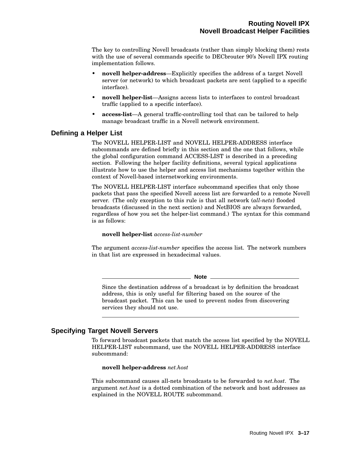The key to controlling Novell broadcasts (rather than simply blocking them) rests with the use of several commands specific to DECbrouter 90's Novell IPX routing implementation follows.

- **novell helper-address**—Explicitly specifies the address of a target Novell server (or network) to which broadcast packets are sent (applied to a specific interface).
- **novell helper-list**—Assigns access lists to interfaces to control broadcast traffic (applied to a specific interface).
- **access-list**—A general traffic-controlling tool that can be tailored to help manage broadcast traffic in a Novell network environment.

# **Defining a Helper List**

The NOVELL HELPER-LIST and NOVELL HELPER-ADDRESS interface subcommands are defined briefly in this section and the one that follows, while the global configuration command ACCESS-LIST is described in a preceding section. Following the helper facility definitions, several typical applications illustrate how to use the helper and access list mechanisms together within the context of Novell-based internetworking environments.

The NOVELL HELPER-LIST interface subcommand specifies that only those packets that pass the specified Novell access list are forwarded to a remote Novell server. (The only exception to this rule is that all network (*all-nets*) flooded broadcasts (discussed in the next section) and NetBIOS are always forwarded, regardless of how you set the helper-list command.) The syntax for this command is as follows:

#### **novell helper-list** *access-list-number*

The argument *access-list-number* specifies the access list. The network numbers in that list are expressed in hexadecimal values.

**Note**

Since the destination address of a broadcast is by definition the broadcast address, this is only useful for filtering based on the source of the broadcast packet. This can be used to prevent nodes from discovering services they should not use.

# **Specifying Target Novell Servers**

To forward broadcast packets that match the access list specified by the NOVELL HELPER-LIST subcommand, use the NOVELL HELPER-ADDRESS interface subcommand:

#### **novell helper-address** *net.host*

This subcommand causes all-nets broadcasts to be forwarded to *net.host*. The argument *net.host* is a dotted combination of the network and host addresses as explained in the NOVELL ROUTE subcommand.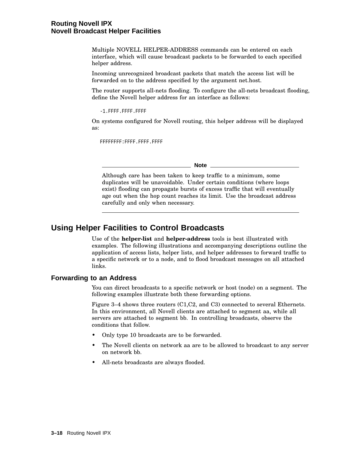Multiple NOVELL HELPER-ADDRESS commands can be entered on each interface, which will cause broadcast packets to be forwarded to each specified helper address.

Incoming unrecognized broadcast packets that match the access list will be forwarded on to the address specified by the argument net.host.

The router supports all-nets flooding. To configure the all-nets broadcast flooding, define the Novell helper address for an interface as follows:

-1.FFFF.FFFF.FFFF

On systems configured for Novell routing, this helper address will be displayed as:

FFFFFFFF:FFFF.FFFF.FFFF

**Note**

Although care has been taken to keep traffic to a minimum, some duplicates will be unavoidable. Under certain conditions (where loops exist) flooding can propagate bursts of excess traffic that will eventually age out when the hop count reaches its limit. Use the broadcast address carefully and only when necessary.

# **Using Helper Facilities to Control Broadcasts**

Use of the **helper-list** and **helper-address** tools is best illustrated with examples. The following illustrations and accompanying descriptions outline the application of access lists, helper lists, and helper addresses to forward traffic to a specific network or to a node, and to flood broadcast messages on all attached links.

# **Forwarding to an Address**

You can direct broadcasts to a specific network or host (node) on a segment. The following examples illustrate both these forwarding options.

Figure 3–4 shows three routers (C1,C2, and C3) connected to several Ethernets. In this environment, all Novell clients are attached to segment aa, while all servers are attached to segment bb. In controlling broadcasts, observe the conditions that follow.

- Only type 10 broadcasts are to be forwarded.
- The Novell clients on network aa are to be allowed to broadcast to any server on network bb.
- All-nets broadcasts are always flooded.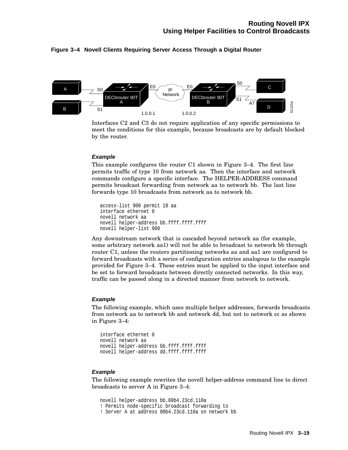#### **Figure 3–4 Novell Clients Requiring Server Access Through a Digital Router**



Interfaces C2 and C3 do not require application of any specific permissions to meet the conditions for this example, because broadcasts are by default blocked by the router.

#### **Example**

This example configures the router C1 shown in Figure 3–4. The first line permits traffic of type 10 from network aa. Then the interface and network commands configure a specific interface. The HELPER-ADDRESS command permits broadcast forwarding from network aa to network bb. The last line forwards type 10 broadcasts from network aa to network bb.

```
access-list 900 permit 10 aa
interface ethernet 0
novell network aa
novell helper-address bb.ffff.ffff.ffff
novell helper-list 900
```
Any downstream network that is cascaded beyond network aa (for example, some arbitrary network aa1) will not be able to broadcast to network bb through router C1, unless the routers partitioning networks aa and aa1 are configured to forward broadcasts with a series of configuration entries analogous to the example provided for Figure 3–4. These entries must be applied to the input interface and be set to forward broadcasts between directly connected networks. In this way, traffic can be passed along in a directed manner from network to network.

#### **Example**

The following example, which uses multiple helper addresses, forwards broadcasts from network aa to network bb and network dd, but not to network cc as shown in Figure 3–4:

```
interface ethernet 0
novell network aa
novell helper-address bb.ffff.ffff.ffff
novell helper-address dd.ffff.ffff.ffff
```
#### **Example**

The following example rewrites the novell helper-address command line to direct broadcasts to server A in Figure 3–4:

```
novell helper-address bb.00b4.23cd.110a
! Permits node-specific broadcast forwarding to
! Server A at address 00b4.23cd.110a on network bb
```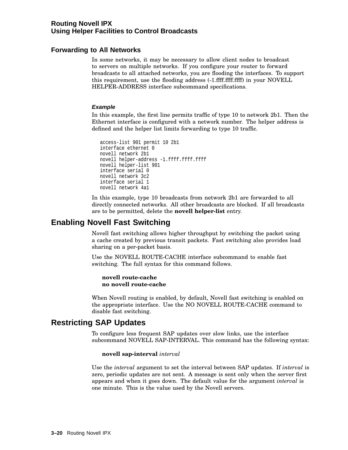# **Forwarding to All Networks**

In some networks, it may be necessary to allow client nodes to broadcast to servers on multiple networks. If you configure your router to forward broadcasts to all attached networks, you are flooding the interfaces. To support this requirement, use the flooding address (-1.ffff.ffff.ffff) in your NOVELL HELPER-ADDRESS interface subcommand specifications.

#### **Example**

In this example, the first line permits traffic of type 10 to network 2b1. Then the Ethernet interface is configured with a network number. The helper address is defined and the helper list limits forwarding to type 10 traffic.

```
access-list 901 permit 10 2b1
interface ethernet 0
novell network 2b1
novell helper-address -1.ffff.ffff.ffff
novell helper-list 901
interface serial 0
novell network 3c2
interface serial 1
novell network 4a1
```
In this example, type 10 broadcasts from network 2b1 are forwarded to all directly connected networks. All other broadcasts are blocked. If all broadcasts are to be permitted, delete the **novell helper-list** entry.

# **Enabling Novell Fast Switching**

Novell fast switching allows higher throughput by switching the packet using a cache created by previous transit packets. Fast switching also provides load sharing on a per-packet basis.

Use the NOVELL ROUTE-CACHE interface subcommand to enable fast switching. The full syntax for this command follows.

**novell route-cache no novell route-cache**

When Novell routing is enabled, by default, Novell fast switching is enabled on the appropriate interface. Use the NO NOVELL ROUTE-CACHE command to disable fast switching.

# **Restricting SAP Updates**

To configure less frequent SAP updates over slow links, use the interface subcommand NOVELL SAP-INTERVAL. This command has the following syntax:

#### **novell sap-interval** *interval*

Use the *interval* argument to set the interval between SAP updates. If *interval* is zero, periodic updates are not sent. A message is sent only when the server first appears and when it goes down. The default value for the argument *interval* is one minute. This is the value used by the Novell servers.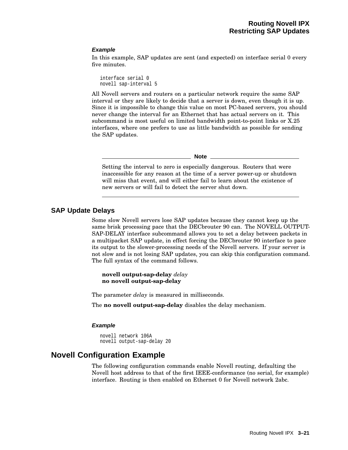#### **Example**

In this example, SAP updates are sent (and expected) on interface serial 0 every five minutes.

interface serial 0 novell sap-interval 5

All Novell servers and routers on a particular network require the same SAP interval or they are likely to decide that a server is down, even though it is up. Since it is impossible to change this value on most PC-based servers, you should never change the interval for an Ethernet that has actual servers on it. This subcommand is most useful on limited bandwidth point-to-point links or X.25 interfaces, where one prefers to use as little bandwidth as possible for sending the SAP updates.

#### **Note**

Setting the interval to zero is especially dangerous. Routers that were inaccessible for any reason at the time of a server power-up or shutdown will miss that event, and will either fail to learn about the existence of new servers or will fail to detect the server shut down.

# **SAP Update Delays**

Some slow Novell servers lose SAP updates because they cannot keep up the same brisk processing pace that the DECbrouter 90 can. The NOVELL OUTPUT-SAP-DELAY interface subcommand allows you to set a delay between packets in a multipacket SAP update, in effect forcing the DECbrouter 90 interface to pace its output to the slower-processing needs of the Novell servers. If your server is not slow and is not losing SAP updates, you can skip this configuration command. The full syntax of the command follows.

**novell output-sap-delay** *delay* **no novell output-sap-delay**

The parameter *delay* is measured in milliseconds.

The **no novell output-sap-delay** disables the delay mechanism.

#### **Example**

novell network 106A novell output-sap-delay 20

# **Novell Configuration Example**

The following configuration commands enable Novell routing, defaulting the Novell host address to that of the first IEEE-conformance (no serial, for example) interface. Routing is then enabled on Ethernet 0 for Novell network 2abc.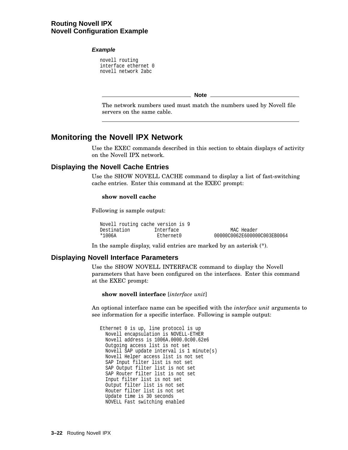# **Routing Novell IPX Novell Configuration Example**

#### **Example**

novell routing interface ethernet 0 novell network 2abc

**Note**

The network numbers used must match the numbers used by Novell file servers on the same cable.

# **Monitoring the Novell IPX Network**

Use the EXEC commands described in this section to obtain displays of activity on the Novell IPX network.

# **Displaying the Novell Cache Entries**

Use the SHOW NOVELL CACHE command to display a list of fast-switching cache entries. Enter this command at the EXEC prompt:

#### **show novell cache**

Following is sample output:

|             | Novell routing cache version is 9 |                             |
|-------------|-----------------------------------|-----------------------------|
| Destination | Interface                         | MAC Header                  |
| *1006A      | Ethernet0                         | 00000C0062E600000C003EB0064 |

In the sample display, valid entries are marked by an asterisk (\*).

# **Displaying Novell Interface Parameters**

Use the SHOW NOVELL INTERFACE command to display the Novell parameters that have been configured on the interfaces. Enter this command at the EXEC prompt:

**show novell interface** [*interface unit*]

An optional interface name can be specified with the *interface unit* arguments to see information for a specific interface. Following is sample output:

Ethernet 0 is up, line protocol is up Novell encapsulation is NOVELL-ETHER Novell address is 1006A.0000.0c00.62e6 Outgoing access list is not set Novell SAP update interval is 1 minute(s) Novell Helper access list is not set SAP Input filter list is not set SAP Output filter list is not set SAP Router filter list is not set Input filter list is not set Output filter list is not set Router filter list is not set Update time is 30 seconds NOVELL Fast switching enabled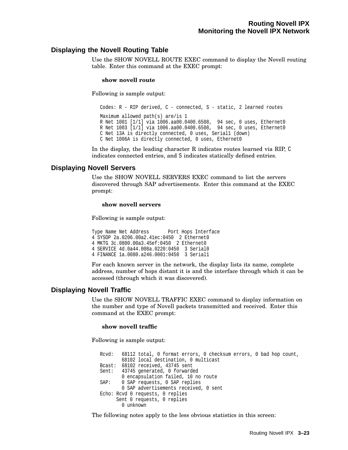# **Displaying the Novell Routing Table**

Use the SHOW NOVELL ROUTE EXEC command to display the Novell routing table. Enter this command at the EXEC prompt:

#### **show novell route**

Following is sample output:

Codes: R - RIP derived, C - connected, S - static, 2 learned routes Maximum allowed path(s) are/is 1 R Net 1001 [1/1] via 1006.aa00.0400.6508, 94 sec, 0 uses, Ethernet0 R Net 1003 [1/1] via 1006.aa00.0400.6508, 94 sec, 0 uses, Ethernet0 C Net 13A is directly connected, 0 uses, Serial1 (down) C Net 1006A is directly connected, 0 uses, Ethernet0

In the display, the leading character R indicates routes learned via RIP, C indicates connected entries, and S indicates statically defined entries.

# **Displaying Novell Servers**

Use the SHOW NOVELL SERVERS EXEC command to list the servers discovered through SAP advertisements. Enter this command at the EXEC prompt:

#### **show novell servers**

Following is sample output:

```
Type Name Net Address Port Hops Interface
4 SYSOP 2a.0206.00a2.41ec:0450 2 Ethernet0
4 MKTG 3c.0800.00a3.45ef:0450 2 Ethernet0
4 SERVICE 4d.0a44.008a.0220:0450 3 Serial0
4 FINANCE 1a.0080.a246.0001:0450 3 Serial1
```
For each known server in the network, the display lists its name, complete address, number of hops distant it is and the interface through which it can be accessed (through which it was discovered).

# **Displaying Novell Traffic**

Use the SHOW NOVELL TRAFFIC EXEC command to display information on the number and type of Novell packets transmitted and received. Enter this command at the EXEC prompt:

#### **show novell traffic**

Following is sample output:

Rcvd: 68112 total, 0 format errors, 0 checksum errors, 0 bad hop count, 68102 local destination, 0 multicast Bcast: 68102 received, 43745 sent Sent: 43745 generated, 0 forwarded 0 encapsulation failed, 10 no route SAP: 0 SAP requests, 0 SAP replies 0 SAP advertisements received, 0 sent Echo: Rcvd 0 requests, 0 replies Sent 0 requests, 0 replies 0 unknown

The following notes apply to the less obvious statistics in this screen: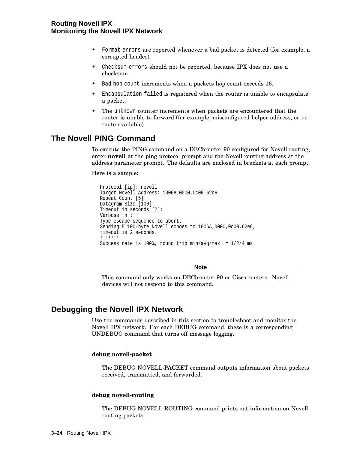# **Routing Novell IPX Monitoring the Novell IPX Network**

- Format errors are reported whenever a bad packet is detected (for example, a corrupted header).
- Checksum errors should not be reported, because IPX does not use a checksum.
- Bad hop count increments when a packets hop count exceeds 16.
- Encapsulation failed is registered when the router is unable to encapsulate a packet.
- The unknown counter increments when packets are encountered that the router is unable to forward (for example, misconfigured helper address, or no route available).

# **The Novell PING Command**

To execute the PING command on a DECbrouter 90 configured for Novell routing, enter **novell** at the ping protocol prompt and the Novell routing address at the address parameter prompt. The defaults are enclosed in brackets at each prompt.

Here is a sample:

```
Protocol [ip]: novell
Target Novell Address: 1006A.0000.0c00.62e6
Repeat Count [5]:
Datagram Size [100]:
Timeout in seconds [2]:
Verbose [n]:
Type escape sequence to abort.
Sending 5 100-byte Novell echoes to 1006A,0000,0c00,62e6,
timeout is 2 seconds.
!!!!!!!
Success rate is 100%, round trip min/avg/max = 1/2/4 ms.
```
**Note**

This command only works on DECbrouter 90 or Cisco routers. Novell devices will not respond to this command.

# **Debugging the Novell IPX Network**

Use the commands described in this section to troubleshoot and monitor the Novell IPX network. For each DEBUG command, these is a corresponding UNDEBUG command that turns off message logging.

#### **debug novell-packet**

The DEBUG NOVELL-PACKET command outputs information about packets received, transmitted, and forwarded.

#### **debug novell-routing**

The DEBUG NOVELL-ROUTING command prints out information on Novell routing packets.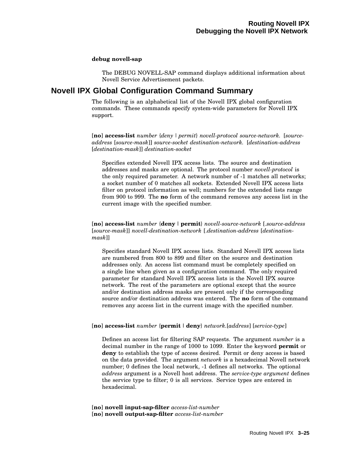#### **debug novell-sap**

The DEBUG NOVELL-SAP command displays additional information about Novell Service Advertisement packets.

# **Novell IPX Global Configuration Command Summary**

The following is an alphabetical list of the Novell IPX global configuration commands. These commands specify system-wide parameters for Novell IPX support.

[**no**] **access-list** *number* {*deny | permit*} *novell-protocol source-network.* [*sourceaddress* [*source-mask*]] *source-socket destination-network.* [*destination-address* [*destination-mask*]] *destination-socket*

Specifies extended Novell IPX access lists. The source and destination addresses and masks are optional. The protocol number *novell-protocol* is the only required parameter. A network number of -1 matches all networks; a socket number of 0 matches all sockets. Extended Novell IPX access lists filter on protocol information as well; numbers for the extended lists range from 900 to 999. The **no** form of the command removes any access list in the current image with the specified number.

[**no**] **access-list** *number* {**deny** |**permit**} *novell-source-network* [.*source-address* [*source-mask*]] *novell-destination-network* [.*destination-address* [*destinationmask*]]

Specifies standard Novell IPX access lists. Standard Novell IPX access lists are numbered from 800 to 899 and filter on the source and destination addresses only. An access list command must be completely specified on a single line when given as a configuration command. The only required parameter for standard Novell IPX access lists is the Novell IPX source network. The rest of the parameters are optional except that the source and/or destination address masks are present only if the corresponding source and/or destination address was entered. The **no** form of the command removes any access list in the current image with the specified number.

## [**no**] **access-list** *number* {**permit** |**deny**} *network.*[*address*] [*service-type*]

Defines an access list for filtering SAP requests. The argument *number* is a decimal number in the range of 1000 to 1099. Enter the keyword **permit** or **deny** to establish the type of access desired. Permit or deny access is based on the data provided. The argument *network* is a hexadecimal Novell network number; 0 defines the local network, -1 defines all networks. The optional *address* argument is a Novell host address. The *service-type argument* defines the service type to filter; 0 is all services. Service types are entered in hexadecimal.

[**no**] **novell input-sap-filter** *access-list-number* [**no**] **novell output-sap-filter** *access-list-number*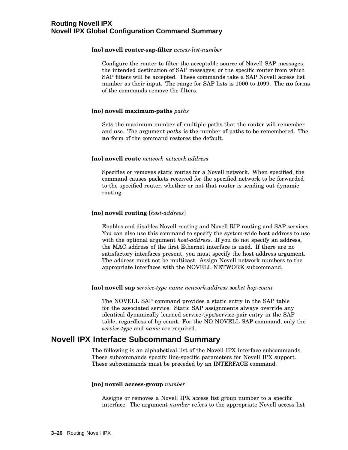#### [**no**] **novell router-sap-filter** *access-list-number*

Configure the router to filter the acceptable source of Novell SAP messages; the intended destination of SAP messages; or the specific router from which SAP filters will be accepted. These commands take a SAP Novell access list number as their input. The range for SAP lists is 1000 to 1099. The **no** forms of the commands remove the filters.

#### [**no**] **novell maximum-paths** *paths*

Sets the maximum number of multiple paths that the router will remember and use. The argument *paths* is the number of paths to be remembered. The **no** form of the command restores the default.

#### [**no**] **novell route** *network network.address*

Specifies or removes static routes for a Novell network. When specified, the command causes packets received for the specified network to be forwarded to the specified router, whether or not that router is sending out dynamic routing.

#### [**no**] **novell routing** [*host-address*]

Enables and disables Novell routing and Novell RIP routing and SAP services. You can also use this command to specify the system-wide host address to use with the optional argument *host-address*. If you do not specify an address, the MAC address of the first Ethernet interface is used. If there are no satisfactory interfaces present, you must specify the host address argument. The address must not be multicast. Assign Novell network numbers to the appropriate interfaces with the NOVELL NETWORK subcommand.

#### [**no**] **novell sap** *service-type name network.address socket hop-count*

The NOVELL SAP command provides a static entry in the SAP table for the associated service. Static SAP assignments always override any identical dynamically learned service-type/service-pair entry in the SAP table, regardless of hp count. For the NO NOVELL SAP command, only the *service-type* and *name* are required.

# **Novell IPX Interface Subcommand Summary**

The following is an alphabetical list of the Novell IPX interface subcommands. These subcommands specify line-specific parameters for Novell IPX support. These subcommands must be preceded by an INTERFACE command.

#### [**no**] **novell access-group** *number*

Assigns or removes a Novell IPX access list group number to a specific interface. The argument *number* refers to the appropriate Novell access list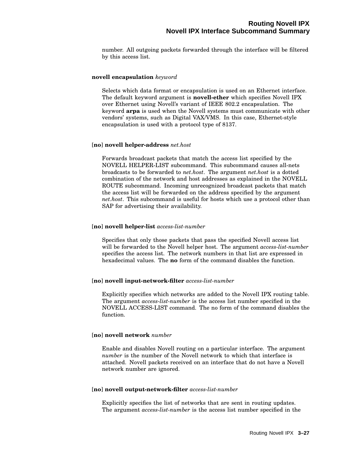number. All outgoing packets forwarded through the interface will be filtered by this access list.

#### **novell encapsulation** *keyword*

Selects which data format or encapsulation is used on an Ethernet interface. The default keyword argument is **novell-ether** which specifies Novell IPX over Ethernet using Novell's variant of IEEE 802.2 encapsulation. The keyword **arpa** is used when the Novell systems must communicate with other vendors' systems, such as Digital VAX/VMS. In this case, Ethernet-style encapsulation is used with a protocol type of 8137.

#### [**no**] **novell helper-address** *net.host*

Forwards broadcast packets that match the access list specified by the NOVELL HELPER-LIST subcommand. This subcommand causes all-nets broadcasts to be forwarded to *net.host*. The argument *net.host* is a dotted combination of the network and host addresses as explained in the NOVELL ROUTE subcommand. Incoming unrecognized broadcast packets that match the access list will be forwarded on the address specified by the argument *net.host*. This subcommand is useful for hosts which use a protocol other than SAP for advertising their availability.

#### [**no**] **novell helper-list** *access-list-number*

Specifies that only those packets that pass the specified Novell access list will be forwarded to the Novell helper host. The argument *access-list-number* specifies the access list. The network numbers in that list are expressed in hexadecimal values. The **no** form of the command disables the function.

#### [**no**] **novell input-network-filter** *access-list-number*

Explicitly specifies which networks are added to the Novell IPX routing table. The argument *access-list-number* is the access list number specified in the NOVELL ACCESS-LIST command. The no form of the command disables the function.

## [**no**] **novell network** *number*

Enable and disables Novell routing on a particular interface. The argument *number* is the number of the Novell network to which that interface is attached. Novell packets received on an interface that do not have a Novell network number are ignored.

#### [**no**] **novell output-network-filter** *access-list-number*

Explicitly specifies the list of networks that are sent in routing updates. The argument *access-list-number* is the access list number specified in the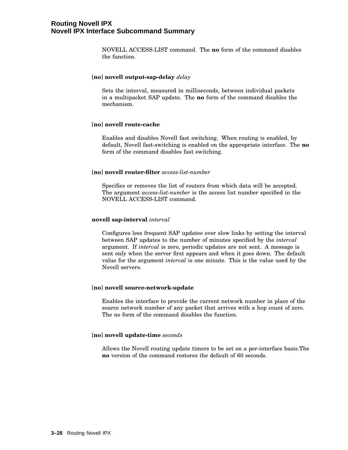NOVELL ACCESS-LIST command. The **no** form of the command disables the function.

#### [**no**] **novell output-sap-delay** *delay*

Sets the interval, measured in milliseconds, between individual packets in a multipacket SAP update. The **no** form of the command disables the mechanism.

#### [**no**] **novell route-cache**

Enables and disables Novell fast switching. When routing is enabled, by default, Novell fast-switching is enabled on the appropriate interface. The **no** form of the command disables fast switching.

#### [**no**] **novell router-filter** *access-list-number*

Specifies or removes the list of routers from which data will be accepted. The argument *access-list-number* is the access list number specified in the NOVELL ACCESS-LIST command.

#### **novell sap-interval** *interval*

Configures less frequent SAP updates over slow links by setting the interval between SAP updates to the number of minutes specified by the *interval* argument. If *interval* is zero, periodic updates are not sent. A message is sent only when the server first appears and when it goes down. The default value for the argument *interval* is one minute. This is the value used by the Novell servers.

## [**no**] **novell source-network-update**

Enables the interface to provide the current network number in place of the source network number of any packet that arrives with a hop count of zero. The no form of the command disables the function.

# [**no**] **novell update-time** *seconds*

Allows the Novell routing update timers to be set on a per-interface basis.The **no** version of the command restores the default of 60 seconds.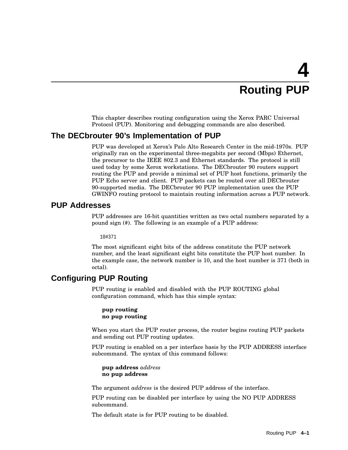# **4 Routing PUP**

This chapter describes routing configuration using the Xerox PARC Universal Protocol (PUP). Monitoring and debugging commands are also described.

# **The DECbrouter 90's Implementation of PUP**

PUP was developed at Xerox's Palo Alto Research Center in the mid-1970s. PUP originally ran on the experimental three-megabits per second (Mbps) Ethernet, the precursor to the IEEE 802.3 and Ethernet standards. The protocol is still used today by some Xerox workstations. The DECbrouter 90 routers support routing the PUP and provide a minimal set of PUP host functions, primarily the PUP Echo server and client. PUP packets can be routed over all DECbrouter 90-supported media. The DECbrouter 90 PUP implementation uses the PUP GWINFO routing protocol to maintain routing information across a PUP network.

# **PUP Addresses**

PUP addresses are 16-bit quantities written as two octal numbers separated by a pound sign (#). The following is an example of a PUP address:

10#371

The most significant eight bits of the address constitute the PUP network number, and the least significant eight bits constitute the PUP host number. In the example case, the network number is 10, and the host number is 371 (both in octal).

# **Configuring PUP Routing**

PUP routing is enabled and disabled with the PUP ROUTING global configuration command, which has this simple syntax:

```
pup routing
no pup routing
```
When you start the PUP router process, the router begins routing PUP packets and sending out PUP routing updates.

PUP routing is enabled on a per interface basis by the PUP ADDRESS interface subcommand. The syntax of this command follows:

**pup address** *address* **no pup address**

The argument *address* is the desired PUP address of the interface.

PUP routing can be disabled per interface by using the NO PUP ADDRESS subcommand.

The default state is for PUP routing to be disabled.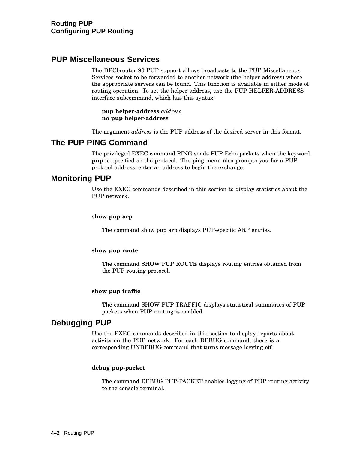# **PUP Miscellaneous Services**

The DECbrouter 90 PUP support allows broadcasts to the PUP Miscellaneous Services socket to be forwarded to another network (the helper address) where the appropriate servers can be found. This function is available in either mode of routing operation. To set the helper address, use the PUP HELPER-ADDRESS interface subcommand, which has this syntax:

**pup helper-address** *address* **no pup helper-address**

The argument *address* is the PUP address of the desired server in this format.

# **The PUP PING Command**

The privileged EXEC command PING sends PUP Echo packets when the keyword **pup** is specified as the protocol. The ping menu also prompts you for a PUP protocol address; enter an address to begin the exchange.

# **Monitoring PUP**

Use the EXEC commands described in this section to display statistics about the PUP network.

## **show pup arp**

The command show pup arp displays PUP-specific ARP entries.

## **show pup route**

The command SHOW PUP ROUTE displays routing entries obtained from the PUP routing protocol.

## **show pup traffic**

The command SHOW PUP TRAFFIC displays statistical summaries of PUP packets when PUP routing is enabled.

# **Debugging PUP**

Use the EXEC commands described in this section to display reports about activity on the PUP network. For each DEBUG command, there is a corresponding UNDEBUG command that turns message logging off.

## **debug pup-packet**

The command DEBUG PUP-PACKET enables logging of PUP routing activity to the console terminal.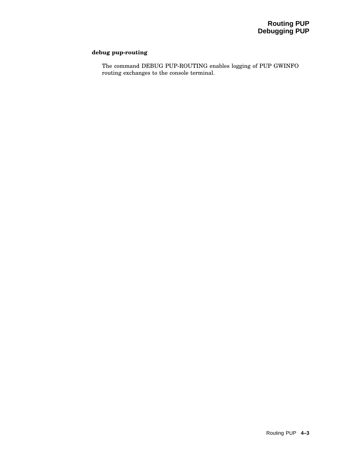# **debug pup-routing**

The command DEBUG PUP-ROUTING enables logging of PUP GWINFO routing exchanges to the console terminal.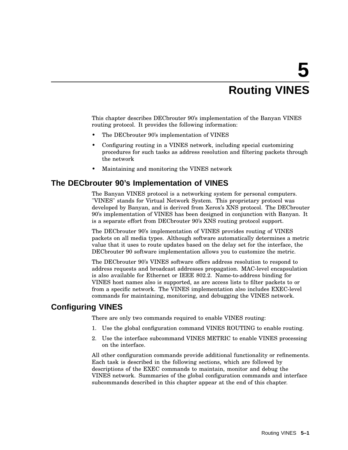# **5 Routing VINES**

This chapter describes DECbrouter 90's implementation of the Banyan VINES routing protocol. It provides the following information:

- The DECbrouter 90's implementation of VINES
- Configuring routing in a VINES network, including special customizing procedures for such tasks as address resolution and filtering packets through the network
- Maintaining and monitoring the VINES network

# **The DECbrouter 90's Implementation of VINES**

The Banyan VINES protocol is a networking system for personal computers. "VINES" stands for Virtual Network System. This proprietary protocol was developed by Banyan, and is derived from Xerox's XNS protocol. The DECbrouter 90's implementation of VINES has been designed in conjunction with Banyan. It is a separate effort from DECbrouter 90's XNS routing protocol support.

The DECbrouter 90's implementation of VINES provides routing of VINES packets on all media types. Although software automatically determines a metric value that it uses to route updates based on the delay set for the interface, the DECbrouter 90 software implementation allows you to customize the metric.

The DECbrouter 90's VINES software offers address resolution to respond to address requests and broadcast addresses propagation. MAC-level encapsulation is also available for Ethernet or IEEE 802.2. Name-to-address binding for VINES host names also is supported, as are access lists to filter packets to or from a specific network. The VINES implementation also includes EXEC-level commands for maintaining, monitoring, and debugging the VINES network.

# **Configuring VINES**

There are only two commands required to enable VINES routing:

- 1. Use the global configuration command VINES ROUTING to enable routing.
- 2. Use the interface subcommand VINES METRIC to enable VINES processing on the interface.

All other configuration commands provide additional functionality or refinements. Each task is described in the following sections, which are followed by descriptions of the EXEC commands to maintain, monitor and debug the VINES network. Summaries of the global configuration commands and interface subcommands described in this chapter appear at the end of this chapter.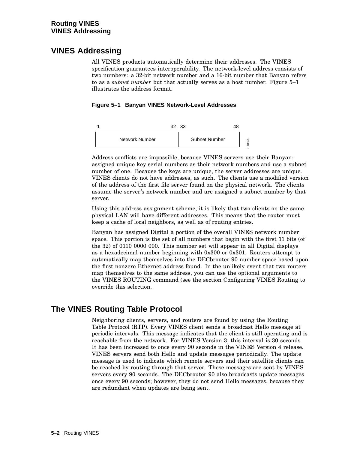# **VINES Addressing**

All VINES products automatically determine their addresses. The VINES specification guarantees interoperability. The network-level address consists of two numbers: a 32-bit network number and a 16-bit number that Banyan refers to as a *subnet number* but that actually serves as a host number. Figure 5–1 illustrates the address format.

# **Figure 5–1 Banyan VINES Network-Level Addresses**



Address conflicts are impossible, because VINES servers use their Banyanassigned unique key serial numbers as their network numbers and use a subnet number of one. Because the keys are unique, the server addresses are unique. VINES clients do not have addresses, as such. The clients use a modified version of the address of the first file server found on the physical network. The clients assume the server's network number and are assigned a subnet number by that server.

Using this address assignment scheme, it is likely that two clients on the same physical LAN will have different addresses. This means that the router must keep a cache of local neighbors, as well as of routing entries.

Banyan has assigned Digital a portion of the overall VINES network number space. This portion is the set of all numbers that begin with the first 11 bits (of the 32) of 0110 0000 000. This number set will appear in all Digital displays as a hexadecimal number beginning with 0x300 or 0x301. Routers attempt to automatically map themselves into the DECbrouter 90 number space based upon the first nonzero Ethernet address found. In the unlikely event that two routers map themselves to the same address, you can use the optional arguments to the VINES ROUTING command (see the section Configuring VINES Routing to override this selection.

# **The VINES Routing Table Protocol**

Neighboring clients, servers, and routers are found by using the Routing Table Protocol (RTP). Every VINES client sends a broadcast Hello message at periodic intervals. This message indicates that the client is still operating and is reachable from the network. For VINES Version 3, this interval is 30 seconds. It has been increased to once every 90 seconds in the VINES Version 4 release. VINES servers send both Hello and update messages periodically. The update message is used to indicate which remote servers and their satellite clients can be reached by routing through that server. These messages are sent by VINES servers every 90 seconds. The DECbrouter 90 also broadcasts update messages once every 90 seconds; however, they do not send Hello messages, because they are redundant when updates are being sent.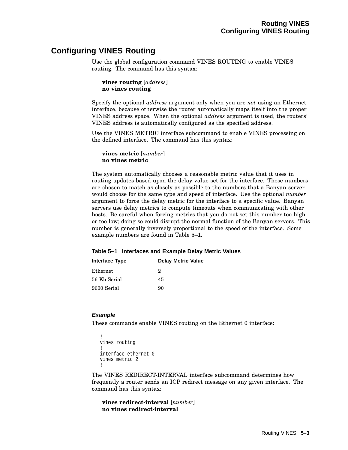# **Configuring VINES Routing**

Use the global configuration command VINES ROUTING to enable VINES routing. The command has this syntax:

```
vines routing [address]
no vines routing
```
Specify the optional *address* argument only when you are *not* using an Ethernet interface, because otherwise the router automatically maps itself into the proper VINES address space. When the optional *address* argument is used, the routers' VINES address is automatically configured as the specified address.

Use the VINES METRIC interface subcommand to enable VINES processing on the defined interface. The command has this syntax:

```
vines metric [number]
no vines metric
```
The system automatically chooses a reasonable metric value that it uses in routing updates based upon the delay value set for the interface. These numbers are chosen to match as closely as possible to the numbers that a Banyan server would choose for the same type and speed of interface. Use the optional *number* argument to force the delay metric for the interface to a specific value. Banyan servers use delay metrics to compute timeouts when communicating with other hosts. Be careful when forcing metrics that you do not set this number too high or too low; doing so could disrupt the normal function of the Banyan servers. This number is generally inversely proportional to the speed of the interface. Some example numbers are found in Table 5–1.

| <b>Interface Type</b> | <b>Delay Metric Value</b> |  |
|-----------------------|---------------------------|--|
| Ethernet              | 2.                        |  |
| 56 Kb Serial          | 45                        |  |
| 9600 Serial           | 90                        |  |

**Table 5–1 Interfaces and Example Delay Metric Values**

## **Example**

These commands enable VINES routing on the Ethernet 0 interface:

```
!
vines routing
!
interface ethernet 0
vines metric 2
!
```
The VINES REDIRECT-INTERVAL interface subcommand determines how frequently a router sends an ICP redirect message on any given interface. The command has this syntax:

**vines redirect-interval** [*number*] **no vines redirect-interval**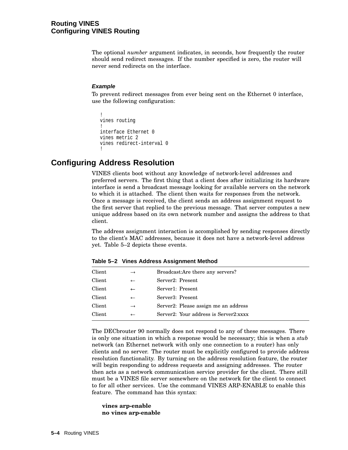The optional *number* argument indicates, in seconds, how frequently the router should send redirect messages. If the number specified is zero, the router will never send redirects on the interface.

## **Example**

To prevent redirect messages from ever being sent on the Ethernet 0 interface, use the following configuration:

```
!
vines routing
!
interface Ethernet 0
vines metric 2
vines redirect-interval 0
!
```
# **Configuring Address Resolution**

VINES clients boot without any knowledge of network-level addresses and preferred servers. The first thing that a client does after initializing its hardware interface is send a broadcast message looking for available servers on the network to which it is attached. The client then waits for responses from the network. Once a message is received, the client sends an address assignment request to the first server that replied to the previous message. That server computes a new unique address based on its own network number and assigns the address to that client.

The address assignment interaction is accomplished by sending responses directly to the client's MAC addresses, because it does not have a network-level address yet. Table 5–2 depicts these events.

| Client | $\rightarrow$ | Broadcast: Are there any servers?     |  |
|--------|---------------|---------------------------------------|--|
| Client | $\leftarrow$  | Server2: Present                      |  |
| Client | $\leftarrow$  | Server1: Present                      |  |
| Client | $\leftarrow$  | Server3: Present                      |  |
| Client | $\rightarrow$ | Server2: Please assign me an address  |  |
| Client | $\leftarrow$  | Server2: Your address is Server2:xxxx |  |
|        |               |                                       |  |

**Table 5–2 Vines Address Assignment Method**

The DECbrouter 90 normally does not respond to any of these messages. There is only one situation in which a response would be necessary; this is when a *stub* network (an Ethernet network with only one connection to a router) has only clients and no server. The router must be explicitly configured to provide address resolution functionality. By turning on the address resolution feature, the router will begin responding to address requests and assigning addresses. The router then acts as a network communication service provider for the client. There still must be a VINES file server somewhere on the network for the client to connect to for all other services. Use the command VINES ARP-ENABLE to enable this feature. The command has this syntax:

#### **vines arp-enable no vines arp-enable**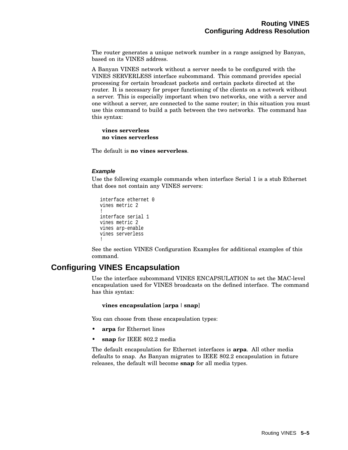The router generates a unique network number in a range assigned by Banyan, based on its VINES address.

A Banyan VINES network without a server needs to be configured with the VINES SERVERLESS interface subcommand. This command provides special processing for certain broadcast packets and certain packets directed at the router. It is necessary for proper functioning of the clients on a network without a server. This is especially important when two networks, one with a server and one without a server, are connected to the same router; in this situation you must use this command to build a path between the two networks. The command has this syntax:

## **vines serverless no vines serverless**

The default is **no vines serverless**.

## **Example**

Use the following example commands when interface Serial 1 is a stub Ethernet that does not contain any VINES servers:

```
interface ethernet 0
vines metric 2
!
interface serial 1
vines metric 2
vines arp-enable
vines serverless
!
```
See the section VINES Configuration Examples for additional examples of this command.

# **Configuring VINES Encapsulation**

Use the interface subcommand VINES ENCAPSULATION to set the MAC-level encapsulation used for VINES broadcasts on the defined interface. The command has this syntax:

## **vines encapsulation** [**arpa** | **snap**]

You can choose from these encapsulation types:

- **arpa** for Ethernet lines
- **snap** for IEEE 802.2 media

The default encapsulation for Ethernet interfaces is **arpa**. All other media defaults to snap. As Banyan migrates to IEEE 802.2 encapsulation in future releases, the default will become **snap** for all media types.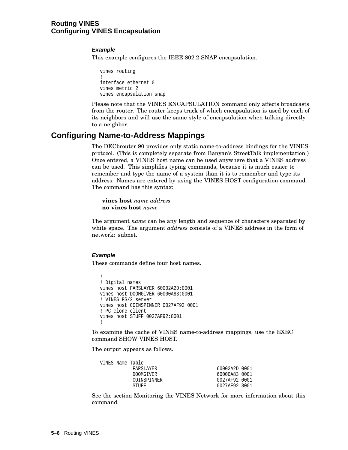# **Routing VINES Configuring VINES Encapsulation**

# **Example**

This example configures the IEEE 802.2 SNAP encapsulation.

```
vines routing
!
interface ethernet 0
vines metric 2
vines encapsulation snap
```
Please note that the VINES ENCAPSULATION command only affects broadcasts from the router. The router keeps track of which encapsulation is used by each of its neighbors and will use the same style of encapsulation when talking directly to a neighbor.

# **Configuring Name-to-Address Mappings**

The DECbrouter 90 provides only static name-to-address bindings for the VINES protocol. (This is completely separate from Banyan's StreetTalk implementation.) Once entered, a VINES host name can be used anywhere that a VINES address can be used. This simplifies typing commands, because it is much easier to remember and type the name of a system than it is to remember and type its address. Names are entered by using the VINES HOST configuration command. The command has this syntax:

**vines host** *name address* **no vines host** *name*

The argument *name* can be any length and sequence of characters separated by white space. The argument *address* consists of a VINES address in the form of network: subnet.

## **Example**

These commands define four host names.

```
!
! Digital names
vines host FARSLAYER 60002A2D:0001
vines host DOOMGIVER 60000A83:0001
! VINES PS/2 server
vines host COINSPINNER 0027AF92:0001
! PC clone client
vines host STUFF 0027AF92:8001
!
```
To examine the cache of VINES name-to-address mappings, use the EXEC command SHOW VINES HOST.

The output appears as follows.

|  | VINES Name Table |               |
|--|------------------|---------------|
|  | FARSLAYER        | 60002A2D:0001 |
|  | <b>DOOMGIVER</b> | 60000A83:0001 |
|  | COINSPINNER      | 0027AF92:0001 |
|  | STUFF            | 0027AF92:8001 |

See the section Monitoring the VINES Network for more information about this command.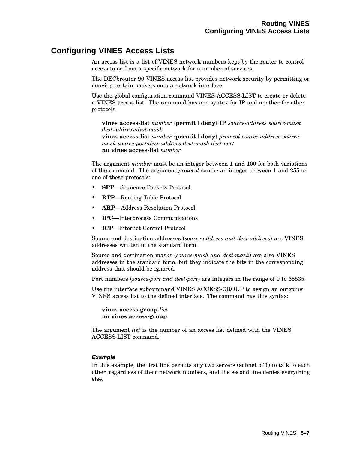# **Configuring VINES Access Lists**

An access list is a list of VINES network numbers kept by the router to control access to or from a specific network for a number of services.

The DECbrouter 90 VINES access list provides network security by permitting or denying certain packets onto a network interface.

Use the global configuration command VINES ACCESS-LIST to create or delete a VINES access list. The command has one syntax for IP and another for other protocols.

**vines access-list** *number* {**permit** |**deny**} **IP** *source-address source-mask dest-address*/*dest-mask*

**vines access-list** *number* {**permit** |**deny**} *protocol source-address sourcemask source-port*/*dest-address dest-mask dest-port* **no vines access-list** *number*

The argument *number* must be an integer between 1 and 100 for both variations of the command. The argument *protocol* can be an integer between 1 and 255 or one of these protocols:

- **SPP**—Sequence Packets Protocol
- **RTP**—Routing Table Protocol
- **ARP**—Address Resolution Protocol
- **IPC**—Interprocess Communications
- **ICP**—Internet Control Protocol

Source and destination addresses (*source-address and dest-address*) are VINES addresses written in the standard form.

Source and destination masks (*source-mask and dest-mask*) are also VINES addresses in the standard form, but they indicate the bits in the corresponding address that should be ignored.

Port numbers (*source-port and dest-port*) are integers in the range of 0 to 65535.

Use the interface subcommand VINES ACCESS-GROUP to assign an outgoing VINES access list to the defined interface. The command has this syntax:

**vines access-group** *list* **no vines access-group**

The argument *list* is the number of an access list defined with the VINES ACCESS-LIST command.

## **Example**

In this example, the first line permits any two servers (subnet of 1) to talk to each other, regardless of their network numbers, and the second line denies everything else.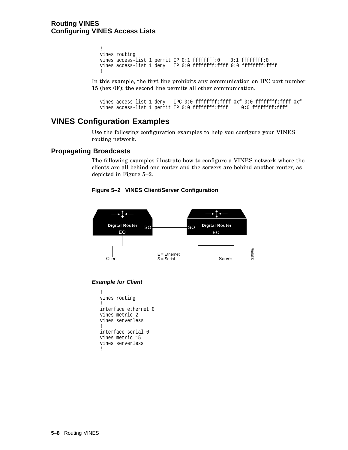# **Routing VINES Configuring VINES Access Lists**

```
!
vines routing
vines access-list 1 permit IP 0:1 ffffffff:0 0:1 ffffffff:0
vines access-list 1 deny IP 0:0 ffffffff:ffff 0:0 fffffffff:ffff
!
```
In this example, the first line prohibits any communication on IPC port number 15 (hex 0F); the second line permits all other communication.

```
vines access-list 1 deny IPC 0:0 ffffffff:ffff 0xf 0:0 ffffffff:ffff 0xf
vines access-list 1 permit IP 0:0 ffffffff:ffff 0:0 fffffffff:ffff
```
# **VINES Configuration Examples**

Use the following configuration examples to help you configure your VINES routing network.

# **Propagating Broadcasts**

The following examples illustrate how to configure a VINES network where the clients are all behind one router and the servers are behind another router, as depicted in Figure 5–2.

**Figure 5–2 VINES Client/Server Configuration**



## **Example for Client**

```
!
vines routing
!
interface ethernet 0
vines metric 2
vines serverless
!
interface serial 0
vines metric 15
vines serverless
!
```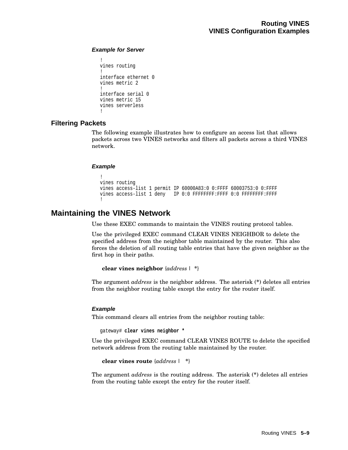# **Example for Server**

```
!
vines routing
!
interface ethernet 0
vines metric 2
!
interface serial 0
vines metric 15
vines serverless
!
```
# **Filtering Packets**

The following example illustrates how to configure an access list that allows packets across two VINES networks and filters all packets across a third VINES network.

# **Example**

```
!
vines routing
vines access-list 1 permit IP 60000A83:0 0:FFFF 60003753:0 0:FFFF
vines access-list 1 deny IP 0:0 FFFFFFFF:FFFF 0:0 FFFFFFFFF:FFFF
!
```
# **Maintaining the VINES Network**

Use these EXEC commands to maintain the VINES routing protocol tables.

Use the privileged EXEC command CLEAR VINES NEIGHBOR to delete the specified address from the neighbor table maintained by the router. This also forces the deletion of all routing table entries that have the given neighbor as the first hop in their paths.

## **clear vines neighbor** {*address* | **\***}

The argument *address* is the neighbor address. The asterisk (**\***) deletes all entries from the neighbor routing table except the entry for the router itself.

# **Example**

This command clears all entries from the neighbor routing table:

gateway# **clear vines neighbor \***

Use the privileged EXEC command CLEAR VINES ROUTE to delete the specified network address from the routing table maintained by the router.

**clear vines route** {*address* | **\***}

The argument *address* is the routing address. The asterisk (**\***) deletes all entries from the routing table except the entry for the router itself.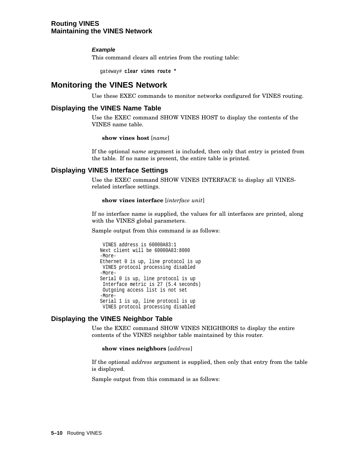# **Routing VINES Maintaining the VINES Network**

# **Example**

This command clears all entries from the routing table:

gateway# **clear vines route \***

# **Monitoring the VINES Network**

Use these EXEC commands to monitor networks configured for VINES routing.

# **Displaying the VINES Name Table**

Use the EXEC command SHOW VINES HOST to display the contents of the VINES name table.

## **show vines host** [*name*]

If the optional *name* argument is included, then only that entry is printed from the table. If no name is present, the entire table is printed.

# **Displaying VINES Interface Settings**

Use the EXEC command SHOW VINES INTERFACE to display all VINESrelated interface settings.

#### **show vines interface** [*interface unit*]

If no interface name is supplied, the values for all interfaces are printed, along with the VINES global parameters.

Sample output from this command is as follows:

```
VINES address is 60000A83:1
Next client will be 60000A83:8000
-More-
Ethernet 0 is up, line protocol is up
VINES protocol processing disabled
-More-
Serial 0 is up, line protocol is up
Interface metric is 27 (5.4 seconds)
Outgoing access list is not set
-More-
Serial 1 is up, line protocol is up
VINES protocol processing disabled
```
# **Displaying the VINES Neighbor Table**

Use the EXEC command SHOW VINES NEIGHBORS to display the entire contents of the VINES neighbor table maintained by this router.

**show vines neighbors** [*address*]

If the optional *address* argument is supplied, then only that entry from the table is displayed.

Sample output from this command is as follows: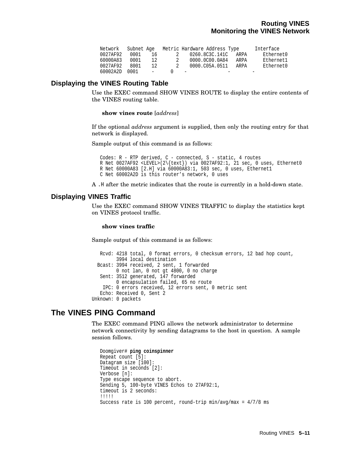| Network  | Subnet Age |            |          | Metric Hardware Address Type |      | Interface |
|----------|------------|------------|----------|------------------------------|------|-----------|
| 0027AF92 | 0001       | 16         | $\sim$ 2 | 0260.8C3C.141C               | ARPA | Ethernet0 |
| 60000A83 | 0001       | 12.        | 2        | 0000.0C00.0A84               | ARPA | Ethernet1 |
| 0027AF92 | 8001       | 12.        | 2        | 0000.C05A.0511               | ARPA | Ethernet0 |
| 60002A2D | 0001       | $\sim$ $-$ |          | $\overline{\phantom{a}}$     |      |           |

# **Displaying the VINES Routing Table**

Use the EXEC command SHOW VINES ROUTE to display the entire contents of the VINES routing table.

#### **show vines route** [*address*]

If the optional *address* argument is supplied, then only the routing entry for that network is displayed.

Sample output of this command is as follows:

```
Codes: R - RTP derived, C - connected, S - static, 4 routes
R Net 0027AF92 <LEVEL>(2\{text}) via 0027AF92:1, 21 sec, 0 uses, Ethernet0
R Net 60000A83 [2.H] via 60000A83:1, 503 sec, 0 uses, Ethernet1
C Net 60002A2D is this router's network, 0 uses
```
A .H after the metric indicates that the route is currently in a hold-down state.

# **Displaying VINES Traffic**

Use the EXEC command SHOW VINES TRAFFIC to display the statistics kept on VINES protocol traffic.

#### **show vines traffic**

Sample output of this command is as follows:

```
Rcvd: 4218 total, 0 format errors, 0 checksum errors, 12 bad hop count,
         3994 local destination
  Bcast: 3994 received, 2 sent, 1 forwarded
        0 not lan, 0 not gt 4800, 0 no charge
  Sent: 3512 generated, 147 forwarded
        0 encapsulation failed, 65 no route
   IPC: 0 errors received, 12 errors sent, 0 metric sent
   Echo: Received 0, Sent 2
Unknown: 0 packets
```
# **The VINES PING Command**

The EXEC command PING allows the network administrator to determine network connectivity by sending datagrams to the host in question. A sample session follows.

```
Doomgiver# ping coinspinner
Repeat count [5]:
Datagram size [100]:
Timeout in seconds [2]:
Verbose [n]:
Type escape sequence to abort.
Sending 5, 100-byte VINES Echos to 27AF92:1,
timeout is 2 seconds:
!!!!!
Success rate is 100 percent, round-trip min/avg/max = 4/7/8 ms
```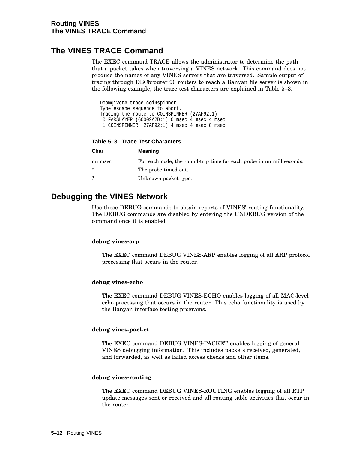# **The VINES TRACE Command**

The EXEC command TRACE allows the administrator to determine the path that a packet takes when traversing a VINES network. This command does not produce the names of any VINES servers that are traversed. Sample output of tracing through DECbrouter 90 routers to reach a Banyan file server is shown in the following example; the trace test characters are explained in Table 5–3.

Doomgiver# **trace coinspinner** Type escape sequence to abort. Tracing the route to COINSPINNER (27AF92:1) 0 FARSLAYER (60002A2D:1) 0 msec 4 msec 4 msec 1 COINSPINNER (27AF92:1) 4 msec 4 msec 8 msec

**Table 5–3 Trace Test Characters**

| Char    | <b>Meaning</b>                                                        |
|---------|-----------------------------------------------------------------------|
| nn msec | For each node, the round-trip time for each probe in no milliseconds. |
| ∗       | The probe timed out.                                                  |
|         | Unknown packet type.                                                  |

# **Debugging the VINES Network**

Use these DEBUG commands to obtain reports of VINES' routing functionality. The DEBUG commands are disabled by entering the UNDEBUG version of the command once it is enabled.

## **debug vines-arp**

The EXEC command DEBUG VINES-ARP enables logging of all ARP protocol processing that occurs in the router.

## **debug vines-echo**

The EXEC command DEBUG VINES-ECHO enables logging of all MAC-level echo processing that occurs in the router. This echo functionality is used by the Banyan interface testing programs.

## **debug vines-packet**

The EXEC command DEBUG VINES-PACKET enables logging of general VINES debugging information. This includes packets received, generated, and forwarded, as well as failed access checks and other items.

## **debug vines-routing**

The EXEC command DEBUG VINES-ROUTING enables logging of all RTP update messages sent or received and all routing table activities that occur in the router.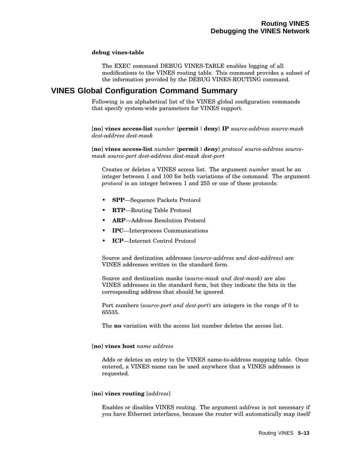#### **debug vines-table**

The EXEC command DEBUG VINES-TABLE enables logging of all modifications to the VINES routing table. This command provides a subset of the information provided by the DEBUG VINES-ROUTING command.

# **VINES Global Configuration Command Summary**

Following is an alphabetical list of the VINES global configuration commands that specify system-wide parameters for VINES support.

[**no**] **vines access-list** *number* {**permit** |**deny**} **IP** *source-address source-mask dest-address dest-mask*

[**no**] **vines access-list** *number* {**permit** |**deny**} *protocol source-address sourcemask source-port dest-address dest-mask dest-port*

Creates or deletes a VINES access list. The argument *number* must be an integer between 1 and 100 for both variations of the command. The argument *protocol* is an integer between 1 and 255 or one of these protocols:

- **SPP**—Sequence Packets Protocol
- **RTP**—Routing Table Protocol
- **ARP**—Address Resolution Protocol
- **IPC**—Interprocess Communications
- **ICP**—Internet Control Protocol

Source and destination addresses (*source-address and dest-address*) are VINES addresses written in the standard form.

Source and destination masks (*source-mask and dest-mask*) are also VINES addresses in the standard form, but they indicate the bits in the corresponding address that should be ignored.

Port numbers (*source-port and dest-port*) are integers in the range of 0 to 65535.

The **no** variation with the access list number deletes the access list.

## [**no**] **vines host** *name address*

Adds or deletes an entry to the VINES name-to-address mapping table. Once entered, a VINES name can be used anywhere that a VINES addresses is requested.

#### [**no**] **vines routing** [*address*]

Enables or disables VINES routing. The argument *address* is not necessary if you have Ethernet interfaces, because the router will automatically map itself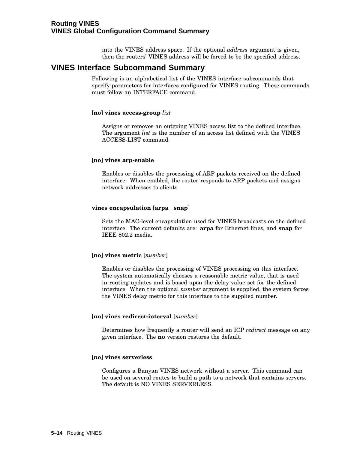into the VINES address space. If the optional *address* argument is given, then the routers' VINES address will be forced to be the specified address.

# **VINES Interface Subcommand Summary**

Following is an alphabetical list of the VINES interface subcommands that specify parameters for interfaces configured for VINES routing. These commands must follow an INTERFACE command.

## [**no**] **vines access-group** *list*

Assigns or removes an outgoing VINES access list to the defined interface. The argument *list* is the number of an access list defined with the VINES ACCESS-LIST command.

#### [**no**] **vines arp-enable**

Enables or disables the processing of ARP packets received on the defined interface. When enabled, the router responds to ARP packets and assigns network addresses to clients.

# **vines encapsulation** [**arpa** | **snap**]

Sets the MAC-level encapsulation used for VINES broadcasts on the defined interface. The current defaults are: **arpa** for Ethernet lines, and **snap** for IEEE 802.2 media.

#### [**no**] **vines metric** [*number*]

Enables or disables the processing of VINES processing on this interface. The system automatically chooses a reasonable metric value, that is used in routing updates and is based upon the delay value set for the defined interface. When the optional *number* argument is supplied, the system forces the VINES delay metric for this interface to the supplied number.

#### [**no**] **vines redirect-interval** [*number*]

Determines how frequently a router will send an ICP *redirect* message on any given interface. The **no** version restores the default.

#### [**no**] **vines serverless**

Configures a Banyan VINES network without a server. This command can be used on several routes to build a path to a network that contains servers. The default is NO VINES SERVERLESS.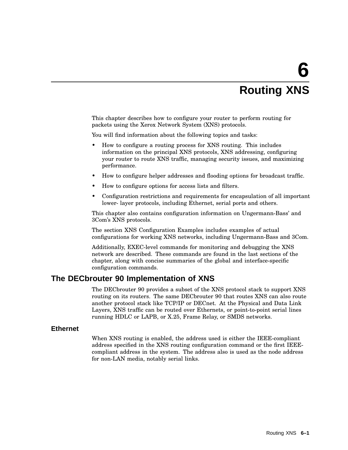# **6 Routing XNS**

This chapter describes how to configure your router to perform routing for packets using the Xerox Network System (XNS) protocols.

You will find information about the following topics and tasks:

- How to configure a routing process for XNS routing. This includes information on the principal XNS protocols, XNS addressing, configuring your router to route XNS traffic, managing security issues, and maximizing performance.
- How to configure helper addresses and flooding options for broadcast traffic.
- How to configure options for access lists and filters.
- Configuration restrictions and requirements for encapsulation of all important lower- layer protocols, including Ethernet, serial ports and others.

This chapter also contains configuration information on Ungermann-Bass' and 3Com's XNS protocols.

The section XNS Configuration Examples includes examples of actual configurations for working XNS networks, including Ungermann-Bass and 3Com.

Additionally, EXEC-level commands for monitoring and debugging the XNS network are described. These commands are found in the last sections of the chapter, along with concise summaries of the global and interface-specific configuration commands.

# **The DECbrouter 90 Implementation of XNS**

The DECbrouter 90 provides a subset of the XNS protocol stack to support XNS routing on its routers. The same DECbrouter 90 that routes XNS can also route another protocol stack like TCP/IP or DECnet. At the Physical and Data Link Layers, XNS traffic can be routed over Ethernets, or point-to-point serial lines running HDLC or LAPB, or X.25, Frame Relay, or SMDS networks.

# **Ethernet**

When XNS routing is enabled, the address used is either the IEEE-compliant address specified in the XNS routing configuration command or the first IEEEcompliant address in the system. The address also is used as the node address for non-LAN media, notably serial links.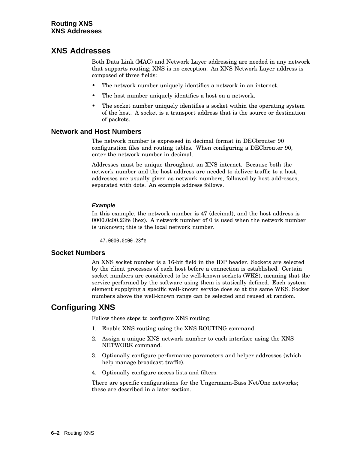# **XNS Addresses**

Both Data Link (MAC) and Network Layer addressing are needed in any network that supports routing; XNS is no exception. An XNS Network Layer address is composed of three fields:

- The network number uniquely identifies a network in an internet.
- The host number uniquely identifies a host on a network.
- The socket number uniquely identifies a socket within the operating system of the host. A socket is a transport address that is the source or destination of packets.

# **Network and Host Numbers**

The network number is expressed in decimal format in DECbrouter 90 configuration files and routing tables. When configuring a DECbrouter 90, enter the network number in decimal.

Addresses must be unique throughout an XNS internet. Because both the network number and the host address are needed to deliver traffic to a host, addresses are usually given as network numbers, followed by host addresses, separated with dots. An example address follows.

# **Example**

In this example, the network number is 47 (decimal), and the host address is 0000.0c00.23fe (hex). A network number of 0 is used when the network number is unknown; this is the local network number.

47.0000.0c00.23fe

# **Socket Numbers**

An XNS socket number is a 16-bit field in the IDP header. Sockets are selected by the client processes of each host before a connection is established. Certain socket numbers are considered to be well-known sockets (WKS), meaning that the service performed by the software using them is statically defined. Each system element supplying a specific well-known service does so at the same WKS. Socket numbers above the well-known range can be selected and reused at random.

# **Configuring XNS**

Follow these steps to configure XNS routing:

- 1. Enable XNS routing using the XNS ROUTING command.
- 2. Assign a unique XNS network number to each interface using the XNS NETWORK command.
- 3. Optionally configure performance parameters and helper addresses (which help manage broadcast traffic).
- 4. Optionally configure access lists and filters.

There are specific configurations for the Ungermann-Bass Net/One networks; these are described in a later section.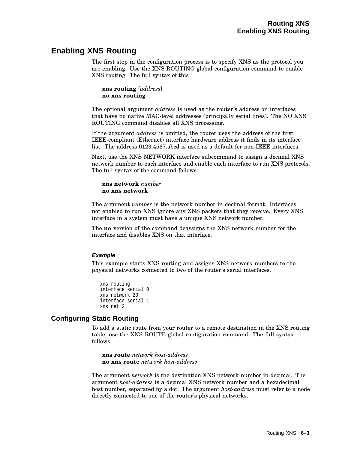# **Enabling XNS Routing**

The first step in the configuration process is to specify XNS as the protocol you are enabling. Use the XNS ROUTING global configuration command to enable XNS routing. The full syntax of this

**xns routing** [*address*] **no xns routing**

The optional argument *address* is used as the router's address on interfaces that have no native MAC-level addresses (principally serial lines). The NO XNS ROUTING command disables all XNS processing.

If the argument *address* is omitted, the router uses the address of the first IEEE-compliant (Ethernet) interface hardware address it finds in its interface list. The address 0123.4567.abcd is used as a default for non-IEEE interfaces.

Next, use the XNS NETWORK interface subcommand to assign a decimal XNS network number to each interface and enable each interface to run XNS protocols. The full syntax of the command follows.

**xns network** *number* **no xns network**

The argument *number* is the network number in decimal format. Interfaces not enabled to run XNS ignore any XNS packets that they receive. Every XNS interface in a system must have a unique XNS network number.

The **no** version of the command deassigns the XNS network number for the interface and disables XNS on that interface.

## **Example**

This example starts XNS routing and assigns XNS network numbers to the physical networks connected to two of the router's serial interfaces.

```
xns routing
interface serial 0
xns network 20
interface serial 1
xns net 21
```
# **Configuring Static Routing**

To add a static route from your router to a remote destination in the XNS routing table, use the XNS ROUTE global configuration command. The full syntax follows.

**xns route** *network host-address* **no xns route** *network host-address*

The argument *network* is the destination XNS network number in decimal. The argument *host-address* is a decimal XNS network number and a hexadecimal host number, separated by a dot. The argument *host-address* must refer to a node directly connected to one of the router's physical networks.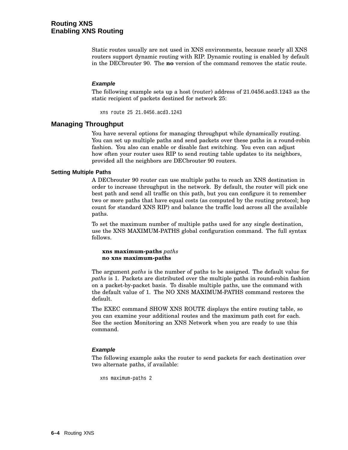Static routes usually are not used in XNS environments, because nearly all XNS routers support dynamic routing with RIP. Dynamic routing is enabled by default in the DECbrouter 90. The **no** version of the command removes the static route.

## **Example**

The following example sets up a host (router) address of 21.0456.acd3.1243 as the static recipient of packets destined for network 25:

xns route 25 21.0456.acd3.1243

# **Managing Throughput**

You have several options for managing throughput while dynamically routing. You can set up multiple paths and send packets over these paths in a round-robin fashion. You also can enable or disable fast switching. You even can adjust how often your router uses RIP to send routing table updates to its neighbors, provided all the neighbors are DECbrouter 90 routers.

#### **Setting Multiple Paths**

A DECbrouter 90 router can use multiple paths to reach an XNS destination in order to increase throughput in the network. By default, the router will pick one best path and send all traffic on this path, but you can configure it to remember two or more paths that have equal costs (as computed by the routing protocol; hop count for standard XNS RIP) and balance the traffic load across all the available paths.

To set the maximum number of multiple paths used for any single destination, use the XNS MAXIMUM-PATHS global configuration command. The full syntax follows.

#### **xns maximum-paths** *paths* **no xns maximum-paths**

The argument *paths* is the number of paths to be assigned. The default value for *paths* is 1. Packets are distributed over the multiple paths in round-robin fashion on a packet-by-packet basis. To disable multiple paths, use the command with the default value of 1. The NO XNS MAXIMUM-PATHS command restores the default.

The EXEC command SHOW XNS ROUTE displays the entire routing table, so you can examine your additional routes and the maximum path cost for each. See the section Monitoring an XNS Network when you are ready to use this command.

## **Example**

The following example asks the router to send packets for each destination over two alternate paths, if available:

xns maximum-paths 2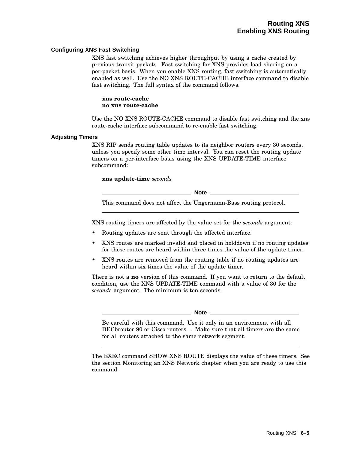#### **Configuring XNS Fast Switching**

XNS fast switching achieves higher throughput by using a cache created by previous transit packets. Fast switching for XNS provides load sharing on a per-packet basis. When you enable XNS routing, fast switching is automatically enabled as well. Use the NO XNS ROUTE-CACHE interface command to disable fast switching. The full syntax of the command follows.

**xns route-cache no xns route-cache**

Use the NO XNS ROUTE-CACHE command to disable fast switching and the xns route-cache interface subcommand to re-enable fast switching.

#### **Adjusting Timers**

XNS RIP sends routing table updates to its neighbor routers every 30 seconds, unless you specify some other time interval. You can reset the routing update timers on a per-interface basis using the XNS UPDATE-TIME interface subcommand:

#### **xns update-time** *seconds*

**Note** 2008

This command does not affect the Ungermann-Bass routing protocol.

XNS routing timers are affected by the value set for the *seconds* argument:

- Routing updates are sent through the affected interface.
- XNS routes are marked invalid and placed in holddown if no routing updates for those routes are heard within three times the value of the update timer.
- XNS routes are removed from the routing table if no routing updates are heard within six times the value of the update timer.

There is not a **no** version of this command. If you want to return to the default condition, use the XNS UPDATE-TIME command with a value of 30 for the *seconds* argument. The minimum is ten seconds.

**Note**

Be careful with this command. Use it only in an environment with all DECbrouter 90 or Cisco routers. . Make sure that all timers are the same for all routers attached to the same network segment.

The EXEC command SHOW XNS ROUTE displays the value of these timers. See the section Monitoring an XNS Network chapter when you are ready to use this command.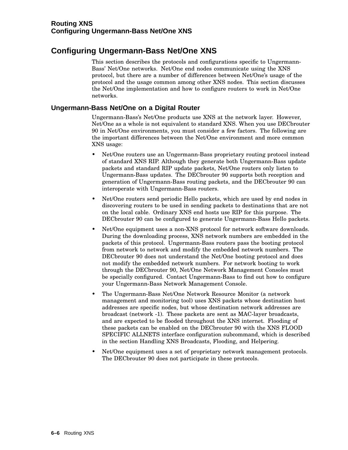# **Configuring Ungermann-Bass Net/One XNS**

This section describes the protocols and configurations specific to Ungermann-Bass' Net/One networks. Net/One end nodes communicate using the XNS protocol, but there are a number of differences between Net/One's usage of the protocol and the usage common among other XNS nodes. This section discusses the Net/One implementation and how to configure routers to work in Net/One networks.

# **Ungermann-Bass Net/One on a Digital Router**

Ungermann-Bass's Net/One products use XNS at the network layer. However, Net/One as a whole is not equivalent to standard XNS. When you use DECbrouter 90 in Net/One environments, you must consider a few factors. The following are the important differences between the Net/One environment and more common XNS usage:

- Net/One routers use an Ungermann-Bass proprietary routing protocol instead of standard XNS RIP. Although they generate both Ungermann-Bass update packets and standard RIP update packets, Net/One routers only listen to Ungermann-Bass updates. The DECbrouter 90 supports both reception and generation of Ungermann-Bass routing packets, and the DECbrouter 90 can interoperate with Ungermann-Bass routers.
- Net/One routers send periodic Hello packets, which are used by end nodes in discovering routers to be used in sending packets to destinations that are not on the local cable. Ordinary XNS end hosts use RIP for this purpose. The DECbrouter 90 can be configured to generate Ungermann-Bass Hello packets.
- Net/One equipment uses a non-XNS protocol for network software downloads. During the downloading process, XNS network numbers are embedded in the packets of this protocol. Ungermann-Bass routers pass the booting protocol from network to network and modify the embedded network numbers. The DECbrouter 90 does not understand the Net/One booting protocol and does not modify the embedded network numbers. For network booting to work through the DECbrouter 90, Net/One Network Management Consoles must be specially configured. Contact Ungermann-Bass to find out how to configure your Ungermann-Bass Network Management Console.
- The Ungermann-Bass Net/One Network Resource Monitor (a network management and monitoring tool) uses XNS packets whose destination host addresses are specific nodes, but whose destination network addresses are broadcast (network -1). These packets are sent as MAC-layer broadcasts, and are expected to be flooded throughout the XNS internet. Flooding of these packets can be enabled on the DECbrouter 90 with the XNS FLOOD SPECIFIC ALLNETS interface configuration subcommand, which is described in the section Handling XNS Broadcasts, Flooding, and Helpering.
- Net/One equipment uses a set of proprietary network management protocols. The DECbrouter 90 does not participate in these protocols.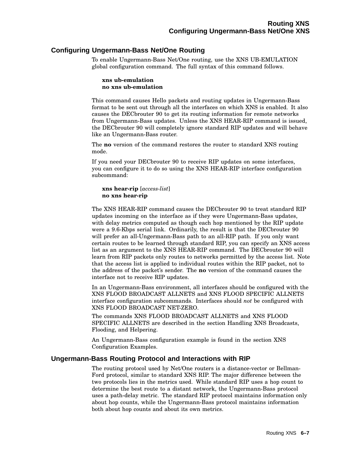# **Configuring Ungermann-Bass Net/One Routing**

To enable Ungermann-Bass Net/One routing, use the XNS UB-EMULATION global configuration command. The full syntax of this command follows.

**xns ub-emulation no xns ub-emulation**

This command causes Hello packets and routing updates in Ungermann-Bass format to be sent out through all the interfaces on which XNS is enabled. It also causes the DECbrouter 90 to get its routing information for remote networks from Ungermann-Bass updates. Unless the XNS HEAR-RIP command is issued, the DECbrouter 90 will completely ignore standard RIP updates and will behave like an Ungermann-Bass router.

The **no** version of the command restores the router to standard XNS routing mode.

If you need your DECbrouter 90 to receive RIP updates on some interfaces, you can configure it to do so using the XNS HEAR-RIP interface configuration subcommand:

**xns hear-rip** [*access-list*] **no xns hear-rip**

The XNS HEAR-RIP command causes the DECbrouter 90 to treat standard RIP updates incoming on the interface as if they were Ungermann-Bass updates, with delay metrics computed as though each hop mentioned by the RIP update were a 9.6-Kbps serial link. Ordinarily, the result is that the DECbrouter 90 will prefer an all-Ungermann-Bass path to an all-RIP path. If you only want certain routes to be learned through standard RIP, you can specify an XNS access list as an argument to the XNS HEAR-RIP command. The DECbrouter 90 will learn from RIP packets only routes to networks permitted by the access list. Note that the access list is applied to individual routes within the RIP packet, not to the address of the packet's sender. The **no** version of the command causes the interface not to receive RIP updates.

In an Ungermann-Bass environment, all interfaces should be configured with the XNS FLOOD BROADCAST ALLNETS and XNS FLOOD SPECIFIC ALLNETS interface configuration subcommands. Interfaces should *not* be configured with XNS FLOOD BROADCAST NET-ZERO.

The commands XNS FLOOD BROADCAST ALLNETS and XNS FLOOD SPECIFIC ALLNETS are described in the section Handling XNS Broadcasts, Flooding, and Helpering.

An Ungermann-Bass configuration example is found in the section XNS Configuration Examples.

# **Ungermann-Bass Routing Protocol and Interactions with RIP**

The routing protocol used by Net/One routers is a distance-vector or Bellman-Ford protocol, similar to standard XNS RIP. The major difference between the two protocols lies in the metrics used. While standard RIP uses a hop count to determine the best route to a distant network, the Ungermann-Bass protocol uses a path-delay metric. The standard RIP protocol maintains information only about hop counts, while the Ungermann-Bass protocol maintains information both about hop counts and about its own metrics.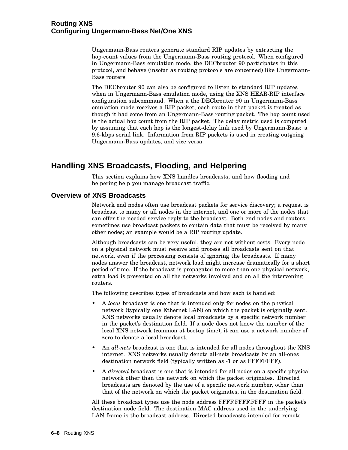# **Routing XNS Configuring Ungermann-Bass Net/One XNS**

Ungermann-Bass routers generate standard RIP updates by extracting the hop-count values from the Ungermann-Bass routing protocol. When configured in Ungermann-Bass emulation mode, the DECbrouter 90 participates in this protocol, and behave (insofar as routing protocols are concerned) like Ungermann-Bass routers.

The DECbrouter 90 can also be configured to listen to standard RIP updates when in Ungermann-Bass emulation mode, using the XNS HEAR-RIP interface configuration subcommand. When a the DECbrouter 90 in Ungermann-Bass emulation mode receives a RIP packet, each route in that packet is treated as though it had come from an Ungermann-Bass routing packet. The hop count used is the actual hop count from the RIP packet. The delay metric used is computed by assuming that each hop is the longest-delay link used by Ungermann-Bass: a 9.6-kbps serial link. Information from RIP packets is used in creating outgoing Ungermann-Bass updates, and vice versa.

# **Handling XNS Broadcasts, Flooding, and Helpering**

This section explains how XNS handles broadcasts, and how flooding and helpering help you manage broadcast traffic.

# **Overview of XNS Broadcasts**

Network end nodes often use broadcast packets for service discovery; a request is broadcast to many or all nodes in the internet, and one or more of the nodes that can offer the needed service reply to the broadcast. Both end nodes and routers sometimes use broadcast packets to contain data that must be received by many other nodes; an example would be a RIP routing update.

Although broadcasts can be very useful, they are not without costs. Every node on a physical network must receive and process all broadcasts sent on that network, even if the processing consists of ignoring the broadcasts. If many nodes answer the broadcast, network load might increase dramatically for a short period of time. If the broadcast is propagated to more than one physical network, extra load is presented on all the networks involved and on all the intervening routers.

The following describes types of broadcasts and how each is handled:

- A *local* broadcast is one that is intended only for nodes on the physical network (typically one Ethernet LAN) on which the packet is originally sent. XNS networks usually denote local broadcasts by a specific network number in the packet's destination field. If a node does not know the number of the local XNS network (common at bootup time), it can use a network number of zero to denote a local broadcast.
- An *all-nets* broadcast is one that is intended for all nodes throughout the XNS internet. XNS networks usually denote all-nets broadcasts by an all-ones destination network field (typically written as -1 or as FFFFFFFF).
- A *directed* broadcast is one that is intended for all nodes on a specific physical network other than the network on which the packet originates. Directed broadcasts are denoted by the use of a specific network number, other than that of the network on which the packet originates, in the destination field.

All these broadcast types use the node address FFFF.FFFF.FFFF in the packet's destination node field. The destination MAC address used in the underlying LAN frame is the broadcast address. Directed broadcasts intended for remote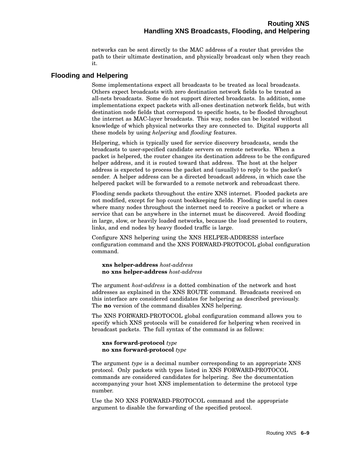networks can be sent directly to the MAC address of a router that provides the path to their ultimate destination, and physically broadcast only when they reach it.

# **Flooding and Helpering**

Some implementations expect all broadcasts to be treated as local broadcasts. Others expect broadcasts with zero destination network fields to be treated as all-nets broadcasts. Some do not support directed broadcasts. In addition, some implementations expect packets with all-ones destination network fields, but with destination node fields that correspond to specific hosts, to be flooded throughout the internet as MAC-layer broadcasts. This way, nodes can be located without knowledge of which physical networks they are connected to. Digital supports all these models by using *helpering* and *flooding* features.

Helpering, which is typically used for service discovery broadcasts, sends the broadcasts to user-specified candidate servers on remote networks. When a packet is helpered, the router changes its destination address to be the configured helper address, and it is routed toward that address. The host at the helper address is expected to process the packet and (usually) to reply to the packet's sender. A helper address can be a directed broadcast address, in which case the helpered packet will be forwarded to a remote network and rebroadcast there.

Flooding sends packets throughout the entire XNS internet. Flooded packets are not modified, except for hop count bookkeeping fields. Flooding is useful in cases where many nodes throughout the internet need to receive a packet or where a service that can be anywhere in the internet must be discovered. Avoid flooding in large, slow, or heavily loaded networks, because the load presented to routers, links, and end nodes by heavy flooded traffic is large.

Configure XNS helpering using the XNS HELPER-ADDRESS interface configuration command and the XNS FORWARD-PROTOCOL global configuration command.

**xns helper-address** *host-address* **no xns helper-address** *host-address*

The argument *host-address* is a dotted combination of the network and host addresses as explained in the XNS ROUTE command. Broadcasts received on this interface are considered candidates for helpering as described previously. The **no** version of the command disables XNS helpering.

The XNS FORWARD-PROTOCOL global configuration command allows you to specify which XNS protocols will be considered for helpering when received in broadcast packets. The full syntax of the command is as follows:

#### **xns forward-protocol** *type* **no xns forward-protocol** *type*

The argument *type* is a decimal number corresponding to an appropriate XNS protocol. Only packets with types listed in XNS FORWARD-PROTOCOL commands are considered candidates for helpering. See the documentation accompanying your host XNS implementation to determine the protocol type number.

Use the NO XNS FORWARD-PROTOCOL command and the appropriate argument to disable the forwarding of the specified protocol.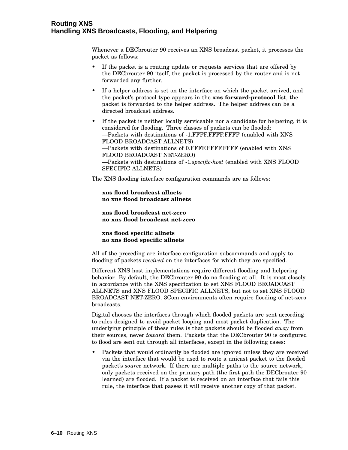# **Routing XNS Handling XNS Broadcasts, Flooding, and Helpering**

Whenever a DECbrouter 90 receives an XNS broadcast packet, it processes the packet as follows:

- If the packet is a routing update or requests services that are offered by the DECbrouter 90 itself, the packet is processed by the router and is not forwarded any further.
- If a helper address is set on the interface on which the packet arrived, and the packet's protocol type appears in the **xns forward-protocol** list, the packet is forwarded to the helper address. The helper address can be a directed broadcast address.
- If the packet is neither locally serviceable nor a candidate for helpering, it is considered for flooding. Three classes of packets can be flooded: —Packets with destinations of -1.FFFF.FFFF.FFFF (enabled with XNS FLOOD BROADCAST ALLNETS) —Packets with destinations of 0.FFFF.FFFF.FFFF (enabled with XNS FLOOD BROADCAST NET-ZERO) —Packets with destinations of -1*.specific-host* (enabled with XNS FLOOD SPECIFIC ALLNETS)

The XNS flooding interface configuration commands are as follows:

**xns flood broadcast allnets no xns flood broadcast allnets**

**xns flood broadcast net-zero no xns flood broadcast net-zero**

**xns flood specific allnets no xns flood specific allnets**

All of the preceding are interface configuration subcommands and apply to flooding of packets *received* on the interfaces for which they are specified.

Different XNS host implementations require different flooding and helpering behavior. By default, the DECbrouter 90 do no flooding at all. It is most closely in accordance with the XNS specification to set XNS FLOOD BROADCAST ALLNETS and XNS FLOOD SPECIFIC ALLNETS, but not to set XNS FLOOD BROADCAST NET-ZERO. 3Com environments often require flooding of net-zero broadcasts.

Digital chooses the interfaces through which flooded packets are sent according to rules designed to avoid packet looping and most packet duplication. The underlying principle of these rules is that packets should be flooded *away* from their sources, never *toward* them. Packets that the DECbrouter 90 is configured to flood are sent out through all interfaces, except in the following cases:

• Packets that would ordinarily be flooded are ignored unless they are received via the interface that would be used to route a unicast packet to the flooded packet's *source* network. If there are multiple paths to the source network, only packets received on the primary path (the first path the DECbrouter 90 learned) are flooded. If a packet is received on an interface that fails this rule, the interface that passes it will receive another copy of that packet.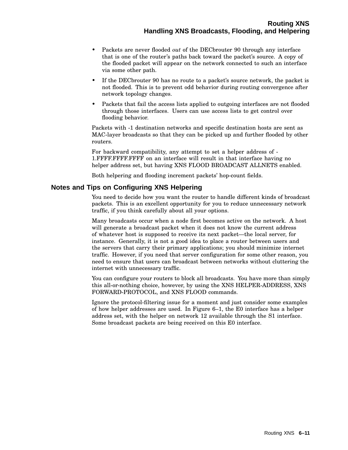- Packets are never flooded *out* of the DECbrouter 90 through any interface that is one of the router's paths back toward the packet's source. A copy of the flooded packet will appear on the network connected to such an interface via some other path.
- If the DECbrouter 90 has no route to a packet's source network, the packet is not flooded. This is to prevent odd behavior during routing convergence after network topology changes.
- Packets that fail the access lists applied to outgoing interfaces are not flooded through those interfaces. Users can use access lists to get control over flooding behavior.

Packets with -1 destination networks and specific destination hosts are sent as MAC-layer broadcasts so that they can be picked up and further flooded by other routers.

For backward compatibility, any attempt to set a helper address of - 1.FFFF.FFFF.FFFF on an interface will result in that interface having no helper address set, but having XNS FLOOD BROADCAST ALLNETS enabled.

Both helpering and flooding increment packets' hop-count fields.

# **Notes and Tips on Configuring XNS Helpering**

You need to decide how you want the router to handle different kinds of broadcast packets. This is an excellent opportunity for you to reduce unnecessary network traffic, if you think carefully about all your options.

Many broadcasts occur when a node first becomes active on the network. A host will generate a broadcast packet when it does not know the current address of whatever host is supposed to receive its next packet—the local server, for instance. Generally, it is not a good idea to place a router between users and the servers that carry their primary applications; you should minimize internet traffic. However, if you need that server configuration for some other reason, you need to ensure that users can broadcast between networks without cluttering the internet with unnecessary traffic.

You can configure your routers to block all broadcasts. You have more than simply this all-or-nothing choice, however, by using the XNS HELPER-ADDRESS, XNS FORWARD-PROTOCOL, and XNS FLOOD commands.

Ignore the protocol-filtering issue for a moment and just consider some examples of how helper addresses are used. In Figure 6–1, the E0 interface has a helper address set, with the helper on network 12 available through the S1 interface. Some broadcast packets are being received on this E0 interface.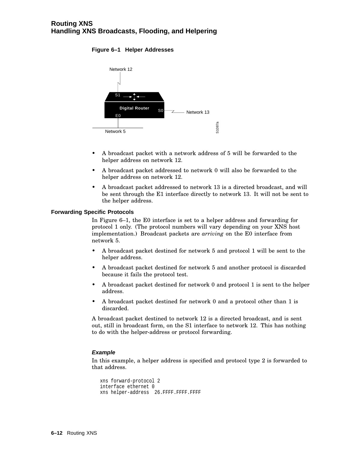# **Figure 6–1 Helper Addresses**



- A broadcast packet with a network address of 5 will be forwarded to the helper address on network 12.
- A broadcast packet addressed to network 0 will also be forwarded to the helper address on network 12.
- A broadcast packet addressed to network 13 is a directed broadcast, and will be sent through the E1 interface directly to network 13. It will not be sent to the helper address.

# **Forwarding Specific Protocols**

In Figure 6–1, the E0 interface is set to a helper address and forwarding for protocol 1 only. (The protocol numbers will vary depending on your XNS host implementation.) Broadcast packets are *arriving* on the E0 interface from network 5.

- A broadcast packet destined for network 5 and protocol 1 will be sent to the helper address.
- A broadcast packet destined for network 5 and another protocol is discarded because it fails the protocol test.
- A broadcast packet destined for network 0 and protocol 1 is sent to the helper address.
- A broadcast packet destined for network 0 and a protocol other than 1 is discarded.

A broadcast packet destined to network 12 is a directed broadcast, and is sent out, still in broadcast form, on the S1 interface to network 12. This has nothing to do with the helper-address or protocol forwarding.

# **Example**

In this example, a helper address is specified and protocol type 2 is forwarded to that address.

```
xns forward-protocol 2
interface ethernet 0
xns helper-address 26.FFFF.FFFF.FFFF
```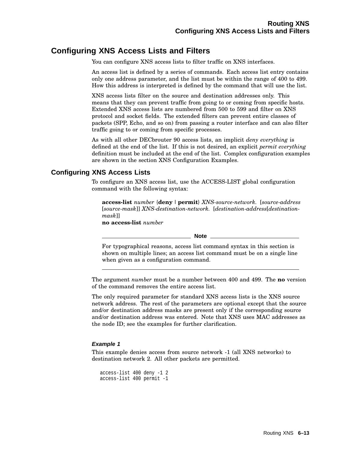# **Configuring XNS Access Lists and Filters**

You can configure XNS access lists to filter traffic on XNS interfaces.

An access list is defined by a series of commands. Each access list entry contains only one address parameter, and the list must be within the range of 400 to 499. How this address is interpreted is defined by the command that will use the list.

XNS access lists filter on the source and destination addresses only. This means that they can prevent traffic from going to or coming from specific hosts. Extended XNS access lists are numbered from 500 to 599 and filter on XNS protocol and socket fields. The extended filters can prevent entire classes of packets (SPP, Echo, and so on) from passing a router interface and can also filter traffic going to or coming from specific processes.

As with all other DECbrouter 90 access lists, an implicit *deny everything* is defined at the end of the list. If this is not desired, an explicit *permit everything* definition must be included at the end of the list. Complex configuration examples are shown in the section XNS Configuration Examples.

# **Configuring XNS Access Lists**

To configure an XNS access list, use the ACCESS-LIST global configuration command with the following syntax:

**access-list** *number* {**deny** |**permit**} *XNS-source-network.* [*source-address* [*source-mask*]] *XNS-destination-network.* [*destination-address*[*destinationmask*]]

**no access-list** *number*

**Note**

For typographical reasons, access list command syntax in this section is shown on multiple lines; an access list command must be on a single line when given as a configuration command.

The argument *number* must be a number between 400 and 499. The **no** version of the command removes the entire access list.

The only required parameter for standard XNS access lists is the XNS source network address. The rest of the parameters are optional except that the source and/or destination address masks are present only if the corresponding source and/or destination address was entered. Note that XNS uses MAC addresses as the node ID; see the examples for further clarification.

# **Example 1**

This example denies access from source network -1 (all XNS networks) to destination network 2. All other packets are permitted.

```
access-list 400 deny -1 2
access-list 400 permit -1
```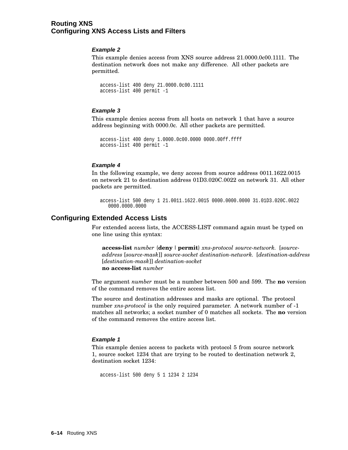# **Routing XNS Configuring XNS Access Lists and Filters**

# **Example 2**

This example denies access from XNS source address 21.0000.0c00.1111. The destination network does not make any difference. All other packets are permitted.

```
access-list 400 deny 21.0000.0c00.1111
access-list 400 permit -1
```
# **Example 3**

This example denies access from all hosts on network 1 that have a source address beginning with 0000.0c. All other packets are permitted.

```
access-list 400 deny 1.0000.0c00.0000 0000.00ff.ffff
access-list 400 permit -1
```
# **Example 4**

In the following example, we deny access from source address 0011.1622.0015 on network 21 to destination address 01D3.020C.0022 on network 31. All other packets are permitted.

```
access-list 500 deny 1 21.0011.1622.0015 0000.0000.0000 31.01D3.020C.0022
   0000.0000.0000
```
# **Configuring Extended Access Lists**

For extended access lists, the ACCESS-LIST command again must be typed on one line using this syntax:

**access-list** *number* {**deny** |**permit**} *xns-protocol source-network.* [*sourceaddress* [*source-mask*]] *source-socket destination-network.* [*destination-address* [*destination-mask*]] *destination-socket* **no access-list** *number*

The argument *number* must be a number between 500 and 599. The **no** version of the command removes the entire access list.

The source and destination addresses and masks are optional. The protocol number *xns-protocol* is the only required parameter. A network number of -1 matches all networks; a socket number of 0 matches all sockets. The **no** version of the command removes the entire access list.

# **Example 1**

This example denies access to packets with protocol 5 from source network 1, source socket 1234 that are trying to be routed to destination network 2, destination socket 1234:

```
access-list 500 deny 5 1 1234 2 1234
```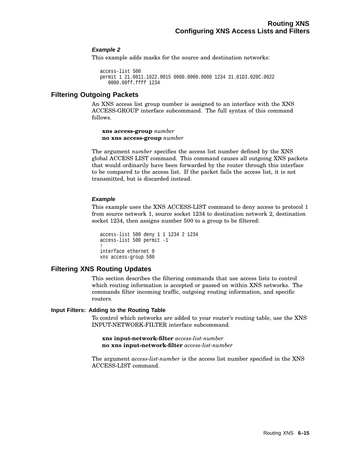# **Example 2**

This example adds masks for the source and destination networks:

```
access-list 500
permit 1 21.0011.1622.0015 0000.0000.0000 1234 31.01D3.020C.0022
   0000.00ff.ffff 1234
```
# **Filtering Outgoing Packets**

An XNS access list group number is assigned to an interface with the XNS ACCESS-GROUP interface subcommand. The full syntax of this command follows.

**xns access-group** *number* **no xns access-group** *number*

The argument *number* specifies the access list number defined by the XNS global ACCESS LIST command. This command causes all outgoing XNS packets that would ordinarily have been forwarded by the router through this interface to be compared to the access list. If the packet fails the access list, it is not transmitted, but is discarded instead.

# **Example**

This example uses the XNS ACCESS-LIST command to deny access to protocol 1 from source network 1, source socket 1234 to destination network 2, destination socket 1234, then assigns number 500 to a group to be filtered:

```
access-list 500 deny 1 1 1234 2 1234
access-list 500 permit -1
!
interface ethernet 0
xns access-group 500
```
# **Filtering XNS Routing Updates**

This section describes the filtering commands that use access lists to control which routing information is accepted or passed on within XNS networks. The commands filter incoming traffic, outgoing routing information, and specific routers.

# **Input Filters: Adding to the Routing Table**

To control which networks are added to your router's routing table, use the XNS INPUT-NETWORK-FILTER interface subcommand.

**xns input-network-filter** *access-list-number* **no xns input-network-filter** *access-list-number*

The argument *access-list-number* is the access list number specified in the XNS ACCESS-LIST command.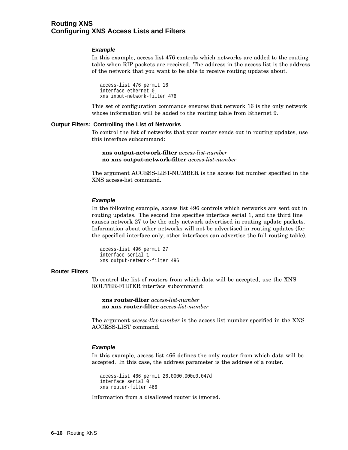# **Routing XNS Configuring XNS Access Lists and Filters**

#### **Example**

In this example, access list 476 controls which networks are added to the routing table when RIP packets are received. The address in the access list is the address of the network that you want to be able to receive routing updates about.

access-list 476 permit 16 interface ethernet 0 xns input-network-filter 476

This set of configuration commands ensures that network 16 is the only network whose information will be added to the routing table from Ethernet 9.

#### **Output Filters: Controlling the List of Networks**

To control the list of networks that your router sends out in routing updates, use this interface subcommand:

**xns output-network-filter** *access-list-number* **no xns output-network-filter** *access-list-number*

The argument ACCESS-LIST-NUMBER is the access list number specified in the XNS access-list command.

#### **Example**

In the following example, access list 496 controls which networks are sent out in routing updates. The second line specifies interface serial 1, and the third line causes network 27 to be the only network advertised in routing update packets. Information about other networks will not be advertised in routing updates (for the specified interface only; other interfaces can advertise the full routing table).

access-list 496 permit 27 interface serial 1 xns output-network-filter 496

#### **Router Filters**

To control the list of routers from which data will be accepted, use the XNS ROUTER-FILTER interface subcommand:

**xns router-filter** *access-list-number* **no xns router-filter** *access-list-number*

The argument *access-list-number* is the access list number specified in the XNS ACCESS-LIST command.

#### **Example**

In this example, access list 466 defines the only router from which data will be accepted. In this case, the address parameter is the address of a router.

access-list 466 permit 26.0000.000c0.047d interface serial 0 xns router-filter 466

Information from a disallowed router is ignored.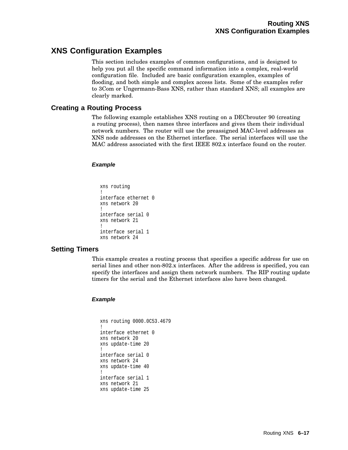# **XNS Configuration Examples**

This section includes examples of common configurations, and is designed to help you put all the specific command information into a complex, real-world configuration file. Included are basic configuration examples, examples of flooding, and both simple and complex access lists. Some of the examples refer to 3Com or Ungermann-Bass XNS, rather than standard XNS; all examples are clearly marked.

# **Creating a Routing Process**

The following example establishes XNS routing on a DECbrouter 90 (creating a routing process), then names three interfaces and gives them their individual network numbers. The router will use the preassigned MAC-level addresses as XNS node addresses on the Ethernet interface. The serial interfaces will use the MAC address associated with the first IEEE 802.x interface found on the router.

# **Example**

```
xns routing
!
interface ethernet 0
xns network 20
!
interface serial 0
xns network 21
!
interface serial 1
xns network 24
```
# **Setting Timers**

This example creates a routing process that specifies a specific address for use on serial lines and other non-802.x interfaces. After the address is specified, you can specify the interfaces and assign them network numbers. The RIP routing update timers for the serial and the Ethernet interfaces also have been changed.

# **Example**

```
xns routing 0000.0C53.4679
!
interface ethernet 0
xns network 20
xns update-time 20
!
interface serial 0
xns network 24
xns update-time 40
!
interface serial 1
xns network 21
xns update-time 25
```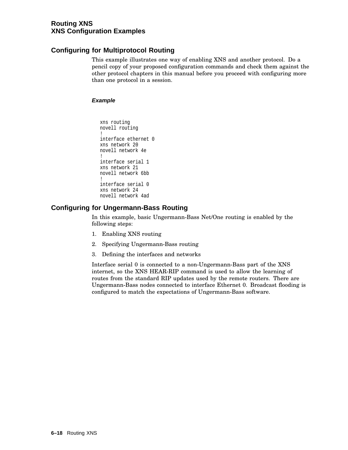# **Routing XNS XNS Configuration Examples**

# **Configuring for Multiprotocol Routing**

This example illustrates one way of enabling XNS and another protocol. Do a pencil copy of your proposed configuration commands and check them against the other protocol chapters in this manual before you proceed with configuring more than one protocol in a session.

# **Example**

```
xns routing
novell routing
!
interface ethernet 0
xns network 20
novell network 4e
!
interface serial 1
xns network 21
novell network 6bb
!
interface serial 0
xns network 24
novell network 4ad
```
# **Configuring for Ungermann-Bass Routing**

In this example, basic Ungermann-Bass Net/One routing is enabled by the following steps:

- 1. Enabling XNS routing
- 2. Specifying Ungermann-Bass routing
- 3. Defining the interfaces and networks

Interface serial 0 is connected to a non-Ungermann-Bass part of the XNS internet, so the XNS HEAR-RIP command is used to allow the learning of routes from the standard RIP updates used by the remote routers. There are Ungermann-Bass nodes connected to interface Ethernet 0. Broadcast flooding is configured to match the expectations of Ungermann-Bass software.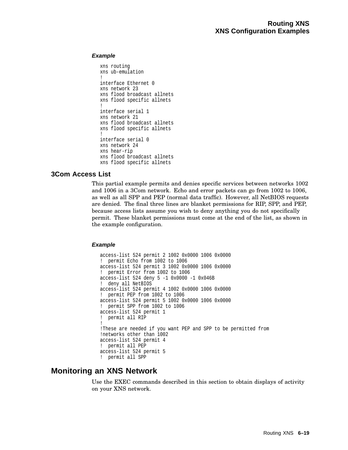# **Example**

```
xns routing
xns ub-emulation
!
interface Ethernet 0
xns network 23
xns flood broadcast allnets
xns flood specific allnets
!
interface serial 1
xns network 21
xns flood broadcast allnets
xns flood specific allnets
!
interface serial 0
xns network 24
xns hear-rip
xns flood broadcast allnets
xns flood specific allnets
```
# **3Com Access List**

This partial example permits and denies specific services between networks 1002 and 1006 in a 3Com network. Echo and error packets can go from 1002 to 1006, as well as all SPP and PEP (normal data traffic). However, all NetBIOS requests are denied. The final three lines are blanket permissions for RIP, SPP, and PEP, because access lists assume you wish to deny anything you do not specifically permit. These blanket permissions must come at the end of the list, as shown in the example configuration.

# **Example**

```
access-list 524 permit 2 1002 0x0000 1006 0x0000
! permit Echo from 1002 to 1006
access-list 524 permit 3 1002 0x0000 1006 0x0000
! permit Error from 1002 to 1006
access-list 524 deny 5 -1 0x0000 -1 0x046B
! deny all NetBIOS
access-list 524 permit 4 1002 0x0000 1006 0x0000
! permit PEP from 1002 to 1006
access-list 524 permit 5 1002 0x0000 1006 0x0000
! permit SPP from 1002 to 1006
access-list 524 permit 1
! permit all RIP
!
!These are needed if you want PEP and SPP to be permitted from
!networks other than 1002
access-list 524 permit 4
! permit all PEP
access-list 524 permit 5
! permit all SPP
```
# **Monitoring an XNS Network**

Use the EXEC commands described in this section to obtain displays of activity on your XNS network.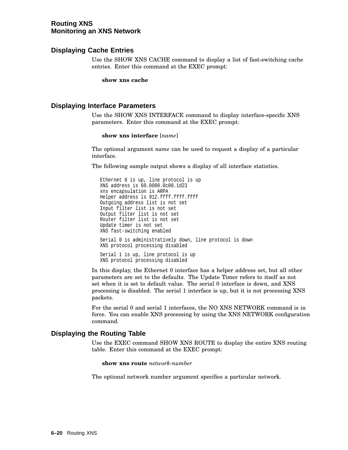# **Routing XNS Monitoring an XNS Network**

# **Displaying Cache Entries**

Use the SHOW XNS CACHE command to display a list of fast-switching cache entries. Enter this command at the EXEC prompt:

**show xns cache**

# **Displaying Interface Parameters**

Use the SHOW XNS INTERFACE command to display interface-specific XNS parameters. Enter this command at the EXEC prompt:

#### **show xns interface** [*name*]

The optional argument *name* can be used to request a display of a particular interface.

The following sample output shows a display of all interface statistics.

Ethernet 0 is up, line protocol is up XNS address is 60.0000.0c00.1d23 xns encapsulation is ARPA Helper address is 912.ffff.ffff.ffff Outgoing address list is not set Input filter list is not set Output filter list is not set Router filter list is not set Update timer is not set XNS fast-switching enabled Serial 0 is administratively down, line protocol is down XNS protocol processing disabled Serial 1 is up, line protocol is up XNS protocol processing disabled

In this display, the Ethernet 0 interface has a helper address set, but all other parameters are set to the defaults. The Update Timer refers to itself as not set when it is set to default value. The serial 0 interface is down, and XNS processing is disabled. The serial 1 interface is up, but it is not processing XNS packets.

For the serial 0 and serial 1 interfaces, the NO XNS NETWORK command is in force. You can enable XNS processing by using the XNS NETWORK configuration command.

# **Displaying the Routing Table**

Use the EXEC command SHOW XNS ROUTE to display the entire XNS routing table. Enter this command at the EXEC prompt:

**show xns route** *network-number*

The optional network number argument specifies a particular network.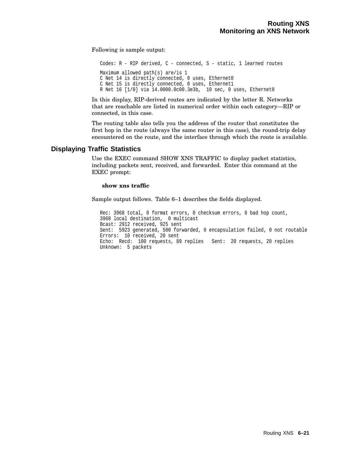Following is sample output:

Codes: R - RIP derived, C - connected, S - static, 1 learned routes Maximum allowed path(s) are/is 1 C Net 14 is directly connected, 0 uses, Ethernet0 C Net 15 is directly connected, 0 uses, Ethernet1 R Net 16 [1/0] via 14.0000.0c00.3e3b, 10 sec, 0 uses, Ethernet0

In this display, RIP-derived routes are indicated by the letter R. Networks that are reachable are listed in numerical order within each category—RIP or connected, in this case.

The routing table also tells you the address of the router that constitutes the first hop in the route (always the same router in this case), the round-trip delay encountered on the route, and the interface through which the route is available.

# **Displaying Traffic Statistics**

Use the EXEC command SHOW XNS TRAFFIC to display packet statistics, including packets sent, received, and forwarded. Enter this command at the EXEC prompt:

#### **show xns traffic**

Sample output follows. Table 6–1 describes the fields displayed.

Rec: 3968 total, 0 format errors, 0 checksum errors, 0 bad hop count, 3968 local destination, 0 multicast Bcast: 2912 received, 925 sent Sent: 5923 generated, 500 forwarded, 0 encapsulation failed, 0 not routable Errors: 10 received, 20 sent Echo: Recd: 100 requests, 89 replies Sent: 20 requests, 20 replies Unknown: 5 packets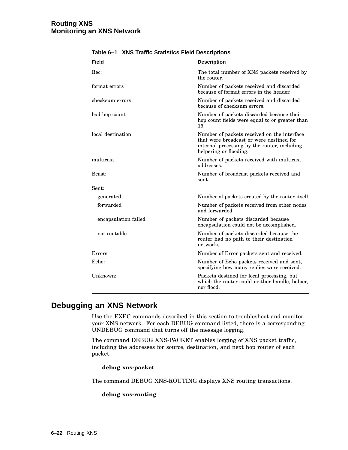| Field                | <b>Description</b>                                                                                                                                                |
|----------------------|-------------------------------------------------------------------------------------------------------------------------------------------------------------------|
| Rec:                 | The total number of XNS packets received by<br>the router.                                                                                                        |
| format errors        | Number of packets received and discarded<br>because of format errors in the header.                                                                               |
| checksum errors      | Number of packets received and discarded<br>because of checksum errors.                                                                                           |
| bad hop count        | Number of packets discarded because their<br>hop count fields were equal to or greater than<br>16.                                                                |
| local destination    | Number of packets received on the interface<br>that were broadcast or were destined for<br>internal processing by the router, including<br>helpering or flooding. |
| multicast            | Number of packets received with multicast<br>addresses.                                                                                                           |
| Bcast:               | Number of broadcast packets received and<br>sent.                                                                                                                 |
| Sent:                |                                                                                                                                                                   |
| generated            | Number of packets created by the router itself.                                                                                                                   |
| forwarded            | Number of packets received from other nodes<br>and forwarded.                                                                                                     |
| encapsulation failed | Number of packets discarded because<br>encapsulation could not be accomplished.                                                                                   |
| not routable         | Number of packets discarded because the<br>router had no path to their destination<br>networks.                                                                   |
| Errors:              | Number of Error packets sent and received.                                                                                                                        |
| Echo:                | Number of Echo packets received and sent,<br>specifying how many replies were received.                                                                           |
| Unknown:             | Packets destined for local processing, but<br>which the router could neither handle, helper,<br>nor flood.                                                        |

**Table 6–1 XNS Traffic Statistics Field Descriptions**

# **Debugging an XNS Network**

Use the EXEC commands described in this section to troubleshoot and monitor your XNS network. For each DEBUG command listed, there is a corresponding UNDEBUG command that turns off the message logging.

The command DEBUG XNS-PACKET enables logging of XNS packet traffic, including the addresses for source, destination, and next hop router of each packet.

# **debug xns-packet**

The command DEBUG XNS-ROUTING displays XNS routing transactions.

# **debug xns-routing**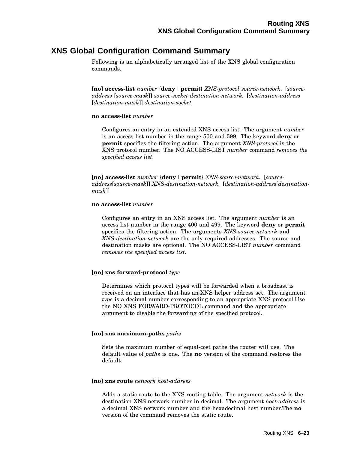# **XNS Global Configuration Command Summary**

Following is an alphabetically arranged list of the XNS global configuration commands.

[**no**] **access-list** *number* {**deny** |**permit**} *XNS-protocol source-network.* [*sourceaddress* [*source-mask*]] *source-socket destination-network.* [*destination-address* [*destination-mask*]] *destination-socket*

#### **no access-list** *number*

Configures an entry in an extended XNS access list. The argument *number* is an access list number in the range 500 and 599. The keyword **deny** or **permit** specifies the filtering action. The argument *XNS-protocol* is the XNS protocol number. The NO ACCESS-LIST *number* command *removes the specified access list*.

[**no**] **access-list** *number* {**deny** |**permit**} *XNS-source-network.* [*sourceaddress*[*source-mask*]] *XNS-destination-network.* [*destination-address*[*destinationmask*]]

#### **no access-list** *number*

Configures an entry in an XNS access list. The argument *number* is an access list number in the range 400 and 499. The keyword **deny** or **permit** specifies the filtering action. The arguments *XNS-source-network* and *XNS-destination-network* are the only required addresses. The source and destination masks are optional. The NO ACCESS-LIST *number* command *removes the specified access list*.

# [**no**] **xns forward-protocol** *type*

Determines which protocol types will be forwarded when a broadcast is received on an interface that has an XNS helper address set. The argument *type* is a decimal number corresponding to an appropriate XNS protocol.Use the NO XNS FORWARD-PROTOCOL command and the appropriate argument to disable the forwarding of the specified protocol.

# [**no**] **xns maximum-paths** *paths*

Sets the maximum number of equal-cost paths the router will use. The default value of *paths* is one. The **no** version of the command restores the default.

#### [**no**] **xns route** *network host-address*

Adds a static route to the XNS routing table. The argument *network* is the destination XNS network number in decimal. The argument *host-address* is a decimal XNS network number and the hexadecimal host number.The **no** version of the command removes the static route.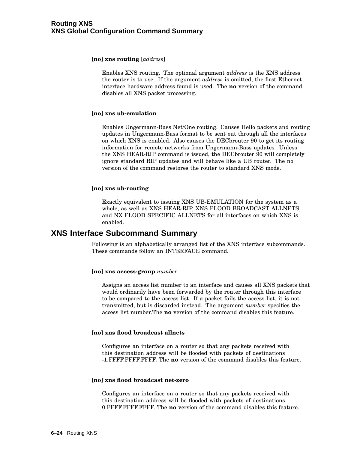#### [**no**] **xns routing** [*address*]

Enables XNS routing. The optional argument *address* is the XNS address the router is to use. If the argument *address* is omitted, the first Ethernet interface hardware address found is used. The **no** version of the command disables all XNS packet processing.

#### [**no**] **xns ub-emulation**

Enables Ungermann-Bass Net/One routing. Causes Hello packets and routing updates in Ungermann-Bass format to be sent out through all the interfaces on which XNS is enabled. Also causes the DECbrouter 90 to get its routing information for remote networks from Ungermann-Bass updates. Unless the XNS HEAR-RIP command is issued, the DECbrouter 90 will completely ignore standard RIP updates and will behave like a UB router. The no version of the command restores the router to standard XNS mode.

#### [**no**] **xns ub-routing**

Exactly equivalent to issuing XNS UB-EMULATION for the system as a whole, as well as XNS HEAR-RIP, XNS FLOOD BROADCAST ALLNETS, and NX FLOOD SPECIFIC ALLNETS for all interfaces on which XNS is enabled.

# **XNS Interface Subcommand Summary**

Following is an alphabetically arranged list of the XNS interface subcommands. These commands follow an INTERFACE command.

#### [**no**] **xns access-group** *number*

Assigns an access list number to an interface and causes all XNS packets that would ordinarily have been forwarded by the router through this interface to be compared to the access list. If a packet fails the access list, it is not transmitted, but is discarded instead. The argument *number* specifies the access list number.The **no** version of the command disables this feature.

#### [**no**] **xns flood broadcast allnets**

Configures an interface on a router so that any packets received with this destination address will be flooded with packets of destinations -1.FFFF.FFFF.FFFF. The **no** version of the command disables this feature.

#### [**no**] **xns flood broadcast net-zero**

Configures an interface on a router so that any packets received with this destination address will be flooded with packets of destinations 0.FFFF.FFFF.FFFF. The **no** version of the command disables this feature.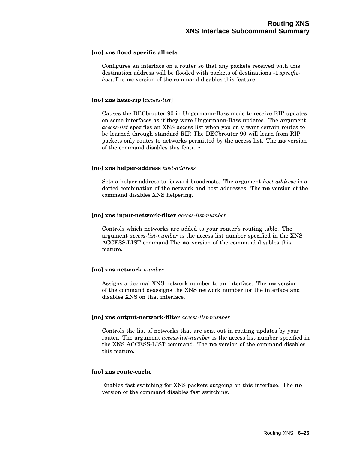# [**no**] **xns flood specific allnets**

Configures an interface on a router so that any packets received with this destination address will be flooded with packets of destinations -1.*specifichost*.The **no** version of the command disables this feature.

# [**no**] **xns hear-rip** [*access-list*]

Causes the DECbrouter 90 in Ungermann-Bass mode to receive RIP updates on some interfaces as if they were Ungermann-Bass updates. The argument *access-list* specifies an XNS access list when you only want certain routes to be learned through standard RIP. The DECbrouter 90 will learn from RIP packets only routes to networks permitted by the access list. The **no** version of the command disables this feature.

# [**no**] **xns helper-address** *host-address*

Sets a helper address to forward broadcasts. The argument *host-address* is a dotted combination of the network and host addresses. The **no** version of the command disables XNS helpering.

# [**no**] **xns input-network-filter** *access-list-number*

Controls which networks are added to your router's routing table. The argument *access-list-number* is the access list number specified in the XNS ACCESS-LIST command.The **no** version of the command disables this feature.

# [**no**] **xns network** *number*

Assigns a decimal XNS network number to an interface. The **no** version of the command deassigns the XNS network number for the interface and disables XNS on that interface.

# [**no**] **xns output-network-filter** *access-list-number*

Controls the list of networks that are sent out in routing updates by your router. The argument *access-list-number* is the access list number specified in the XNS ACCESS-LIST command. The **no** version of the command disables this feature.

# [**no**] **xns route-cache**

Enables fast switching for XNS packets outgoing on this interface. The **no** version of the command disables fast switching.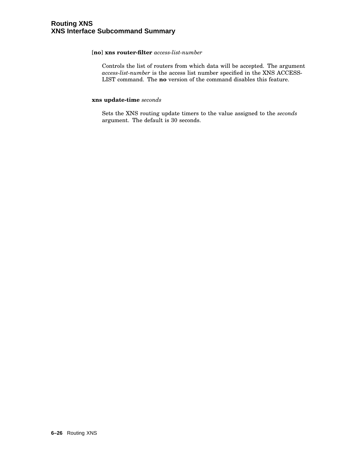# [**no**] **xns router-filter** *access-list-number*

Controls the list of routers from which data will be accepted. The argument *access-list-number* is the access list number specified in the XNS ACCESS-LIST command. The **no** version of the command disables this feature.

# **xns update-time** *seconds*

Sets the XNS routing update timers to the value assigned to the *seconds* argument. The default is 30 seconds.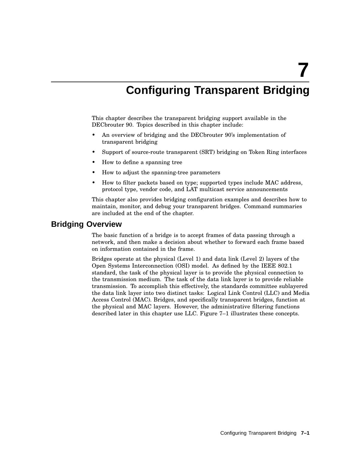**7**

# **Configuring Transparent Bridging**

This chapter describes the transparent bridging support available in the DECbrouter 90. Topics described in this chapter include:

- An overview of bridging and the DECbrouter 90's implementation of transparent bridging
- Support of source-route transparent (SRT) bridging on Token Ring interfaces
- How to define a spanning tree
- How to adjust the spanning-tree parameters
- How to filter packets based on type; supported types include MAC address, protocol type, vendor code, and LAT multicast service announcements

This chapter also provides bridging configuration examples and describes how to maintain, monitor, and debug your transparent bridges. Command summaries are included at the end of the chapter.

# **Bridging Overview**

The basic function of a bridge is to accept frames of data passing through a network, and then make a decision about whether to forward each frame based on information contained in the frame.

Bridges operate at the physical (Level 1) and data link (Level 2) layers of the Open Systems Interconnection (OSI) model. As defined by the IEEE 802.1 standard, the task of the physical layer is to provide the physical connection to the transmission medium. The task of the data link layer is to provide reliable transmission. To accomplish this effectively, the standards committee sublayered the data link layer into two distinct tasks: Logical Link Control (LLC) and Media Access Control (MAC). Bridges, and specifically transparent bridges, function at the physical and MAC layers. However, the administrative filtering functions described later in this chapter use LLC. Figure 7–1 illustrates these concepts.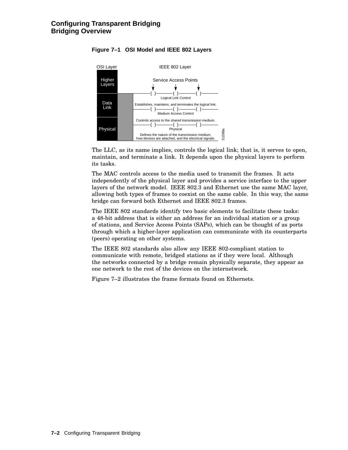

# **Figure 7–1 OSI Model and IEEE 802 Layers**

The LLC, as its name implies, controls the logical link; that is, it serves to open, maintain, and terminate a link. It depends upon the physical layers to perform its tasks.

The MAC controls access to the media used to transmit the frames. It acts independently of the physical layer and provides a service interface to the upper layers of the network model. IEEE 802.3 and Ethernet use the same MAC layer, allowing both types of frames to coexist on the same cable. In this way, the same bridge can forward both Ethernet and IEEE 802.3 frames.

The IEEE 802 standards identify two basic elements to facilitate these tasks: a 48-bit address that is either an address for an individual station or a group of stations, and Service Access Points (SAPs), which can be thought of as ports through which a higher-layer application can communicate with its counterparts (peers) operating on other systems.

The IEEE 802 standards also allow any IEEE 802-compliant station to communicate with remote, bridged stations as if they were local. Although the networks connected by a bridge remain physically separate, they appear as one network to the rest of the devices on the internetwork.

Figure 7–2 illustrates the frame formats found on Ethernets.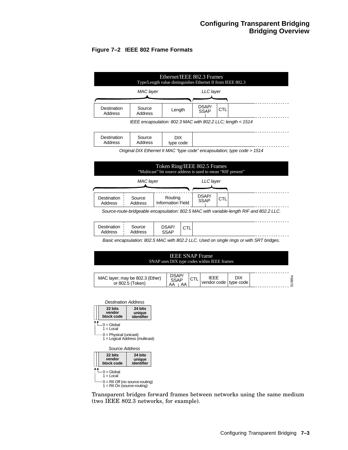# **Figure 7–2 IEEE 802 Frame Formats**

| Ethernet/IEEE 802.3 Frames<br>Type/Length value distinguishes Ethernet II from IEEE 802.3 |                                                             |        |                      |            |  |  |
|-------------------------------------------------------------------------------------------|-------------------------------------------------------------|--------|----------------------|------------|--|--|
|                                                                                           | MAC layer                                                   |        | LLC layer            |            |  |  |
| Destination<br>Address                                                                    | Source<br>Address                                           | Length | DSAP/<br><b>SSAP</b> | <b>CTL</b> |  |  |
|                                                                                           | IEEE encapsulation: 802.3 MAC with 802.2 LLC; length < 1514 |        |                      |            |  |  |

|--|--|

Original DIX Ethernet II MAC "type code" encapsulation; type code > 1514



Basic encapsulation: 802.5 MAC with 802.2 LLC. Used on single rings or with SRT bridges.



| MAC layer; may be 802.3 (Ether)<br>or 802.5 (Token) | <b>DSAP</b><br><b>SSAP</b><br>AA.<br>AA |  | IEEE<br>vendor code   type code | DIX |  | œ |
|-----------------------------------------------------|-----------------------------------------|--|---------------------------------|-----|--|---|
|-----------------------------------------------------|-----------------------------------------|--|---------------------------------|-----|--|---|



Transparent bridges forward frames between networks using the same medium (two IEEE 802.3 networks, for example).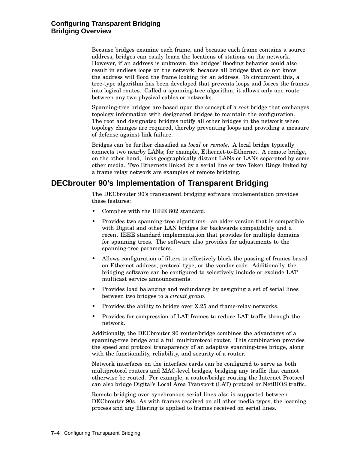# **Configuring Transparent Bridging Bridging Overview**

Because bridges examine each frame, and because each frame contains a source address, bridges can easily learn the locations of stations on the network. However, if an address is unknown, the bridges' flooding behavior could also result in endless loops on the network, because all bridges that do not know the address will flood the frame looking for an address. To circumvent this, a tree-type algorithm has been developed that prevents loops and forces the frames into logical routes. Called a spanning-tree algorithm, it allows only one route between any two physical cables or networks.

Spanning-tree bridges are based upon the concept of a *root* bridge that exchanges topology information with designated bridges to maintain the configuration. The root and designated bridges notify all other bridges in the network when topology changes are required, thereby preventing loops and providing a measure of defense against link failure.

Bridges can be further classified as *local* or *remote*. A local bridge typically connects two nearby LANs; for example, Ethernet-to-Ethernet. A remote bridge, on the other hand, links geographically distant LANs or LANs separated by some other media. Two Ethernets linked by a serial line or two Token Rings linked by a frame relay network are examples of remote bridging.

# **DECbrouter 90's Implementation of Transparent Bridging**

The DECbrouter 90's transparent bridging software implementation provides these features:

- Complies with the IEEE 802 standard.
- Provides two spanning-tree algorithms—an older version that is compatible with Digital and other LAN bridges for backwards compatibility and a recent IEEE standard implementation that provides for multiple domains for spanning trees. The software also provides for adjustments to the spanning-tree parameters.
- Allows configuration of filters to effectively block the passing of frames based on Ethernet address, protocol type, or the vendor code. Additionally, the bridging software can be configured to selectively include or exclude LAT multicast service announcements.
- Provides load balancing and redundancy by assigning a set of serial lines between two bridges to a *circuit group*.
- Provides the ability to bridge over X.25 and frame-relay networks.
- Provides for compression of LAT frames to reduce LAT traffic through the network.

Additionally, the DECbrouter 90 router/bridge combines the advantages of a spanning-tree bridge and a full multiprotocol router. This combination provides the speed and protocol transparency of an adaptive spanning-tree bridge, along with the functionality, reliability, and security of a router.

Network interfaces on the interface cards can be configured to serve as both multiprotocol routers and MAC-level bridges, bridging any traffic that cannot otherwise be routed. For example, a router/bridge routing the Internet Protocol can also bridge Digital's Local Area Transport (LAT) protocol or NetBIOS traffic.

Remote bridging over synchronous serial lines also is supported between DECbrouter 90s. As with frames received on all other media types, the learning process and any filtering is applied to frames received on serial lines.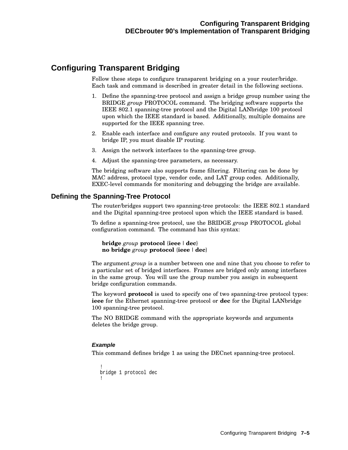# **Configuring Transparent Bridging**

Follow these steps to configure transparent bridging on a your router/bridge. Each task and command is described in greater detail in the following sections.

- 1. Define the spanning-tree protocol and assign a bridge group number using the BRIDGE *group* PROTOCOL command. The bridging software supports the IEEE 802.1 spanning-tree protocol and the Digital LANbridge 100 protocol upon which the IEEE standard is based. Additionally, multiple domains are supported for the IEEE spanning tree.
- 2. Enable each interface and configure any routed protocols. If you want to bridge IP, you must disable IP routing.
- 3. Assign the network interfaces to the spanning-tree group.
- 4. Adjust the spanning-tree parameters, as necessary.

The bridging software also supports frame filtering. Filtering can be done by MAC address, protocol type, vendor code, and LAT group codes. Additionally, EXEC-level commands for monitoring and debugging the bridge are available.

# **Defining the Spanning-Tree Protocol**

The router/bridges support two spanning-tree protocols: the IEEE 802.1 standard and the Digital spanning-tree protocol upon which the IEEE standard is based.

To define a spanning-tree protocol, use the BRIDGE *group* PROTOCOL global configuration command. The command has this syntax:

**bridge** *group* **protocol** {**ieee** |**dec**} **no bridge** *group* **protocol** {**ieee** |**dec**}

The argument *group* is a number between one and nine that you choose to refer to a particular set of bridged interfaces. Frames are bridged only among interfaces in the same group. You will use the group number you assign in subsequent bridge configuration commands.

The keyword **protocol** is used to specify one of two spanning-tree protocol types: **ieee** for the Ethernet spanning-tree protocol or **dec** for the Digital LANbridge 100 spanning-tree protocol.

The NO BRIDGE command with the appropriate keywords and arguments deletes the bridge group.

# **Example**

This command defines bridge 1 as using the DECnet spanning-tree protocol.

```
!
bridge 1 protocol dec
!
```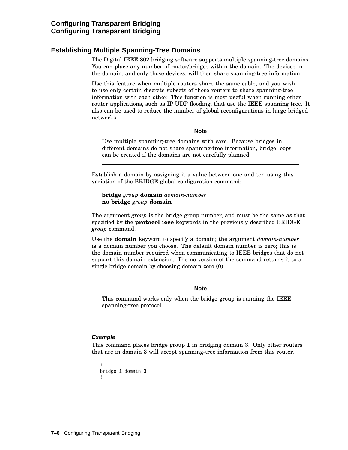# **Establishing Multiple Spanning-Tree Domains**

The Digital IEEE 802 bridging software supports multiple spanning-tree domains. You can place any number of router/bridges within the domain. The devices in the domain, and only those devices, will then share spanning-tree information.

Use this feature when multiple routers share the same cable, and you wish to use only certain discrete subsets of those routers to share spanning-tree information with each other. This function is most useful when running other router applications, such as IP UDP flooding, that use the IEEE spanning tree. It also can be used to reduce the number of global reconfigurations in large bridged networks.

**Note** \_\_\_\_\_\_\_

Use multiple spanning-tree domains with care. Because bridges in different domains do not share spanning-tree information, bridge loops can be created if the domains are not carefully planned.

Establish a domain by assigning it a value between one and ten using this variation of the BRIDGE global configuration command:

**bridge** *group* **domain** *domain-number* **no bridge** *group* **domain**

The argument *group* is the bridge group number, and must be the same as that specified by the **protocol ieee** keywords in the previously described BRIDGE *group* command.

Use the **domain** keyword to specify a domain; the argument *domain-number* is a domain number you choose. The default domain number is zero; this is the domain number required when communicating to IEEE bridges that do not support this domain extension. The no version of the command returns it to a single bridge domain by choosing domain zero (0).

**Note** \_

This command works only when the bridge group is running the IEEE spanning-tree protocol.

# **Example**

This command places bridge group 1 in bridging domain 3. Only other routers that are in domain 3 will accept spanning-tree information from this router.

```
!
bridge 1 domain 3
!
```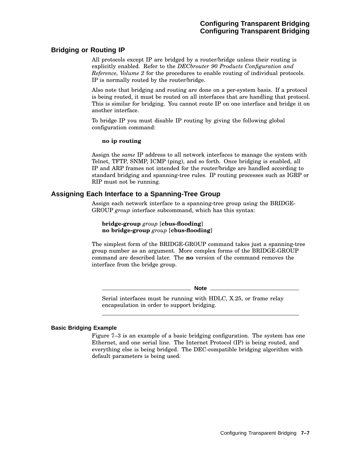# **Bridging or Routing IP**

All protocols except IP are bridged by a router/bridge unless their routing is explicitly enabled. Refer to the *DECbrouter 90 Products Configuration and Reference, Volume 2* for the procedures to enable routing of individual protocols. IP is normally routed by the router/bridge.

Also note that bridging and routing are done on a per-system basis. If a protocol is being routed, it must be routed on all interfaces that are handling that protocol. This is similar for bridging. You cannot route IP on one interface and bridge it on another interface.

To bridge IP you must disable IP routing by giving the following global configuration command:

#### **no ip routing**

Assign the *same* IP address to all network interfaces to manage the system with Telnet, TFTP, SNMP, ICMP (ping), and so forth. Once bridging is enabled, all IP and ARP frames not intended for the router/bridge are handled according to standard bridging and spanning-tree rules. IP routing processes such as IGRP or RIP must not be running.

# **Assigning Each Interface to a Spanning-Tree Group**

Assign each network interface to a spanning-tree group using the BRIDGE-GROUP *group* interface subcommand, which has this syntax:

# **bridge-group** *group* [**cbus-flooding**] **no bridge-group** *group* [**cbus-flooding**]

The simplest form of the BRIDGE-GROUP command takes just a spanning-tree group number as an argument. More complex forms of the BRIDGE-GROUP command are described later. The **no** version of the command removes the interface from the bridge group.

**Note**

Serial interfaces must be running with HDLC, X.25, or frame relay encapsulation in order to support bridging.

# **Basic Bridging Example**

Figure 7–3 is an example of a basic bridging configuration. The system has one Ethernet, and one serial line. The Internet Protocol (IP) is being routed, and everything else is being bridged. The DEC-compatible bridging algorithm with default parameters is being used.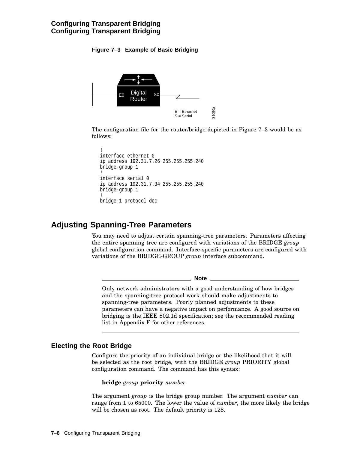# **Figure 7–3 Example of Basic Bridging**



The configuration file for the router/bridge depicted in Figure 7–3 would be as follows:

```
!
interface ethernet 0
ip address 192.31.7.26 255.255.255.240
bridge-group 1
!
interface serial 0
ip address 192.31.7.34 255.255.255.240
bridge-group 1
!
bridge 1 protocol dec
```
# **Adjusting Spanning-Tree Parameters**

You may need to adjust certain spanning-tree parameters. Parameters affecting the entire spanning tree are configured with variations of the BRIDGE *group* global configuration command. Interface-specific parameters are configured with variations of the BRIDGE-GROUP *group* interface subcommand.

**Note**

Only network administrators with a good understanding of how bridges and the spanning-tree protocol work should make adjustments to spanning-tree parameters. Poorly planned adjustments to these parameters can have a negative impact on performance. A good source on bridging is the IEEE 802.1d specification; see the recommended reading list in Appendix F for other references.

# **Electing the Root Bridge**

Configure the priority of an individual bridge or the likelihood that it will be selected as the root bridge, with the BRIDGE *group* PRIORITY global configuration command. The command has this syntax:

**bridge** *group* **priority** *number*

The argument *group* is the bridge group number. The argument *number* can range from 1 to 65000. The lower the value of *number*, the more likely the bridge will be chosen as root. The default priority is 128.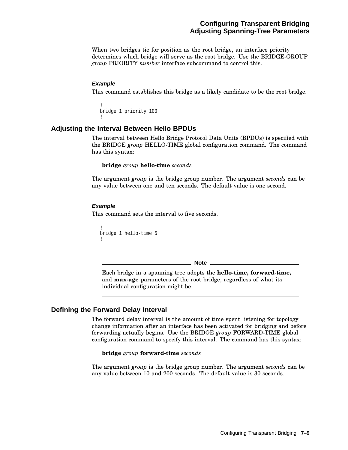# **Configuring Transparent Bridging Adjusting Spanning-Tree Parameters**

When two bridges tie for position as the root bridge, an interface priority determines which bridge will serve as the root bridge. Use the BRIDGE-GROUP *group* PRIORITY *number* interface subcommand to control this.

# **Example**

This command establishes this bridge as a likely candidate to be the root bridge.

```
!
bridge 1 priority 100
!
```
# **Adjusting the Interval Between Hello BPDUs**

The interval between Hello Bridge Protocol Data Units (BPDUs) is specified with the BRIDGE *group* HELLO-TIME global configuration command. The command has this syntax:

#### **bridge** *group* **hello-time** *seconds*

The argument *group* is the bridge group number. The argument *seconds* can be any value between one and ten seconds. The default value is one second.

#### **Example**

This command sets the interval to five seconds.

```
!
bridge 1 hello-time 5
!
```
**Note**

Each bridge in a spanning tree adopts the **hello-time, forward-time,** and **max-age** parameters of the root bridge, regardless of what its individual configuration might be.

# **Defining the Forward Delay Interval**

The forward delay interval is the amount of time spent listening for topology change information after an interface has been activated for bridging and before forwarding actually begins. Use the BRIDGE *group* FORWARD-TIME global configuration command to specify this interval. The command has this syntax:

#### **bridge** *group* **forward-time** *seconds*

The argument *group* is the bridge group number. The argument *seconds* can be any value between 10 and 200 seconds. The default value is 30 seconds.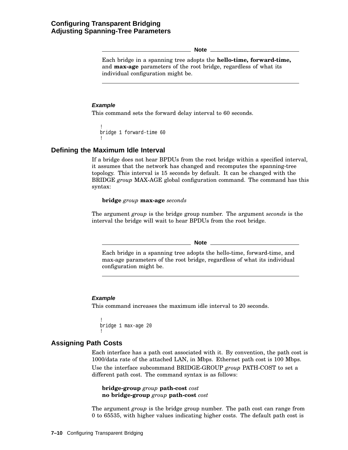**Note**

Each bridge in a spanning tree adopts the **hello-time, forward-time,** and **max-age** parameters of the root bridge, regardless of what its individual configuration might be.

# **Example**

This command sets the forward delay interval to 60 seconds.

```
!
bridge 1 forward-time 60
!
```
# **Defining the Maximum Idle Interval**

If a bridge does not hear BPDUs from the root bridge within a specified interval, it assumes that the network has changed and recomputes the spanning-tree topology. This interval is 15 seconds by default. It can be changed with the BRIDGE *group* MAX-AGE global configuration command. The command has this syntax:

**bridge** *group* **max-age** *seconds*

The argument *group* is the bridge group number. The argument *seconds* is the interval the bridge will wait to hear BPDUs from the root bridge.

**Note**

Each bridge in a spanning tree adopts the hello-time, forward-time, and max-age parameters of the root bridge, regardless of what its individual configuration might be.

# **Example**

This command increases the maximum idle interval to 20 seconds.

```
!
bridge 1 max-age 20
!
```
# **Assigning Path Costs**

Each interface has a path cost associated with it. By convention, the path cost is 1000/data rate of the attached LAN, in Mbps. Ethernet path cost is 100 Mbps. Use the interface subcommand BRIDGE-GROUP *group* PATH-COST to set a different path cost. The command syntax is as follows:

**bridge-group** *group* **path-cost** *cost* **no bridge-group** *group* **path-cost** *cost*

The argument *group* is the bridge group number. The path cost can range from 0 to 65535, with higher values indicating higher costs. The default path cost is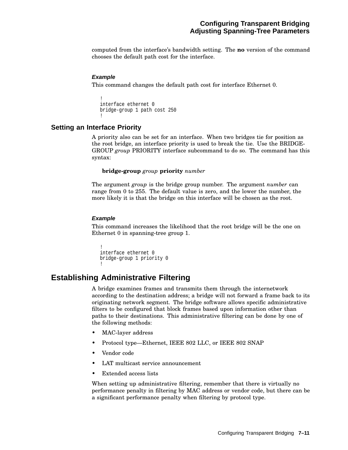computed from the interface's bandwidth setting. The **no** version of the command chooses the default path cost for the interface.

# **Example**

This command changes the default path cost for interface Ethernet 0.

```
!
interface ethernet 0
bridge-group 1 path cost 250
!
```
# **Setting an Interface Priority**

A priority also can be set for an interface. When two bridges tie for position as the root bridge, an interface priority is used to break the tie. Use the BRIDGE-GROUP *group* PRIORITY interface subcommand to do so. The command has this syntax:

#### **bridge-group** *group* **priority** *number*

The argument *group* is the bridge group number. The argument *number* can range from 0 to 255. The default value is zero, and the lower the number, the more likely it is that the bridge on this interface will be chosen as the root.

#### **Example**

This command increases the likelihood that the root bridge will be the one on Ethernet 0 in spanning-tree group 1.

```
!
interface ethernet 0
bridge-group 1 priority 0
!
```
# **Establishing Administrative Filtering**

A bridge examines frames and transmits them through the internetwork according to the destination address; a bridge will not forward a frame back to its originating network segment. The bridge software allows specific administrative filters to be configured that block frames based upon information other than paths to their destinations. This administrative filtering can be done by one of the following methods:

- MAC-layer address
- Protocol type—Ethernet, IEEE 802 LLC, or IEEE 802 SNAP
- Vendor code
- LAT multicast service announcement
- Extended access lists

When setting up administrative filtering, remember that there is virtually no performance penalty in filtering by MAC address or vendor code, but there can be a significant performance penalty when filtering by protocol type.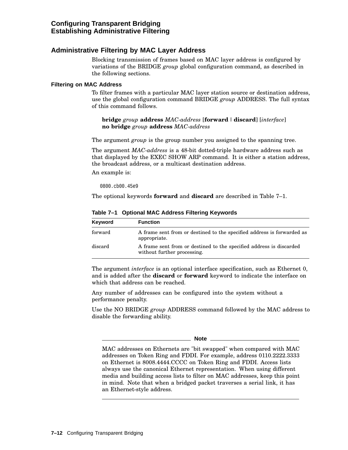# **Administrative Filtering by MAC Layer Address**

Blocking transmission of frames based on MAC layer address is configured by variations of the BRIDGE *group* global configuration command, as described in the following sections.

#### **Filtering on MAC Address**

To filter frames with a particular MAC layer station source or destination address, use the global configuration command BRIDGE *group* ADDRESS. The full syntax of this command follows.

**bridge** group **address** MAC-address [**forward** | **discard**] [*interface*] **no bridge** *group* **address** *MAC-address*

The argument *group* is the group number you assigned to the spanning tree.

The argument *MAC-address* is a 48-bit dotted-triple hardware address such as that displayed by the EXEC SHOW ARP command. It is either a station address, the broadcast address, or a multicast destination address.

An example is:

0800.cb00.45e9

The optional keywords **forward** and **discard** are described in Table 7–1.

| Keyword | <b>Function</b>                                                                                    |
|---------|----------------------------------------------------------------------------------------------------|
| forward | A frame sent from or destined to the specified address is forwarded as<br>appropriate.             |
| discard | A frame sent from or destined to the specified address is discarded<br>without further processing. |

**Table 7–1 Optional MAC Address Filtering Keywords**

The argument *interface* is an optional interface specification, such as Ethernet 0, and is added after the **discard** or **forward** keyword to indicate the interface on which that address can be reached.

Any number of addresses can be configured into the system without a performance penalty.

Use the NO BRIDGE *group* ADDRESS command followed by the MAC address to disable the forwarding ability.

**Note**

MAC addresses on Ethernets are "bit swapped" when compared with MAC addresses on Token Ring and FDDI. For example, address 0110.2222.3333 on Ethernet is 8008.4444.CCCC on Token Ring and FDDI. Access lists always use the canonical Ethernet representation. When using different media and building access lists to filter on MAC addresses, keep this point in mind. Note that when a bridged packet traverses a serial link, it has an Ethernet-style address.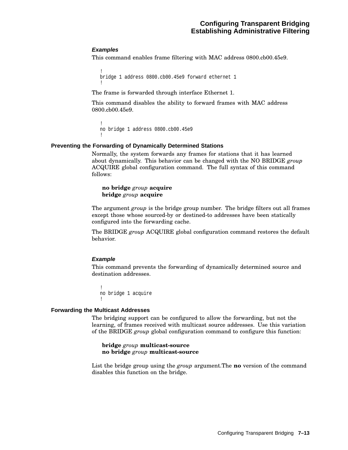# **Examples**

This command enables frame filtering with MAC address 0800.cb00.45e9.

```
!
bridge 1 address 0800.cb00.45e9 forward ethernet 1
!
```
The frame is forwarded through interface Ethernet 1.

This command disables the ability to forward frames with MAC address 0800.cb00.45e9.

```
!
no bridge 1 address 0800.cb00.45e9
!
```
#### **Preventing the Forwarding of Dynamically Determined Stations**

Normally, the system forwards any frames for stations that it has learned about dynamically. This behavior can be changed with the NO BRIDGE *group* ACQUIRE global configuration command. The full syntax of this command follows:

# **no bridge** *group* **acquire bridge** *group* **acquire**

The argument *group* is the bridge group number. The bridge filters out all frames except those whose sourced-by or destined-to addresses have been statically configured into the forwarding cache.

The BRIDGE *group* ACQUIRE global configuration command restores the default behavior.

# **Example**

This command prevents the forwarding of dynamically determined source and destination addresses.

! no bridge 1 acquire !

#### **Forwarding the Multicast Addresses**

The bridging support can be configured to allow the forwarding, but not the learning, of frames received with multicast source addresses. Use this variation of the BRIDGE *group* global configuration command to configure this function:

**bridge** *group* **multicast-source no bridge** *group* **multicast-source**

List the bridge group using the *group* argument.The **no** version of the command disables this function on the bridge.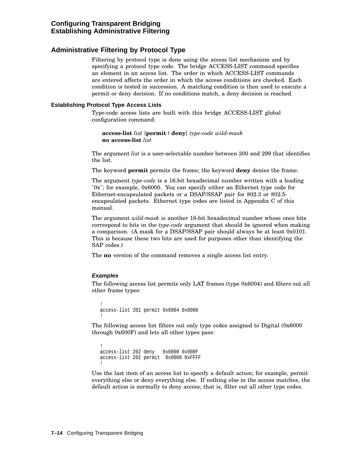# **Administrative Filtering by Protocol Type**

Filtering by protocol type is done using the access list mechanism and by specifying a protocol type code. The bridge ACCESS-LIST command specifies an element in an access list. The order in which ACCESS-LIST commands are entered affects the order in which the access conditions are checked. Each condition is tested in succession. A matching condition is then used to execute a permit or deny decision. If no conditions match, a deny decision is reached.

# **Establishing Protocol Type Access Lists**

Type-code access lists are built with this bridge ACCESS-LIST global configuration command:

**access-list** *list* {**permit** |**deny**} *type-code wild-mask* **no access-list** *list*

The argument *list* is a user-selectable number between 200 and 299 that identifies the list.

The keyword **permit** permits the frame; the keyword **deny** denies the frame.

The argument *type-code* is a 16-bit hexadecimal number written with a leading "0x"; for example, 0x6000. You can specify either an Ethernet type code for Ethernet-encapsulated packets or a DSAP/SSAP pair for 802.3 or 802.5 encapsulated packets. Ethernet type codes are listed in Appendix C of this manual.

The argument *wild-mask* is another 16-bit hexadecimal number whose ones bits correspond to bits in the *type-code* argument that should be ignored when making a comparison. (A mask for a DSAP/SSAP pair should always be at least 0x0101. This is because these two bits are used for purposes other than identifying the SAP codes.)

The **no** version of the command removes a single access list entry.

# **Examples**

The following access list permits only LAT frames (type 0x6004) and filters out all other frame types:

```
!
access-list 201 permit 0x6004 0x0000
!
```
The following access list filters out only type codes assigned to Digital (0x6000 through 0x600F) and lets all other types pass:

```
!
access-list 202 deny 0x6000 0x000F
access-list 202 permit 0x0000 0xFFFF
!
```
Use the last item of an access list to specify a default action; for example, permit everything else or deny everything else. If nothing else in the access matches, the default action is normally to deny access; that is, filter out all other type codes.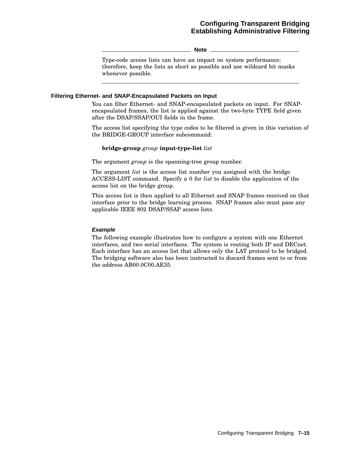**Note**

Type-code access lists can have an impact on system performance; therefore, keep the lists as short as possible and use wildcard bit masks whenever possible.

#### **Filtering Ethernet- and SNAP-Encapsulated Packets on Input**

You can filter Ethernet- and SNAP-encapsulated packets on input. For SNAPencapsulated frames, the list is applied against the two-byte TYPE field given after the DSAP/SSAP/OUI fields in the frame.

The access list specifying the type codes to be filtered is given in this variation of the BRIDGE-GROUP interface subcommand:

#### **bridge-group** *group* **input-type-list** *list*

The argument *group* is the spanning-tree group number.

The argument *list* is the access list number you assigned with the bridge ACCESS-LIST command. Specify a 0 for *list* to disable the application of the access list on the bridge group.

This access list is then applied to all Ethernet and SNAP frames received on that interface prior to the bridge learning process. SNAP frames also must pass any applicable IEEE 802 DSAP/SSAP access lists.

# **Example**

The following example illustrates how to configure a system with one Ethernet interfaces, and two serial interfaces. The system is routing both IP and DECnet. Each interface has an access list that allows only the LAT protocol to be bridged. The bridging software also has been instructed to discard frames sent to or from the address AB00.0C00.AE35.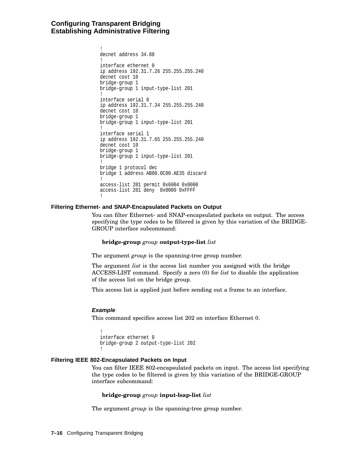```
!
decnet address 34.88
!
interface ethernet 0
ip address 192.31.7.26 255.255.255.240
decnet cost 10
bridge-group 1
bridge-group 1 input-type-list 201
!
interface serial 0
ip address 192.31.7.34 255.255.255.240
decnet cost 10
bridge-group 1
bridge-group 1 input-type-list 201
!
interface serial 1
ip address 192.31.7.65 255.255.255.240
decnet cost 10
bridge-group 1
bridge-group 1 input-type-list 201
!
bridge 1 protocol dec
bridge 1 address AB00.0C00.AE35 discard
!
access-list 201 permit 0x6004 0x0000
access-list 201 deny 0x0000 0xFFFF
!
```
# **Filtering Ethernet- and SNAP-Encapsulated Packets on Output**

You can filter Ethernet- and SNAP-encapsulated packets on output. The access specifying the type codes to be filtered is given by this variation of the BRIDGE-GROUP interface subcommand:

#### **bridge-group** *group* **output-type-list** *list*

The argument *group* is the spanning-tree group number.

The argument *list* is the access list number you assigned with the bridge ACCESS-LIST command. Specify a zero (0) for *list* to disable the application of the access list on the bridge group.

This access list is applied just before sending out a frame to an interface.

#### **Example**

This command specifies access list 202 on interface Ethernet 0.

```
!
interface ethernet 0
bridge-group 2 output-type-list 202
!
```
# **Filtering IEEE 802-Encapsulated Packets on Input**

You can filter IEEE 802-encapsulated packets on input. The access list specifying the type codes to be filtered is given by this variation of the BRIDGE-GROUP interface subcommand:

#### **bridge-group** *group* **input-lsap-list** *list*

The argument *group* is the spanning-tree group number.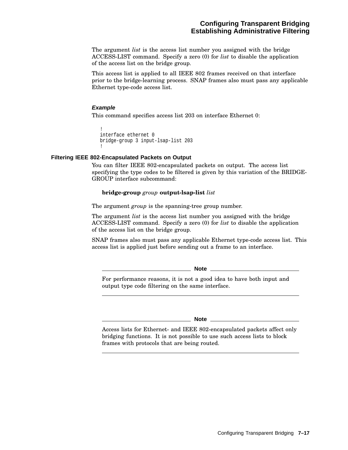The argument *list* is the access list number you assigned with the bridge ACCESS-LIST command. Specify a zero (0) for *list* to disable the application of the access list on the bridge group.

This access list is applied to all IEEE 802 frames received on that interface prior to the bridge-learning process. SNAP frames also must pass any applicable Ethernet type-code access list.

#### **Example**

This command specifies access list 203 on interface Ethernet 0:

```
!
interface ethernet 0
bridge-group 3 input-lsap-list 203
!
```
# **Filtering IEEE 802-Encapsulated Packets on Output**

You can filter IEEE 802-encapsulated packets on output. The access list specifying the type codes to be filtered is given by this variation of the BRIDGE-GROUP interface subcommand:

#### **bridge-group** *group* **output-lsap-list** *list*

The argument *group* is the spanning-tree group number.

The argument *list* is the access list number you assigned with the bridge ACCESS-LIST command. Specify a zero (0) for *list* to disable the application of the access list on the bridge group.

SNAP frames also must pass any applicable Ethernet type-code access list. This access list is applied just before sending out a frame to an interface.

**Note**

For performance reasons, it is not a good idea to have both input and output type code filtering on the same interface.

**Note**

Access lists for Ethernet- and IEEE 802-encapsulated packets affect only bridging functions. It is not possible to use such access lists to block frames with protocols that are being routed.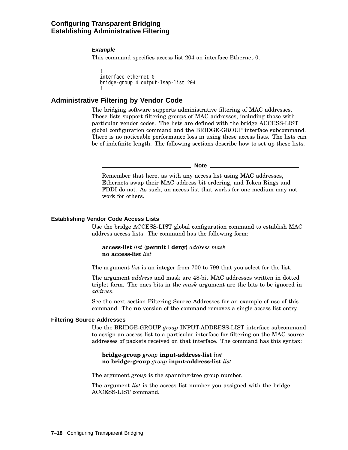# **Example**

This command specifies access list 204 on interface Ethernet 0.

```
!
interface ethernet 0
bridge-group 4 output-lsap-list 204
!
```
# **Administrative Filtering by Vendor Code**

The bridging software supports administrative filtering of MAC addresses. These lists support filtering groups of MAC addresses, including those with particular vendor codes. The lists are defined with the bridge ACCESS-LIST global configuration command and the BRIDGE-GROUP interface subcommand. There is no noticeable performance loss in using these access lists. The lists can be of indefinite length. The following sections describe how to set up these lists.

**Note**

Remember that here, as with any access list using MAC addresses, Ethernets swap their MAC address bit ordering, and Token Rings and FDDI do not. As such, an access list that works for one medium may not work for others.

#### **Establishing Vendor Code Access Lists**

Use the bridge ACCESS-LIST global configuration command to establish MAC address access lists. The command has the following form:

**access-list** *list* {**permit** |**deny**} *address mask* **no access-list** *list*

The argument *list* is an integer from 700 to 799 that you select for the list.

The argument *address* and mask are 48-bit MAC addresses written in dotted triplet form. The ones bits in the *mask* argument are the bits to be ignored in *address*.

See the next section Filtering Source Addresses for an example of use of this command. The **no** version of the command removes a single access list entry.

#### **Filtering Source Addresses**

Use the BRIDGE-GROUP *group* INPUT-ADDRESS-LIST interface subcommand to assign an access list to a particular interface for filtering on the MAC source addresses of packets received on that interface. The command has this syntax:

#### **bridge-group** *group* **input-address-list** *list* **no bridge-group** *group* **input-address-list** *list*

The argument *group* is the spanning-tree group number.

The argument *list* is the access list number you assigned with the bridge ACCESS-LIST command.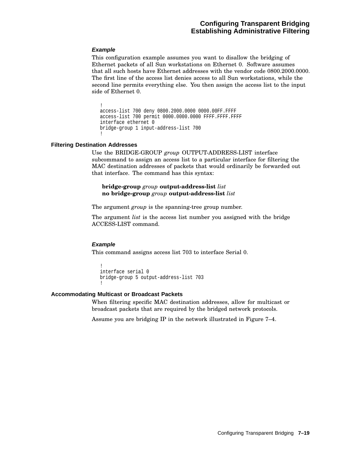# **Example**

This configuration example assumes you want to disallow the bridging of Ethernet packets of all Sun workstations on Ethernet 0. Software assumes that all such hosts have Ethernet addresses with the vendor code 0800.2000.0000. The first line of the access list denies access to all Sun workstations, while the second line permits everything else. You then assign the access list to the input side of Ethernet 0.

! access-list 700 deny 0800.2000.0000 0000.00FF.FFFF access-list 700 permit 0000.0000.0000 FFFF.FFFF.FFFF interface ethernet 0 bridge-group 1 input-address-list 700 !

# **Filtering Destination Addresses**

Use the BRIDGE-GROUP *group* OUTPUT-ADDRESS-LIST interface subcommand to assign an access list to a particular interface for filtering the MAC destination addresses of packets that would ordinarily be forwarded out that interface. The command has this syntax:

# **bridge-group** *group* **output-address-list** *list* **no bridge-group** *group* **output-address-list** *list*

The argument *group* is the spanning-tree group number.

The argument *list* is the access list number you assigned with the bridge ACCESS-LIST command.

# **Example**

This command assigns access list 703 to interface Serial 0.

```
!
interface serial 0
bridge-group 5 output-address-list 703
!
```
# **Accommodating Multicast or Broadcast Packets**

When filtering specific MAC destination addresses, allow for multicast or broadcast packets that are required by the bridged network protocols.

Assume you are bridging IP in the network illustrated in Figure 7–4.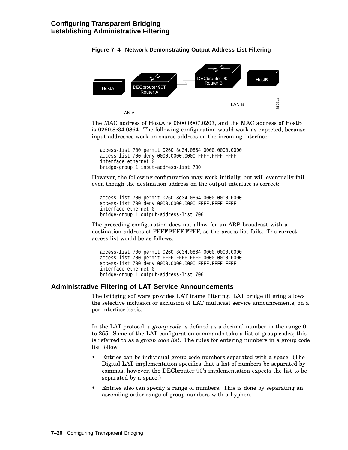

# **Figure 7–4 Network Demonstrating Output Address List Filtering**

The MAC address of HostA is 0800.0907.0207, and the MAC address of HostB is 0260.8c34.0864. The following configuration would work as expected, because input addresses work on source address on the incoming interface:

```
access-list 700 permit 0260.8c34.0864 0000.0000.0000
access-list 700 deny 0000.0000.0000 FFFF.FFFF.FFFF
interface ethernet 0
bridge-group 1 input-address-list 700
```
However, the following configuration may work initially, but will eventually fail, even though the destination address on the output interface is correct:

```
access-list 700 permit 0260.8c34.0864 0000.0000.0000
access-list 700 deny 0000.0000.0000 FFFF.FFFF.FFFF
interface ethernet 0
bridge-group 1 output-address-list 700
```
The preceding configuration does not allow for an ARP broadcast with a destination address of FFFF.FFFF.FFFF, so the access list fails. The correct access list would be as follows:

```
access-list 700 permit 0260.8c34.0864 0000.0000.0000
access-list 700 permit FFFF.FFFF.FFFF 0000.0000.0000
access-list 700 deny 0000.0000.0000 FFFF.FFFF.FFFF
interface ethernet 0
bridge-group 1 output-address-list 700
```
# **Administrative Filtering of LAT Service Announcements**

The bridging software provides LAT frame filtering. LAT bridge filtering allows the selective inclusion or exclusion of LAT multicast service announcements, on a per-interface basis.

In the LAT protocol, a *group code* is defined as a decimal number in the range 0 to 255. Some of the LAT configuration commands take a list of group codes; this is referred to as a *group code list*. The rules for entering numbers in a group code list follow.

- Entries can be individual group code numbers separated with a space. (The Digital LAT implementation specifies that a list of numbers be separated by commas; however, the DECbrouter 90's implementation expects the list to be separated by a space.)
- Entries also can specify a range of numbers. This is done by separating an ascending order range of group numbers with a hyphen.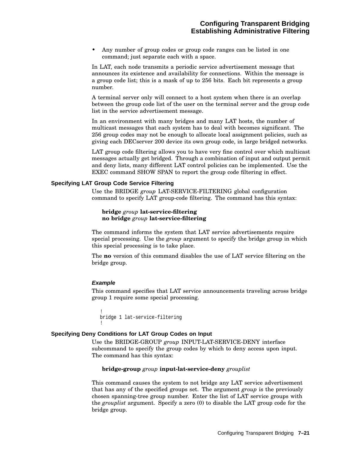• Any number of group codes or group code ranges can be listed in one command; just separate each with a space.

In LAT, each node transmits a periodic service advertisement message that announces its existence and availability for connections. Within the message is a group code list; this is a mask of up to 256 bits. Each bit represents a group number.

A terminal server only will connect to a host system when there is an overlap between the group code list of the user on the terminal server and the group code list in the service advertisement message.

In an environment with many bridges and many LAT hosts, the number of multicast messages that each system has to deal with becomes significant. The 256 group codes may not be enough to allocate local assignment policies, such as giving each DECserver 200 device its own group code, in large bridged networks.

LAT group code filtering allows you to have very fine control over which multicast messages actually get bridged. Through a combination of input and output permit and deny lists, many different LAT control policies can be implemented. Use the EXEC command SHOW SPAN to report the group code filtering in effect.

#### **Specifying LAT Group Code Service Filtering**

Use the BRIDGE *group* LAT-SERVICE-FILTERING global configuration command to specify LAT group-code filtering. The command has this syntax:

#### **bridge** *group* **lat-service-filtering no bridge** *group* **lat-service-filtering**

The command informs the system that LAT service advertisements require special processing. Use the *group* argument to specify the bridge group in which this special processing is to take place.

The **no** version of this command disables the use of LAT service filtering on the bridge group.

#### **Example**

This command specifies that LAT service announcements traveling across bridge group 1 require some special processing.

```
!
bridge 1 lat-service-filtering
!
```
#### **Specifying Deny Conditions for LAT Group Codes on Input**

Use the BRIDGE-GROUP *group* INPUT-LAT-SERVICE-DENY interface subcommand to specify the group codes by which to deny access upon input. The command has this syntax:

#### **bridge-group** *group* **input-lat-service-deny** *grouplist*

This command causes the system to not bridge any LAT service advertisement that has any of the specified groups set. The argument *group* is the previously chosen spanning-tree group number. Enter the list of LAT service groups with the *grouplist* argument. Specify a zero (0) to disable the LAT group code for the bridge group.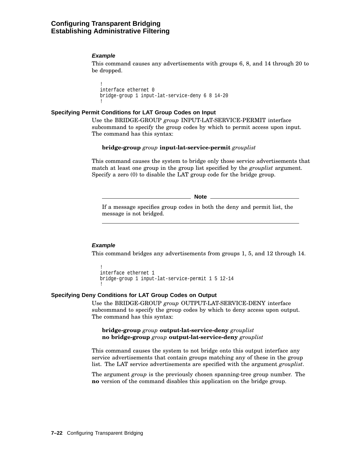## **Configuring Transparent Bridging Establishing Administrative Filtering**

#### **Example**

This command causes any advertisements with groups 6, 8, and 14 through 20 to be dropped.

```
!
interface ethernet 0
bridge-group 1 input-lat-service-deny 6 8 14-20
!
```
#### **Specifying Permit Conditions for LAT Group Codes on Input**

Use the BRIDGE-GROUP *group* INPUT-LAT-SERVICE-PERMIT interface subcommand to specify the group codes by which to permit access upon input. The command has this syntax:

#### **bridge-group** *group* **input-lat-service-permit** *grouplist*

This command causes the system to bridge only those service advertisements that match at least one group in the group list specified by the *grouplist* argument. Specify a zero (0) to disable the LAT group code for the bridge group.

**Note** \_\_\_\_\_\_

If a message specifies group codes in both the deny and permit list, the message is not bridged.

#### **Example**

This command bridges any advertisements from groups 1, 5, and 12 through 14.

```
!
interface ethernet 1
bridge-group 1 input-lat-service-permit 1 5 12-14
!
```
#### **Specifying Deny Conditions for LAT Group Codes on Output**

Use the BRIDGE-GROUP *group* OUTPUT-LAT-SERVICE-DENY interface subcommand to specify the group codes by which to deny access upon output. The command has this syntax:

**bridge-group** *group* **output-lat-service-deny** *grouplist* **no bridge-group** *group* **output-lat-service-deny** *grouplist*

This command causes the system to not bridge onto this output interface any service advertisements that contain groups matching any of these in the group list. The LAT service advertisements are specified with the argument *grouplist*.

The argument *group* is the previously chosen spanning-tree group number. The **no** version of the command disables this application on the bridge group.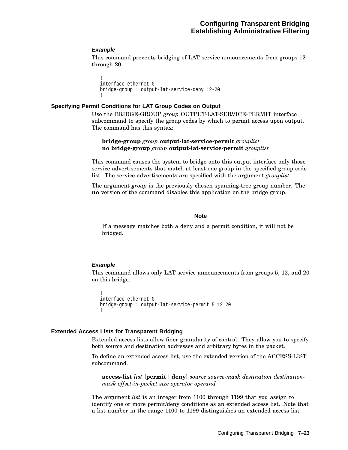#### **Example**

This command prevents bridging of LAT service announcements from groups 12 through 20.

```
!
interface ethernet 0
bridge-group 1 output-lat-service-deny 12-20
!
```
#### **Specifying Permit Conditions for LAT Group Codes on Output**

Use the BRIDGE-GROUP *group* OUTPUT-LAT-SERVICE-PERMIT interface subcommand to specify the group codes by which to permit access upon output. The command has this syntax:

**bridge-group** *group* **output-lat-service-permit** *grouplist* **no bridge-group** *group* **output-lat-service-permit** *grouplist*

This command causes the system to bridge onto this output interface only those service advertisements that match at least one group in the specified group code list. The service advertisements are specified with the argument *grouplist*.

The argument *group* is the previously chosen spanning-tree group number. The **no** version of the command disables this application on the bridge group.

**Note** 

If a message matches both a deny and a permit condition, it will not be bridged.

#### **Example**

This command allows only LAT service announcements from groups 5, 12, and 20 on this bridge.

```
!
interface ethernet 0
bridge-group 1 output-lat-service-permit 5 12 20
!
```
#### **Extended Access Lists for Transparent Bridging**

Extended access lists allow finer granularity of control. They allow you to specify both source and destination addresses and arbitrary bytes in the packet.

To define an extended access list, use the extended version of the ACCESS-LIST subcommand.

**access-list** *list* {**permit** |**deny**} *source source-mask destination destinationmask offset-in-packet size operator operand*

The argument *list* is an integer from 1100 through 1199 that you assign to identify one or more permit/deny conditions as an extended access list. Note that a list number in the range 1100 to 1199 distinguishes an extended access list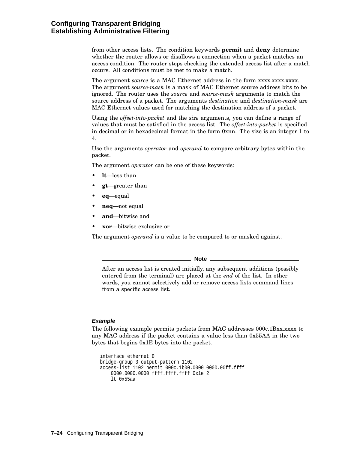from other access lists. The condition keywords **permit** and **deny** determine whether the router allows or disallows a connection when a packet matches an access condition. The router stops checking the extended access list after a match occurs. All conditions must be met to make a match.

The argument *source* is a MAC Ethernet address in the form xxxx.xxxx.xxxx. The argument *source-mask* is a mask of MAC Ethernet source address bits to be ignored. The router uses the *source* and *source-mask* arguments to match the source address of a packet. The arguments *destination* and *destination-mask* are MAC Ethernet values used for matching the destination address of a packet.

Using the *offset-into-packet* and the *size* arguments, you can define a range of values that must be satisfied in the access list. The *offset-into-packet* is specified in decimal or in hexadecimal format in the form 0xnn. The size is an integer 1 to 4.

Use the arguments *operator* and *operand* to compare arbitrary bytes within the packet.

The argument *operator* can be one of these keywords:

- **lt**—less than
- **gt**—greater than
- **eq**—equal
- **neq**—not equal
- **and**—bitwise and
- **xor**—bitwise exclusive or

The argument *operand* is a value to be compared to or masked against.

**Note**

After an access list is created initially, any subsequent additions (possibly entered from the terminal) are placed at the *end* of the list. In other words, you cannot selectively add or remove access lists command lines from a specific access list.

#### **Example**

The following example permits packets from MAC addresses 000c.1Bxx.xxxx to any MAC address if the packet contains a value less than 0x55AA in the two bytes that begins 0x1E bytes into the packet.

```
interface ethernet 0
bridge-group 3 output-pattern 1102
access-list 1102 permit 000c.1b00.0000 0000.00ff.ffff
   0000.0000.0000 ffff.ffff.ffff 0x1e 2
   lt 0x55aa
```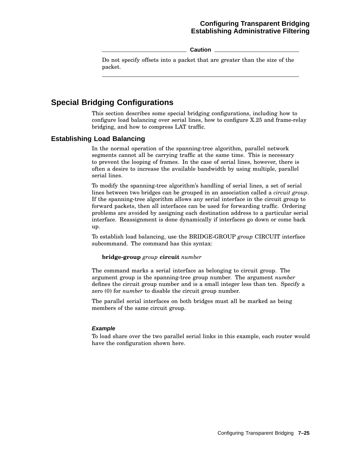## **Configuring Transparent Bridging Establishing Administrative Filtering**

**Caution**

Do not specify offsets into a packet that are greater than the size of the packet.

## **Special Bridging Configurations**

This section describes some special bridging configurations, including how to configure load balancing over serial lines, how to configure X.25 and frame-relay bridging, and how to compress LAT traffic.

## **Establishing Load Balancing**

In the normal operation of the spanning-tree algorithm, parallel network segments cannot all be carrying traffic at the same time. This is necessary to prevent the looping of frames. In the case of serial lines, however, there is often a desire to increase the available bandwidth by using multiple, parallel serial lines.

To modify the spanning-tree algorithm's handling of serial lines, a set of serial lines between two bridges can be grouped in an association called a *circuit group*. If the spanning-tree algorithm allows any serial interface in the circuit group to forward packets, then all interfaces can be used for forwarding traffic. Ordering problems are avoided by assigning each destination address to a particular serial interface. Reassignment is done dynamically if interfaces go down or come back up.

To establish load balancing, use the BRIDGE-GROUP *group* CIRCUIT interface subcommand. The command has this syntax:

#### **bridge-group** *group* **circuit** *number*

The command marks a serial interface as belonging to circuit group. The argument group is the spanning-tree group number. The argument *number* defines the circuit group number and is a small integer less than ten. Specify a zero (0) for *number* to disable the circuit group number.

The parallel serial interfaces on both bridges must all be marked as being members of the same circuit group.

#### **Example**

To load share over the two parallel serial links in this example, each router would have the configuration shown here.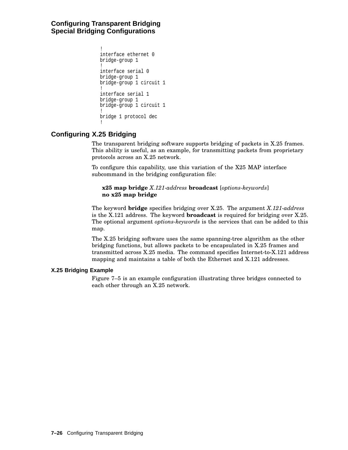## **Configuring Transparent Bridging Special Bridging Configurations**

```
!
interface ethernet 0
bridge-group 1
!
interface serial 0
bridge-group 1
bridge-group 1 circuit 1
!
interface serial 1
bridge-group 1
bridge-group 1 circuit 1
!
bridge 1 protocol dec
!
```
## **Configuring X.25 Bridging**

The transparent bridging software supports bridging of packets in X.25 frames. This ability is useful, as an example, for transmitting packets from proprietary protocols across an X.25 network.

To configure this capability, use this variation of the X25 MAP interface subcommand in the bridging configuration file:

#### **x25 map bridge** *X.121-address* **broadcast** [*options-keywords*] **no x25 map bridge**

The keyword **bridge** specifies bridging over X.25. The argument *X.121-address* is the X.121 address. The keyword **broadcast** is required for bridging over X.25. The optional argument *options-keywords* is the services that can be added to this map.

The X.25 bridging software uses the same spanning-tree algorithm as the other bridging functions, but allows packets to be encapsulated in X.25 frames and transmitted across X.25 media. The command specifies Internet-to-X.121 address mapping and maintains a table of both the Ethernet and X.121 addresses.

#### **X.25 Bridging Example**

Figure 7–5 is an example configuration illustrating three bridges connected to each other through an X.25 network.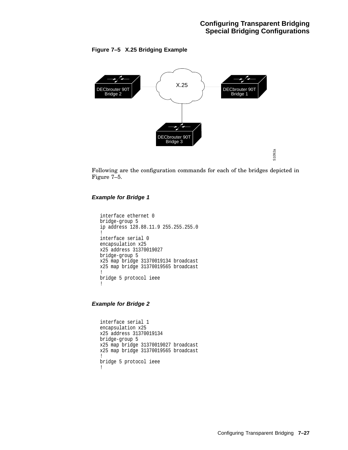#### **Figure 7–5 X.25 Bridging Example**



Following are the configuration commands for each of the bridges depicted in Figure 7–5.

#### **Example for Bridge 1**

```
interface ethernet 0
bridge-group 5
ip address 128.88.11.9 255.255.255.0
!
interface serial 0
encapsulation x25
x25 address 31370019027
bridge-group 5
x25 map bridge 31370019134 broadcast
x25 map bridge 31370019565 broadcast
!
bridge 5 protocol ieee
!
```
**Example for Bridge 2**

```
interface serial 1
encapsulation x25
x25 address 31370019134
bridge-group 5
x25 map bridge 31370019027 broadcast
x25 map bridge 31370019565 broadcast
!
bridge 5 protocol ieee
!
```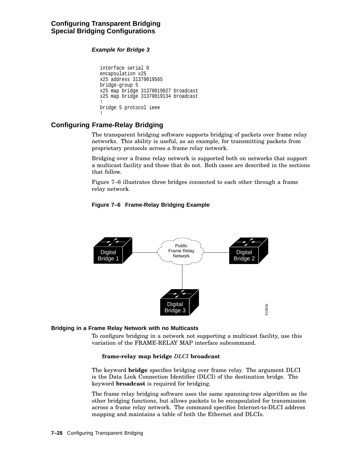## **Configuring Transparent Bridging Special Bridging Configurations**

### **Example for Bridge 3**

```
interface serial 0
encapsulation x25
x25 address 31370019565
bridge-group 5
x25 map bridge 31370019027 broadcast
x25 map bridge 31370019134 broadcast
!
bridge 5 protocol ieee
!
```
## **Configuring Frame-Relay Bridging**

The transparent bridging software supports bridging of packets over frame relay networks. This ability is useful, as an example, for transmitting packets from proprietary protocols across a frame relay network.

Bridging over a frame relay network is supported both on networks that support a multicast facility and those that do not. Both cases are described in the sections that follow.

Figure 7–6 illustrates three bridges connected to each other through a frame relay network.

## **Figure 7–6 Frame-Relay Bridging Example**



#### **Bridging in a Frame Relay Network with no Multicasts**

To configure bridging in a network not supporting a multicast facility, use this variation of the FRAME-RELAY MAP interface subcommand.

#### **frame-relay map bridge** *DLCI* **broadcast**

The keyword **bridge** specifies bridging over frame relay. The argument DLCI is the Data Link Connection Identifier (DLCI) of the destination bridge. The keyword **broadcast** is required for bridging.

The frame relay bridging software uses the same spanning-tree algorithm as the other bridging functions, but allows packets to be encapsulated for transmission across a frame relay network. The command specifies Internet-to-DLCI address mapping and maintains a table of both the Ethernet and DLCIs.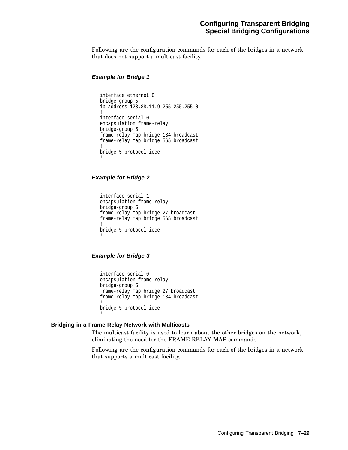Following are the configuration commands for each of the bridges in a network that does not support a multicast facility.

#### **Example for Bridge 1**

```
interface ethernet 0
bridge-group 5
ip address 128.88.11.9 255.255.255.0
!
interface serial 0
encapsulation frame-relay
bridge-group 5
frame-relay map bridge 134 broadcast
frame-relay map bridge 565 broadcast
!
bridge 5 protocol ieee
!
```
#### **Example for Bridge 2**

interface serial 1 encapsulation frame-relay bridge-group 5 frame-relay map bridge 27 broadcast frame-relay map bridge 565 broadcast ! bridge 5 protocol ieee !

#### **Example for Bridge 3**

interface serial 0 encapsulation frame-relay bridge-group 5 frame-relay map bridge 27 broadcast frame-relay map bridge 134 broadcast ! bridge 5 protocol ieee !

#### **Bridging in a Frame Relay Network with Multicasts**

The multicast facility is used to learn about the other bridges on the network, eliminating the need for the FRAME-RELAY MAP commands.

Following are the configuration commands for each of the bridges in a network that supports a multicast facility.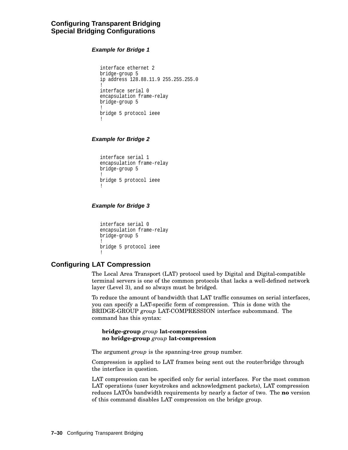### **Configuring Transparent Bridging Special Bridging Configurations**

**Example for Bridge 1**

```
interface ethernet 2
bridge-group 5
ip address 128.88.11.9 255.255.255.0
!
interface serial 0
encapsulation frame-relay
bridge-group 5
!
bridge 5 protocol ieee
!
```
**Example for Bridge 2**

interface serial 1 encapsulation frame-relay bridge-group 5 ! bridge 5 protocol ieee !

#### **Example for Bridge 3**

```
interface serial 0
encapsulation frame-relay
bridge-group 5
!
bridge 5 protocol ieee
!
```
## **Configuring LAT Compression**

The Local Area Transport (LAT) protocol used by Digital and Digital-compatible terminal servers is one of the common protocols that lacks a well-defined network layer (Level 3), and so always must be bridged.

To reduce the amount of bandwidth that LAT traffic consumes on serial interfaces, you can specify a LAT-specific form of compression. This is done with the BRIDGE-GROUP *group* LAT-COMPRESSION interface subcommand. The command has this syntax:

**bridge-group** *group* **lat-compression no bridge-group** *group* **lat-compression**

The argument *group* is the spanning-tree group number.

Compression is applied to LAT frames being sent out the router/bridge through the interface in question.

LAT compression can be specified only for serial interfaces. For the most common LAT operations (user keystrokes and acknowledgment packets), LAT compression reduces LATÕs bandwidth requirements by nearly a factor of two. The **no** version of this command disables LAT compression on the bridge group.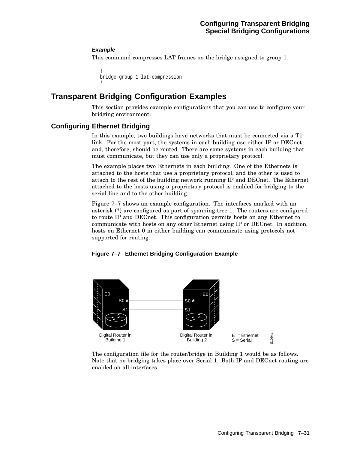#### **Example**

This command compresses LAT frames on the bridge assigned to group 1.

```
!
bridge-group 1 lat-compression
!
```
## **Transparent Bridging Configuration Examples**

This section provides example configurations that you can use to configure your bridging environment.

## **Configuring Ethernet Bridging**

In this example, two buildings have networks that must be connected via a T1 link. For the most part, the systems in each building use either IP or DECnet and, therefore, should be routed. There are some systems in each building that must communicate, but they can use only a proprietary protocol.

The example places two Ethernets in each building. One of the Ethernets is attached to the hosts that use a proprietary protocol, and the other is used to attach to the rest of the building network running IP and DECnet. The Ethernet attached to the hosts using a proprietary protocol is enabled for bridging to the serial line and to the other building.

Figure 7–7 shows an example configuration. The interfaces marked with an asterisk (**\***) are configured as part of spanning tree 1. The routers are configured to route IP and DECnet. This configuration permits hosts on any Ethernet to communicate with hosts on any other Ethernet using IP or DECnet. In addition, hosts on Ethernet 0 in either building can communicate using protocols not supported for routing.

**Figure 7–7 Ethernet Bridging Configuration Example**



The configuration file for the router/bridge in Building 1 would be as follows. Note that no bridging takes place over Serial 1. Both IP and DECnet routing are enabled on all interfaces.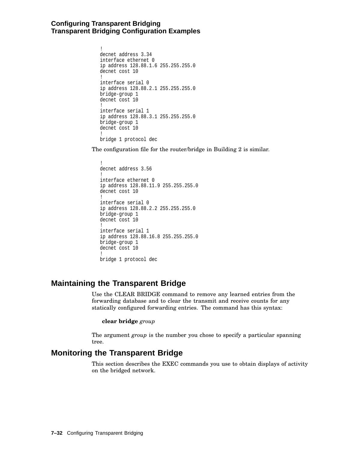## **Configuring Transparent Bridging Transparent Bridging Configuration Examples**

```
!
decnet address 3.34
interface ethernet 0
ip address 128.88.1.6 255.255.255.0
decnet cost 10
!
interface serial 0
ip address 128.88.2.1 255.255.255.0
bridge-group 1
decnet cost 10
!
interface serial 1
ip address 128.88.3.1 255.255.255.0
bridge-group 1
decnet cost 10
!
bridge 1 protocol dec
```
The configuration file for the router/bridge in Building 2 is similar.

```
!
decnet address 3.56
!
interface ethernet 0
ip address 128.88.11.9 255.255.255.0
decnet cost 10
!
interface serial 0
ip address 128.88.2.2 255.255.255.0
bridge-group 1
decnet cost 10
!
interface serial 1
ip address 128.88.16.8 255.255.255.0
bridge-group 1
decnet cost 10
!
bridge 1 protocol dec
```
## **Maintaining the Transparent Bridge**

Use the CLEAR BRIDGE command to remove any learned entries from the forwarding database and to clear the transmit and receive counts for any statically configured forwarding entries. The command has this syntax:

#### **clear bridge** *group*

The argument *group* is the number you chose to specify a particular spanning tree.

## **Monitoring the Transparent Bridge**

This section describes the EXEC commands you use to obtain displays of activity on the bridged network.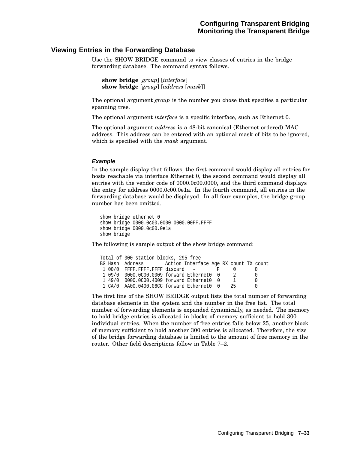#### **Viewing Entries in the Forwarding Database**

Use the SHOW BRIDGE command to view classes of entries in the bridge forwarding database. The command syntax follows.

```
show bridge [group] [interface]
show bridge [group] [address [mask]]
```
The optional argument *group* is the number you chose that specifies a particular spanning tree.

The optional argument *interface* is a specific interface, such as Ethernet 0.

The optional argument *address* is a 48-bit canonical (Ethernet ordered) MAC address. This address can be entered with an optional mask of bits to be ignored, which is specified with the *mask* argument.

#### **Example**

In the sample display that follows, the first command would display all entries for hosts reachable via interface Ethernet 0, the second command would display all entries with the vendor code of 0000.0c00.0000, and the third command displays the entry for address 0000.0c00.0e1a. In the fourth command, all entries in the forwarding database would be displayed. In all four examples, the bridge group number has been omitted.

show bridge ethernet 0 show bridge 0000.0c00.0000 0000.00FF.FFFF show bridge 0000.0c00.0e1a show bridge

The following is sample output of the show bridge command:

```
Total of 300 station blocks, 295 free
BG Hash Address Action Interface Age RX count TX count
1 00/0 FFFF.FFFF.FFFF discard - P 0 0<br>1 09/0 0000.0C00.0009 forward Ethernet0 0 2 0
1 09/0 0000.0C00.0009 forward Ethernet0 0 2 0<br>1 49/0 0000.0C00.4009 forward Ethernet0 0 1 0
 1 49/0 0000.0C00.4009 forward Ethernet0 0 1
 1 CA/0 AA00.0400.06CC forward Ethernet0 0 25 0
```
The first line of the SHOW BRIDGE output lists the total number of forwarding database elements in the system and the number in the free list. The total number of forwarding elements is expanded dynamically, as needed. The memory to hold bridge entries is allocated in blocks of memory sufficient to hold 300 individual entries. When the number of free entries falls below 25, another block of memory sufficient to hold another 300 entries is allocated. Therefore, the size of the bridge forwarding database is limited to the amount of free memory in the router. Other field descriptions follow in Table 7–2.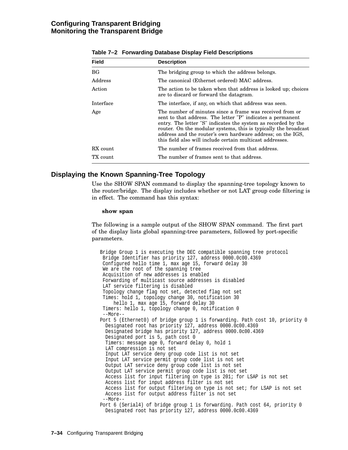## **Configuring Transparent Bridging Monitoring the Transparent Bridge**

| $14000 + 2101000$ and $92000000$ and $9000000$ and $90000000$ |                                                                                                                                                                                                                                                                                                                                                                                       |  |
|---------------------------------------------------------------|---------------------------------------------------------------------------------------------------------------------------------------------------------------------------------------------------------------------------------------------------------------------------------------------------------------------------------------------------------------------------------------|--|
| <b>Field</b>                                                  | <b>Description</b>                                                                                                                                                                                                                                                                                                                                                                    |  |
| BG <sub>f</sub>                                               | The bridging group to which the address belongs.                                                                                                                                                                                                                                                                                                                                      |  |
| Address                                                       | The canonical (Ethernet ordered) MAC address.                                                                                                                                                                                                                                                                                                                                         |  |
| Action                                                        | The action to be taken when that address is looked up; choices<br>are to discard or forward the datagram.                                                                                                                                                                                                                                                                             |  |
| Interface                                                     | The interface, if any, on which that address was seen.                                                                                                                                                                                                                                                                                                                                |  |
| Age                                                           | The number of minutes since a frame was received from or<br>sent to that address. The letter "P" indicates a permanent<br>entry. The letter "S" indicates the system as recorded by the<br>router. On the modular systems, this is typically the broadcast<br>address and the router's own hardware address; on the IGS,<br>this field also will include certain multicast addresses. |  |
| RX count                                                      | The number of frames received from that address.                                                                                                                                                                                                                                                                                                                                      |  |
| TX count                                                      | The number of frames sent to that address.                                                                                                                                                                                                                                                                                                                                            |  |

#### **Table 7–2 Forwarding Database Display Field Descriptions**

### **Displaying the Known Spanning-Tree Topology**

Use the SHOW SPAN command to display the spanning-tree topology known to the router/bridge. The display includes whether or not LAT group code filtering is in effect. The command has this syntax:

#### **show span**

The following is a sample output of the SHOW SPAN command. The first part of the display lists global spanning-tree parameters, followed by port-specific parameters.

Bridge Group 1 is executing the DEC compatible spanning tree protocol Bridge Identifier has priority 127, address 0000.0c00.4369 Configured hello time 1, max age 15, forward delay 30 We are the root of the spanning tree Acquisition of new addresses is enabled Forwarding of multicast source addresses is disabled LAT service filtering is disabled Topology change flag not set, detected flag not set Times: hold 1, topology change 30, notification 30 hello 1, max age 15, forward delay 30 Timers: hello 1, topology change 0, notification 0 --More-- Port 5 (Ethernet0) of bridge group 1 is forwarding. Path cost 10, priority 0 Designated root has priority 127, address 0000.0c00.4369 Designated bridge has priority 127, address 0000.0c00.4369 Designated port is 5, path cost 0 Timers: message age 0, forward delay 0, hold 1 LAT compression is not set Input LAT service deny group code list is not set Input LAT service permit group code list is not set Output LAT service deny group code list is not set Output LAT service permit group code list is not set Access list for input filtering on type is 201; for LSAP is not set Access list for input address filter is not set Access list for output filtering on type is not set; for LSAP is not set Access list for output address filter is not set --More-- Port 6 (Serial4) of bridge group 1 is forwarding. Path cost 64, priority 0 Designated root has priority 127, address 0000.0c00.4369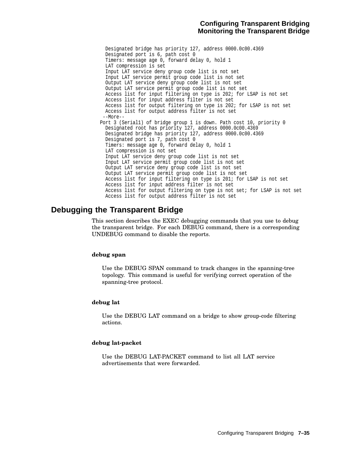## **Configuring Transparent Bridging Monitoring the Transparent Bridge**

Designated bridge has priority 127, address 0000.0c00.4369 Designated port is 6, path cost 0 Timers: message age 0, forward delay 0, hold 1 LAT compression is set Input LAT service deny group code list is not set Input LAT service permit group code list is not set Output LAT service deny group code list is not set Output LAT service permit group code list is not set Access list for input filtering on type is 202; for LSAP is not set Access list for input address filter is not set Access list for output filtering on type is 202; for LSAP is not set Access list for output address filter is not set --More-- Port 3 (Serial1) of bridge group 1 is down. Path cost 10, priority 0 Designated root has priority 127, address 0000.0c00.4369 Designated bridge has priority 127, address 0000.0c00.4369 Designated port is 7, path cost 0 Timers: message age 0, forward delay 0, hold 1 LAT compression is not set Input LAT service deny group code list is not set Input LAT service permit group code list is not set Output LAT service deny group code list is not set Output LAT service permit group code list is not set Access list for input filtering on type is 201; for LSAP is not set Access list for input address filter is not set Access list for output filtering on type is not set; for LSAP is not set Access list for output address filter is not set

## **Debugging the Transparent Bridge**

This section describes the EXEC debugging commands that you use to debug the transparent bridge. For each DEBUG command, there is a corresponding UNDEBUG command to disable the reports.

#### **debug span**

Use the DEBUG SPAN command to track changes in the spanning-tree topology. This command is useful for verifying correct operation of the spanning-tree protocol.

#### **debug lat**

Use the DEBUG LAT command on a bridge to show group-code filtering actions.

#### **debug lat-packet**

Use the DEBUG LAT-PACKET command to list all LAT service advertisements that were forwarded.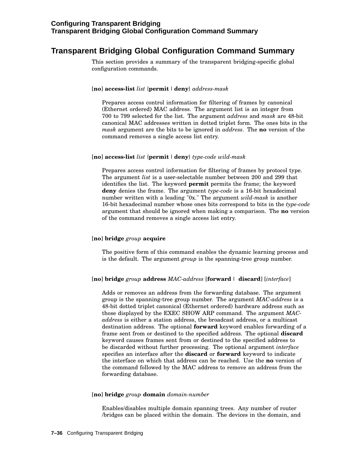## **Transparent Bridging Global Configuration Command Summary**

This section provides a summary of the transparent bridging-specific global configuration commands.

#### [**no**] **access-list** *list* {**permit** |**deny**} *address-mask*

Prepares access control information for filtering of frames by canonical (Ethernet ordered) MAC address. The argument list is an integer from 700 to 799 selected for the list. The argument *address* and *mask* are 48-bit canonical MAC addresses written in dotted triplet form. The ones bits in the *mask* argument are the bits to be ignored in *address*. The **no** version of the command removes a single access list entry.

#### [**no**] **access-list** *list* {**permit** |**deny**} *type-code wild-mask*

Prepares access control information for filtering of frames by protocol type. The argument *list* is a user-selectable number between 200 and 299 that identifies the list. The keyword **permit** permits the frame; the keyword **deny** denies the frame. The argument *type-code* is a 16-bit hexadecimal number written with a leading "0x." The argument *wild-mask* is another 16-bit hexadecimal number whose ones bits correspond to bits in the *type-code* argument that should be ignored when making a comparison. The **no** version of the command removes a single access list entry.

#### [**no**] **bridge** *group* **acquire**

The positive form of this command enables the dynamic learning process and is the default. The argument *group* is the spanning-tree group number.

#### [**no**] **bridge** *group* **address** *MAC-address* [**forward**| **discard**] [*interface*]

Adds or removes an address from the forwarding database. The argument group is the spanning-tree group number. The argument *MAC-address* is a 48-bit dotted triplet canonical (Ethernet ordered) hardware address such as those displayed by the EXEC SHOW ARP command. The argument *MACaddress* is either a station address, the broadcast address, or a multicast destination address. The optional **forward** keyword enables forwarding of a frame sent from or destined to the specified address. The optional **discard** keyword causes frames sent from or destined to the specified address to be discarded without further processing. The optional argument *interface* specifies an interface after the **discard** or **forward** keyword to indicate the interface on which that address can be reached. Use the **no** version of the command followed by the MAC address to remove an address from the forwarding database.

#### [**no**] **bridge** *group* **domain** *domain-number*

Enables/disables multiple domain spanning trees. Any number of router /bridges can be placed within the domain. The devices in the domain, and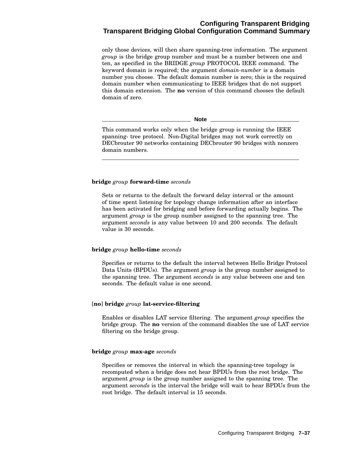## **Configuring Transparent Bridging Transparent Bridging Global Configuration Command Summary**

only those devices, will then share spanning-tree information. The argument *group* is the bridge group number and must be a number between one and ten, as specified in the BRIDGE *group* PROTOCOL IEEE command. The keyword domain is required; the argument *domain-number* is a domain number you choose. The default domain number is zero; this is the required domain number when communicating to IEEE bridges that do not support this domain extension. The **no** version of this command chooses the default domain of zero.

**Note**

This command works only when the bridge group is running the IEEE spanning- tree protocol. Non-Digital bridges may not work correctly on DECbrouter 90 networks containing DECbrouter 90 bridges with nonzero domain numbers.

#### **bridge** *group* **forward-time** *seconds*

Sets or returns to the default the forward delay interval or the amount of time spent listening for topology change information after an interface has been activated for bridging and before forwarding actually begins. The argument *group* is the group number assigned to the spanning tree. The argument *seconds* is any value between 10 and 200 seconds. The default value is 30 seconds.

#### **bridge** *group* **hello-time** *seconds*

Specifies or returns to the default the interval between Hello Bridge Protocol Data Units (BPDUs). The argument *group* is the group number assigned to the spanning tree. The argument *seconds* is any value between one and ten seconds. The default value is one second.

#### [**no**] **bridge** *group* **lat-service-filtering**

Enables or disables LAT service filtering. The argument *group* specifies the bridge group. The **no** version of the command disables the use of LAT service filtering on the bridge group.

#### **bridge** *group* **max-age** *seconds*

Specifies or removes the interval in which the spanning-tree topology is recomputed when a bridge does not hear BPDUs from the root bridge. The argument *group* is the group number assigned to the spanning tree. The argument *seconds* is the interval the bridge will wait to hear BPDUs from the root bridge. The default interval is 15 seconds.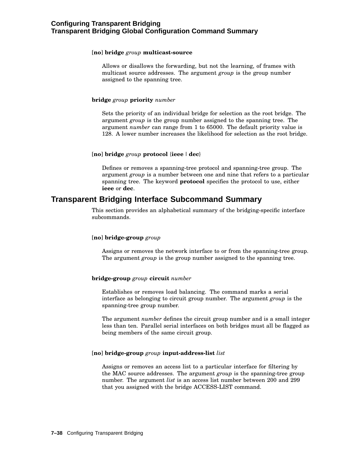#### [**no**] **bridge** *group* **multicast-source**

Allows or disallows the forwarding, but not the learning, of frames with multicast source addresses. The argument *group* is the group number assigned to the spanning tree.

#### **bridge** *group* **priority** *number*

Sets the priority of an individual bridge for selection as the root bridge. The argument *group* is the group number assigned to the spanning tree. The argument *number* can range from 1 to 65000. The default priority value is 128. A lower number increases the likelihood for selection as the root bridge.

#### [**no**] **bridge** *group* **protocol** {**ieee** |**dec**}

Defines or removes a spanning-tree protocol and spanning-tree group. The argument *group* is a number between one and nine that refers to a particular spanning tree. The keyword **protocol** specifies the protocol to use, either **ieee** or **dec**.

## **Transparent Bridging Interface Subcommand Summary**

This section provides an alphabetical summary of the bridging-specific interface subcommands.

#### [**no**] **bridge-group** *group*

Assigns or removes the network interface to or from the spanning-tree group. The argument *group* is the group number assigned to the spanning tree.

#### **bridge-group** *group* **circuit** *number*

Establishes or removes load balancing. The command marks a serial interface as belonging to circuit group number. The argument *group* is the spanning-tree group number.

The argument *number* defines the circuit group number and is a small integer less than ten. Parallel serial interfaces on both bridges must all be flagged as being members of the same circuit group.

#### [**no**] **bridge-group** *group* **input-address-list** *list*

Assigns or removes an access list to a particular interface for filtering by the MAC source addresses. The argument *group* is the spanning-tree group number. The argument *list* is an access list number between 200 and 299 that you assigned with the bridge ACCESS-LIST command.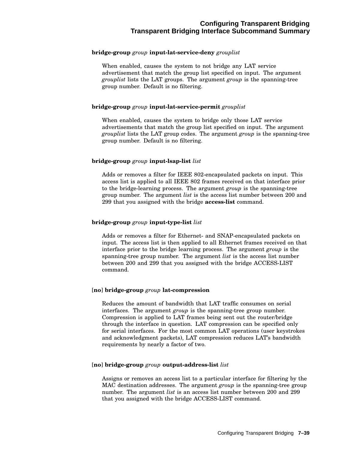#### **bridge-group** *group* **input-lat-service-deny** *grouplist*

When enabled, causes the system to not bridge any LAT service advertisement that match the group list specified on input. The argument *grouplist* lists the LAT groups. The argument *group* is the spanning-tree group number. Default is no filtering.

#### **bridge-group** *group* **input-lat-service-permit** *grouplist*

When enabled, causes the system to bridge only those LAT service advertisements that match the group list specified on input. The argument *grouplist* lists the LAT group codes. The argument *group* is the spanning-tree group number. Default is no filtering.

#### **bridge-group** *group* **input-lsap-list** *list*

Adds or removes a filter for IEEE 802-encapsulated packets on input. This access list is applied to all IEEE 802 frames received on that interface prior to the bridge-learning process. The argument *group* is the spanning-tree group number. The argument *list* is the access list number between 200 and 299 that you assigned with the bridge **access-list** command.

#### **bridge-group** *group* **input-type-list** *list*

Adds or removes a filter for Ethernet- and SNAP-encapsulated packets on input. The access list is then applied to all Ethernet frames received on that interface prior to the bridge learning process. The argument *group* is the spanning-tree group number. The argument *list* is the access list number between 200 and 299 that you assigned with the bridge ACCESS-LIST command.

#### [**no**] **bridge-group** *group* **lat-compression**

Reduces the amount of bandwidth that LAT traffic consumes on serial interfaces. The argument *group* is the spanning-tree group number. Compression is applied to LAT frames being sent out the router/bridge through the interface in question. LAT compression can be specified only for serial interfaces. For the most common LAT operations (user keystrokes and acknowledgment packets), LAT compression reduces LAT's bandwidth requirements by nearly a factor of two.

#### [**no**] **bridge-group** *group* **output-address-list** *list*

Assigns or removes an access list to a particular interface for filtering by the MAC destination addresses. The argument *group* is the spanning-tree group number. The argument *list* is an access list number between 200 and 299 that you assigned with the bridge ACCESS-LIST command.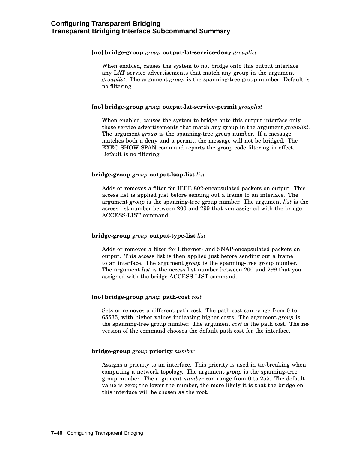#### [**no**] **bridge-group** *group* **output-lat-service-deny** *grouplist*

When enabled, causes the system to not bridge onto this output interface any LAT service advertisements that match any group in the argument *grouplist*. The argument *group* is the spanning-tree group number. Default is no filtering.

#### [**no**] **bridge-group** *group* **output-lat-service-permit** *grouplist*

When enabled, causes the system to bridge onto this output interface only those service advertisements that match any group in the argument *grouplist*. The argument *group* is the spanning-tree group number. If a message matches both a deny and a permit, the message will not be bridged. The EXEC SHOW SPAN command reports the group code filtering in effect. Default is no filtering.

#### **bridge-group** *group* **output-lsap-list** *list*

Adds or removes a filter for IEEE 802-encapsulated packets on output. This access list is applied just before sending out a frame to an interface. The argument *group* is the spanning-tree group number. The argument *list* is the access list number between 200 and 299 that you assigned with the bridge ACCESS-LIST command.

#### **bridge-group** *group* **output-type-list** *list*

Adds or removes a filter for Ethernet- and SNAP-encapsulated packets on output. This access list is then applied just before sending out a frame to an interface. The argument *group* is the spanning-tree group number. The argument *list* is the access list number between 200 and 299 that you assigned with the bridge ACCESS-LIST command.

#### [**no**] **bridge-group** *group* **path-cost** *cost*

Sets or removes a different path cost. The path cost can range from 0 to 65535, with higher values indicating higher costs. The argument *group* is the spanning-tree group number. The argument *cost* is the path cost. The **no** version of the command chooses the default path cost for the interface.

#### **bridge-group** *group* **priority** *number*

Assigns a priority to an interface. This priority is used in tie-breaking when computing a network topology. The argument *group* is the spanning-tree group number. The argument *number* can range from 0 to 255. The default value is zero; the lower the number, the more likely it is that the bridge on this interface will be chosen as the root.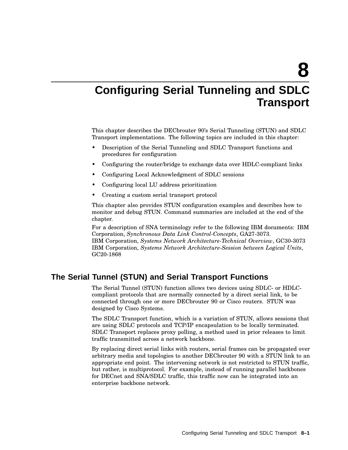**8**

# **Configuring Serial Tunneling and SDLC Transport**

This chapter describes the DECbrouter 90's Serial Tunneling (STUN) and SDLC Transport implementations. The following topics are included in this chapter:

- Description of the Serial Tunneling and SDLC Transport functions and procedures for configuration
- Configuring the router/bridge to exchange data over HDLC-compliant links
- Configuring Local Acknowledgment of SDLC sessions
- Configuring local LU address prioritization
- Creating a custom serial transport protocol

This chapter also provides STUN configuration examples and describes how to monitor and debug STUN. Command summaries are included at the end of the chapter.

For a description of SNA terminology refer to the following IBM documents: IBM Corporation, *Synchronous Data Link Control-Concepts*, GA27-3073. IBM Corporation, *Systems Network Architecture-Technical Overview*, GC30-3073 IBM Corporation, *Systems Network Architecture-Session between Logical Units*, GC20-1868

## **The Serial Tunnel (STUN) and Serial Transport Functions**

The Serial Tunnel (STUN) function allows two devices using SDLC- or HDLCcompliant protocols that are normally connected by a direct serial link, to be connected through one or more DECbrouter 90 or Cisco routers. STUN was designed by Cisco Systems.

The SDLC Transport function, which is a variation of STUN, allows sessions that are using SDLC protocols and TCP/IP encapsulation to be locally terminated. SDLC Transport replaces proxy polling, a method used in prior releases to limit traffic transmitted across a network backbone.

By replacing direct serial links with routers, serial frames can be propagated over arbitrary media and topologies to another DECbrouter 90 with a STUN link to an appropriate end point. The intervening network is not restricted to STUN traffic, but rather, is multiprotocol. For example, instead of running parallel backbones for DECnet and SNA/SDLC traffic, this traffic now can be integrated into an enterprise backbone network.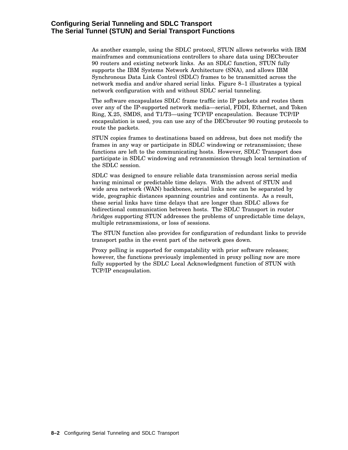### **Configuring Serial Tunneling and SDLC Transport The Serial Tunnel (STUN) and Serial Transport Functions**

As another example, using the SDLC protocol, STUN allows networks with IBM mainframes and communications controllers to share data using DECbrouter 90 routers and existing network links. As an SDLC function, STUN fully supports the IBM Systems Network Architecture (SNA), and allows IBM Synchronous Data Link Control (SDLC) frames to be transmitted across the network media and and/or shared serial links. Figure 8–1 illustrates a typical network configuration with and without SDLC serial tunneling.

The software encapsulates SDLC frame traffic into IP packets and routes them over any of the IP-supported network media—serial, FDDI, Ethernet, and Token Ring, X.25, SMDS, and T1/T3—using TCP/IP encapsulation. Because TCP/IP encapsulation is used, you can use any of the DECbrouter 90 routing protocols to route the packets.

STUN copies frames to destinations based on address, but does not modify the frames in any way or participate in SDLC windowing or retransmission; these functions are left to the communicating hosts. However, SDLC Transport does participate in SDLC windowing and retransmission through local termination of the SDLC session.

SDLC was designed to ensure reliable data transmission across serial media having minimal or predictable time delays. With the advent of STUN and wide area network (WAN) backbones, serial links now can be separated by wide, geographic distances spanning countries and continents. As a result, these serial links have time delays that are longer than SDLC allows for bidirectional communication between hosts. The SDLC Transport in router /bridges supporting STUN addresses the problems of unpredictable time delays, multiple retransmissions, or loss of sessions.

The STUN function also provides for configuration of redundant links to provide transport paths in the event part of the network goes down.

Proxy polling is supported for compatability with prior software releases; however, the functions previously implemented in proxy polling now are more fully supported by the SDLC Local Acknowledgment function of STUN with TCP/IP encapsulation.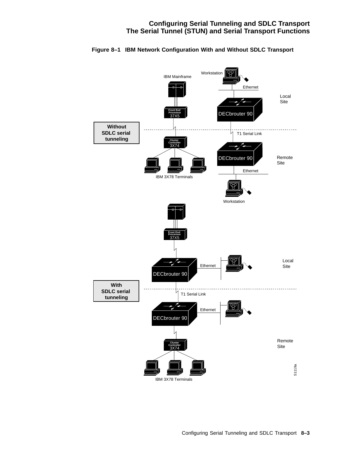## **Configuring Serial Tunneling and SDLC Transport The Serial Tunnel (STUN) and Serial Transport Functions**



#### **Figure 8–1 IBM Network Configuration With and Without SDLC Transport**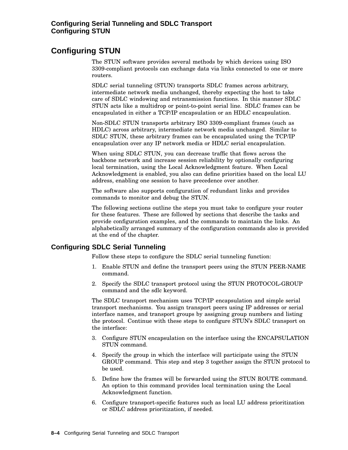## **Configuring STUN**

The STUN software provides several methods by which devices using ISO 3309-compliant protocols can exchange data via links connected to one or more routers.

SDLC serial tunneling (STUN) transports SDLC frames across arbitrary, intermediate network media unchanged, thereby expecting the host to take care of SDLC windowing and retransmission functions. In this manner SDLC STUN acts like a multidrop or point-to-point serial line. SDLC frames can be encapsulated in either a TCP/IP encapsulation or an HDLC encapsulation.

Non-SDLC STUN transports arbitrary ISO 3309-compliant frames (such as HDLC) across arbitrary, intermediate network media unchanged. Similar to SDLC STUN, these arbitrary frames can be encapsulated using the TCP/IP encapsulation over any IP network media or HDLC serial encapsulation.

When using SDLC STUN, you can decrease traffic that flows across the backbone network and increase session reliability by optionally configuring local termination, using the Local Acknowledgment feature. When Local Acknowledgment is enabled, you also can define priorities based on the local LU address, enabling one session to have precedence over another.

The software also supports configuration of redundant links and provides commands to monitor and debug the STUN.

The following sections outline the steps you must take to configure your router for these features. These are followed by sections that describe the tasks and provide configuration examples, and the commands to maintain the links. An alphabetically arranged summary of the configuration commands also is provided at the end of the chapter.

## **Configuring SDLC Serial Tunneling**

Follow these steps to configure the SDLC serial tunneling function:

- 1. Enable STUN and define the transport peers using the STUN PEER-NAME command.
- 2. Specify the SDLC transport protocol using the STUN PROTOCOL-GROUP command and the sdlc keyword.

The SDLC transport mechanism uses TCP/IP encapsulation and simple serial transport mechanisms. You assign transport peers using IP addresses or serial interface names, and transport groups by assigning group numbers and listing the protocol. Continue with these steps to configure STUN's SDLC transport on the interface:

- 3. Configure STUN encapsulation on the interface using the ENCAPSULATION STUN command.
- 4. Specify the group in which the interface will participate using the STUN GROUP command. This step and step 3 together assign the STUN protocol to be used.
- 5. Define how the frames will be forwarded using the STUN ROUTE command. An option to this command provides local termination using the Local Acknowledgment function.
- 6. Configure transport-specific features such as local LU address prioritization or SDLC address prioritization, if needed.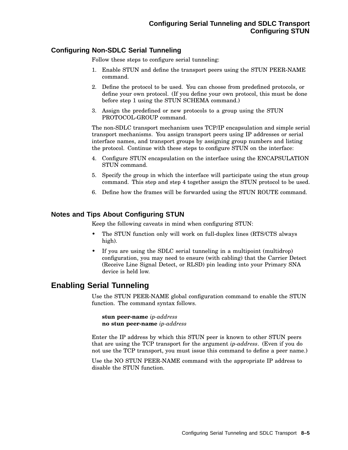## **Configuring Non-SDLC Serial Tunneling**

Follow these steps to configure serial tunneling:

- 1. Enable STUN and define the transport peers using the STUN PEER-NAME command.
- 2. Define the protocol to be used. You can choose from predefined protocols, or define your own protocol. (If you define your own protocol, this must be done before step 1 using the STUN SCHEMA command.)
- 3. Assign the predefined or new protocols to a group using the STUN PROTOCOL-GROUP command.

The non-SDLC transport mechanism uses TCP/IP encapsulation and simple serial transport mechanisms. You assign transport peers using IP addresses or serial interface names, and transport groups by assigning group numbers and listing the protocol. Continue with these steps to configure STUN on the interface:

- 4. Configure STUN encapsulation on the interface using the ENCAPSULATION STUN command.
- 5. Specify the group in which the interface will participate using the stun group command. This step and step 4 together assign the STUN protocol to be used.
- 6. Define how the frames will be forwarded using the STUN ROUTE command.

## **Notes and Tips About Configuring STUN**

Keep the following caveats in mind when configuring STUN:

- The STUN function only will work on full-duplex lines (RTS/CTS always high).
- If you are using the SDLC serial tunneling in a multipoint (multidrop) configuration, you may need to ensure (with cabling) that the Carrier Detect (Receive Line Signal Detect, or RLSD) pin leading into your Primary SNA device is held low.

## **Enabling Serial Tunneling**

Use the STUN PEER-NAME global configuration command to enable the STUN function. The command syntax follows.

**stun peer-name** *ip-address* **no stun peer-name** *ip-address*

Enter the IP address by which this STUN peer is known to other STUN peers that are using the TCP transport for the argument *ip-address*. (Even if you do not use the TCP transport, you must issue this command to define a peer name.)

Use the NO STUN PEER-NAME command with the appropriate IP address to disable the STUN function.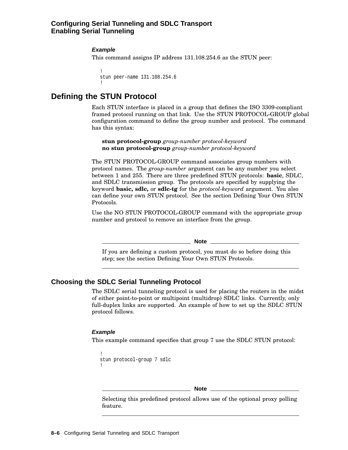### **Configuring Serial Tunneling and SDLC Transport Enabling Serial Tunneling**

#### **Example**

This command assigns IP address 131.108.254.6 as the STUN peer:

```
!
stun peer-name 131.108.254.6
!
```
## **Defining the STUN Protocol**

Each STUN interface is placed in a group that defines the ISO 3309-compliant framed protocol running on that link. Use the STUN PROTOCOL-GROUP global configuration command to define the group number and protocol. The command has this syntax:

**stun protocol-group** *group-number protocol-keyword* **no stun protocol-group** *group-number protocol-keyword*

The STUN PROTOCOL-GROUP command associates group numbers with protocol names. The *group-number* argument can be any number you select between 1 and 255. There are three predefined STUN protocols: **basic**, SDLC, and SDLC transmission group. The protocols are specified by supplying the keyword **basic, sdlc,** or **sdlc-tg** for the *protocol-keyword* argument. You also can define your own STUN protocol. See the section Defining Your Own STUN Protocols.

Use the NO STUN PROTOCOL-GROUP command with the appropriate group number and protocol to remove an interface from the group.

**Note**

If you are defining a custom protocol, you must do so before doing this step; see the section Defining Your Own STUN Protocols.

#### **Choosing the SDLC Serial Tunneling Protocol**

The SDLC serial tunneling protocol is used for placing the routers in the midst of either point-to-point or multipoint (multidrop) SDLC links. Currently, only full-duplex links are supported. An example of how to set up the SDLC STUN protocol follows.

#### **Example**

This example command specifies that group 7 use the SDLC STUN protocol:

```
!
stun protocol-group 7 sdlc
!
```
**Note**

Selecting this predefined protocol allows use of the optional proxy polling feature.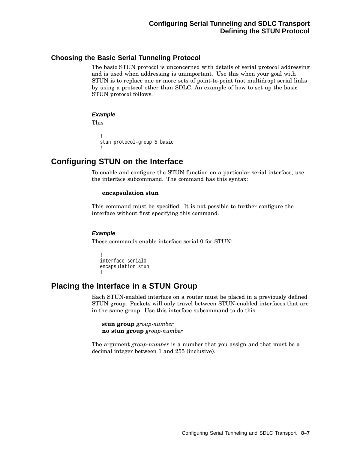## **Choosing the Basic Serial Tunneling Protocol**

The basic STUN protocol is unconcerned with details of serial protocol addressing and is used when addressing is unimportant. Use this when your goal with STUN is to replace one or more sets of point-to-point (not multidrop) serial links by using a protocol other than SDLC. An example of how to set up the basic STUN protocol follows.

#### **Example**

This

```
!
stun protocol-group 5 basic
!
```
## **Configuring STUN on the Interface**

To enable and configure the STUN function on a particular serial interface, use the interface subcommand. The command has this syntax:

#### **encapsulation stun**

This command must be specified. It is not possible to further configure the interface without first specifying this command.

#### **Example**

These commands enable interface serial 0 for STUN:

```
!
interface serial0
encapsulation stun
!
```
## **Placing the Interface in a STUN Group**

Each STUN-enabled interface on a router must be placed in a previously defined STUN group. Packets will only travel between STUN-enabled interfaces that are in the same group. Use this interface subcommand to do this:

**stun group** *group-number* **no stun group** *group-number*

The argument *group-number* is a number that you assign and that must be a decimal integer between 1 and 255 (inclusive).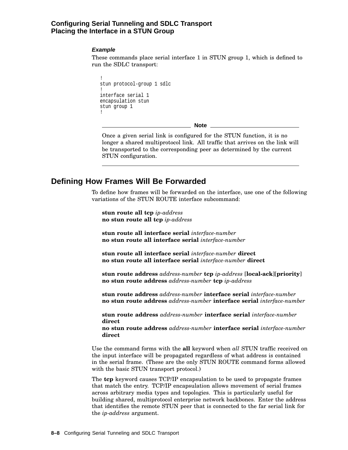### **Configuring Serial Tunneling and SDLC Transport Placing the Interface in a STUN Group**

#### **Example**

These commands place serial interface 1 in STUN group 1, which is defined to run the SDLC transport:

```
!
stun protocol-group 1 sdlc
!
interface serial 1
encapsulation stun
stun group 1
!
```
<u>L</u> Note \_

Once a given serial link is configured for the STUN function, it is no longer a shared multiprotocol link. All traffic that arrives on the link will be transported to the corresponding peer as determined by the current STUN configuration.

## **Defining How Frames Will Be Forwarded**

To define how frames will be forwarded on the interface, use one of the following variations of the STUN ROUTE interface subcommand:

**stun route all tcp** *ip-address* **no stun route all tcp** *ip-address*

**stun route all interface serial** *interface-number* **no stun route all interface serial** *interface-number*

**stun route all interface serial** *interface-number* **direct no stun route all interface serial** *interface-number* **direct**

**stun route address** *address-number* **tcp** *ip-address* [**local-ack**][**priority**] **no stun route address** *address-number* **tcp** *ip-address*

**stun route address** *address-number* **interface serial** *interface-number* **no stun route address** *address-number* **interface serial** *interface-number*

**stun route address** *address-number* **interface serial** *interface-number* **direct**

**no stun route address** *address-number* **interface serial** *interface-number* **direct**

Use the command forms with the **all** keyword when *all* STUN traffic received on the input interface will be propagated regardless of what address is contained in the serial frame. (These are the only STUN ROUTE command forms allowed with the basic STUN transport protocol.)

The **tcp** keyword causes TCP/IP encapsulation to be used to propagate frames that match the entry. TCP/IP encapsulation allows movement of serial frames across arbitrary media types and topologies. This is particularly useful for building shared, multiprotocol enterprise network backbones. Enter the address that identifies the remote STUN peer that is connected to the far serial link for the *ip-address* argument.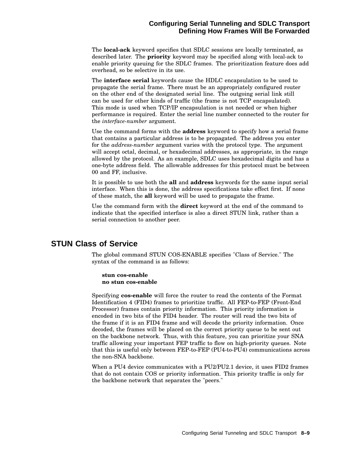### **Configuring Serial Tunneling and SDLC Transport Defining How Frames Will Be Forwarded**

The **local-ack** keyword specifies that SDLC sessions are locally terminated, as described later. The **priority** keyword may be specified along with local-ack to enable priority queuing for the SDLC frames. The prioritization feature does add overhead, so be selective in its use.

The **interface serial** keywords cause the HDLC encapsulation to be used to propagate the serial frame. There must be an appropriately configured router on the other end of the designated serial line. The outgoing serial link still can be used for other kinds of traffic (the frame is not TCP encapsulated). This mode is used when TCP/IP encapsulation is not needed or when higher performance is required. Enter the serial line number connected to the router for the *interface-number* argument.

Use the command forms with the **address** keyword to specify how a serial frame that contains a particular address is to be propagated. The address you enter for the *address-number* argument varies with the protocol type. The argument will accept octal, decimal, or hexadecimal addresses, as appropriate, in the range allowed by the protocol. As an example, SDLC uses hexadecimal digits and has a one-byte address field. The allowable addresses for this protocol must be between 00 and FF, inclusive.

It is possible to use both the **all** and **address** keywords for the same input serial interface. When this is done, the address specifications take effect first. If none of these match, the **all** keyword will be used to propagate the frame.

Use the command form with the **direct** keyword at the end of the command to indicate that the specified interface is also a direct STUN link, rather than a serial connection to another peer.

## **STUN Class of Service**

The global command STUN COS-ENABLE specifies "Class of Service." The syntax of the command is as follows:

#### **stun cos-enable no stun cos-enable**

Specifying **cos-enable** will force the router to read the contents of the Format Identification 4 (FID4) frames to prioritize traffic. All FEP-to-FEP (Front-End Processor) frames contain priority information. This priority information is encoded in two bits of the FID4 header. The router will read the two bits of the frame if it is an FID4 frame and will decode the priority information. Once decoded, the frames will be placed on the correct priority queue to be sent out on the backbone network. Thus, with this feature, you can prioritize your SNA traffic allowing your important FEP traffic to flow on high-priority queues. Note that this is useful only between FEP-to-FEP (PU4-to-PU4) communications across the non-SNA backbone.

When a PU4 device communicates with a PU2/PU2.1 device, it uses FID2 frames that do not contain COS or priority information. This priority traffic is only for the backbone network that separates the "peers."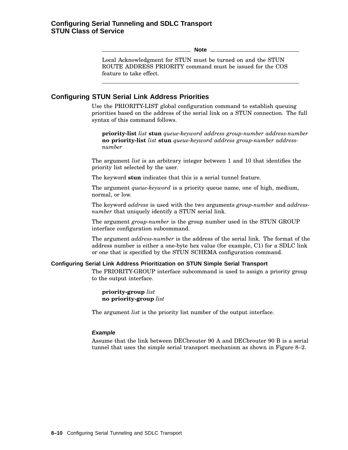**Note**

Local Acknowledgment for STUN must be turned on and the STUN ROUTE ADDRESS PRIORITY command must be issued for the COS feature to take effect.

## **Configuring STUN Serial Link Address Priorities**

Use the PRIORITY-LIST global configuration command to establish queuing priorities based on the address of the serial link on a STUN connection. The full syntax of this command follows.

**priority-list** *list* **stun** *queue-keyword address group-number address-number* **no priority-list** *list* **stun** *queue-keyword address group-number addressnumber*

The argument *list* is an arbitrary integer between 1 and 10 that identifies the priority list selected by the user.

The keyword **stun** indicates that this is a serial tunnel feature.

The argument *queue-keyword* is a priority queue name, one of high, medium, normal, or low.

The keyword *address* is used with the two arguments *group-number* and *addressnumber* that uniquely identify a STUN serial link.

The argument *group-number* is the group number used in the STUN GROUP interface configuration subcommand.

The argument *address-number* is the address of the serial link. The format of the address number is either a one-byte hex value (for example, C1) for a SDLC link or one that is specified by the STUN SCHEMA configuration command.

#### **Configuring Serial Link Address Prioritization on STUN Simple Serial Transport**

The PRIORITY-GROUP interface subcommand is used to assign a priority group to the output interface.

**priority-group** *list* **no priority-group** *list*

The argument *list* is the priority list number of the output interface.

#### **Example**

Assume that the link between DECbrouter 90 A and DECbrouter 90 B is a serial tunnel that uses the simple serial transport mechanism as shown in Figure 8–2.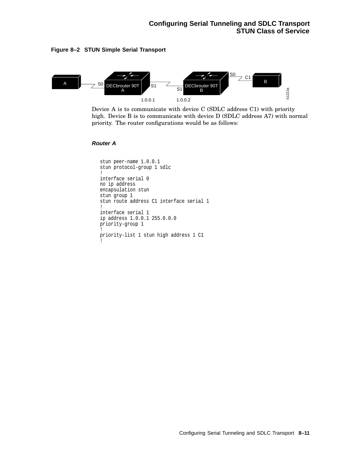



Device A is to communicate with device C (SDLC address C1) with priority high. Device B is to communicate with device D (SDLC address A7) with normal priority. The router configurations would be as follows:

#### **Router A**

```
stun peer-name 1.0.0.1
stun protocol-group 1 sdlc
!
interface serial 0
no ip address
encapsulation stun
stun group 1
stun route address C1 interface serial 1
!
interface serial 1
ip address 1.0.0.1 255.0.0.0
priority-group 1
!
priority-list 1 stun high address 1 C1
!
```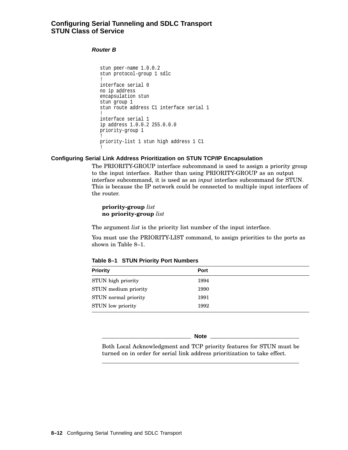### **Configuring Serial Tunneling and SDLC Transport STUN Class of Service**

#### **Router B**

```
stun peer-name 1.0.0.2
stun protocol-group 1 sdlc
!
interface serial 0
no ip address
encapsulation stun
stun group 1
stun route address C1 interface serial 1
!
interface serial 1
ip address 1.0.0.2 255.0.0.0
priority-group 1
!
priority-list 1 stun high address 1 C1
!
```
#### **Configuring Serial Link Address Prioritization on STUN TCP/IP Encapsulation**

The PRIORITY-GROUP interface subcommand is used to assign a priority group to the input interface. Rather than using PRIORITY-GROUP as an output interface subcommand, it is used as an *input* interface subcommand for STUN. This is because the IP network could be connected to multiple input interfaces of the router.

**priority-group** *list* **no priority-group** *list*

The argument *list* is the priority list number of the input interface.

You must use the PRIORITY-LIST command, to assign priorities to the ports as shown in Table 8–1.

| <b>Priority</b>      | Port |  |
|----------------------|------|--|
| STUN high priority   | 1994 |  |
| STUN medium priority | 1990 |  |
| STUN normal priority | 1991 |  |
| STUN low priority    | 1992 |  |

**Table 8–1 STUN Priority Port Numbers**

**Note**

Both Local Acknowledgment and TCP priority features for STUN must be turned on in order for serial link address prioritization to take effect.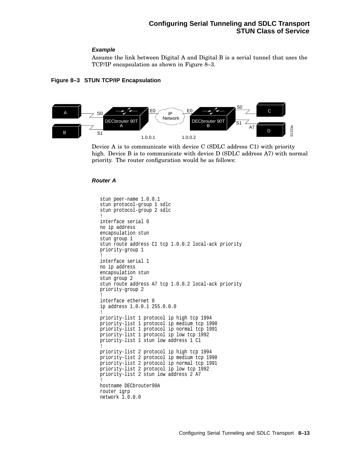#### **Example**

Assume the link between Digital A and Digital B is a serial tunnel that uses the TCP/IP encapsulation as shown in Figure 8–3.

#### **Figure 8–3 STUN TCP/IP Encapsulation**



Device A is to communicate with device C (SDLC address C1) with priority high. Device B is to communicate with device D (SDLC address A7) with normal priority. The router configuration would be as follows:

#### **Router A**

```
stun peer-name 1.0.0.1
stun protocol-group 1 sdlc
stun protocol-group 2 sdlc
!
interface serial 0
no ip address
encapsulation stun
stun group 1
stun route address C1 tcp 1.0.0.2 local-ack priority
priority-group 1
!
interface serial 1
no ip address
encapsulation stun
stun group 2
stun route address A7 tcp 1.0.0.2 local-ack priority
priority-group 2
!
interface ethernet 0
ip address 1.0.0.1 255.0.0.0
!
priority-list 1 protocol ip high tcp 1994
priority-list 1 protocol ip medium tcp 1990
priority-list 1 protocol ip normal tcp 1991
priority-list 1 protocol ip low tcp 1992
priority-list 1 stun low address 1 C1
!
priority-list 2 protocol ip high tcp 1994
priority-list 2 protocol ip medium tcp 1990
priority-list 2 protocol ip normal tcp 1991
priority-list 2 protocol ip low tcp 1992
priority-list 2 stun low address 2 A7
!
hostname DECbrouter90A
router igrp
network 1.0.0.0
```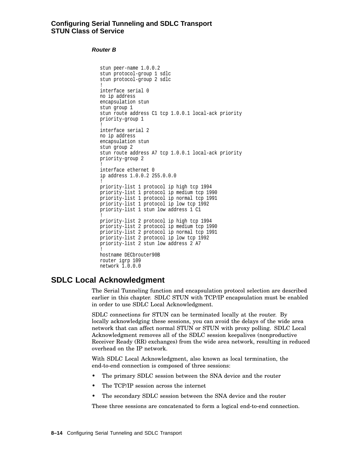#### **Router B**

```
stun peer-name 1.0.0.2
stun protocol-group 1 sdlc
stun protocol-group 2 sdlc
!
interface serial 0
no ip address
encapsulation stun
stun group 1
stun route address C1 tcp 1.0.0.1 local-ack priority
priority-group 1
!
interface serial 2
no ip address
encapsulation stun
stun group 2
stun route address A7 tcp 1.0.0.1 local-ack priority
priority-group 2
!
interface ethernet 0
ip address 1.0.0.2 255.0.0.0
!
priority-list 1 protocol ip high tcp 1994
priority-list 1 protocol ip medium tcp 1990
priority-list 1 protocol ip normal tcp 1991
priority-list 1 protocol ip low tcp 1992
priority-list 1 stun low address 1 C1
!
priority-list 2 protocol ip high tcp 1994
priority-list 2 protocol ip medium tcp 1990
priority-list 2 protocol ip normal tcp 1991
priority-list 2 protocol ip low tcp 1992
priority-list 2 stun low address 2 A7
!
hostname DECbrouter90B
router igrp 109
network 1.0.0.0
```
## **SDLC Local Acknowledgment**

The Serial Tunneling function and encapsulation protocol selection are described earlier in this chapter. SDLC STUN with TCP/IP encapsulation must be enabled in order to use SDLC Local Acknowledgment.

SDLC connections for STUN can be terminated locally at the router. By locally acknowledging these sessions, you can avoid the delays of the wide area network that can affect normal STUN or STUN with proxy polling. SDLC Local Acknowledgment removes all of the SDLC session keepalives (nonproductive Receiver Ready (RR) exchanges) from the wide area network, resulting in reduced overhead on the IP network.

With SDLC Local Acknowledgment, also known as local termination, the end-to-end connection is composed of three sessions:

- The primary SDLC session between the SNA device and the router
- The TCP/IP session across the internet
- The secondary SDLC session between the SNA device and the router

These three sessions are concatenated to form a logical end-to-end connection.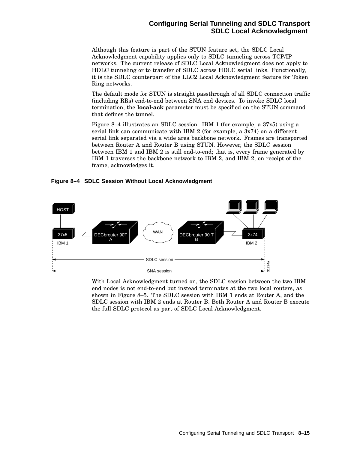## **Configuring Serial Tunneling and SDLC Transport SDLC Local Acknowledgment**

Although this feature is part of the STUN feature set, the SDLC Local Acknowledgment capability applies only to SDLC tunneling across TCP/IP networks. The current release of SDLC Local Acknowledgment does not apply to HDLC tunneling or to transfer of SDLC across HDLC serial links. Functionally, it is the SDLC counterpart of the LLC2 Local Acknowledgment feature for Token Ring networks.

The default mode for STUN is straight passthrough of all SDLC connection traffic (including RRs) end-to-end between SNA end devices. To invoke SDLC local termination, the **local-ack** parameter must be specified on the STUN command that defines the tunnel.

Figure 8–4 illustrates an SDLC session. IBM 1 (for example, a 37x5) using a serial link can communicate with IBM 2 (for example, a 3x74) on a different serial link separated via a wide area backbone network. Frames are transported between Router A and Router B using STUN. However, the SDLC session between IBM 1 and IBM 2 is still end-to-end; that is, every frame generated by IBM 1 traverses the backbone network to IBM 2, and IBM 2, on receipt of the frame, acknowledges it.

**Figure 8–4 SDLC Session Without Local Acknowledgment**



With Local Acknowledgment turned on, the SDLC session between the two IBM end nodes is not end-to-end but instead terminates at the two local routers, as shown in Figure 8–5. The SDLC session with IBM 1 ends at Router A, and the SDLC session with IBM 2 ends at Router B. Both Router A and Router B execute the full SDLC protocol as part of SDLC Local Acknowledgment.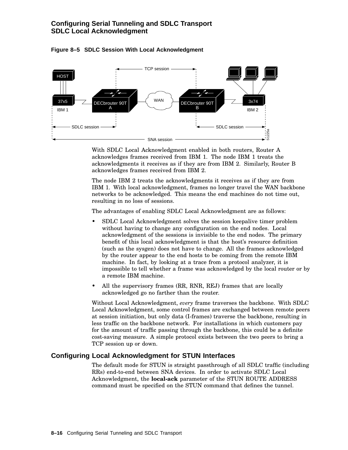## **Configuring Serial Tunneling and SDLC Transport SDLC Local Acknowledgment**



**Figure 8–5 SDLC Session With Local Acknowledgment**

With SDLC Local Acknowledgment enabled in both routers, Router A acknowledges frames received from IBM 1. The node IBM 1 treats the acknowledgments it receives as if they are from IBM 2. Similarly, Router B acknowledges frames received from IBM 2.

The node IBM 2 treats the acknowledgments it receives as if they are from IBM 1. With local acknowledgment, frames no longer travel the WAN backbone networks to be acknowledged. This means the end machines do not time out, resulting in no loss of sessions.

The advantages of enabling SDLC Local Acknowledgment are as follows:

- SDLC Local Acknowledgment solves the session keepalive timer problem without having to change any configuration on the end nodes. Local acknowledgment of the sessions is invisible to the end nodes. The primary benefit of this local acknowledgment is that the host's resource definition (such as the sysgen) does not have to change. All the frames acknowledged by the router appear to the end hosts to be coming from the remote IBM machine. In fact, by looking at a trace from a protocol analyzer, it is impossible to tell whether a frame was acknowledged by the local router or by a remote IBM machine.
- All the supervisory frames (RR, RNR, REJ) frames that are locally acknowledged go no farther than the router.

Without Local Acknowledgment, *every* frame traverses the backbone. With SDLC Local Acknowledgment, some control frames are exchanged between remote peers at session initiation, but only data (I-frames) traverse the backbone, resulting in less traffic on the backbone network. For installations in which customers pay for the amount of traffic passing through the backbone, this could be a definite cost-saving measure. A simple protocol exists between the two peers to bring a TCP session up or down.

#### **Configuring Local Acknowledgment for STUN Interfaces**

The default mode for STUN is straight passthrough of all SDLC traffic (including RRs) end-to-end between SNA devices. In order to activate SDLC Local Acknowledgment, the **local-ack** parameter of the STUN ROUTE ADDRESS command must be specified on the STUN command that defines the tunnel.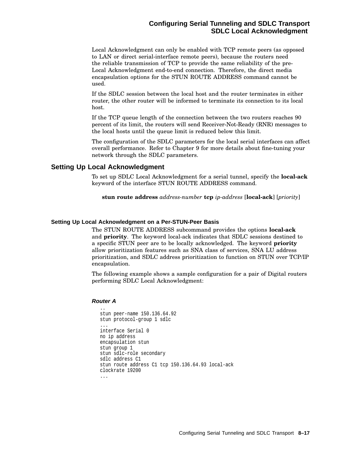# **Configuring Serial Tunneling and SDLC Transport SDLC Local Acknowledgment**

Local Acknowledgment can only be enabled with TCP remote peers (as opposed to LAN or direct serial-interface remote peers), because the routers need the reliable transmission of TCP to provide the same reliability of the pre-Local Acknowledgment end-to-end connection. Therefore, the direct media encapsulation options for the STUN ROUTE ADDRESS command cannot be used.

If the SDLC session between the local host and the router terminates in either router, the other router will be informed to terminate its connection to its local host.

If the TCP queue length of the connection between the two routers reaches 90 percent of its limit, the routers will send Receiver-Not-Ready (RNR) messages to the local hosts until the queue limit is reduced below this limit.

The configuration of the SDLC parameters for the local serial interfaces can affect overall performance. Refer to Chapter 9 for more details about fine-tuning your network through the SDLC parameters.

# **Setting Up Local Acknowledgment**

To set up SDLC Local Acknowledgment for a serial tunnel, specify the **local-ack** keyword of the interface STUN ROUTE ADDRESS command.

**stun route address** *address-number* **tcp** *ip-address* [**local-ack**] [*priority*]

# **Setting Up Local Acknowledgment on a Per-STUN-Peer Basis**

The STUN ROUTE ADDRESS subcommand provides the options **local-ack** and **priority**. The keyword local-ack indicates that SDLC sessions destined to a specific STUN peer are to be locally acknowledged. The keyword **priority** allow prioritization features such as SNA class of services, SNA LU address prioritization, and SDLC address prioritization to function on STUN over TCP/IP encapsulation.

The following example shows a sample configuration for a pair of Digital routers performing SDLC Local Acknowledgment:

#### **Router A**

```
..
stun peer-name 150.136.64.92
stun protocol-group 1 sdlc
...
interface Serial 0
no ip address
encapsulation stun
stun group 1
stun sdlc-role secondary
sdlc address C1
stun route address C1 tcp 150.136.64.93 local-ack
clockrate 19200
...
```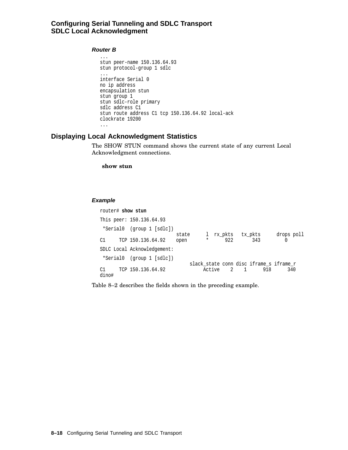# **Configuring Serial Tunneling and SDLC Transport SDLC Local Acknowledgment**

#### **Router B**

```
...
 stun peer-name 150.136.64.93
stun protocol-group 1 sdlc
 ...
interface Serial 0
no ip address
encapsulation stun
stun group 1
stun sdlc-role primary
sdlc address C1
stun route address C1 tcp 150.136.64.92 local-ack
clockrate 19200
 ...
```
# **Displaying Local Acknowledgment Statistics**

The SHOW STUN command shows the current state of any current Local Acknowledgment connections.

**show stun**

#### **Example**

|                             | router# show stun |                          |       |  |              |  |            |                                                |            |  |
|-----------------------------|-------------------|--------------------------|-------|--|--------------|--|------------|------------------------------------------------|------------|--|
|                             |                   | This peer: 150.136.64.93 |       |  |              |  |            |                                                |            |  |
| *Serial0                    |                   | (group 1 [sdlc])         | state |  | $\mathbf{1}$ |  | rx pkts    | tx pkts                                        | drops poll |  |
| C1                          |                   | TCP 150.136.64.92        | open  |  | $\star$      |  | 922        | 343                                            |            |  |
| SDLC Local Acknowledgement: |                   |                          |       |  |              |  |            |                                                |            |  |
| *Serial0                    |                   | (group 1 [sdlc])         |       |  |              |  |            |                                                |            |  |
| C1<br>dino#                 |                   | TCP 150.136.64.92        |       |  |              |  | Active 2 1 | slack_state conn disc iframe_s iframe r<br>918 | 340        |  |

Table 8–2 describes the fields shown in the preceding example.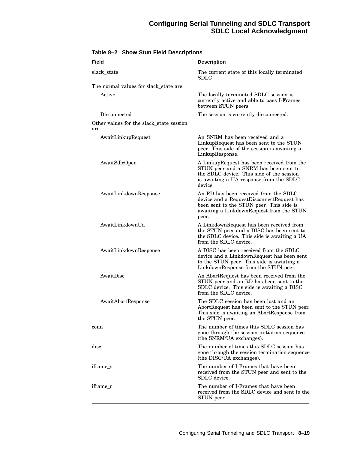# **Configuring Serial Tunneling and SDLC Transport SDLC Local Acknowledgment**

| Field                                            | <b>Description</b>                                                                                                                                                                     |
|--------------------------------------------------|----------------------------------------------------------------------------------------------------------------------------------------------------------------------------------------|
| slack_state                                      | The current state of this locally terminated<br>SDLC                                                                                                                                   |
| The normal values for slack_state are:           |                                                                                                                                                                                        |
| Active                                           | The locally terminated SDLC session is<br>currently active and able to pass I-Frames<br>between STUN peers.                                                                            |
| Disconnected                                     | The session is currently disconnected.                                                                                                                                                 |
| Other values for the slack_state session<br>are: |                                                                                                                                                                                        |
| AwaitLinkupRequest                               | An SNRM has been received and a<br>LinkupRequest has been sent to the STUN<br>peer. This side of the session is awaiting a<br>LinkupResponse.                                          |
| AwaitSdlcOpen                                    | A LinkupRequest has been received from the<br>STUN peer and a SNRM has been sent to<br>the SDLC device. This side of the session<br>is awaiting a UA response from the SDLC<br>device. |
| AwaitLinkdownResponse                            | An RD has been received from the SDLC<br>device and a RequestDisconnectRequest has<br>been sent to the STUN peer. This side is<br>awaiting a LinkdownRequest from the STUN<br>peer.    |
| AwaitLinkdownUa                                  | A LinkdownRequest has been received from<br>the STUN peer and a DISC has been sent to<br>the SDLC device. This side is awaiting a UA<br>from the SDLC device.                          |
| AwaitLinkdownResponse                            | A DISC has been received from the SDLC<br>device and a LinkdownRequest has been sent<br>to the STUN peer. This side is awaiting a<br>LinkdownResponse from the STUN peer.              |
| AwaitDisc                                        | An AbortRequest has been received from the<br>STUN peer and an RD has been sent to the<br>SDLC device. This side is awaiting a DISC<br>from the SDLC device.                           |
| AwaitAbortResponse                               | The SDLC session has been lost and an<br>AbortRequest has been sent to the STUN peer.<br>This side is awaiting an AbortResponse from<br>the STUN peer.                                 |
| conn                                             | The number of times this SDLC session has<br>gone through the session initiation sequence<br>(the SNRM/UA exchanges).                                                                  |
| disc                                             | The number of times this SDLC session has<br>gone through the session termination sequence<br>(the DISC/UA exchanges).                                                                 |
| iframe s                                         | The number of I-Frames that have been<br>received from the STUN peer and sent to the<br>SDLC device.                                                                                   |
| iframe r                                         | The number of I-Frames that have been<br>received from the SDLC device and sent to the<br>STUN peer.                                                                                   |

**Table 8–2 Show Stun Field Descriptions**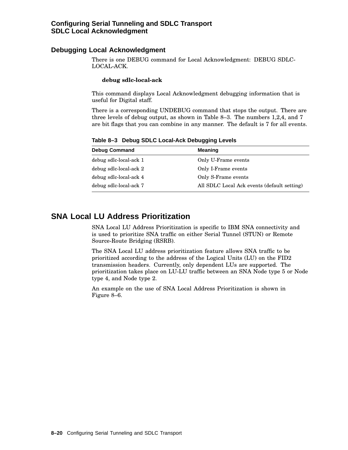# **Debugging Local Acknowledgment**

There is one DEBUG command for Local Acknowledgment: DEBUG SDLC-LOCAL-ACK.

#### **debug sdlc-local-ack**

This command displays Local Acknowledgment debugging information that is useful for Digital staff.

There is a corresponding UNDEBUG command that stops the output. There are three levels of debug output, as shown in Table 8–3. The numbers 1,2,4, and 7 are bit flags that you can combine in any manner. The default is 7 for all events.

**Debug Command Meaning** debug sdlc-local-ack 1 Only U-Frame events debug sdlc-local-ack 2 Only I-Frame events debug sdlc-local-ack 4 Only S-Frame events debug sdlc-local-ack 7 All SDLC Local Ack events (default setting)

**Table 8–3 Debug SDLC Local-Ack Debugging Levels**

# **SNA Local LU Address Prioritization**

SNA Local LU Address Prioritization is specific to IBM SNA connectivity and is used to prioritize SNA traffic on either Serial Tunnel (STUN) or Remote Source-Route Bridging (RSRB).

The SNA Local LU address prioritization feature allows SNA traffic to be prioritized according to the address of the Logical Units (LU) on the FID2 transmission headers. Currently, only dependent LUs are supported. The prioritization takes place on LU-LU traffic between an SNA Node type 5 or Node type 4, and Node type 2.

An example on the use of SNA Local Address Prioritization is shown in Figure 8–6.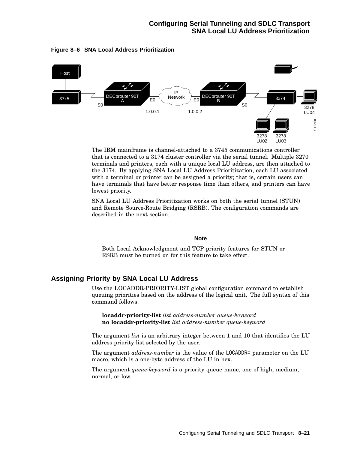

#### **Figure 8–6 SNA Local Address Prioritization**

The IBM mainframe is channel-attached to a 3745 communications controller that is connected to a 3174 cluster controller via the serial tunnel. Multiple 3270 terminals and printers, each with a unique local LU address, are then attached to the 3174. By applying SNA Local LU Address Prioritization, each LU associated with a terminal or printer can be assigned a priority; that is, certain users can have terminals that have better response time than others, and printers can have lowest priority.

SNA Local LU Address Prioritization works on both the serial tunnel (STUN) and Remote Source-Route Bridging (RSRB). The configuration commands are described in the next section.

**Note**

Both Local Acknowledgment and TCP priority features for STUN or RSRB must be turned on for this feature to take effect.

# **Assigning Priority by SNA Local LU Address**

Use the LOCADDR-PRIORITY-LIST global configuration command to establish queuing priorities based on the address of the logical unit. The full syntax of this command follows.

**locaddr-priority-list** *list address-number queue-keyword* **no locaddr-priority-list** *list address-number queue-keyword*

The argument *list* is an arbitrary integer between 1 and 10 that identifies the LU address priority list selected by the user.

The argument *address-number* is the value of the LOCADDR= parameter on the LU macro, which is a one-byte address of the LU in hex.

The argument *queue-keyword* is a priority queue name, one of high, medium, normal, or low.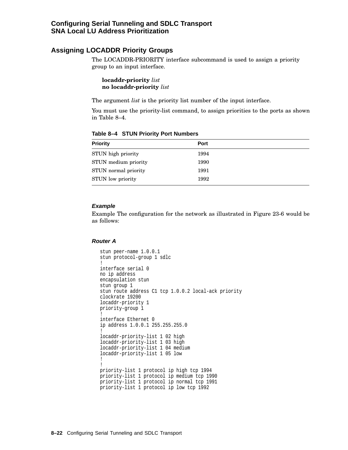# **Assigning LOCADDR Priority Groups**

The LOCADDR-PRIORITY interface subcommand is used to assign a priority group to an input interface.

**locaddr-priority** *list* **no locaddr-priority** *list*

The argument *list* is the priority list number of the input interface.

You must use the priority-list command, to assign priorities to the ports as shown in Table 8–4.

| <b>Priority</b>          | <b>Port</b> |  |
|--------------------------|-------------|--|
| STUN high priority       | 1994        |  |
| STUN medium priority     | 1990        |  |
| STUN normal priority     | 1991        |  |
| <b>STUN</b> low priority | 1992        |  |

**Table 8–4 STUN Priority Port Numbers**

#### **Example**

Example The configuration for the network as illustrated in Figure 23-6 would be as follows:

#### **Router A**

```
stun peer-name 1.0.0.1
stun protocol-group 1 sdlc
!
interface serial 0
no ip address
encapsulation stun
stun group 1
stun route address C1 tcp 1.0.0.2 local-ack priority
clockrate 19200
locaddr-priority 1
priority-group 1
!
interface Ethernet 0
ip address 1.0.0.1 255.255.255.0
!
locaddr-priority-list 1 02 high
locaddr-priority-list 1 03 high
locaddr-priority-list 1 04 medium
locaddr-priority-list 1 05 low
!
!
priority-list 1 protocol ip high tcp 1994
priority-list 1 protocol ip medium tcp 1990
priority-list 1 protocol ip normal tcp 1991
priority-list 1 protocol ip low tcp 1992
```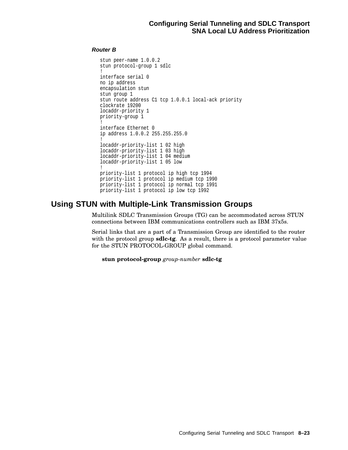# **Router B**

```
stun peer-name 1.0.0.2
stun protocol-group 1 sdlc
!
interface serial 0
no ip address
encapsulation stun
stun group 1
stun route address C1 tcp 1.0.0.1 local-ack priority
clockrate 19200
locaddr-priority 1
priority-group 1
!
interface Ethernet 0
ip address 1.0.0.2 255.255.255.0
!
locaddr-priority-list 1 02 high
locaddr-priority-list 1 03 high
locaddr-priority-list 1 04 medium
locaddr-priority-list 1 05 low
!
priority-list 1 protocol ip high tcp 1994
priority-list 1 protocol ip medium tcp 1990
priority-list 1 protocol ip normal tcp 1991
priority-list 1 protocol ip low tcp 1992
```
# **Using STUN with Multiple-Link Transmission Groups**

Multilink SDLC Transmission Groups (TG) can be accommodated across STUN connections between IBM communications controllers such as IBM 37x5s.

Serial links that are a part of a Transmission Group are identified to the router with the protocol group **sdlc-tg**. As a result, there is a protocol parameter value for the STUN PROTOCOL-GROUP global command.

**stun protocol-group** *group-number* **sdlc-tg**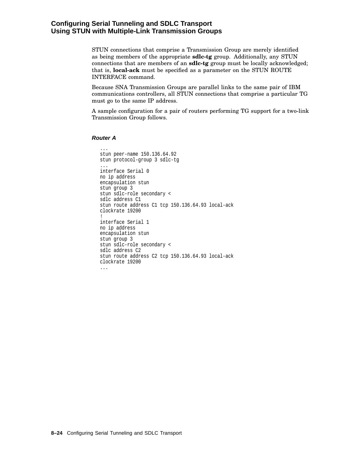# **Configuring Serial Tunneling and SDLC Transport Using STUN with Multiple-Link Transmission Groups**

STUN connections that comprise a Transmission Group are merely identified as being members of the appropriate **sdlc-tg** group. Additionally, any STUN connections that are members of an **sdlc-tg** group must be locally acknowledged; that is, **local-ack** must be specified as a parameter on the STUN ROUTE INTERFACE command.

Because SNA Transmission Groups are parallel links to the same pair of IBM communications controllers, all STUN connections that comprise a particular TG must go to the same IP address.

A sample configuration for a pair of routers performing TG support for a two-link Transmission Group follows.

#### **Router A**

```
...
stun peer-name 150.136.64.92
stun protocol-group 3 sdlc-tg
...
interface Serial 0
no ip address
encapsulation stun
stun group 3
stun sdlc-role secondary <
sdlc address C1
stun route address C1 tcp 150.136.64.93 local-ack
clockrate 19200
!
interface Serial 1
no ip address
encapsulation stun
stun group 3
stun sdlc-role secondary <
sdlc address C2
stun route address C2 tcp 150.136.64.93 local-ack
clockrate 19200
...
```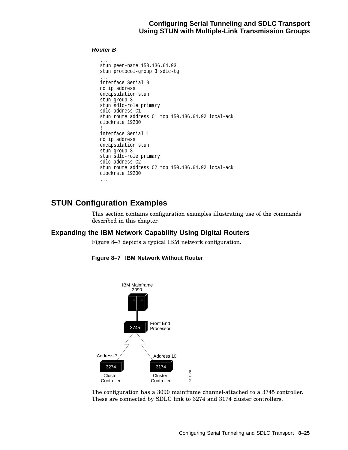# **Configuring Serial Tunneling and SDLC Transport Using STUN with Multiple-Link Transmission Groups**

#### **Router B**

```
...
stun peer-name 150.136.64.93
stun protocol-group 3 sdlc-tg
...
interface Serial 0
no ip address
encapsulation stun
stun group 3
stun sdlc-role primary
sdlc address C1
stun route address C1 tcp 150.136.64.92 local-ack
clockrate 19200
!
interface Serial 1
no ip address
encapsulation stun
stun group 3
stun sdlc-role primary
sdlc address C2
stun route address C2 tcp 150.136.64.92 local-ack
clockrate 19200
...
```
# **STUN Configuration Examples**

This section contains configuration examples illustrating use of the commands described in this chapter.

# **Expanding the IBM Network Capability Using Digital Routers**

Figure 8–7 depicts a typical IBM network configuration.



**Figure 8–7 IBM Network Without Router**

The configuration has a 3090 mainframe channel-attached to a 3745 controller. These are connected by SDLC link to 3274 and 3174 cluster controllers.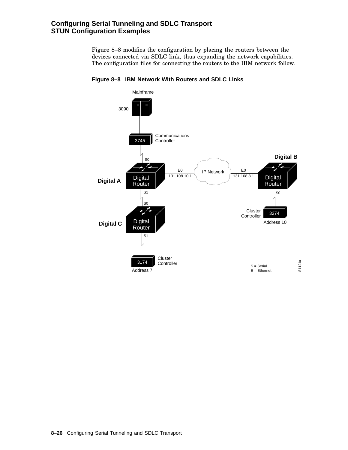# **Configuring Serial Tunneling and SDLC Transport STUN Configuration Examples**

Figure 8–8 modifies the configuration by placing the routers between the devices connected via SDLC link, thus expanding the network capabilities. The configuration files for connecting the routers to the IBM network follow.



**Figure 8–8 IBM Network With Routers and SDLC Links**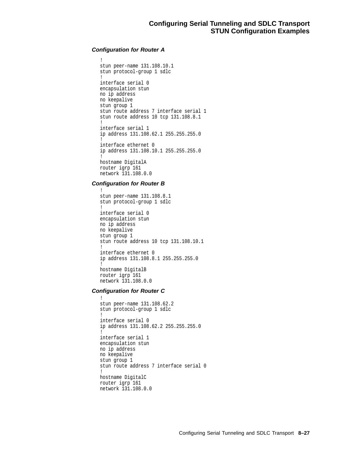# **Configuration for Router A**

```
!
stun peer-name 131.108.10.1
stun protocol-group 1 sdlc
!
interface serial 0
encapsulation stun
no ip address
no keepalive
stun group 1
stun route address 7 interface serial 1
stun route address 10 tcp 131.108.8.1
!
interface serial 1
ip address 131.108.62.1 255.255.255.0
!
interface ethernet 0
ip address 131.108.10.1 255.255.255.0
!
hostname DigitalA
router igrp 161
network 131.108.0.0
```
# **Configuration for Router B**

```
!
stun peer-name 131.108.8.1
stun protocol-group 1 sdlc
!
interface serial 0
encapsulation stun
no ip address
no keepalive
stun group 1
stun route address 10 tcp 131.108.10.1
!
interface ethernet 0
ip address 131.108.8.1 255.255.255.0
!
hostname DigitalB
router igrp 161
network 131.108.0.0
```
# **Configuration for Router C**

```
!
stun peer-name 131.108.62.2
stun protocol-group 1 sdlc
!
interface serial 0
ip address 131.108.62.2 255.255.255.0
!
interface serial 1
encapsulation stun
no ip address
no keepalive
stun group 1
stun route address 7 interface serial 0
!
hostname DigitalC
router igrp 161
network 131.108.0.0
```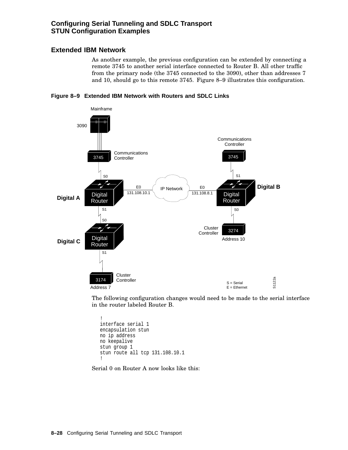# **Configuring Serial Tunneling and SDLC Transport STUN Configuration Examples**

# **Extended IBM Network**

As another example, the previous configuration can be extended by connecting a remote 3745 to another serial interface connected to Router B. All other traffic from the primary node (the 3745 connected to the 3090), other than addresses 7 and 10, should go to this remote 3745. Figure 8–9 illustrates this configuration.





The following configuration changes would need to be made to the serial interface in the router labeled Router B.

```
!
interface serial 1
encapsulation stun
no ip address
no keepalive
stun group 1
stun route all tcp 131.108.10.1
!
```
Serial 0 on Router A now looks like this: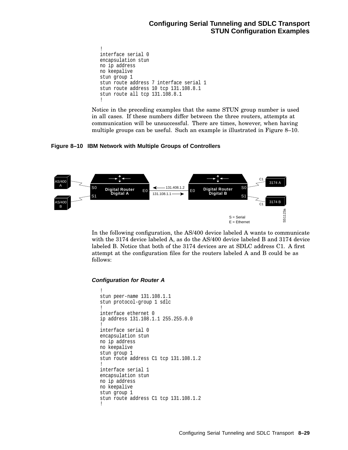```
!
interface serial 0
encapsulation stun
no ip address
no keepalive
stun group 1
stun route address 7 interface serial 1
stun route address 10 tcp 131.108.8.1
stun route all tcp 131.108.8.1
!
```
Notice in the preceding examples that the same STUN group number is used in all cases. If these numbers differ between the three routers, attempts at communication will be unsuccessful. There are times, however, when having multiple groups can be useful. Such an example is illustrated in Figure 8–10.

**Figure 8–10 IBM Network with Multiple Groups of Controllers**



In the following configuration, the AS/400 device labeled A wants to communicate with the 3174 device labeled A, as do the AS/400 device labeled B and 3174 device labeled B. Notice that both of the 3174 devices are at SDLC address C1. A first attempt at the configuration files for the routers labeled A and B could be as follows:

# **Configuration for Router A**

```
!
stun peer-name 131.108.1.1
stun protocol-group 1 sdlc
!
interface ethernet 0
ip address 131.108.1.1 255.255.0.0
!
interface serial 0
encapsulation stun
no ip address
no keepalive
stun group 1
stun route address C1 tcp 131.108.1.2
!
interface serial 1
encapsulation stun
no ip address
no keepalive
stun group 1
stun route address C1 tcp 131.108.1.2
!
```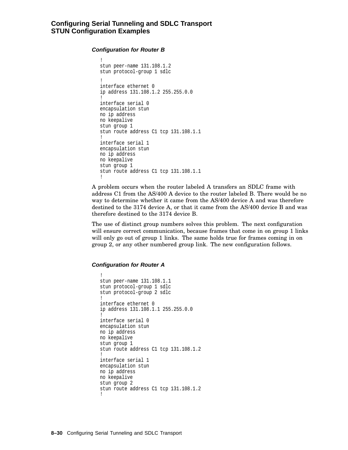#### **Configuration for Router B**

```
!
stun peer-name 131.108.1.2
stun protocol-group 1 sdlc
!
interface ethernet 0
ip address 131.108.1.2 255.255.0.0
!
interface serial 0
encapsulation stun
no ip address
no keepalive
stun group 1
stun route address C1 tcp 131.108.1.1
!
interface serial 1
encapsulation stun
no ip address
no keepalive
stun group 1
stun route address C1 tcp 131.108.1.1
!
```
A problem occurs when the router labeled A transfers an SDLC frame with address C1 from the AS/400 A device to the router labeled B. There would be no way to determine whether it came from the AS/400 device A and was therefore destined to the 3174 device A, or that it came from the AS/400 device B and was therefore destined to the 3174 device B.

The use of distinct group numbers solves this problem. The next configuration will ensure correct communication, because frames that come in on group 1 links will only go out of group 1 links. The same holds true for frames coming in on group 2, or any other numbered group link. The new configuration follows.

#### **Configuration for Router A**

```
!
stun peer-name 131.108.1.1
stun protocol-group 1 sdlc
stun protocol-group 2 sdlc
!
interface ethernet 0
ip address 131.108.1.1 255.255.0.0
!
interface serial 0
encapsulation stun
no ip address
no keepalive
stun group 1
stun route address C1 tcp 131.108.1.2
!
interface serial 1
encapsulation stun
no ip address
no keepalive
stun group 2
stun route address C1 tcp 131.108.1.2
!
```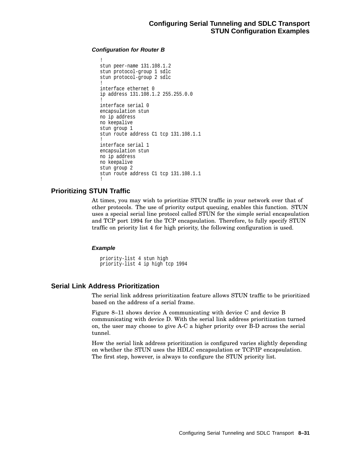# **Configuration for Router B**

```
!
stun peer-name 131.108.1.2
stun protocol-group 1 sdlc
stun protocol-group 2 sdlc
!
interface ethernet 0
ip address 131.108.1.2 255.255.0.0
!
interface serial 0
encapsulation stun
no ip address
no keepalive
stun group 1
stun route address C1 tcp 131.108.1.1
!
interface serial 1
encapsulation stun
no ip address
no keepalive
stun group 2
stun route address C1 tcp 131.108.1.1
!
```
# **Prioritizing STUN Traffic**

At times, you may wish to prioritize STUN traffic in your network over that of other protocols. The use of priority output queuing, enables this function. STUN uses a special serial line protocol called STUN for the simple serial encapsulation and TCP port 1994 for the TCP encapsulation. Therefore, to fully specify STUN traffic on priority list 4 for high priority, the following configuration is used.

# **Example**

priority-list 4 stun high priority-list 4 ip high tcp 1994

# **Serial Link Address Prioritization**

The serial link address prioritization feature allows STUN traffic to be prioritized based on the address of a serial frame.

Figure 8–11 shows device A communicating with device C and device B communicating with device D. With the serial link address prioritization turned on, the user may choose to give A-C a higher priority over B-D across the serial tunnel.

How the serial link address prioritization is configured varies slightly depending on whether the STUN uses the HDLC encapsulation or TCP/IP encapsulation. The first step, however, is always to configure the STUN priority list.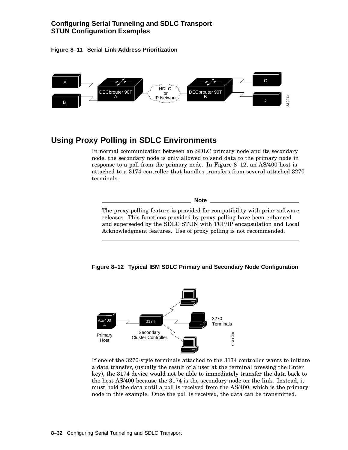# **Configuring Serial Tunneling and SDLC Transport STUN Configuration Examples**

**Figure 8–11 Serial Link Address Prioritization**



# **Using Proxy Polling in SDLC Environments**

In normal communication between an SDLC primary node and its secondary node, the secondary node is only allowed to send data to the primary node in response to a poll from the primary node. In Figure 8–12, an AS/400 host is attached to a 3174 controller that handles transfers from several attached 3270 terminals.

The proxy polling feature is provided for compatibility with prior software releases. This functions provided by proxy polling have been enhanced and superseded by the SDLC STUN with TCP/IP encapsulation and Local Acknowledgment features. Use of proxy polling is not recommended.

**Note**





If one of the 3270-style terminals attached to the 3174 controller wants to initiate a data transfer, (usually the result of a user at the terminal pressing the Enter key), the 3174 device would not be able to immediately transfer the data back to the host AS/400 because the 3174 is the secondary node on the link. Instead, it must hold the data until a poll is received from the AS/400, which is the primary node in this example. Once the poll is received, the data can be transmitted.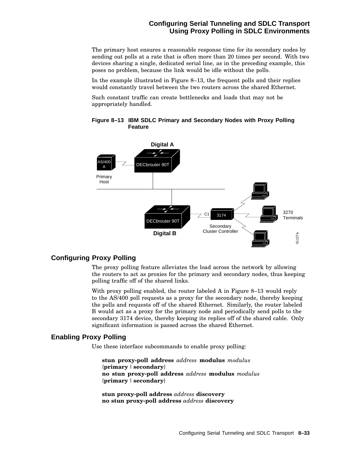# **Configuring Serial Tunneling and SDLC Transport Using Proxy Polling in SDLC Environments**

The primary host ensures a reasonable response time for its secondary nodes by sending out polls at a rate that is often more than 20 times per second. With two devices sharing a single, dedicated serial line, as in the preceding example, this poses no problem, because the link would be idle without the polls.

In the example illustrated in Figure 8–13, the frequent polls and their replies would constantly travel between the two routers across the shared Ethernet.

Such constant traffic can create bottlenecks and loads that may not be appropriately handled.



# **Figure 8–13 IBM SDLC Primary and Secondary Nodes with Proxy Polling Feature**

# **Configuring Proxy Polling**

The proxy polling feature alleviates the load across the network by allowing the routers to act as proxies for the primary and secondary nodes, thus keeping polling traffic off of the shared links.

With proxy polling enabled, the router labeled A in Figure 8–13 would reply to the AS/400 poll requests as a proxy for the secondary node, thereby keeping the polls and requests off of the shared Ethernet. Similarly, the router labeled B would act as a proxy for the primary node and periodically send polls to the secondary 3174 device, thereby keeping its replies off of the shared cable. Only significant information is passed across the shared Ethernet.

# **Enabling Proxy Polling**

Use these interface subcommands to enable proxy polling:

**stun proxy-poll address** *address* **modulus** *modulus* {**primary** | **secondary**} **no stun proxy-poll address** *address* **modulus** *modulus* {**primary** | **secondary**}

**stun proxy-poll address** *address* **discovery no stun proxy-poll address** *address* **discovery**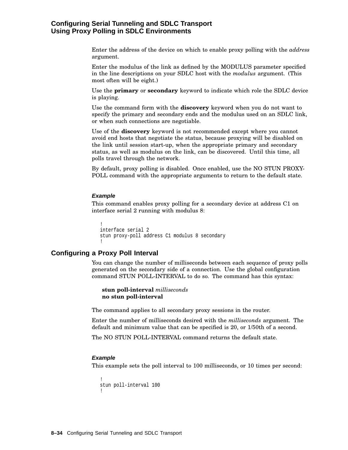# **Configuring Serial Tunneling and SDLC Transport Using Proxy Polling in SDLC Environments**

Enter the address of the device on which to enable proxy polling with the *address* argument.

Enter the modulus of the link as defined by the MODULUS parameter specified in the line descriptions on your SDLC host with the *modulus* argument. (This most often will be eight.)

Use the **primary** or **secondary** keyword to indicate which role the SDLC device is playing.

Use the command form with the **discovery** keyword when you do not want to specify the primary and secondary ends and the modulus used on an SDLC link, or when such connections are negotiable.

Use of the **discovery** keyword is not recommended except where you cannot avoid end hosts that negotiate the status, because proxying will be disabled on the link until session start-up, when the appropriate primary and secondary status, as well as modulus on the link, can be discovered. Until this time, all polls travel through the network.

By default, proxy polling is disabled. Once enabled, use the NO STUN PROXY-POLL command with the appropriate arguments to return to the default state.

#### **Example**

This command enables proxy polling for a secondary device at address C1 on interface serial 2 running with modulus 8:

```
!
interface serial 2
stun proxy-poll address C1 modulus 8 secondary
!
```
# **Configuring a Proxy Poll Interval**

You can change the number of milliseconds between each sequence of proxy polls generated on the secondary side of a connection. Use the global configuration command STUN POLL-INTERVAL to do so. The command has this syntax:

**stun poll-interval** *milliseconds* **no stun poll-interval**

The command applies to all secondary proxy sessions in the router.

Enter the number of milliseconds desired with the *milliseconds* argument. The default and minimum value that can be specified is 20, or 1/50th of a second.

The NO STUN POLL-INTERVAL command returns the default state.

#### **Example**

This example sets the poll interval to 100 milliseconds, or 10 times per second:

```
!
stun poll-interval 100
!
```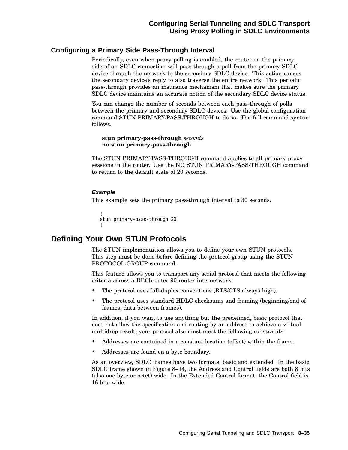# **Configuring a Primary Side Pass-Through Interval**

Periodically, even when proxy polling is enabled, the router on the primary side of an SDLC connection will pass through a poll from the primary SDLC device through the network to the secondary SDLC device. This action causes the secondary device's reply to also traverse the entire network. This periodic pass-through provides an insurance mechanism that makes sure the primary SDLC device maintains an accurate notion of the secondary SDLC device status.

You can change the number of seconds between each pass-through of polls between the primary and secondary SDLC devices. Use the global configuration command STUN PRIMARY-PASS-THROUGH to do so. The full command syntax follows.

**stun primary-pass-through** *seconds* **no stun primary-pass-through**

The STUN PRIMARY-PASS-THROUGH command applies to all primary proxy sessions in the router. Use the NO STUN PRIMARY-PASS-THROUGH command to return to the default state of 20 seconds.

# **Example**

This example sets the primary pass-through interval to 30 seconds.

```
!
stun primary-pass-through 30
!
```
# **Defining Your Own STUN Protocols**

The STUN implementation allows you to define your own STUN protocols. This step must be done before defining the protocol group using the STUN PROTOCOL-GROUP command.

This feature allows you to transport any serial protocol that meets the following criteria across a DECbrouter 90 router internetwork.

- The protocol uses full-duplex conventions (RTS/CTS always high).
- The protocol uses standard HDLC checksums and framing (beginning/end of frames, data between frames).

In addition, if you want to use anything but the predefined, basic protocol that does not allow the specification and routing by an address to achieve a virtual multidrop result, your protocol also must meet the following constraints:

- Addresses are contained in a constant location (offset) within the frame.
- Addresses are found on a byte boundary.

As an overview, SDLC frames have two formats, basic and extended. In the basic SDLC frame shown in Figure 8–14, the Address and Control fields are both 8 bits (also one byte or octet) wide. In the Extended Control format, the Control field is 16 bits wide.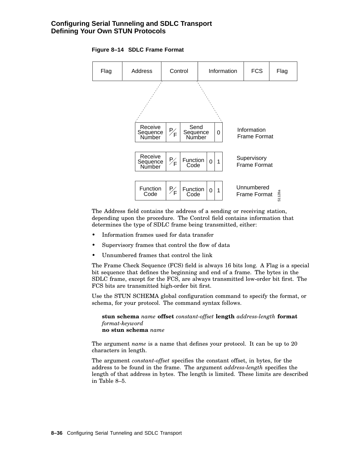# **Configuring Serial Tunneling and SDLC Transport Defining Your Own STUN Protocols**



#### **Figure 8–14 SDLC Frame Format**

The Address field contains the address of a sending or receiving station, depending upon the procedure. The Control field contains information that determines the type of SDLC frame being transmitted, either:

- Information frames used for data transfer
- Supervisory frames that control the flow of data
- Unnumbered frames that control the link

The Frame Check Sequence (FCS) field is always 16 bits long. A Flag is a special bit sequence that defines the beginning and end of a frame. The bytes in the SDLC frame, except for the FCS, are always transmitted low-order bit first. The FCS bits are transmitted high-order bit first.

Use the STUN SCHEMA global configuration command to specify the format, or schema, for your protocol. The command syntax follows.

**stun schema** *name* **offset** *constant-offset* **length** *address-length* **format** *format-keyword* **no stun schema** *name*

The argument *name* is a name that defines your protocol. It can be up to 20 characters in length.

The argument *constant-offset* specifies the constant offset, in bytes, for the address to be found in the frame. The argument *address-length* specifies the length of that address in bytes. The length is limited. These limits are described in Table 8–5.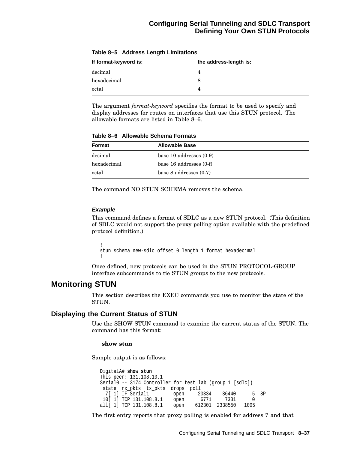| If format-keyword is: | the address-length is: |  |
|-----------------------|------------------------|--|
| decimal               |                        |  |
| hexadecimal           |                        |  |
| octal                 |                        |  |

**Table 8–5 Address Length Limitations**

The argument *format-keyword* specifies the format to be used to specify and display addresses for routes on interfaces that use this STUN protocol. The allowable formats are listed in Table 8–6.

**Table 8–6 Allowable Schema Formats**

| Format      | <b>Allowable Base</b>       |  |
|-------------|-----------------------------|--|
| decimal     | base 10 addresses $(0-9)$   |  |
| hexadecimal | base $16$ addresses $(0-f)$ |  |
| octal       | base $8$ addresses $(0-7)$  |  |

The command NO STUN SCHEMA removes the schema.

#### **Example**

This command defines a format of SDLC as a new STUN protocol. (This definition of SDLC would not support the proxy polling option available with the predefined protocol definition.)

! stun schema new-sdlc offset 0 length 1 format hexadecimal !

Once defined, new protocols can be used in the STUN PROTOCOL-GROUP interface subcommands to tie STUN groups to the new protocols.

# **Monitoring STUN**

This section describes the EXEC commands you use to monitor the state of the STUN.

# **Displaying the Current Status of STUN**

Use the SHOW STUN command to examine the current status of the STUN. The command has this format:

#### **show stun**

Sample output is as follows:

```
DigitalA# show stun
This peer: 131.108.10.1
Serial0 -- 3174 Controller for test lab (group 1 [sdlc])
state rx_pkts tx_pkts drops poll
 7[ 1] IF Serial1 open 20334 86440 5 8P
10[ 1] TCP 131.108.8.1 open 6771 7331 0
all[ 1] TCP 131.108.8.1 open 612301 2338550 1005
```
The first entry reports that proxy polling is enabled for address 7 and that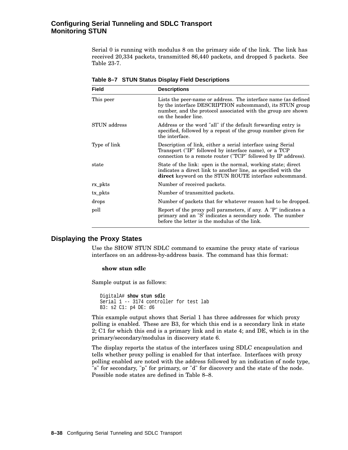# **Configuring Serial Tunneling and SDLC Transport Monitoring STUN**

Serial 0 is running with modulus 8 on the primary side of the link. The link has received 20,334 packets, transmitted 86,440 packets, and dropped 5 packets. See Table 23-7.

| <b>Field</b>        | <b>Descriptions</b>                                                                                                                                                                                               |
|---------------------|-------------------------------------------------------------------------------------------------------------------------------------------------------------------------------------------------------------------|
| This peer           | Lists the peer-name or address. The interface name (as defined<br>by the interface DESCRIPTION subcommand), its STUN group<br>number, and the protocol associated with the group are shown<br>on the header line. |
| <b>STUN</b> address | Address or the word "all" if the default forwarding entry is<br>specified, followed by a repeat of the group number given for<br>the interface.                                                                   |
| Type of link        | Description of link, either a serial interface using Serial<br>Transport ("IF" followed by interface name), or a TCP<br>connection to a remote router ("TCP" followed by IP address).                             |
| state               | State of the link: open is the normal, working state; direct<br>indicates a direct link to another line, as specified with the<br>direct keyword on the STUN ROUTE interface subcommand.                          |
| rx pkts             | Number of received packets.                                                                                                                                                                                       |
| tx_pkts             | Number of transmitted packets.                                                                                                                                                                                    |
| drops               | Number of packets that for whatever reason had to be dropped.                                                                                                                                                     |
| poll                | Report of the proxy poll parameters, if any. A "P" indicates a<br>primary and an "S' indicates a secondary node. The number<br>before the letter is the modulus of the link.                                      |

**Table 8–7 STUN Status Display Field Descriptions**

# **Displaying the Proxy States**

Use the SHOW STUN SDLC command to examine the proxy state of various interfaces on an address-by-address basis. The command has this format:

# **show stun sdlc**

Sample output is as follows:

```
DigitalA# show stun sdlc
Serial 1 -- 3174 controller for test lab
B3: s2 C1: p4 DE: d6
```
This example output shows that Serial 1 has three addresses for which proxy polling is enabled. These are B3, for which this end is a secondary link in state 2; C1 for which this end is a primary link and in state 4; and DE, which is in the primary/secondary/modulus in discovery state 6.

The display reports the status of the interfaces using SDLC encapsulation and tells whether proxy polling is enabled for that interface. Interfaces with proxy polling enabled are noted with the address followed by an indication of node type, "s" for secondary, "p" for primary, or "d" for discovery and the state of the node. Possible node states are defined in Table 8–8.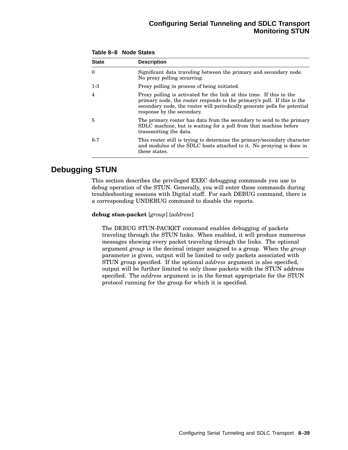| <b>State</b> | <b>Description</b>                                                                                                                                                                                                                                         |
|--------------|------------------------------------------------------------------------------------------------------------------------------------------------------------------------------------------------------------------------------------------------------------|
| $\Omega$     | Significant data traveling between the primary and secondary node.<br>No proxy polling occurring.                                                                                                                                                          |
| $1-3$        | Proxy polling in process of being initiated.                                                                                                                                                                                                               |
| 4            | Proxy polling is activated for the link at this time. If this in the<br>primary node, the router responds to the primary's poll. If this is the<br>secondary node, the router will periodically generate polls for potential<br>response by the secondary. |
| 5            | The primary router has data from the secondary to send to the primary<br>SDLC machine, but is waiting for a poll from that machine before<br>transmitting the data.                                                                                        |
| $6-7$        | This router still is trying to determine the primary/secondary character<br>and modulus of the SDLC hosts attached to it. No proxying is done in<br>these states.                                                                                          |

# **Table 8–8 Node States**

# **Debugging STUN**

This section describes the privileged EXEC debugging commands you use to debug operation of the STUN. Generally, you will enter these commands during troubleshooting sessions with Digital staff. For each DEBUG command, there is a corresponding UNDEBUG command to disable the reports.

# **debug stun-packet** [*group*] [*address*]

The DEBUG STUN-PACKET command enables debugging of packets traveling through the STUN links. When enabled, it will produce numerous messages showing every packet traveling through the links. The optional argument *group* is the decimal integer assigned to a group. When the *group* parameter is given, output will be limited to only packets associated with STUN group specified. If the optional *address* argument is also specified, output will be further limited to only those packets with the STUN address specified. The *address* argument is in the format appropriate for the STUN protocol running for the group for which it is specified.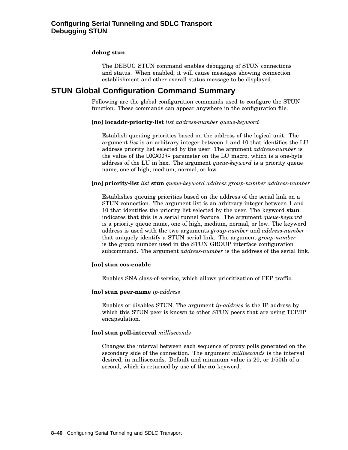# **debug stun**

The DEBUG STUN command enables debugging of STUN connections and status. When enabled, it will cause messages showing connection establishment and other overall status message to be displayed.

# **STUN Global Configuration Command Summary**

Following are the global configuration commands used to configure the STUN function. These commands can appear anywhere in the configuration file.

#### [**no**] **locaddr-priority-list** *list address-number queue-keyword*

Establish queuing priorities based on the address of the logical unit. The argument *list* is an arbitrary integer between 1 and 10 that identifies the LU address priority list selected by the user. The argument *address-number* is the value of the LOCADDR= parameter on the LU macro, which is a one-byte address of the LU in hex. The argument *queue-keyword* is a priority queue name, one of high, medium, normal, or low.

#### [**no**] **priority-list** *list* **stun** *queue-keyword address group-number address-number*

Establishes queuing priorities based on the address of the serial link on a STUN connection. The argument list is an arbitrary integer between 1 and 10 that identifies the priority list selected by the user. The keyword **stun** indicates that this is a serial tunnel feature. The argument *queue-keyword* is a priority queue name, one of high, medium, normal, or low. The keyword address is used with the two arguments *group-number* and *address-number* that uniquely identify a STUN serial link. The argument *group-number* is the group number used in the STUN GROUP interface configuration subcommand. The argument *address-number* is the address of the serial link.

#### [**no**] **stun cos-enable**

Enables SNA class-of-service, which allows prioritization of FEP traffic.

#### [**no**] **stun peer-name** *ip-address*

Enables or disables STUN. The argument *ip-address* is the IP address by which this STUN peer is known to other STUN peers that are using TCP/IP encapsulation.

#### [**no**] **stun poll-interval** *milliseconds*

Changes the interval between each sequence of proxy polls generated on the secondary side of the connection. The argument *milliseconds* is the interval desired, in milliseconds. Default and minimum value is 20, or 1/50th of a second, which is returned by use of the **no** keyword.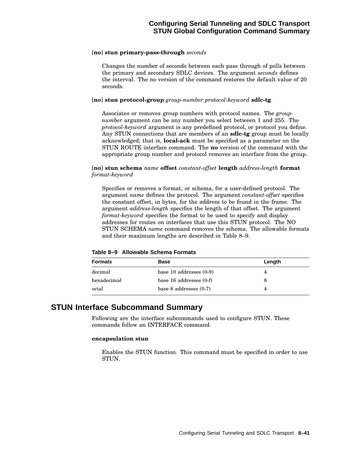# [**no**] **stun primary-pass-through** *seconds*

Changes the number of seconds between each pass through of polls between the primary and secondary SDLC devices. The argument *seconds* defines the interval. The no version of the command restores the default value of 20 seconds.

#### [**no**] **stun protocol-group** *group-number protocol-keyword* **sdlc-tg**

Associates or removes group numbers with protocol names. The *groupnumber* argument can be any number you select between 1 and 255. The *protocol-keyword* argument is any predefined protocol, or protocol you define. Any STUN connections that are members of an **sdlc-tg** group must be locally acknowledged; that is, **local-ack** must be specified as a parameter on the STUN ROUTE interface command. The **no** version of the command with the appropriate group number and protocol removes an interface from the group.

# [**no**] **stun schema** *name* **offset** *constant-offset* **length** *address-length* **format** *format-keyword*

Specifies or removes a format, or schema, for a user-defined protocol. The argument *name* defines the protocol. The argument *constant-offset* specifies the constant offset, in bytes, for the address to be found in the frame. The argument *address-length* specifies the length of that offset. The argument *format-keyword* specifies the format to be used to specify and display addresses for routes on interfaces that use this STUN protocol. The NO STUN SCHEMA *name* command removes the schema. The allowable formats and their maximum lengths are described in Table 8–9.

| <b>Formats</b> | <b>Base</b>                 | Length |  |
|----------------|-----------------------------|--------|--|
| decimal        | base 10 addresses $(0-9)$   |        |  |
| hexadecimal    | base $16$ addresses $(0-f)$ | 8      |  |
| octal          | base $8$ addresses $(0-7)$  |        |  |

**Table 8–9 Allowable Schema Formats**

# **STUN Interface Subcommand Summary**

Following are the interface subcommands used to configure STUN. These commands follow an INTERFACE command.

#### **encapsulation stun**

Enables the STUN function. This command must be specified in order to use STUN.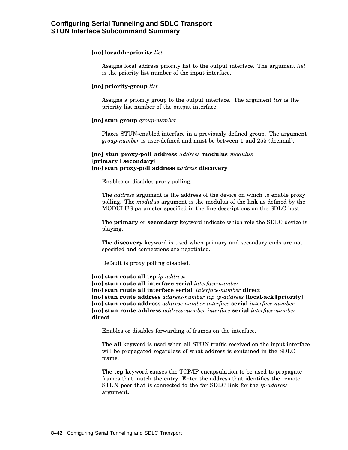# [**no**] **locaddr-priority** *list*

Assigns local address priority list to the output interface. The argument *list* is the priority list number of the input interface.

# [**no**] **priority-group** *list*

Assigns a priority group to the output interface. The argument *list* is the priority list number of the output interface.

#### [**no**] **stun group** *group-number*

Places STUN-enabled interface in a previously defined group. The argument *group-number* is user-defined and must be between 1 and 255 (decimal).

```
[no] stun proxy-poll address address modulus modulus
{primary | secondary}
[no] stun proxy-poll address address discovery
```
Enables or disables proxy polling.

The *address* argument is the address of the device on which to enable proxy polling. The *modulus* argument is the modulus of the link as defined by the MODULUS parameter specified in the line descriptions on the SDLC host.

The **primary** or **secondary** keyword indicate which role the SDLC device is playing.

The **discovery** keyword is used when primary and secondary ends are not specified and connections are negotiated.

Default is proxy polling disabled.

[**no**] **stun route all tcp** *ip-address*

[**no**] **stun route all interface serial** *interface-number*

[**no**] **stun route all interface serial** *interface-number* **direct**

[**no**] **stun route address** *address-number tcp ip-address* [**local-ack**][**priority**]

[**no**] **stun route address** *address-number interface* **serial** *interface-number*

[**no**] **stun route address** *address-number interface* **serial** *interface-number* **direct**

Enables or disables forwarding of frames on the interface.

The **all** keyword is used when all STUN traffic received on the input interface will be propagated regardless of what address is contained in the SDLC frame.

The **tcp** keyword causes the TCP/IP encapsulation to be used to propagate frames that match the entry. Enter the address that identifies the remote STUN peer that is connected to the far SDLC link for the *ip-address* argument.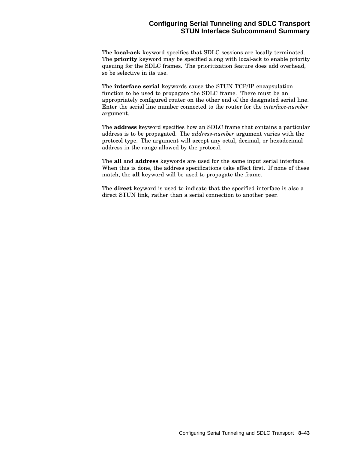# **Configuring Serial Tunneling and SDLC Transport STUN Interface Subcommand Summary**

The **local-ack** keyword specifies that SDLC sessions are locally terminated. The **priority** keyword may be specified along with local-ack to enable priority queuing for the SDLC frames. The prioritization feature does add overhead, so be selective in its use.

The **interface serial** keywords cause the STUN TCP/IP encapsulation function to be used to propagate the SDLC frame. There must be an appropriately configured router on the other end of the designated serial line. Enter the serial line number connected to the router for the *interface-number* argument.

The **address** keyword specifies how an SDLC frame that contains a particular address is to be propagated. The *address-number* argument varies with the protocol type. The argument will accept any octal, decimal, or hexadecimal address in the range allowed by the protocol.

The **all** and **address** keywords are used for the same input serial interface. When this is done, the address specifications take effect first. If none of these match, the **all** keyword will be used to propagate the frame.

The **direct** keyword is used to indicate that the specified interface is also a direct STUN link, rather than a serial connection to another peer.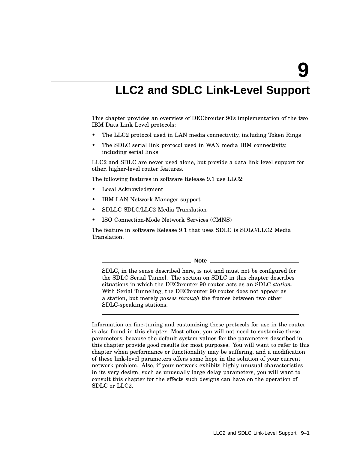**9**

# **LLC2 and SDLC Link-Level Support**

This chapter provides an overview of DECbrouter 90's implementation of the two IBM Data Link Level protocols:

- The LLC2 protocol used in LAN media connectivity, including Token Rings
- The SDLC serial link protocol used in WAN media IBM connectivity, including serial links

LLC2 and SDLC are never used alone, but provide a data link level support for other, higher-level router features.

The following features in software Release 9.1 use LLC2:

- Local Acknowledgment
- IBM LAN Network Manager support
- SDLLC SDLC/LLC2 Media Translation
- ISO Connection-Mode Network Services (CMNS)

The feature in software Release 9.1 that uses SDLC is SDLC/LLC2 Media Translation.

**Note**

SDLC, in the sense described here, is not and must not be configured for the SDLC Serial Tunnel. The section on SDLC in this chapter describes situations in which the DECbrouter 90 router acts as an SDLC *station*. With Serial Tunneling, the DECbrouter 90 router does not appear as a station, but merely *passes through* the frames between two other SDLC-speaking stations.

Information on fine-tuning and customizing these protocols for use in the router is also found in this chapter. Most often, you will not need to customize these parameters, because the default system values for the parameters described in this chapter provide good results for most purposes. You will want to refer to this chapter when performance or functionality may be suffering, and a modification of these link-level parameters offers some hope in the solution of your current network problem. Also, if your network exhibits highly unusual characteristics in its very design, such as unusually large delay parameters, you will want to consult this chapter for the effects such designs can have on the operation of SDLC or LLC2.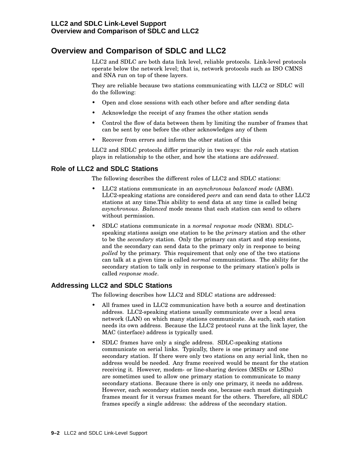# **Overview and Comparison of SDLC and LLC2**

LLC2 and SDLC are both data link level, reliable protocols. Link-level protocols operate below the network level; that is, network protocols such as ISO CMNS and SNA run on top of these layers.

They are reliable because two stations communicating with LLC2 or SDLC will do the following:

- Open and close sessions with each other before and after sending data
- Acknowledge the receipt of any frames the other station sends
- Control the flow of data between them by limiting the number of frames that can be sent by one before the other acknowledges any of them
- Recover from errors and inform the other station of this

LLC2 and SDLC protocols differ primarily in two ways: the *role* each station plays in relationship to the other, and how the stations are *addressed*.

# **Role of LLC2 and SDLC Stations**

The following describes the different roles of LLC2 and SDLC stations:

- LLC2 stations communicate in an *asynchronous balanced mode* (ABM). LLC2-speaking stations are considered *peers* and can send data to other LLC2 stations at any time.This ability to send data at any time is called being *asynchronous*. *Balanced* mode means that each station can send to others without permission.
- SDLC stations communicate in a *normal response mode* (NRM). SDLCspeaking stations assign one station to be the *primary* station and the other to be the *secondary* station. Only the primary can start and stop sessions, and the secondary can send data to the primary only in response to being *polled* by the primary. This requirement that only one of the two stations can talk at a given time is called *normal* communications. The ability for the secondary station to talk only in response to the primary station's polls is called *response mode*.

# **Addressing LLC2 and SDLC Stations**

The following describes how LLC2 and SDLC stations are addressed:

- All frames used in LLC2 communication have both a source and destination address. LLC2-speaking stations usually communicate over a local area network (LAN) on which many stations communicate. As such, each station needs its own address. Because the LLC2 protocol runs at the link layer, the MAC (interface) address is typically used.
- SDLC frames have only a single address. SDLC-speaking stations communicate on serial links. Typically, there is one primary and one secondary station. If there were only two stations on any serial link, then no address would be needed. Any frame received would be meant for the station receiving it. However, modem- or line-sharing devices (MSDs or LSDs) are sometimes used to allow one primary station to communicate to many secondary stations. Because there is only one primary, it needs no address. However, each secondary station needs one, because each must distinguish frames meant for it versus frames meant for the others. Therefore, all SDLC frames specify a single address: the address of the secondary station.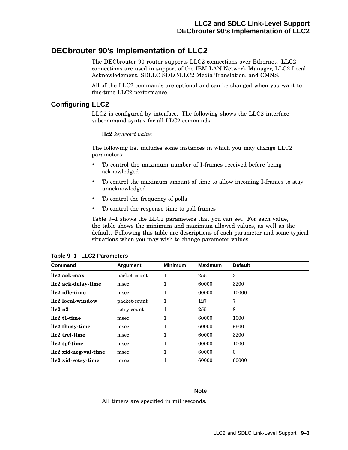# **DECbrouter 90's Implementation of LLC2**

The DECbrouter 90 router supports LLC2 connections over Ethernet. LLC2 connections are used in support of the IBM LAN Network Manager, LLC2 Local Acknowledgment, SDLLC SDLC/LLC2 Media Translation, and CMNS.

All of the LLC2 commands are optional and can be changed when you want to fine-tune LLC2 performance.

# **Configuring LLC2**

LLC2 is configured by interface. The following shows the LLC2 interface subcommand syntax for all LLC2 commands:

# **llc2** *keyword value*

The following list includes some instances in which you may change LLC2 parameters:

- To control the maximum number of I-frames received before being acknowledged
- To control the maximum amount of time to allow incoming I-frames to stay unacknowledged
- To control the frequency of polls
- To control the response time to poll frames

Table 9–1 shows the LLC2 parameters that you can set. For each value, the table shows the minimum and maximum allowed values, as well as the default. Following this table are descriptions of each parameter and some typical situations when you may wish to change parameter values.

| Command               | Argument     | <b>Minimum</b> | <b>Maximum</b> | <b>Default</b> |
|-----------------------|--------------|----------------|----------------|----------------|
| llc2 ack-max          | packet-count | 1              | 255            | 3              |
| llc2 ack-delay-time   | msec         | ı.             | 60000          | 3200           |
| llc2 idle-time        | msec         | 1              | 60000          | 10000          |
| llc2 local-window     | packet-count |                | 127            | 7              |
| llc2n2                | retry-count  |                | 255            | 8              |
| llc2 t1-time          | msec         |                | 60000          | 1000           |
| llc2 tbusy-time       | msec         |                | 60000          | 9600           |
| llc2 trej-time        | msec         |                | 60000          | 3200           |
| llc2 tpf-time         | msec         |                | 60000          | 1000           |
| llc2 xid-neg-val-time | msec         |                | 60000          | $\mathbf{0}$   |
| llc2 xid-retry-time   | msec         |                | 60000          | 60000          |

**Table 9–1 LLC2 Parameters**

#### **Note**

All timers are specified in milliseconds.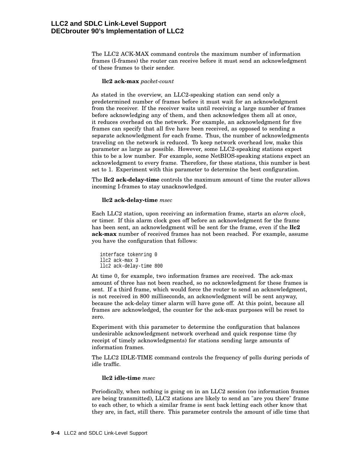# **LLC2 and SDLC Link-Level Support DECbrouter 90's Implementation of LLC2**

The LLC2 ACK-MAX command controls the maximum number of information frames (I-frames) the router can receive before it must send an acknowledgment of these frames to their sender.

#### **llc2 ack-max** *packet-count*

As stated in the overview, an LLC2-speaking station can send only a predetermined number of frames before it must wait for an acknowledgment from the receiver. If the receiver waits until receiving a large number of frames before acknowledging any of them, and then acknowledges them all at once, it reduces overhead on the network. For example, an acknowledgment for five frames can specify that all five have been received, as opposed to sending a separate acknowledgment for each frame. Thus, the number of acknowledgments traveling on the network is reduced. To keep network overhead low, make this parameter as large as possible. However, some LLC2-speaking stations expect this to be a low number. For example, some NetBIOS-speaking stations expect an acknowledgment to every frame. Therefore, for these stations, this number is best set to 1. Experiment with this parameter to determine the best configuration.

The **llc2 ack-delay-time** controls the maximum amount of time the router allows incoming I-frames to stay unacknowledged.

#### **llc2 ack-delay-time** *msec*

Each LLC2 station, upon receiving an information frame, starts an *alarm clock*, or timer. If this alarm clock goes off before an acknowledgment for the frame has been sent, an acknowledgment will be sent for the frame, even if the **llc2 ack-max** number of received frames has not been reached. For example, assume you have the configuration that follows:

interface tokenring 0 llc2 ack-max 3 llc2 ack-delay-time 800

At time 0, for example, two information frames are received. The ack-max amount of three has not been reached, so no acknowledgment for these frames is sent. If a third frame, which would force the router to send an acknowledgment, is not received in 800 milliseconds, an acknowledgment will be sent anyway, because the ack-delay timer alarm will have gone off. At this point, because all frames are acknowledged, the counter for the ack-max purposes will be reset to zero.

Experiment with this parameter to determine the configuration that balances undesirable acknowledgment network overhead and quick response time (by receipt of timely acknowledgments) for stations sending large amounts of information frames.

The LLC2 IDLE-TIME command controls the frequency of polls during periods of idle traffic.

#### **llc2 idle-time** *msec*

Periodically, when nothing is going on in an LLC2 session (no information frames are being transmitted), LLC2 stations are likely to send an "are you there" frame to each other, to which a similar frame is sent back letting each other know that they are, in fact, still there. This parameter controls the amount of idle time that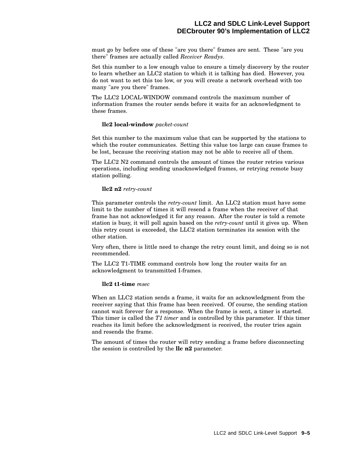# **LLC2 and SDLC Link-Level Support DECbrouter 90's Implementation of LLC2**

must go by before one of these "are you there" frames are sent. These "are you there" frames are actually called *Receiver Readys*.

Set this number to a low enough value to ensure a timely discovery by the router to learn whether an LLC2 station to which it is talking has died. However, you do not want to set this too low, or you will create a network overhead with too many "are you there" frames.

The LLC2 LOCAL-WINDOW command controls the maximum number of information frames the router sends before it waits for an acknowledgment to these frames.

#### **llc2 local-window** *packet-count*

Set this number to the maximum value that can be supported by the stations to which the router communicates. Setting this value too large can cause frames to be lost, because the receiving station may not be able to receive all of them.

The LLC2 N2 command controls the amount of times the router retries various operations, including sending unacknowledged frames, or retrying remote busy station polling.

#### **llc2 n2** *retry-count*

This parameter controls the *retry-count* limit. An LLC2 station must have some limit to the number of times it will resend a frame when the receiver of that frame has not acknowledged it for any reason. After the router is told a remote station is busy, it will poll again based on the *retry-count* until it gives up. When this retry count is exceeded, the LLC2 station terminates its session with the other station.

Very often, there is little need to change the retry count limit, and doing so is not recommended.

The LLC2 T1-TIME command controls how long the router waits for an acknowledgment to transmitted I-frames.

#### **llc2 t1-time** *msec*

When an LLC2 station sends a frame, it waits for an acknowledgment from the receiver saying that this frame has been received. Of course, the sending station cannot wait forever for a response. When the frame is sent, a timer is started. This timer is called the *T1 timer* and is controlled by this parameter. If this timer reaches its limit before the acknowledgment is received, the router tries again and resends the frame.

The amount of times the router will retry sending a frame before disconnecting the session is controlled by the **llc n2** parameter.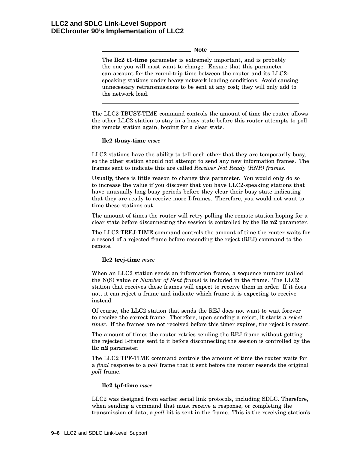**Note**

The **llc2 t1-time** parameter is extremely important, and is probably the one you will most want to change. Ensure that this parameter can account for the round-trip time between the router and its LLC2 speaking stations under heavy network loading conditions. Avoid causing unnecessary retransmissions to be sent at any cost; they will only add to the network load.

The LLC2 TBUSY-TIME command controls the amount of time the router allows the other LLC2 station to stay in a busy state before this router attempts to poll the remote station again, hoping for a clear state.

# **llc2 tbusy-time** *msec*

LLC2 stations have the ability to tell each other that they are temporarily busy, so the other station should not attempt to send any new information frames. The frames sent to indicate this are called *Receiver Not Ready (RNR) frames*.

Usually, there is little reason to change this parameter. You would only do so to increase the value if you discover that you have LLC2-speaking stations that have unusually long busy periods before they clear their busy state indicating that they are ready to receive more I-frames. Therefore, you would not want to time these stations out.

The amount of times the router will retry polling the remote station hoping for a clear state before disconnecting the session is controlled by the **llc n2** parameter.

The LLC2 TREJ-TIME command controls the amount of time the router waits for a resend of a rejected frame before resending the reject (REJ) command to the remote.

# **llc2 trej-time** *msec*

When an LLC2 station sends an information frame, a sequence number (called the N(S) value or *Number of Sent frame*) is included in the frame. The LLC2 station that receives these frames will expect to receive them in order. If it does not, it can reject a frame and indicate which frame it is expecting to receive instead.

Of course, the LLC2 station that sends the REJ does not want to wait forever to receive the correct frame. Therefore, upon sending a reject, it starts a *reject timer*. If the frames are not received before this timer expires, the reject is resent.

The amount of times the router retries sending the REJ frame without getting the rejected I-frame sent to it before disconnecting the session is controlled by the **llc n2** parameter.

The LLC2 TPF-TIME command controls the amount of time the router waits for a *final* response to a *poll* frame that it sent before the router resends the original *poll* frame.

#### **llc2 tpf-time** *msec*

LLC2 was designed from earlier serial link protocols, including SDLC. Therefore, when sending a command that must receive a response, or completing the transmission of data, a *poll* bit is sent in the frame. This is the receiving station's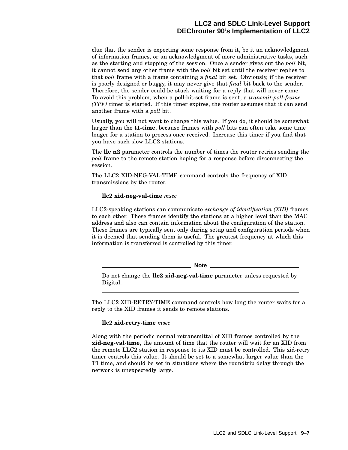clue that the sender is expecting some response from it, be it an acknowledgment of information frames, or an acknowledgment of more administrative tasks, such as the starting and stopping of the session. Once a sender gives out the *poll* bit, it cannot send any other frame with the *poll* bit set until the receiver replies to that *poll* frame with a frame containing a *final* bit set. Obviously, if the receiver is poorly designed or buggy, it may never give that *final* bit back to the sender. Therefore, the sender could be stuck waiting for a reply that will never come. To avoid this problem, when a poll-bit-set frame is sent, a *transmit-poll-frame (TPF)* timer is started. If this timer expires, the router assumes that it can send another frame with a *poll* bit.

Usually, you will not want to change this value. If you do, it should be somewhat larger than the **t1-time**, because frames with *poll* bits can often take some time longer for a station to process once received. Increase this timer if you find that you have such slow LLC2 stations.

The **llc n2** parameter controls the number of times the router retries sending the *poll* frame to the remote station hoping for a response before disconnecting the session.

The LLC2 XID-NEG-VAL-TIME command controls the frequency of XID transmissions by the router.

# **llc2 xid-neg-val-time** *msec*

LLC2-speaking stations can communicate *exchange of identification (XID)* frames to each other. These frames identify the stations at a higher level than the MAC address and also can contain information about the configuration of the station. These frames are typically sent only during setup and configuration periods when it is deemed that sending them is useful. The greatest frequency at which this information is transferred is controlled by this timer.

**Note**

Do not change the **llc2 xid-neg-val-time** parameter unless requested by Digital.

The LLC2 XID-RETRY-TIME command controls how long the router waits for a reply to the XID frames it sends to remote stations.

# **llc2 xid-retry-time** *msec*

Along with the periodic normal retransmittal of XID frames controlled by the **xid-neg-val-time**, the amount of time that the router will wait for an XID from the remote LLC2 station in response to its XID must be controlled. This xid-retry timer controls this value. It should be set to a somewhat larger value than the T1 time, and should be set in situations where the roundtrip delay through the network is unexpectedly large.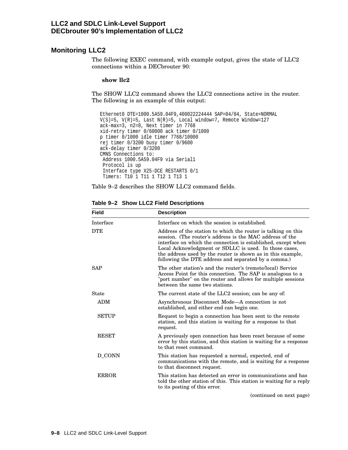# **Monitoring LLC2**

The following EXEC command, with example output, gives the state of LLC2 connections within a DECbrouter 90:

#### **show llc2**

The SHOW LLC2 command shows the LLC2 connections active in the router. The following is an example of this output:

```
Ethernet0 DTE=1000.5A59.04F9,400022224444 SAP=04/04, State=NORMAL
V(S)=5, V(R)=5, Last N(R)=5, Local window=7, Remote Window=127
ack-max=3, n2=8, Next timer in 7768
xid-retry timer 0/60000 ack timer 0/1000
p timer 0/1000 idle timer 7768/10000
rej timer 0/3200 busy timer 0/9600
ack-delay timer 0/3200
CMNS Connections to:
Address 1000.5A59.04F9 via Serial1
 Protocol is up
 Interface type X25-DCE RESTARTS 0/1
 Timers: T10 1 T11 1 T12 1 T13 1
```
Table 9–2 describes the SHOW LLC2 command fields.

| <b>Field</b> | <b>Description</b>                                                                                                                                                                                                                                                                                                                                                          |
|--------------|-----------------------------------------------------------------------------------------------------------------------------------------------------------------------------------------------------------------------------------------------------------------------------------------------------------------------------------------------------------------------------|
| Interface    | Interface on which the session is established.                                                                                                                                                                                                                                                                                                                              |
| <b>DTE</b>   | Address of the station to which the router is talking on this<br>session. (The router's address is the MAC address of the<br>interface on which the connection is established, except when<br>Local Acknowledgment or SDLLC is used. In those cases,<br>the address used by the router is shown as in this example,<br>following the DTE address and separated by a comma.) |
| SAP          | The other station's and the router's (remote/local) Service<br>Access Point for this connection. The SAP is analogous to a<br>"port number" on the router and allows for multiple sessions<br>between the same two stations.                                                                                                                                                |
| <b>State</b> | The current state of the LLC2 session; can be any of:                                                                                                                                                                                                                                                                                                                       |
| <b>ADM</b>   | Asynchronous Disconnect Mode—A connection is not<br>established, and either end can begin one.                                                                                                                                                                                                                                                                              |
| <b>SETUP</b> | Request to begin a connection has been sent to the remote<br>station, and this station is waiting for a response to that<br>request.                                                                                                                                                                                                                                        |
| <b>RESET</b> | A previously open connection has been reset because of some<br>error by this station, and this station is waiting for a response<br>to that reset command.                                                                                                                                                                                                                  |
| D_CONN       | This station has requested a normal, expected, end of<br>communications with the remote, and is waiting for a response<br>to that disconnect request.                                                                                                                                                                                                                       |
| <b>ERROR</b> | This station has detected an error in communications and has<br>told the other station of this. This station is waiting for a reply<br>to its posting of this error.                                                                                                                                                                                                        |
|              | (continued on next page)                                                                                                                                                                                                                                                                                                                                                    |

**Table 9–2 Show LLC2 Field Descriptions**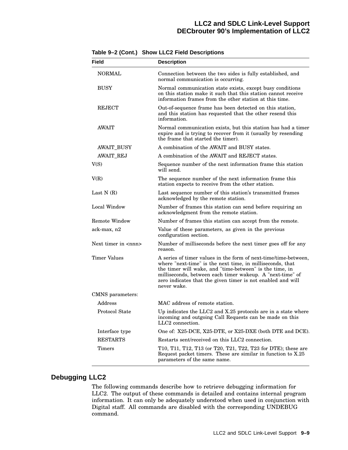# **LLC2 and SDLC Link-Level Support DECbrouter 90's Implementation of LLC2**

| <b>Field</b>                 | <b>Description</b>                                                                                                                                                                                                                                                                                                                 |
|------------------------------|------------------------------------------------------------------------------------------------------------------------------------------------------------------------------------------------------------------------------------------------------------------------------------------------------------------------------------|
| NORMAL                       | Connection between the two sides is fully established, and<br>normal communication is occurring.                                                                                                                                                                                                                                   |
| <b>BUSY</b>                  | Normal communication state exists, except busy conditions<br>on this station make it such that this station cannot receive<br>information frames from the other station at this time.                                                                                                                                              |
| <b>REJECT</b>                | Out-of-sequence frame has been detected on this station,<br>and this station has requested that the other resend this<br>information.                                                                                                                                                                                              |
| <b>AWAIT</b>                 | Normal communication exists, but this station has had a timer<br>expire and is trying to recover from it (usually by resending<br>the frame that started the timer).                                                                                                                                                               |
| <b>AWAIT_BUSY</b>            | A combination of the AWAIT and BUSY states.                                                                                                                                                                                                                                                                                        |
| <b>AWAIT_REJ</b>             | A combination of the AWAIT and REJECT states.                                                                                                                                                                                                                                                                                      |
| V(S)                         | Sequence number of the next information frame this station<br>will send.                                                                                                                                                                                                                                                           |
| V(R)                         | The sequence number of the next information frame this<br>station expects to receive from the other station.                                                                                                                                                                                                                       |
| Last $N(R)$                  | Last sequence number of this station's transmitted frames<br>acknowledged by the remote station.                                                                                                                                                                                                                                   |
| Local Window                 | Number of frames this station can send before requiring an<br>acknowledgment from the remote station.                                                                                                                                                                                                                              |
| <b>Remote Window</b>         | Number of frames this station can accept from the remote.                                                                                                                                                                                                                                                                          |
| ack-max, n2                  | Value of these parameters, as given in the previous<br>configuration section.                                                                                                                                                                                                                                                      |
| Next timer in $\langle$ nnn> | Number of milliseconds before the next timer goes off for any<br>reason.                                                                                                                                                                                                                                                           |
| <b>Timer Values</b>          | A series of timer values in the form of next-time/time-between,<br>where "next-time" is the next time, in milliseconds, that<br>the timer will wake, and "time-between" is the time, in<br>milliseconds, between each timer wakeup. A "next-time" of<br>zero indicates that the given timer is not enabled and will<br>never wake. |
| CMNS parameters:             |                                                                                                                                                                                                                                                                                                                                    |
| Address                      | MAC address of remote station.                                                                                                                                                                                                                                                                                                     |
| Protocol State               | Up indicates the LLC2 and X.25 protocols are in a state where<br>incoming and outgoing Call Requests can be made on this<br>LLC <sub>2</sub> connection.                                                                                                                                                                           |
| Interface type               | One of: X25-DCE, X25-DTE, or X25-DXE (both DTE and DCE).                                                                                                                                                                                                                                                                           |
| <b>RESTARTS</b>              | Restarts sent/received on this LLC2 connection.                                                                                                                                                                                                                                                                                    |
| Timers                       | T10, T11, T12, T13 (or T20, T21, T22, T23 for DTE); these are<br>Request packet timers. These are similar in function to X.25<br>parameters of the same name.                                                                                                                                                                      |

#### **Table 9–2 (Cont.) Show LLC2 Field Descriptions**

# **Debugging LLC2**

The following commands describe how to retrieve debugging information for LLC2. The output of these commands is detailed and contains internal program information. It can only be adequately understood when used in conjunction with Digital staff. All commands are disabled with the corresponding UNDEBUG command.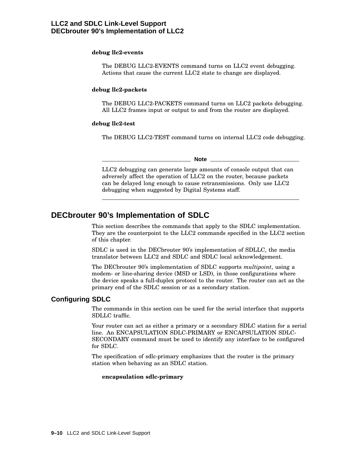#### **debug llc2-events**

The DEBUG LLC2-EVENTS command turns on LLC2 event debugging. Actions that cause the current LLC2 state to change are displayed.

#### **debug llc2-packets**

The DEBUG LLC2-PACKETS command turns on LLC2 packets debugging. All LLC2 frames input or output to and from the router are displayed.

#### **debug llc2-test**

The DEBUG LLC2-TEST command turns on internal LLC2 code debugging.

**Note**

LLC2 debugging can generate large amounts of console output that can adversely affect the operation of LLC2 on the router, because packets can be delayed long enough to cause retransmissions. Only use LLC2 debugging when suggested by Digital Systems staff.

# **DECbrouter 90's Implementation of SDLC**

This section describes the commands that apply to the SDLC implementation. They are the counterpoint to the LLC2 commands specified in the LLC2 section of this chapter.

SDLC is used in the DECbrouter 90's implementation of SDLLC, the media translator between LLC2 and SDLC and SDLC local acknowledgement.

The DECbrouter 90's implementation of SDLC supports *multipoint*, using a modem- or line-sharing device (MSD or LSD), in those configurations where the device speaks a full-duplex protocol to the router. The router can act as the primary end of the SDLC session or as a secondary station.

# **Configuring SDLC**

The commands in this section can be used for the serial interface that supports SDLLC traffic.

Your router can act as either a primary or a secondary SDLC station for a serial line. An ENCAPSULATION SDLC-PRIMARY or ENCAPSULATION SDLC-SECONDARY command must be used to identify any interface to be configured for SDLC.

The specification of sdlc-primary emphasizes that the router is the primary station when behaving as an SDLC station.

#### **encapsulation sdlc-primary**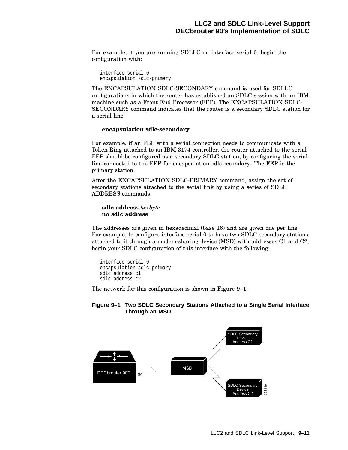For example, if you are running SDLLC on interface serial 0, begin the configuration with:

```
interface serial 0
encapsulation sdlc-primary
```
The ENCAPSULATION SDLC-SECONDARY command is used for SDLLC configurations in which the router has established an SDLC session with an IBM machine such as a Front End Processor (FEP). The ENCAPSULATION SDLC-SECONDARY command indicates that the router is a secondary SDLC station for a serial line.

#### **encapsulation sdlc-secondary**

For example, if an FEP with a serial connection needs to communicate with a Token Ring attached to an IBM 3174 controller, the router attached to the serial FEP should be configured as a secondary SDLC station, by configuring the serial line connected to the FEP for encapsulation sdlc-secondary. The FEP is the primary station.

After the ENCAPSULATION SDLC-PRIMARY command, assign the set of secondary stations attached to the serial link by using a series of SDLC ADDRESS commands:

#### **sdlc address** *hexbyte* **no sdlc address**

The addresses are given in hexadecimal (base 16) and are given one per line. For example, to configure interface serial 0 to have two SDLC secondary stations attached to it through a modem-sharing device (MSD) with addresses C1 and C2, begin your SDLC configuration of this interface with the following:

```
interface serial 0
encapsulation sdlc-primary
sdlc address c1
sdlc address c2
```
The network for this configuration is shown in Figure 9–1.

#### **Figure 9–1 Two SDLC Secondary Stations Attached to a Single Serial Interface Through an MSD**

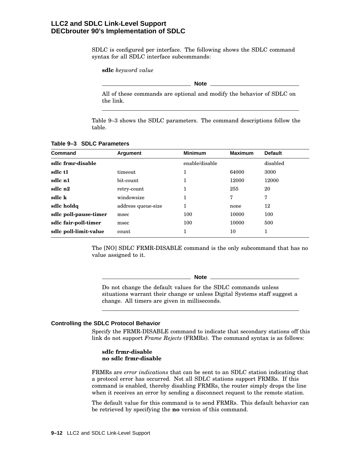# **LLC2 and SDLC Link-Level Support DECbrouter 90's Implementation of SDLC**

SDLC is configured per interface. The following shows the SDLC command syntax for all SDLC interface subcommands:

**sdlc** *keyword value*

**Note**

All of these commands are optional and modify the behavior of SDLC on the link.

Table 9–3 shows the SDLC parameters. The command descriptions follow the table.

| <b>Command</b>        | Argument           | <b>Minimum</b> | <b>Maximum</b> | <b>Default</b> |
|-----------------------|--------------------|----------------|----------------|----------------|
| sdlc frmr-disable     |                    | enable/disable |                | disabled       |
| sdle t1               | timeout            | 1              | 64000          | 3000           |
| sdlc n1               | bit-count          | 1              | 12000          | 12000          |
| sdlc n2               | retry-count        | 1              | 255            | 20             |
| sdlc k                | windowsize         | 1              | 7              | 7              |
| sdlc holdg            | address queue-size | 1              | none           | 12             |
| sdlc poll-pause-timer | msec               | 100            | 10000          | 100            |
| sdlc fair-poll-timer  | msec               | 100            | 10000          | 500            |
| sdlc poll-limit-value | count              | 1              | 10             |                |

#### **Table 9–3 SDLC Parameters**

The [NO] SDLC FRMR-DISABLE command is the only subcommand that has no value assigned to it.

**Note**

Do not change the default values for the SDLC commands unless situations warrant their change or unless Digital Systems staff suggest a change. All timers are given in milliseconds.

#### **Controlling the SDLC Protocol Behavior**

Specify the FRMR-DISABLE command to indicate that secondary stations off this link do not support *Frame Rejects* (FRMRs). The command syntax is as follows:

#### **sdlc frmr-disable no sdlc frmr-disable**

FRMRs are *error indications* that can be sent to an SDLC station indicating that a protocol error has occurred. Not all SDLC stations support FRMRs. If this command is enabled, thereby disabling FRMRs, the router simply drops the line when it receives an error by sending a disconnect request to the remote station.

The default value for this command is to send FRMRs. This default behavior can be retrieved by specifying the **no** version of this command.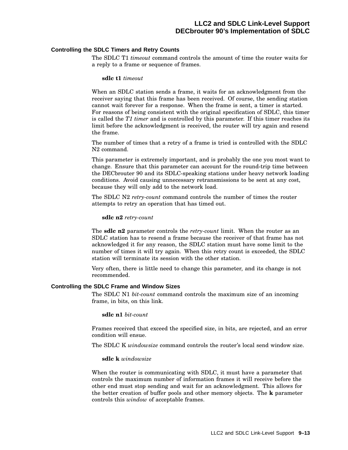#### **Controlling the SDLC Timers and Retry Counts**

The SDLC T1 *timeout* command controls the amount of time the router waits for a reply to a frame or sequence of frames.

#### **sdlc t1** *timeout*

When an SDLC station sends a frame, it waits for an acknowledgment from the receiver saying that this frame has been received. Of course, the sending station cannot wait forever for a response. When the frame is sent, a timer is started. For reasons of being consistent with the original specification of SDLC, this timer is called the *T1 timer* and is controlled by this parameter. If this timer reaches its limit before the acknowledgment is received, the router will try again and resend the frame.

The number of times that a retry of a frame is tried is controlled with the SDLC N2 command.

This parameter is extremely important, and is probably the one you most want to change. Ensure that this parameter can account for the round-trip time between the DECbrouter 90 and its SDLC-speaking stations under heavy network loading conditions. Avoid causing unnecessary retransmissions to be sent at any cost, because they will only add to the network load.

The SDLC N2 *retry-count* command controls the number of times the router attempts to retry an operation that has timed out.

#### **sdlc n2** *retry-count*

The **sdlc n2** parameter controls the *retry-count* limit. When the router as an SDLC station has to resend a frame because the receiver of that frame has not acknowledged it for any reason, the SDLC station must have some limit to the number of times it will try again. When this retry count is exceeded, the SDLC station will terminate its session with the other station.

Very often, there is little need to change this parameter, and its change is not recommended.

#### **Controlling the SDLC Frame and Window Sizes**

The SDLC N1 *bit-count* command controls the maximum size of an incoming frame, in bits, on this link.

**sdlc n1** *bit-count*

Frames received that exceed the specified size, in bits, are rejected, and an error condition will ensue.

The SDLC K *windowsize* command controls the router's local send window size.

#### **sdlc k** *windowsize*

When the router is communicating with SDLC, it must have a parameter that controls the maximum number of information frames it will receive before the other end must stop sending and wait for an acknowledgment. This allows for the better creation of buffer pools and other memory objects. The **k** parameter controls this *window* of acceptable frames.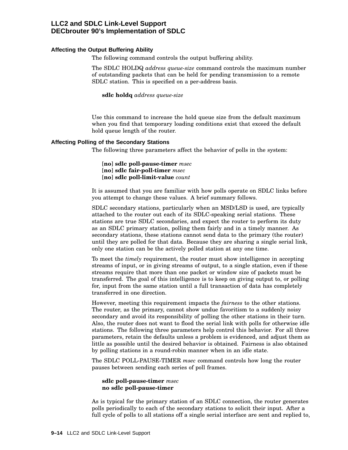# **LLC2 and SDLC Link-Level Support DECbrouter 90's Implementation of SDLC**

#### **Affecting the Output Buffering Ability**

The following command controls the output buffering ability.

The SDLC HOLDQ *address queue-size* command controls the maximum number of outstanding packets that can be held for pending transmission to a remote SDLC station. This is specified on a per-address basis.

**sdlc holdq** *address queue-size*

Use this command to increase the hold queue size from the default maximum when you find that temporary loading conditions exist that exceed the default hold queue length of the router.

#### **Affecting Polling of the Secondary Stations**

The following three parameters affect the behavior of polls in the system:

[**no**] **sdlc poll-pause-timer** *msec* [**no**] **sdlc fair-poll-timer** *msec* [**no**] **sdlc poll-limit-value** *count*

It is assumed that you are familiar with how polls operate on SDLC links before you attempt to change these values. A brief summary follows.

SDLC secondary stations, particularly when an MSD/LSD is used, are typically attached to the router out each of its SDLC-speaking serial stations. These stations are true SDLC secondaries, and expect the router to perform its duty as an SDLC primary station, polling them fairly and in a timely manner. As secondary stations, these stations cannot send data to the primary (the router) until they are polled for that data. Because they are sharing a single serial link, only one station can be the actively polled station at any one time.

To meet the *timely* requirement, the router must show intelligence in accepting streams of input, or in giving streams of output, to a single station, even if these streams require that more than one packet or window size of packets must be transferred. The goal of this intelligence is to keep on giving output to, or polling for, input from the same station until a full transaction of data has completely transferred in one direction.

However, meeting this requirement impacts the *fairness* to the other stations. The router, as the primary, cannot show undue favoritism to a suddenly noisy secondary and avoid its responsibility of polling the other stations in their turn. Also, the router does not want to flood the serial link with polls for otherwise idle stations. The following three parameters help control this behavior. For all three parameters, retain the defaults unless a problem is evidenced, and adjust them as little as possible until the desired behavior is obtained. Fairness is also obtained by polling stations in a round-robin manner when in an idle state.

The SDLC POLL-PAUSE-TIMER *msec* command controls how long the router pauses between sending each series of poll frames.

#### **sdlc poll-pause-timer** *msec* **no sdlc poll-pause-timer**

As is typical for the primary station of an SDLC connection, the router generates polls periodically to each of the secondary stations to solicit their input. After a full cycle of polls to all stations off a single serial interface are sent and replied to,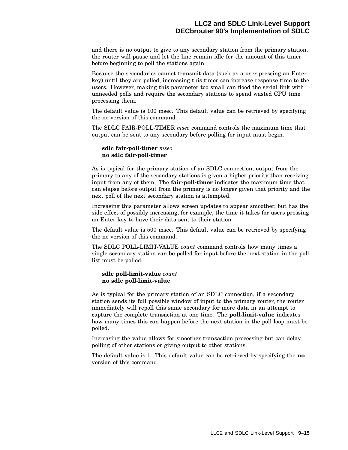and there is no output to give to any secondary station from the primary station, the router will pause and let the line remain idle for the amount of this timer before beginning to poll the stations again.

Because the secondaries cannot transmit data (such as a user pressing an Enter key) until they are polled, increasing this timer can increase response time to the users. However, making this parameter too small can flood the serial link with unneeded polls and require the secondary stations to spend wasted CPU time processing them.

The default value is 100 msec. This default value can be retrieved by specifying the no version of this command.

The SDLC FAIR-POLL-TIMER *msec* command controls the maximum time that output can be sent to any secondary before polling for input must begin.

#### **sdlc fair-poll-timer** *msec* **no sdlc fair-poll-timer**

As is typical for the primary station of an SDLC connection, output from the primary to any of the secondary stations is given a higher priority than receiving input from any of them. The **fair-poll-timer** indicates the maximum time that can elapse before output from the primary is no longer given that priority and the next poll of the next secondary station is attempted.

Increasing this parameter allows screen updates to appear smoother, but has the side effect of possibly increasing, for example, the time it takes for users pressing an Enter key to have their data sent to their station.

The default value is 500 msec. This default value can be retrieved by specifying the no version of this command.

The SDLC POLL-LIMIT-VALUE *count* command controls how many times a single secondary station can be polled for input before the next station in the poll list must be polled.

#### **sdlc poll-limit-value** *count* **no sdlc poll-limit-value**

As is typical for the primary station of an SDLC connection, if a secondary station sends its full possible window of input to the primary router, the router immediately will repoll this same secondary for more data in an attempt to capture the complete transaction at one time. The **poll-limit-value** indicates how many times this can happen before the next station in the poll loop must be polled.

Increasing the value allows for smoother transaction processing but can delay polling of other stations or giving output to other stations.

The default value is 1. This default value can be retrieved by specifying the **no** version of this command.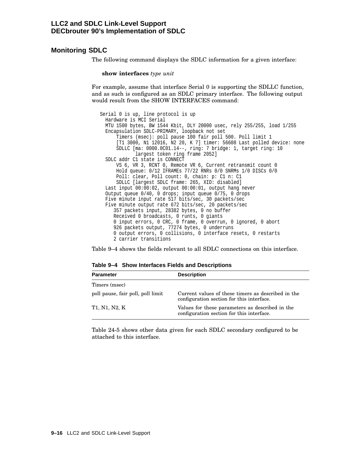# **Monitoring SDLC**

The following command displays the SDLC information for a given interface:

**show interfaces** *type unit*

For example, assume that interface Serial 0 is supporting the SDLLC function, and as such is configured as an SDLC primary interface. The following output would result from the SHOW INTERFACES command:

Serial 0 is up, line protocol is up Hardware is MCI Serial MTU 1500 bytes, BW 1544 Kbit, DLY 20000 usec, rely 255/255, load 1/255 Encapsulation SDLC-PRIMARY, loopback not set Timers (msec): poll pause 100 fair poll 500. Poll limit 1 [T1 3000, N1 12016, N2 20, K 7] timer: 56608 Last polled device: none SDLLC [ma: 0000.0C01.14--, ring: 7 bridge: 1, target ring: 10 largest token ring frame 2052] SDLC addr C1 state is CONNECT VS 6, VR 3, RCNT 0, Remote VR 6, Current retransmit count 0 Hold queue: 0/12 IFRAMEs 77/22 RNRs 0/0 SNRMs 1/0 DISCs 0/0 Poll: clear, Poll count: 0, chain: p: C1 n: C1 SDLLC [largest SDLC frame: 265, XID: disabled] Last input 00:00:02, output 00:00:01, output hang never Output queue 0/40, 0 drops; input queue 0/75, 0 drops Five minute input rate 517 bits/sec, 30 packets/sec Five minute output rate 672 bits/sec, 20 packets/sec 357 packets input, 28382 bytes, 0 no buffer Received 0 broadcasts, 0 runts, 0 giants 0 input errors, 0 CRC, 0 frame, 0 overrun, 0 ignored, 0 abort 926 packets output, 77274 bytes, 0 underruns 0 output errors, 0 collisions, 0 interface resets, 0 restarts 2 carrier transitions

Table 9–4 shows the fields relevant to all SDLC connections on this interface.

| <b>Parameter</b>                  | <b>Description</b>                                                                              |
|-----------------------------------|-------------------------------------------------------------------------------------------------|
| Timers (msec)                     |                                                                                                 |
| poll pause, fair poll, poll limit | Current values of these timers as described in the<br>configuration section for this interface. |
| T1, N1, N2, K                     | Values for these parameters as described in the<br>configuration section for this interface.    |

**Table 9–4 Show Interfaces Fields and Descriptions**

Table 24-5 shows other data given for each SDLC secondary configured to be attached to this interface.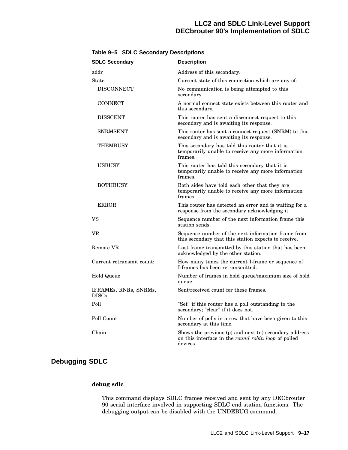# **LLC2 and SDLC Link-Level Support DECbrouter 90's Implementation of SDLC**

| <b>SDLC Secondary</b>                 | <b>Description</b>                                                                                                       |
|---------------------------------------|--------------------------------------------------------------------------------------------------------------------------|
| addr                                  | Address of this secondary.                                                                                               |
| $\operatorname{State}$                | Current state of this connection which are any of:                                                                       |
| <b>DISCONNECT</b>                     | No communication is being attempted to this<br>secondary.                                                                |
| <b>CONNECT</b>                        | A normal connect state exists between this router and<br>this secondary.                                                 |
| <b>DISSCENT</b>                       | This router has sent a disconnect request to this<br>secondary and is awaiting its response.                             |
| <b>SNRMSENT</b>                       | This router has sent a connect request (SNRM) to this<br>secondary and is awaiting its response.                         |
| <b>THEMBUSY</b>                       | This secondary has told this router that it is<br>temporarily unable to receive any more information<br>frames.          |
| <b>USBUSY</b>                         | This router has told this secondary that it is<br>temporarily unable to receive any more information<br>frames.          |
| <b>BOTHBUSY</b>                       | Both sides have told each other that they are<br>temporarily unable to receive any more information<br>frames.           |
| <b>ERROR</b>                          | This router has detected an error and is waiting for a<br>response from the secondary acknowledging it.                  |
| VS                                    | Sequence number of the next information frame this<br>station sends.                                                     |
| VR                                    | Sequence number of the next information frame from<br>this secondary that this station expects to receive.               |
| Remote VR                             | Last frame transmitted by this station that has been<br>acknowledged by the other station.                               |
| Current retransmit count:             | How many times the current I-frame or sequence of<br>I-frames has been retransmitted.                                    |
| Hold Queue                            | Number of frames in hold queue/maximum size of hold<br>queue.                                                            |
| IFRAMES, RNRS, SNRMS,<br><b>DISCs</b> | Sent/received count for these frames.                                                                                    |
| Poll                                  | "Set" if this router has a poll outstanding to the<br>secondary; "clear" if it does not.                                 |
| Poll Count                            | Number of polls in a row that have been given to this<br>secondary at this time.                                         |
| Chain                                 | Shows the previous (p) and next (n) secondary address<br>on this interface in the round robin loop of polled<br>devices. |

**Table 9–5 SDLC Secondary Descriptions**

# **Debugging SDLC**

#### **debug sdlc**

This command displays SDLC frames received and sent by any DECbrouter 90 serial interface involved in supporting SDLC end station functions. The debugging output can be disabled with the UNDEBUG command.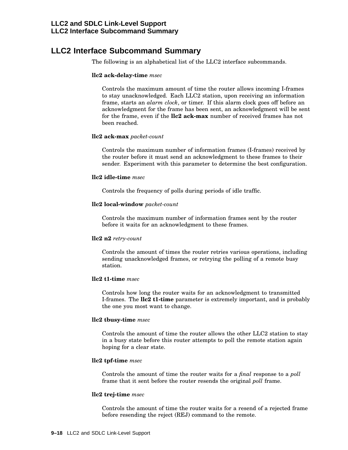# **LLC2 Interface Subcommand Summary**

The following is an alphabetical list of the LLC2 interface subcommands.

#### **llc2 ack-delay-time** *msec*

Controls the maximum amount of time the router allows incoming I-frames to stay unacknowledged. Each LLC2 station, upon receiving an information frame, starts an *alarm clock*, or timer. If this alarm clock goes off before an acknowledgment for the frame has been sent, an acknowledgment will be sent for the frame, even if the **llc2 ack-max** number of received frames has not been reached.

#### **llc2 ack-max** *packet-count*

Controls the maximum number of information frames (I-frames) received by the router before it must send an acknowledgment to these frames to their sender. Experiment with this parameter to determine the best configuration.

#### **llc2 idle-time** *msec*

Controls the frequency of polls during periods of idle traffic.

#### **llc2 local-window** *packet-count*

Controls the maximum number of information frames sent by the router before it waits for an acknowledgment to these frames.

#### **llc2 n2** *retry-count*

Controls the amount of times the router retries various operations, including sending unacknowledged frames, or retrying the polling of a remote busy station.

#### **llc2 t1-time** *msec*

Controls how long the router waits for an acknowledgment to transmitted I-frames. The **llc2 t1-time** parameter is extremely important, and is probably the one you most want to change.

#### **llc2 tbusy-time** *msec*

Controls the amount of time the router allows the other LLC2 station to stay in a busy state before this router attempts to poll the remote station again hoping for a clear state.

#### **llc2 tpf-time** *msec*

Controls the amount of time the router waits for a *final* response to a *poll* frame that it sent before the router resends the original *poll* frame.

#### **llc2 trej-time** *msec*

Controls the amount of time the router waits for a resend of a rejected frame before resending the reject (REJ) command to the remote.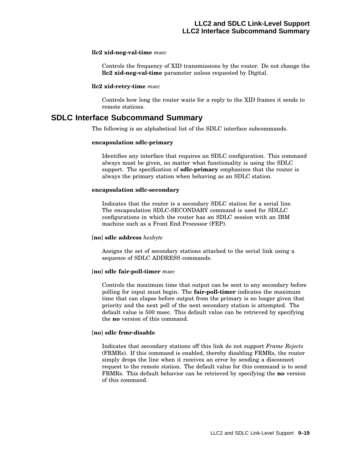#### **llc2 xid-neg-val-time** *msec*

Controls the frequency of XID transmissions by the router. Do not change the **llc2 xid-neg-val-time** parameter unless requested by Digital.

#### **llc2 xid-retry-time** *msec*

Controls how long the router waits for a reply to the XID frames it sends to remote stations.

# **SDLC Interface Subcommand Summary**

The following is an alphabetical list of the SDLC interface subcommands.

#### **encapsulation sdlc-primary**

Identifies any interface that requires an SDLC configuration. This command always must be given, no matter what functionality is using the SDLC support. The specification of **sdlc-primary** emphasizes that the router is always the primary station when behaving as an SDLC station.

#### **encapsulation sdlc-secondary**

Indicates that the router is a secondary SDLC station for a serial line. The encapsulation SDLC-SECONDARY command is used for SDLLC configurations in which the router has an SDLC session with an IBM machine such as a Front End Processor (FEP).

#### [**no**] **sdlc address** *hexbyte*

Assigns the set of secondary stations attached to the serial link using a sequence of SDLC ADDRESS commands.

#### [**no**] **sdlc fair-poll-timer** *msec*

Controls the maximum time that output can be sent to any secondary before polling for input must begin. The **fair-poll-timer** indicates the maximum time that can elapse before output from the primary is no longer given that priority and the next poll of the next secondary station is attempted. The default value is 500 msec. This default value can be retrieved by specifying the **no** version of this command.

#### [**no**] **sdlc frmr-disable**

Indicates that secondary stations off this link do not support *Frame Rejects* (FRMRs). If this command is enabled, thereby disabling FRMRs, the router simply drops the line when it receives an error by sending a disconnect request to the remote station. The default value for this command is to send FRMRs. This default behavior can be retrieved by specifying the **no** version of this command.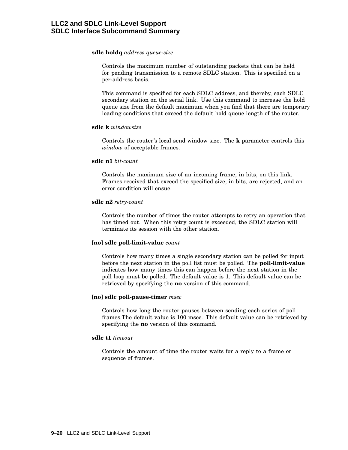#### **sdlc holdq** *address queue-size*

Controls the maximum number of outstanding packets that can be held for pending transmission to a remote SDLC station. This is specified on a per-address basis.

This command is specified for each SDLC address, and thereby, each SDLC secondary station on the serial link. Use this command to increase the hold queue size from the default maximum when you find that there are temporary loading conditions that exceed the default hold queue length of the router.

#### **sdlc k** *windowsize*

Controls the router's local send window size. The **k** parameter controls this *window* of acceptable frames.

#### **sdlc n1** *bit-count*

Controls the maximum size of an incoming frame, in bits, on this link. Frames received that exceed the specified size, in bits, are rejected, and an error condition will ensue.

#### **sdlc n2** *retry-count*

Controls the number of times the router attempts to retry an operation that has timed out. When this retry count is exceeded, the SDLC station will terminate its session with the other station.

#### [**no**] **sdlc poll-limit-value** *count*

Controls how many times a single secondary station can be polled for input before the next station in the poll list must be polled. The **poll-limit-value** indicates how many times this can happen before the next station in the poll loop must be polled. The default value is 1. This default value can be retrieved by specifying the **no** version of this command.

#### [**no**] **sdlc poll-pause-timer** *msec*

Controls how long the router pauses between sending each series of poll frames.The default value is 100 msec. This default value can be retrieved by specifying the **no** version of this command.

#### **sdlc t1** *timeout*

Controls the amount of time the router waits for a reply to a frame or sequence of frames.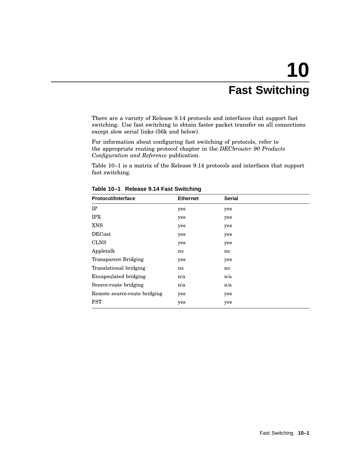# **10 Fast Switching**

There are a variety of Release 9.14 protocols and interfaces that support fast switching. Use fast switching to obtain faster packet transfer on all connections except slow serial links (56k and below).

For information about configuring fast switching of protocols, refer to the appropriate routing protocol chapter in the *DECbrouter 90 Products Configuration and Reference* publication.

Table 10–1 is a matrix of the Release 9.14 protocols and interfaces that support fast switching.

| <b>Protocol/Interface</b>    | <b>Ethernet</b> | <b>Serial</b> |
|------------------------------|-----------------|---------------|
| IP                           | yes             | yes           |
| <b>IPX</b>                   | yes             | yes           |
| <b>XNS</b>                   | yes             | yes           |
| <b>DECnet</b>                | yes             | yes           |
| <b>CLNS</b>                  | yes             | yes           |
| Appletalk                    | no              | no            |
| <b>Transparent Bridging</b>  | yes             | yes           |
| Translational bridging       | no              | no            |
| <b>Encapsulated bridging</b> | n/a             | n/a           |
| Source-route bridging        | n/a             | n/a           |
| Remote source-route bridging | yes             | yes           |
| <b>FST</b>                   | yes             | yes           |

**Table 10–1 Release 9.14 Fast Switching**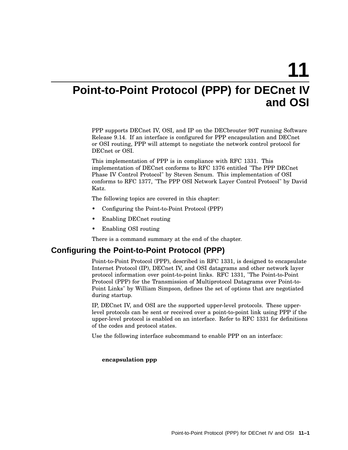**11**

# **Point-to-Point Protocol (PPP) for DECnet IV and OSI**

PPP supports DECnet IV, OSI, and IP on the DECbrouter 90T running Software Release 9.14. If an interface is configured for PPP encapsulation and DECnet or OSI routing, PPP will attempt to negotiate the network control protocol for DECnet or OSI.

This implementation of PPP is in compliance with RFC 1331. This implementation of DECnet conforms to RFC 1376 entitled "The PPP DECnet Phase IV Control Protocol" by Steven Senum. This implementation of OSI conforms to RFC 1377, "The PPP OSI Network Layer Control Protocol" by David Katz.

The following topics are covered in this chapter:

- Configuring the Point-to-Point Protocol (PPP)
- Enabling DECnet routing
- Enabling OSI routing

There is a command summary at the end of the chapter.

# **Configuring the Point-to-Point Protocol (PPP)**

Point-to-Point Protocol (PPP), described in RFC 1331, is designed to encapsulate Internet Protocol (IP), DECnet IV, and OSI datagrams and other network layer protocol information over point-to-point links. RFC 1331, "The Point-to-Point Protocol (PPP) for the Transmission of Multiprotocol Datagrams over Point-to-Point Links" by William Simpson, defines the set of options that are negotiated during startup.

IP, DECnet IV, and OSI are the supported upper-level protocols. These upperlevel protocols can be sent or received over a point-to-point link using PPP if the upper-level protocol is enabled on an interface. Refer to RFC 1331 for definitions of the codes and protocol states.

Use the following interface subcommand to enable PPP on an interface:

#### **encapsulation ppp**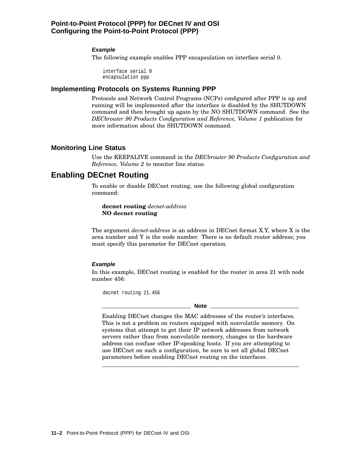# **Point-to-Point Protocol (PPP) for DECnet IV and OSI Configuring the Point-to-Point Protocol (PPP)**

#### **Example**

The following example enables PPP encapsulation on interface serial 0.

interface serial 0 encapsulation ppp

#### **Implementing Protocols on Systems Running PPP**

Protocols and Network Control Programs (NCPs) configured after PPP is up and running will be implemented after the interface is disabled by the SHUTDOWN command and then brought up again by the NO SHUTDOWN command. See the *DECbrouter 90 Products Configuration and Reference, Volume 1* publication for more information about the SHUTDOWN command.

# **Monitoring Line Status**

Use the KEEPALIVE command in the *DECbrouter 90 Products Configuration and Reference, Volume 2* to monitor line status.

# **Enabling DECnet Routing**

To enable or disable DECnet routing, use the following global configuration command:

**decnet routing** *decnet-address* **NO decnet routing**

The argument *decnet-address* is an address in DECnet format X.Y, where X is the area number and Y is the node number. There is no default router address; you must specify this parameter for DECnet operation.

#### **Example**

In this example, DECnet routing is enabled for the router in area 21 with node number 456:

decnet routing 21.456

#### **Note**

Enabling DECnet changes the MAC addresses of the router's interfaces. This is not a problem on routers equipped with nonvolatile memory. On systems that attempt to get their IP network addresses from network servers rather than from nonvolatile memory, changes in the hardware address can confuse other IP-speaking hosts. If you are attempting to use DECnet on such a configuration, be sure to set all global DECnet parameters before enabling DECnet routing on the interfaces.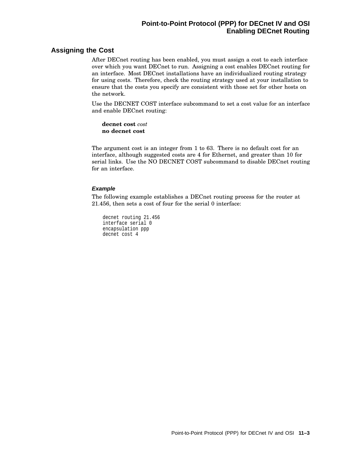# **Point-to-Point Protocol (PPP) for DECnet IV and OSI Enabling DECnet Routing**

# **Assigning the Cost**

After DECnet routing has been enabled, you must assign a cost to each interface over which you want DECnet to run. Assigning a cost enables DECnet routing for an interface. Most DECnet installations have an individualized routing strategy for using costs. Therefore, check the routing strategy used at your installation to ensure that the costs you specify are consistent with those set for other hosts on the network.

Use the DECNET COST interface subcommand to set a cost value for an interface and enable DECnet routing:

**decnet cost** *cost* **no decnet cost**

The argument cost is an integer from 1 to 63. There is no default cost for an interface, although suggested costs are 4 for Ethernet, and greater than 10 for serial links. Use the NO DECNET COST subcommand to disable DECnet routing for an interface.

#### **Example**

The following example establishes a DECnet routing process for the router at 21.456, then sets a cost of four for the serial 0 interface:

decnet routing 21.456 interface serial 0 encapsulation ppp decnet cost 4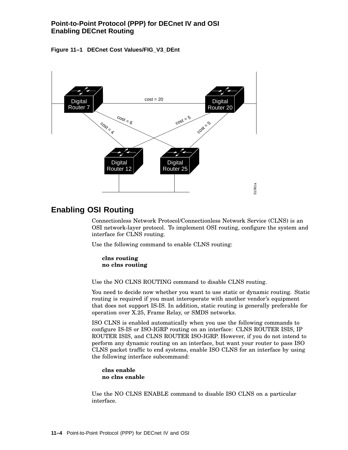# **Point-to-Point Protocol (PPP) for DECnet IV and OSI Enabling DECnet Routing**





# **Enabling OSI Routing**

Connectionless Network Protocol/Connectionless Network Service (CLNS) is an OSI network-layer protocol. To implement OSI routing, configure the system and interface for CLNS routing.

Use the following command to enable CLNS routing:

**clns routing no clns routing**

Use the NO CLNS ROUTING command to disable CLNS routing.

You need to decide now whether you want to use static or dynamic routing. Static routing is required if you must interoperate with another vendor's equipment that does not support IS-IS. In addition, static routing is generally preferable for operation over X.25, Frame Relay, or SMDS networks.

ISO CLNS is enabled automatically when you use the following commands to configure IS-IS or ISO-IGRP routing on an interface: CLNS ROUTER ISIS, IP ROUTER ISIS, and CLNS ROUTER ISO-IGRP. However, if you do not intend to perform any dynamic routing on an interface, but want your router to pass ISO CLNS packet traffic to end systems, enable ISO CLNS for an interface by using the following interface subcommand:

**clns enable no clns enable**

Use the NO CLNS ENABLE command to disable ISO CLNS on a particular interface.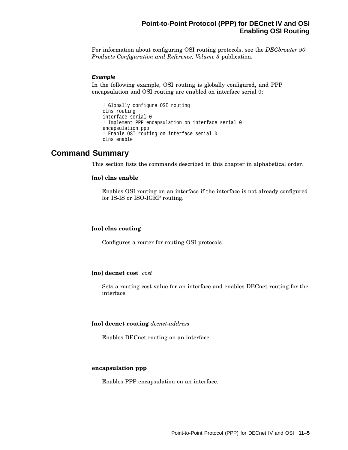# **Point-to-Point Protocol (PPP) for DECnet IV and OSI Enabling OSI Routing**

For information about configuring OSI routing protocols, see the *DECbrouter 90 Products Configuration and Reference, Volume 3* publication.

#### **Example**

In the following example, OSI routing is globally configured, and PPP encapsulation and OSI routing are enabled on interface serial 0:

```
! Globally configure OSI routing
clns routing
interface serial 0
! Implement PPP encapsulation on interface serial 0
encapsulation ppp
! Enable OSI routing on interface serial 0
clns enable
```
# **Command Summary**

This section lists the commands described in this chapter in alphabetical order.

#### [**no**] **clns enable**

Enables OSI routing on an interface if the interface is not already configured for IS-IS or ISO-IGRP routing.

#### [**no**] **clns routing**

Configures a router for routing OSI protocols

#### [**no**] **decnet cost** *cost*

Sets a routing cost value for an interface and enables DECnet routing for the interface.

#### [**no**] **decnet routing** *decnet-address*

Enables DECnet routing on an interface.

#### **encapsulation ppp**

Enables PPP encapsulation on an interface.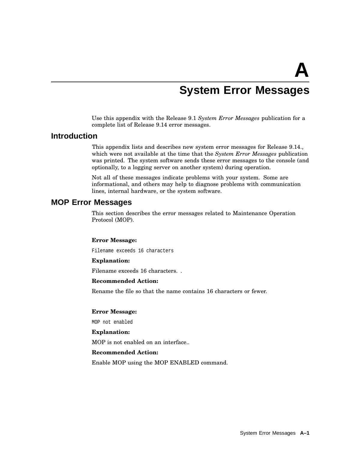# **System Error Messages**

Use this appendix with the Release 9.1 *System Error Messages* publication for a complete list of Release 9.14 error messages.

# **Introduction**

This appendix lists and describes new system error messages for Release 9.14., which were not available at the time that the *System Error Messages* publication was printed. The system software sends these error messages to the console (and optionally, to a logging server on another system) during operation.

Not all of these messages indicate problems with your system. Some are informational, and others may help to diagnose problems with communication lines, internal hardware, or the system software.

# **MOP Error Messages**

This section describes the error messages related to Maintenance Operation Protocol (MOP).

#### **Error Message:**

Filename exceeds 16 characters

#### **Explanation:**

Filename exceeds 16 characters. .

#### **Recommended Action:**

Rename the file so that the name contains 16 characters or fewer.

#### **Error Message:**

MOP not enabled

#### **Explanation:**

MOP is not enabled on an interface..

#### **Recommended Action:**

Enable MOP using the MOP ENABLED command.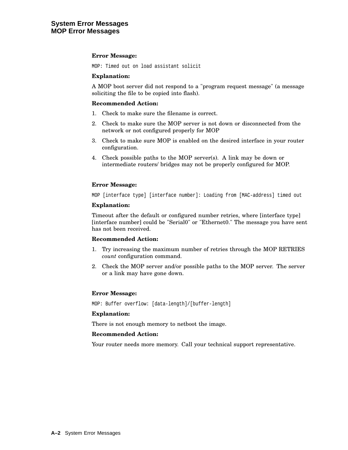#### **Error Message:**

MOP: Timed out on load assistant solicit

#### **Explanation:**

A MOP boot server did not respond to a "program request message" (a message soliciting the file to be copied into flash).

#### **Recommended Action:**

- 1. Check to make sure the filename is correct.
- 2. Check to make sure the MOP server is not down or disconnected from the network or not configured properly for MOP
- 3. Check to make sure MOP is enabled on the desired interface in your router configuration.
- 4. Check possible paths to the MOP server(s). A link may be down or intermediate routers/ bridges may not be properly configured for MOP.

#### **Error Message:**

MOP [interface type] [interface number]: Loading from [MAC-address] timed out

#### **Explanation:**

Timeout after the default or configured number retries, where [interface type] [interface number] could be "Serial0" or "Ethernet0." The message you have sent has not been received.

#### **Recommended Action:**

- 1. Try increasing the maximum number of retries through the MOP RETRIES *count* configuration command.
- 2. Check the MOP server and/or possible paths to the MOP server. The server or a link may have gone down.

#### **Error Message:**

MOP: Buffer overflow: [data-length]/[buffer-length]

#### **Explanation:**

There is not enough memory to netboot the image.

#### **Recommended Action:**

Your router needs more memory. Call your technical support representative.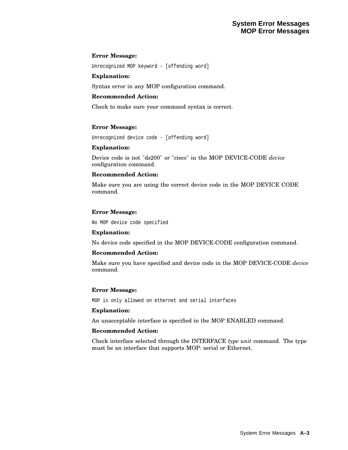#### **Error Message:**

Unrecognized MOP keyword - [offending word]

#### **Explanation:**

Syntax error in any MOP configuration command.

#### **Recommended Action:**

Check to make sure your command syntax is correct.

#### **Error Message:**

Unrecognized device code - [offending word]

#### **Explanation:**

Device code is not "ds200" or "cisco" in the MOP DEVICE-CODE *device* configuration command.

#### **Recommended Action:**

Make sure you are using the correct device code in the MOP DEVICE CODE command.

#### **Error Message:**

No MOP device code specified

#### **Explanation:**

No device code specified in the MOP DEVICE-CODE configuration command.

#### **Recommended Action:**

Make sure you have specified and device code in the MOP DEVICE-CODE *device* command.

#### **Error Message:**

MOP is only allowed on ethernet and serial interfaces

#### **Explanation:**

An unacceptable interface is specified in the MOP ENABLED command.

#### **Recommended Action:**

Check interface selected through the INTERFACE *type unit* command. The type must be an interface that supports MOP: serial or Ethernet.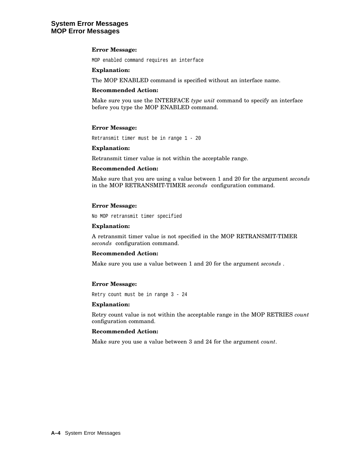# **System Error Messages MOP Error Messages**

#### **Error Message:**

MOP enabled command requires an interface

#### **Explanation:**

The MOP ENABLED command is specified without an interface name.

#### **Recommended Action:**

Make sure you use the INTERFACE *type unit* command to specify an interface before you type the MOP ENABLED command.

#### **Error Message:**

Retransmit timer must be in range 1 - 20

#### **Explanation:**

Retransmit timer value is not within the acceptable range.

#### **Recommended Action:**

Make sure that you are using a value between 1 and 20 for the argument *seconds* in the MOP RETRANSMIT-TIMER *seconds* configuration command.

#### **Error Message:**

No MOP retransmit timer specified

#### **Explanation:**

A retransmit timer value is not specified in the MOP RETRANSMIT-TIMER *seconds* configuration command.

#### **Recommended Action:**

Make sure you use a value between 1 and 20 for the argument *seconds* .

#### **Error Message:**

Retry count must be in range 3 - 24

#### **Explanation:**

Retry count value is not within the acceptable range in the MOP RETRIES *count* configuration command.

#### **Recommended Action:**

Make sure you use a value between 3 and 24 for the argument *count*.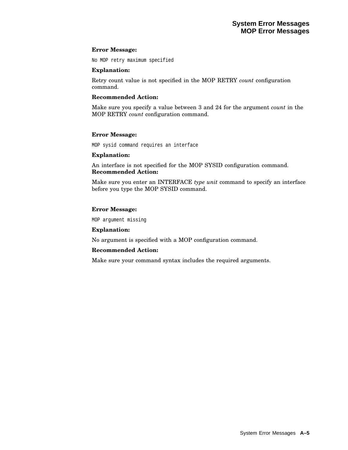#### **Error Message:**

No MOP retry maximum specified

#### **Explanation:**

Retry count value is not specified in the MOP RETRY *count* configuration command.

#### **Recommended Action:**

Make sure you specify a value between 3 and 24 for the argument *count* in the MOP RETRY *count* configuration command.

#### **Error Message:**

MOP sysid command requires an interface

#### **Explanation:**

An interface is not specified for the MOP SYSID configuration command. **Recommended Action:**

Make sure you enter an INTERFACE *type unit* command to specify an interface before you type the MOP SYSID command.

#### **Error Message:**

MOP argument missing

#### **Explanation:**

No argument is specified with a MOP configuration command.

#### **Recommended Action:**

Make sure your command syntax includes the required arguments.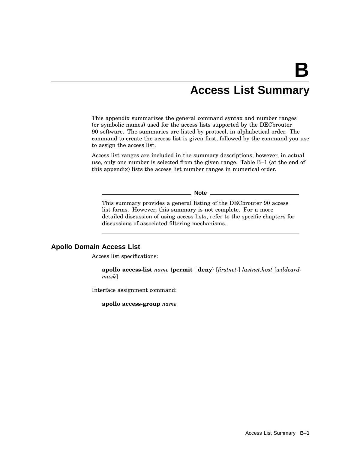# **Access List Summary**

This appendix summarizes the general command syntax and number ranges (or symbolic names) used for the access lists supported by the DECbrouter 90 software. The summaries are listed by protocol, in alphabetical order. The command to create the access list is given first, followed by the command you use to assign the access list.

Access list ranges are included in the summary descriptions; however, in actual use, only one number is selected from the given range. Table B–1 (at the end of this appendix) lists the access list number ranges in numerical order.

**Note**

This summary provides a general listing of the DECbrouter 90 access list forms. However, this summary is not complete. For a more detailed discussion of using access lists, refer to the specific chapters for discussions of associated filtering mechanisms.

### **Apollo Domain Access List**

Access list specifications:

**apollo access-list** *name* {**permit** |**deny**} [*firstnet-*] *lastnet.host* [*wildcardmask*]

Interface assignment command:

**apollo access-group** *name*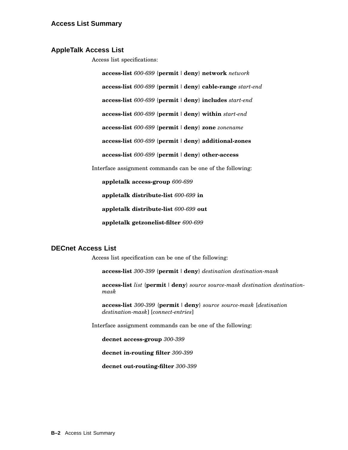### **AppleTalk Access List**

Access list specifications:

**access-list** *600-699* {**permit** |**deny**} **network** *network* **access-list** *600-699* {**permit** |**deny**} **cable-range** *start-end* **access-list** *600-699* {**permit** |**deny**} **includes** *start-end* **access-list** *600-699* {**permit** |**deny**} **within** *start-end* **access-list** *600-699* {**permit** |**deny**} **zone** *zonename* **access-list** *600-699* {**permit** |**deny**} **additional-zones access-list** *600-699* {**permit** |**deny**} **other-access**

Interface assignment commands can be one of the following:

**appletalk access-group** *600-699*

**appletalk distribute-list** *600-699* **in**

**appletalk distribute-list** *600-699* **out**

**appletalk getzonelist-filter** *600-699*

# **DECnet Access List**

Access list specification can be one of the following:

**access-list** *300-399* {**permit** |**deny**} *destination destination-mask*

**access-list** *list* {**permit** |**deny**} *source source-mask destination destinationmask*

**access-list** *300-399* {**permit** |**deny**} *source source-mask* [*destination destination-mask*] [*connect-entries*]

Interface assignment commands can be one of the following:

**decnet access-group** *300-399*

**decnet in-routing filter** *300-399*

**decnet out-routing-filter** *300-399*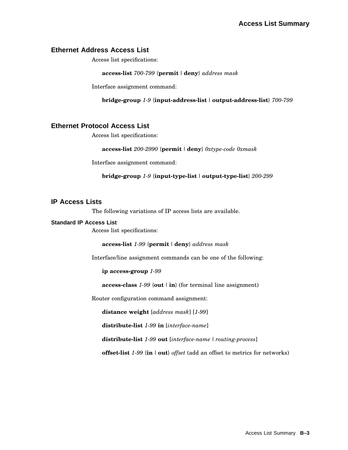# **Ethernet Address Access List**

Access list specifications:

**access-list** *700-799* {**permit** |**deny**} *address mask*

Interface assignment command:

**bridge-group** *1-9* {**input-address-list** | **output-address-list**} *700-799*

# **Ethernet Protocol Access List**

Access list specifications:

**access-list** *200-2990* {**permit** |**deny**} *0xtype-code 0xmask*

Interface assignment command:

**bridge-group** *1-9* {**input-type-list** | **output-type-list**} *200-299*

## **IP Access Lists**

The following variations of IP access lists are available.

#### **Standard IP Access List**

Access list specifications:

**access-list** *1-99* {**permit** |**deny**} *address mask*

Interface/line assignment commands can be one of the following:

**ip access-group** *1-99*

**access-class** *1-99* {**out** | **in**} (for terminal line assignment)

Router configuration command assignment:

**distance weight** [*address mask*] [*1-99*]

**distribute-list** *1-99* **in** [*interface-name*]

**distribute-list** *1-99* **out** [*interface-name* | *routing-process*]

**offset-list** *1-99* {**in**| **out**} *offset* (add an offset to metrics for networks)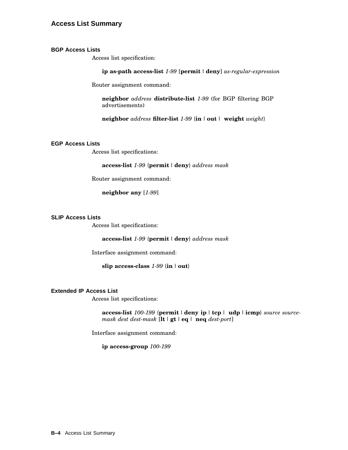# **Access List Summary**

#### **BGP Access Lists**

Access list specification:

**ip as-path access-list** *1-99* [**permit** |**deny**] *as-regular-expression*

Router assignment command:

**neighbor** *address* **distribute-list** *1-99* (for BGP filtering BGP advertisements)

**neighbor** *address* **filter-list** *1-99* {**in**| **out** | **weight** *weight*}

#### **EGP Access Lists**

Access list specifications:

#### **access-list** *1-99* {**permit** |**deny**} *address mask*

Router assignment command:

**neighbor any** [*1-99*]

#### **SLIP Access Lists**

Access list specifications:

**access-list** *1-99* {**permit** |**deny**} *address mask*

Interface assignment command:

**slip access-class** *1-99* {**in**| **out**}

#### **Extended IP Access List**

Access list specifications:

**access-list** *100-199* {**permit** |**deny ip** | **tcp**| **udp**| **icmp**} *source sourcemask dest dest-mask* [**lt** | **gt** | **eq** | **neq** *dest-port*]

Interface assignment command:

**ip access-group** *100-199*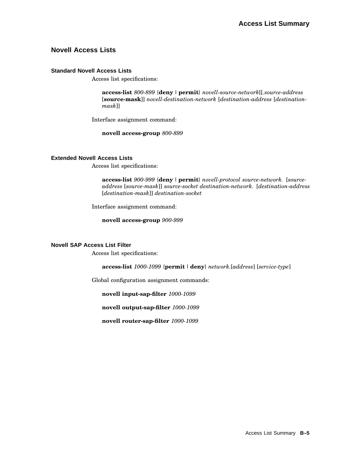# **Novell Access Lists**

#### **Standard Novell Access Lists**

Access list specifications:

**access-list** *800-899* {**deny** |**permit**} *novell-source-network*[[*.source-address* [**source-mask**]] *novell-destination-network* [*destination-address* [*destinationmask*]]

Interface assignment command:

**novell access-group** *800-899*

#### **Extended Novell Access Lists**

Access list specifications:

**access-list** *900-999* {**deny** |**permit**} *novell-protocol source-network.* [*sourceaddress* [*source-mask*]] *source-socket destination-network.* [*destination-address* [*destination-mask*]] *destination-socket*

Interface assignment command:

**novell access-group** *900-999*

#### **Novell SAP Access List Filter**

Access list specifications:

**access-list** *1000-1099* {**permit** |**deny**} *network.*[*address*] [*service-type*]

Global configuration assignment commands:

**novell input-sap-filter** *1000-1099*

**novell output-sap-filter** *1000-1099*

**novell router-sap-filter** *1000-1099*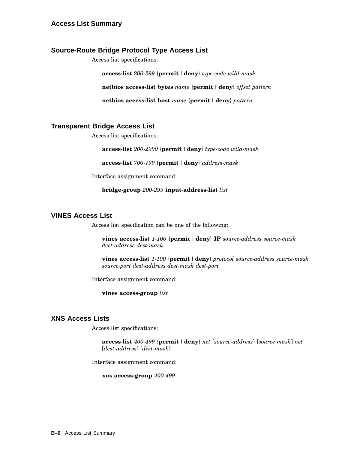# **Source-Route Bridge Protocol Type Access List**

Access list specifications:

**access-list** *200-299* {**permit** |**deny**} *type-code wild-mask*

**netbios access-list bytes** *name* {**permit** |**deny**} *offset pattern*

**netbios access-list host** *name* {**permit** |**deny**} *pattern*

# **Transparent Bridge Access List**

Access list specifications:

**access-list** *200-2990* {**permit** |**deny**} *type-code wild-mask*

**access-list** *700-799* {**permit** |**deny**} *address-mask*

Interface assignment command:

**bridge-group** *200-299* **input-address-list** *list*

# **VINES Access List**

Access list specification can be one of the following:

**vines access-list** *1-100* {**permit** |**deny**} **IP** *source-address source-mask dest-address dest-mask*

**vines access-list** *1-100* {**permit** |**deny**} *protocol source-address source-mask source-port dest-address dest-mask dest-port*

Interface assignment command:

**vines access-group** *list*

# **XNS Access Lists**

Access list specifications:

**access-list** *400-499* {**permit** |**deny**} *net* [*source-address*] [*source-mask*] *net* [*dest-address*] [*dest-mask*]

Interface assignment command:

**xns access-group** *400-499*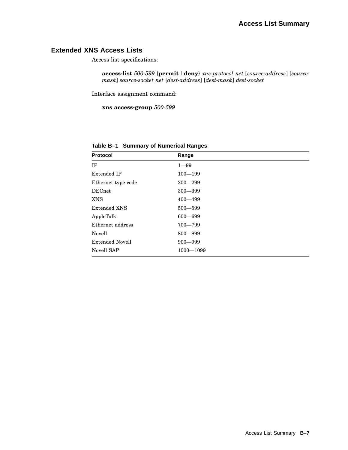# **Extended XNS Access Lists**

Access list specifications:

**access-list** *500-599* {**permit** |**deny**} *xns-protocol net* [*source-address*] [*sourcemask*] *source-socket net* [*dest-address*] [*dest-mask*] *dest-socket*

Interface assignment command:

**xns access-group** *500-599*

| <b>Protocol</b>        | Range         |
|------------------------|---------------|
| IP                     | $1 - 99$      |
| Extended IP            | $100 - 199$   |
| Ethernet type code     | $200 - 299$   |
| <b>DECnet</b>          | $300 - 399$   |
| <b>XNS</b>             | $400 - 499$   |
| Extended XNS           | $500 - 599$   |
| AppleTalk              | $600 - 699$   |
| Ethernet address       | $700 - 799$   |
| Novell                 | $800 - 899$   |
| <b>Extended Novell</b> | $900 - 999$   |
| Novell SAP             | $1000 - 1099$ |

**Table B–1 Summary of Numerical Ranges**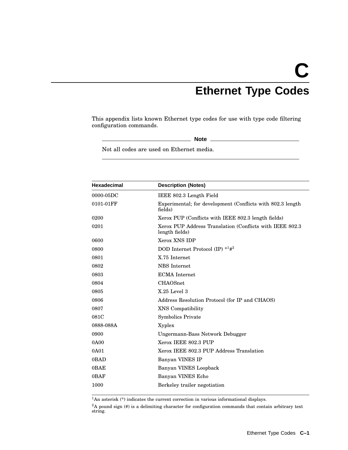# **C Ethernet Type Codes**

This appendix lists known Ethernet type codes for use with type code filtering configuration commands.

**Note**

Not all codes are used on Ethernet media.

| <b>Hexadecimal</b> | <b>Description (Notes)</b>                                                  |
|--------------------|-----------------------------------------------------------------------------|
| $0000 - 05DC$      | IEEE 802.3 Length Field                                                     |
| 0101-01FF          | Experimental; for development (Conflicts with 802.3 length)<br>fields)      |
| 0200               | Xerox PUP (Conflicts with IEEE 802.3 length fields)                         |
| 0201               | Xerox PUP Address Translation (Conflicts with IEEE 802.3)<br>length fields) |
| 0600               | Xerox XNS IDP                                                               |
| 0800               | DOD Internet Protocol (IP) $*1#2$                                           |
| 0801               | X.75 Internet                                                               |
| 0802               | <b>NBS</b> Internet                                                         |
| 0803               | <b>ECMA</b> Internet                                                        |
| 0804               | <b>CHAOSnet</b>                                                             |
| 0805               | $X.25$ Level $3$                                                            |
| 0806               | Address Resolution Protocol (for IP and CHAOS)                              |
| 0807               | <b>XNS</b> Compatibility                                                    |
| 081C               | <b>Symbolics Private</b>                                                    |
| 0888-088A          | Xyplex                                                                      |
| 0900               | Ungermann-Bass Network Debugger                                             |
| 0A00               | Xerox IEEE 802.3 PUP                                                        |
| 0A01               | Xerox IEEE 802.3 PUP Address Translation                                    |
| 0BAD               | Banyan VINES IP                                                             |
| 0BAE               | Banyan VINES Loopback                                                       |
| 0BAF               | Banyan VINES Echo                                                           |
| 1000               | Berkeley trailer negotiation                                                |
|                    |                                                                             |

 $1$ An asterisk (\*) indicates the current correction in various informational displays.

 ${}^{2}$ A pound sign (#) is a delimiting character for configuration commands that contain arbitrary text string.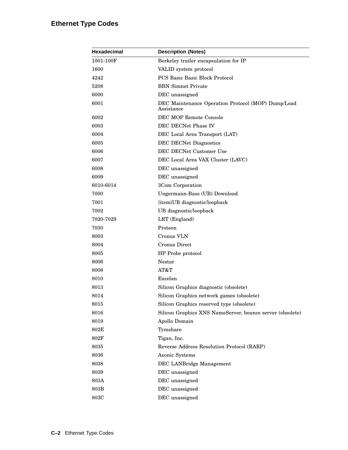# **Ethernet Type Codes**

| Hexadecimal | <b>Description (Notes)</b>                                       |
|-------------|------------------------------------------------------------------|
| 1001-100F   | Berkeley trailer encapsulation for IP                            |
| 1600        | VALID system protocol                                            |
| 4242        | <b>PCS Basic Basic Block Protocol</b>                            |
| 5208        | <b>BBN</b> Simnet Private                                        |
| 6000        | DEC unassigned                                                   |
| 6001        | DEC Maintenance Operation Protocol (MOP) Dump/Load<br>Assistance |
| 6002        | DEC MOP Remote Console                                           |
| 6003        | DEC DECNet Phase IV                                              |
| 6004        | DEC Local Area Transport (LAT)                                   |
| 6005        | <b>DEC DECNet Diagnostics</b>                                    |
| 6006        | DEC DECNet Customer Use                                          |
| 6007        | DEC Local Area VAX Cluster (LAVC)                                |
| 6008        | DEC unassigned                                                   |
| 6009        | DEC unassigned                                                   |
| 6010-6014   | 3Com Corporation                                                 |
| 7000        | Ungermann-Bass (UB) Download                                     |
| 7001        | {item}UB diagnostic/loopback                                     |
| 7002        | UB diagnostic/loopback                                           |
| 7020-7029   | LRT (England)                                                    |
| 7030        | Proteon                                                          |
| 8003        | Cronus VLN                                                       |
| 8004        | Cronus Direct                                                    |
| 8005        | HP Probe protocol                                                |
| 8006        | Nestar                                                           |
| 8008        | AT&T                                                             |
| 8010        | Excelan                                                          |
| 8013        | Silicon Graphics diagnostic (obsolete)                           |
| 8014        | Silicon Graphics network games (obsolete)                        |
| 8015        | Silicon Graphics reserved type (obsolete)                        |
| 8016        | Silicon Graphics XNS NameServer, bounce server (obsolete)        |
| 8019        | Apollo Domain                                                    |
| 802E        | Tymshare                                                         |
| 802F        | Tigan, Inc.                                                      |
| 8035        | Reverse Address Resolution Protocol (RARP)                       |
| 8036        | Aeonic Systems                                                   |
| 8038        | DEC LANBridge Management                                         |
| 8039        | DEC unassigned                                                   |
| 803A        | DEC unassigned                                                   |
| 803B        | DEC unassigned                                                   |
| 803C        | DEC unassigned                                                   |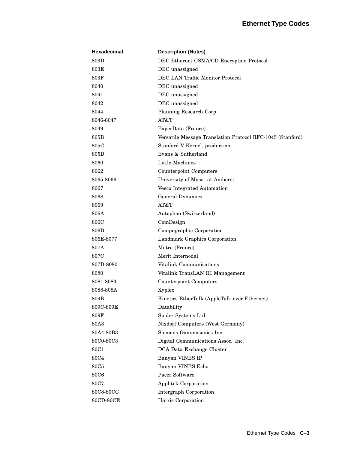| <b>Hexadecimal</b> | <b>Description (Notes)</b>                                 |
|--------------------|------------------------------------------------------------|
| 803D               | DEC Ethernet CSMA/CD Encryption Protocol                   |
| 803E               | DEC unassigned                                             |
| 803F               | DEC LAN Traffic Monitor Protocol                           |
| 8040               | DEC unassigned                                             |
| 8041               | DEC unassigned                                             |
| 8042               | DEC unassigned                                             |
| 8044               | Planning Research Corp.                                    |
| 8046-8047          | AT&T                                                       |
| 8049               | ExperData (France)                                         |
| 805B               | Versatile Message Translation Protocol RFC-1045 (Stanford) |
| 805C               | Stanford V Kernel, production                              |
| 805D               | Evans & Sutherland                                         |
| 8060               | Little Machines                                            |
| 8062               | <b>Counterpoint Computers</b>                              |
| 8065-8066          | University of Mass. at Amherst                             |
| 8067               | Veeco Integrated Automation                                |
| 8068               | General Dynamics                                           |
| 8069               | AT&T                                                       |
| 806A               | Autophon (Switzerland)                                     |
| 806C               | ComDesign                                                  |
| 806D               | Compugraphic Corporation                                   |
| 806E-8077          | Landmark Graphics Corporation                              |
| 807A               | Matra (France)                                             |
| 807C               | Merit Internodal                                           |
| 807D-8080          | Vitalink Communications                                    |
| 8080               | Vitalink TransLAN III Management                           |
| 8081-8083          | Counterpoint Computers                                     |
| 8088-808A          | Xyplex                                                     |
| 809B               | Kinetics EtherTalk (AppleTalk over Ethernet)               |
| 809C-809E          | Datability                                                 |
| 809F               | Spider Systems Ltd.                                        |
| 80A3               | Nixdorf Computers (West Germany)                           |
| 80A4-80B3          | Siemens Gammasonics Inc.                                   |
| 80C0-80C3          | Digital Communications Assoc. Inc.                         |
| 80C1               | DCA Data Exchange Cluster                                  |
| 80C4               | Banyan VINES IP                                            |
| <b>80C5</b>        | Banyan VINES Echo                                          |
| <b>80C6</b>        | Pacer Software                                             |
| <b>80C7</b>        | <b>Applitek Corporation</b>                                |
| 80C8-80CC          | Intergraph Corporation                                     |
| 80CD-80CE          | Harris Corporation                                         |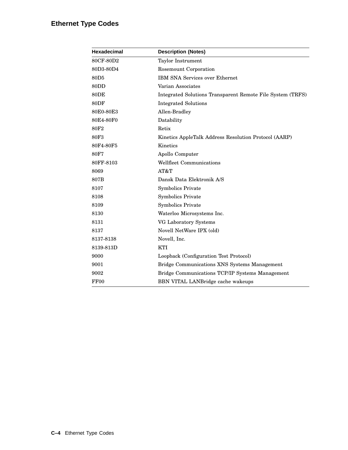# **Ethernet Type Codes**

| <b>Hexadecimal</b> | <b>Description (Notes)</b>                                 |
|--------------------|------------------------------------------------------------|
| 80CF-80D2          | Taylor Instrument                                          |
| 80D3-80D4          | Rosemount Corporation                                      |
| 80D <sub>5</sub>   | <b>IBM SNA Services over Ethernet</b>                      |
| 80DD               | Varian Associates                                          |
| 80DE               | Integrated Solutions Transparent Remote File System (TRFS) |
| 80DF               | <b>Integrated Solutions</b>                                |
| 80E0-80E3          | Allen-Bradley                                              |
| 80E4-80F0          | Datability                                                 |
| 80F <sub>2</sub>   | Retix                                                      |
| 80F3               | Kinetics AppleTalk Address Resolution Protocol (AARP)      |
| 80F4-80F5          | Kinetics                                                   |
| 80F7               | Apollo Computer                                            |
| 80FF-8103          | Wellfleet Communications                                   |
| 8069               | AT&T                                                       |
| 807B               | Dansk Data Elektronik A/S                                  |
| 8107               | <b>Symbolics Private</b>                                   |
| 8108               | <b>Symbolics Private</b>                                   |
| 8109               | <b>Symbolics Private</b>                                   |
| 8130               | Waterloo Microsystems Inc.                                 |
| 8131               | VG Laboratory Systems                                      |
| 8137               | Novell NetWare IPX (old)                                   |
| 8137-8138          | Novell, Inc.                                               |
| 8139-813D          | <b>KTI</b>                                                 |
| 9000               | Loopback (Configuration Test Protocol)                     |
| 9001               | Bridge Communications XNS Systems Management               |
| 9002               | Bridge Communications TCP/IP Systems Management            |
| FF00               | BBN VITAL LANBridge cache wakeups                          |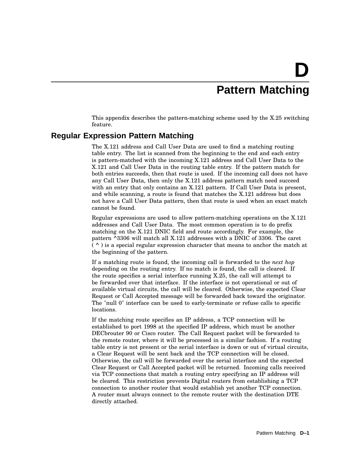# **D Pattern Matching**

This appendix describes the pattern-matching scheme used by the X.25 switching feature.

### **Regular Expression Pattern Matching**

The X.121 address and Call User Data are used to find a matching routing table entry. The list is scanned from the beginning to the end and each entry is pattern-matched with the incoming X.121 address and Call User Data to the X.121 and Call User Data in the routing table entry. If the pattern match for both entries succeeds, then that route is used. If the incoming call does not have any Call User Data, then only the X.121 address pattern match need succeed with an entry that only contains an X.121 pattern. If Call User Data is present, and while scanning, a route is found that matches the X.121 address but does not have a Call User Data pattern, then that route is used when an exact match cannot be found.

Regular expressions are used to allow pattern-matching operations on the X.121 addresses and Call User Data. The most common operation is to do prefix matching on the X.121 DNIC field and route accordingly. For example, the pattern ^3306 will match all X.121 addresses with a DNIC of 3306. The caret  $( \wedge )$  is a special regular expression character that means to anchor the match at the beginning of the pattern.

If a matching route is found, the incoming call is forwarded to the *next hop* depending on the routing entry. If no match is found, the call is cleared. If the route specifies a serial interface running X.25, the call will attempt to be forwarded over that interface. If the interface is not operational or out of available virtual circuits, the call will be cleared. Otherwise, the expected Clear Request or Call Accepted message will be forwarded back toward the originator. The "null 0" interface can be used to early-terminate or refuse calls to specific locations.

If the matching route specifies an IP address, a TCP connection will be established to port 1998 at the specified IP address, which must be another DECbrouter 90 or Cisco router. The Call Request packet will be forwarded to the remote router, where it will be processed in a similar fashion. If a routing table entry is not present or the serial interface is down or out of virtual circuits, a Clear Request will be sent back and the TCP connection will be closed. Otherwise, the call will be forwarded over the serial interface and the expected Clear Request or Call Accepted packet will be returned. Incoming calls received via TCP connections that match a routing entry specifying an IP address will be cleared. This restriction prevents Digital routers from establishing a TCP connection to another router that would establish yet another TCP connection. A router must always connect to the remote router with the destination DTE directly attached.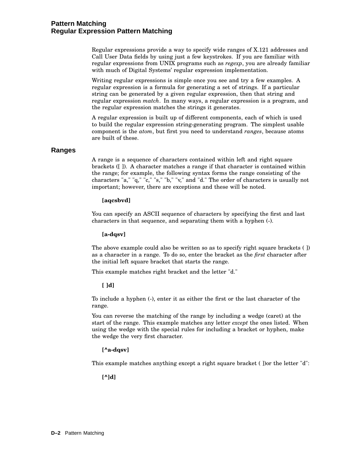### **Pattern Matching Regular Expression Pattern Matching**

Regular expressions provide a way to specify wide ranges of X.121 addresses and Call User Data fields by using just a few keystrokes. If you are familiar with regular expressions from UNIX programs such as *regexp*, you are already familiar with much of Digital Systems' regular expression implementation.

Writing regular expressions is simple once you see and try a few examples. A regular expression is a formula for generating a set of strings. If a particular string can be generated by a given regular expression, then that string and regular expression *match*. In many ways, a regular expression is a program, and the regular expression matches the strings it generates.

A regular expression is built up of different components, each of which is used to build the regular expression string-generating program. The simplest usable component is the *atom*, but first you need to understand *ranges*, because atoms are built of these.

### **Ranges**

A range is a sequence of characters contained within left and right square brackets ([ ]). A character matches a range if that character is contained within the range; for example, the following syntax forms the range consisting of the characters "a," "q," "c," "s," "b," "v," and "d." The order of characters is usually not important; however, there are exceptions and these will be noted.

### **[aqcsbvd]**

You can specify an ASCII sequence of characters by specifying the first and last characters in that sequence, and separating them with a hyphen (-).

#### **[a-dqsv]**

The above example could also be written so as to specify right square brackets ( ]) as a character in a range. To do so, enter the bracket as the *first* character after the initial left square bracket that starts the range.

This example matches right bracket and the letter "d."

#### **[ ]d]**

To include a hyphen (-), enter it as either the first or the last character of the range.

You can reverse the matching of the range by including a wedge (caret) at the start of the range. This example matches any letter *except* the ones listed. When using the wedge with the special rules for including a bracket or hyphen, make the wedge the very first character.

### **[^a-dqsv]**

This example matches anything except a right square bracket ( ])or the letter "d":

**[^]d]**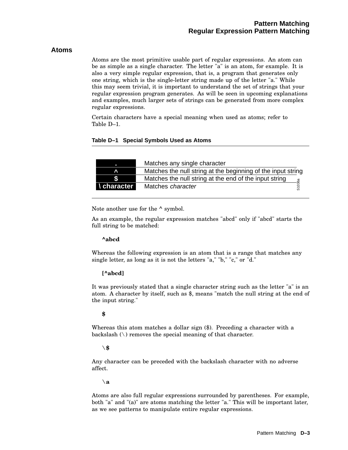### **Atoms**

Atoms are the most primitive usable part of regular expressions. An atom can be as simple as a single character. The letter "a" is an atom, for example. It is also a very simple regular expression, that is, a program that generates only one string, which is the single-letter string made up of the letter "a." While this may seem trivial, it is important to understand the set of strings that your regular expression program generates. As will be seen in upcoming explanations and examples, much larger sets of strings can be generated from more complex regular expressions.

Certain characters have a special meaning when used as atoms; refer to Table D–1.

### **Table D–1 Special Symbols Used as Atoms**

|                    | Matches any single character                                 |
|--------------------|--------------------------------------------------------------|
|                    | Matches the null string at the beginning of the input string |
|                    | Matches the null string at the end of the input string       |
| <b>I</b> character | 1036a<br>Matches character<br>5                              |

Note another use for the  $\wedge$  symbol.

As an example, the regular expression matches "abcd" only if "abcd" starts the full string to be matched:

### **^abcd**

Whereas the following expression is an atom that is a range that matches any single letter, as long as it is not the letters "a," "b," "c," or "d."

### **[^abcd]**

It was previously stated that a single character string such as the letter "a" is an atom. A character by itself, such as \$, means "match the null string at the end of the input string."

### **\$**

Whereas this atom matches a dollar sign (\$). Preceding a character with a backslash  $(\n\)$  removes the special meaning of that character.

### **\\$**

Any character can be preceded with the backslash character with no adverse affect.

**\a**

Atoms are also full regular expressions surrounded by parentheses. For example, both "a" and "(a)" are atoms matching the letter "a." This will be important later, as we see patterns to manipulate entire regular expressions.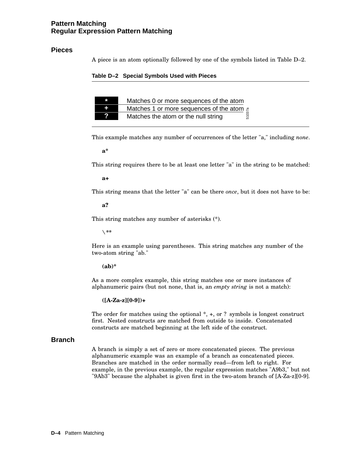### **Pattern Matching Regular Expression Pattern Matching**

### **Pieces**

A piece is an atom optionally followed by one of the symbols listed in Table D–2.

### **Table D–2 Special Symbols Used with Pieces**

| 93 | Matches 0 or more sequences of the atom            |
|----|----------------------------------------------------|
|    | Matches 1 or more sequences of the atom $\epsilon$ |
|    | თ<br>ა<br>Matches the atom or the null string      |

This example matches any number of occurrences of the letter "a," including *none*.

**a\***

This string requires there to be at least one letter "a" in the string to be matched:

**a+**

This string means that the letter "a" can be there *once*, but it does not have to be:

**a?**

This string matches any number of asterisks (\*).

**\\*\***

Here is an example using parentheses. This string matches any number of the two-atom string "ab."

**(ab)\***

As a more complex example, this string matches one or more instances of alphanumeric pairs (but not none, that is, an *empty string* is not a match):

**([A-Za-z][0-9])+**

The order for matches using the optional \*, +, or ? symbols is longest construct first. Nested constructs are matched from outside to inside. Concatenated constructs are matched beginning at the left side of the construct.

### **Branch**

A branch is simply a set of zero or more concatenated pieces. The previous alphanumeric example was an example of a branch as concatenated pieces. Branches are matched in the order normally read—from left to right. For example, in the previous example, the regular expression matches "A9b3," but not "9Ab3" because the alphabet is given first in the two-atom branch of [A-Za-z][0-9].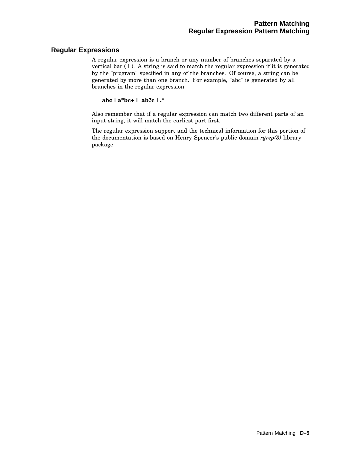### **Regular Expressions**

A regular expression is a branch or any number of branches separated by a vertical bar  $(1)$ . A string is said to match the regular expression if it is generated by the "program" specified in any of the branches. Of course, a string can be generated by more than one branch. For example, "abc" is generated by all branches in the regular expression

**abc | a\*bc+ | ab?c | .\***

Also remember that if a regular expression can match two different parts of an input string, it will match the earliest part first.

The regular expression support and the technical information for this portion of the documentation is based on Henry Spencer's public domain *rgrep(3)* library package.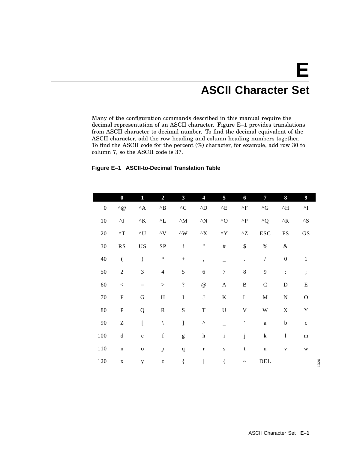# **E ASCII Character Set**

Many of the configuration commands described in this manual require the decimal representation of an ASCII character. Figure E–1 provides translations from ASCII character to decimal number. To find the decimal equivalent of the ASCII character, add the row heading and column heading numbers together. To find the ASCII code for the percent (%) character, for example, add row 30 to column 7, so the ASCII code is 37.

### **Figure E–1 ASCII-to-Decimal Translation Table**

|                  | $\bf{0}$                                       | 1                          | $\overline{2}$                                        | $\overline{\mathbf{3}}$                                                                                                                                                                                                                                                                                                                                                                                                        | 4                            | 5                             | 6                            | 7                      | 8                   | $\overline{9}$                |
|------------------|------------------------------------------------|----------------------------|-------------------------------------------------------|--------------------------------------------------------------------------------------------------------------------------------------------------------------------------------------------------------------------------------------------------------------------------------------------------------------------------------------------------------------------------------------------------------------------------------|------------------------------|-------------------------------|------------------------------|------------------------|---------------------|-------------------------------|
| $\boldsymbol{0}$ | $\wedge$ @                                     | $^{\wedge} \mathrm{A}$     | $^\wedge \text{B}$                                    | ${}^{\wedge}{\rm C}$                                                                                                                                                                                                                                                                                                                                                                                                           | $\mathbf{^{\wedge} D}$       | $^\wedge \text{E}$            | $^\wedge\mathrm{F}$          | $^{\wedge} \mathrm{G}$ | $^\wedge\text{H}$   | $\mathbf{\Lambda} \mathbf{I}$ |
| $10\,$           | $\mathord{\wedge} \mathord{\text{\rm J}}$      | $^{\wedge}{\rm K}$         | $\mathbf{L}$                                          | $\mathstrut^{\wedge}{\rm M}$                                                                                                                                                                                                                                                                                                                                                                                                   | $\mathbf{\Lambda}\mathbf{N}$ | $\wedge$ O                    | $\mathbf{\Lambda}\mathbf{P}$ | $^{\wedge}Q$           | $^\wedge\mathrm{R}$ | ${}^{\wedge}{\rm S}$          |
| $20\,$           | $^\wedge\mathrm{T}$                            | $\mathop{\rm {}^\wedge U}$ | $\mathop{\mathsf{v}}\nolimits_V$                      | $\mathstrut^{\wedge} \mathrm{W}$                                                                                                                                                                                                                                                                                                                                                                                               | ${}^\wedge\! X$              | $\mathbf{\Lambda }\mathbf{Y}$ | $^{\wedge}{\rm Z}$           | <b>ESC</b>             | ${\rm FS}$          | GS                            |
| $30\,$           | $\mathbf{R}\mathbf{S}$                         | US                         | ${\bf SP}$                                            | Ţ                                                                                                                                                                                                                                                                                                                                                                                                                              | $\pmb{\mathsf{H}}$           | $\#$                          | $\mathbb{S}$                 | $\%$                   | $\&$                | $\,$ $\,$                     |
| 40               | $\overline{(\ }$                               | $\mathcal{E}$              | $\ast$                                                |                                                                                                                                                                                                                                                                                                                                                                                                                                | $\overline{\phantom{a}}$     |                               |                              | $\sqrt{2}$             | $\boldsymbol{0}$    | $\mathbf{1}$                  |
| 50               | $\boldsymbol{2}$                               | $\mathfrak{Z}$             | $\overline{4}$                                        | 5                                                                                                                                                                                                                                                                                                                                                                                                                              | 6                            | $\overline{7}$                | 8                            | 9                      | $\ddot{\cdot}$      | $\vdots$                      |
| 60               | $\,<$                                          | $\quad =$                  | $\,>$                                                 | $\overline{?}$                                                                                                                                                                                                                                                                                                                                                                                                                 | $^\text{\textregistered}$    | $\mathbf A$                   | $\, {\bf B}$                 | $\mathsf C$            | ${\bf D}$           | ${\bf E}$                     |
| $70\,$           | ${\bf F}$                                      | ${\bf G}$                  | $\, {\rm H}$                                          | $\bf I$                                                                                                                                                                                                                                                                                                                                                                                                                        | $\bf J$                      | $\bf K$                       | $\bf L$                      | $\mathbf M$            | ${\bf N}$           | $\mathcal O$                  |
| 80               | ${\bf P}$                                      | Q                          | ${\bf R}$                                             | ${\bf S}$                                                                                                                                                                                                                                                                                                                                                                                                                      | $\mathbf T$                  | $\mathbf U$                   | $\mathbf V$                  | W                      | $\mathbf X$         | $\mathbf Y$                   |
| 90               | $\ensuremath{\mathbf{Z}}$                      | $\overline{a}$             | $\setminus$                                           | $\begin{array}{c} \end{array}$                                                                                                                                                                                                                                                                                                                                                                                                 | $\boldsymbol{\wedge}$        |                               | $\pmb{\mathsf{I}}$           | $\rm{a}$               | $\rm b$             | $\mathbf c$                   |
| 100              | $\mathrm{d}% \left\  \mathcal{H}\right\  _{A}$ | ${\bf e}$                  | $\mathbf f$                                           | $\mathbf{g}% _{T}=\mathbf{g}_{T}=\mathbf{g}_{T}=\mathbf{g}_{T}=\mathbf{g}_{T}=\mathbf{g}_{T}=\mathbf{g}_{T}=\mathbf{g}_{T}=\mathbf{g}_{T}=\mathbf{g}_{T}=\mathbf{g}_{T}=\mathbf{g}_{T}=\mathbf{g}_{T}=\mathbf{g}_{T}=\mathbf{g}_{T}=\mathbf{g}_{T}=\mathbf{g}_{T}=\mathbf{g}_{T}=\mathbf{g}_{T}=\mathbf{g}_{T}=\mathbf{g}_{T}=\mathbf{g}_{T}=\mathbf{g}_{T}=\mathbf{g}_{T}=\mathbf{g}_{T}=\mathbf{g}_{T}=\mathbf{g}_{T}=\math$ | $\boldsymbol{\text{h}}$      | $\rm i$                       | j                            | $\mathbf k$            | $\mathbf{l}$        | ${\bf m}$                     |
| $110\,$          | $\mathbf n$                                    | $\mathbf O$                | $\, {\bf p}$                                          | $\mathbf q$                                                                                                                                                                                                                                                                                                                                                                                                                    | $\mathbf r$                  | $\bf S$                       | $\mathbf t$                  | $\mathbf u$            | $\mathbf{V}$        | W                             |
| 120              | $\mathbf X$                                    | y                          | $\mathbf{Z}% ^{T}=\mathbf{Z}^{T}\times\mathbf{Z}^{T}$ | $\{$                                                                                                                                                                                                                                                                                                                                                                                                                           |                              | $\{$                          | $\tilde{\phantom{a}}$        | DEL                    |                     |                               |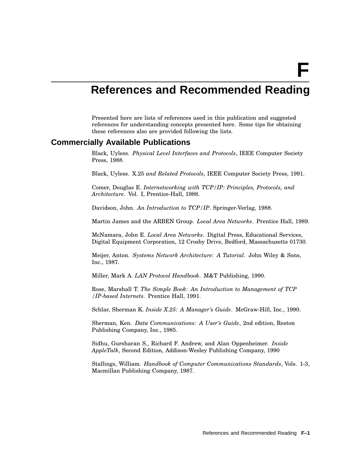**F**

# **References and Recommended Reading**

Presented here are lists of references used in this publication and suggested references for understanding concepts presented here. Some tips for obtaining these references also are provided following the lists.

### **Commercially Available Publications**

Black, Uyless. *Physical Level Interfaces and Protocols*, IEEE Computer Society Press, 1988.

Black, Uyless. X.25 *and Related Protocols*, IEEE Computer Society Press, 1991.

Comer, Douglas E. *Internetworking with TCP/IP: Principles, Protocols, and Architecture*. Vol. I, Prentice-Hall, 1988.

Davidson, John. *An Introduction to TCP/IP*. Springer-Verlag, 1988.

Martin James and the ARBEN Group. *Local Area Networks*. Prentice Hall, 1989.

McNamara, John E. *Local Area Networks*. Digital Press, Educational Services, Digital Equipment Corporation, 12 Crosby Drive, Bedford, Massachusetts 01730.

Meijer, Anton. *Systems Network Architecture: A Tutorial*. John Wiley & Sons, Inc., 1987.

Miller, Mark A. *LAN Protocol Handbook*. M&T Publishing, 1990.

Rose, Marshall T. *The Simple Book: An Introduction to Management of TCP /IP-based Internets*. Prentice Hall, 1991.

Schlar, Sherman K. *Inside X.25: A Manager's Guide*. McGraw-Hill, Inc., 1990.

Sherman, Ken. *Data Communications: A User's Guide*, 2nd edition, Reston Publishing Company, Inc., 1985.

Sidhu, Gursharan S., Richard F. Andrew, and Alan Oppenheimer. *Inside AppleTalk*, Second Edition, Addison-Wesley Publishing Company, 1990

Stallings, William. *Handbook of Computer Communications Standards*, Vols. 1-3, Macmillan Publishing Company, 1987.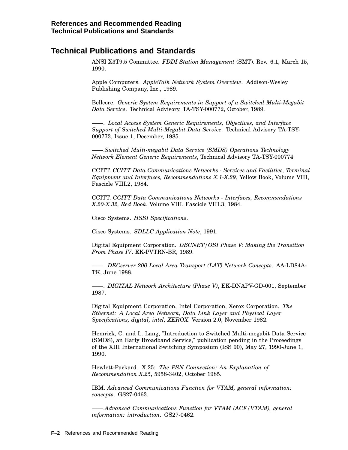# **Technical Publications and Standards**

ANSI X3T9.5 Committee. *FDDI Station Management* (SMT). Rev. 6.1, March 15, 1990.

Apple Computers. *AppleTalk Network System Overview*. Addison-Wesley Publishing Company, Inc., 1989.

Bellcore. *Generic System Requirements in Support of a Switched Multi-Megabit Data Service*. Technical Advisory, TA-TSY-000772, October, 1989.

——. *Local Access System Generic Requirements, Objectives, and Interface Support of Switched Multi-Megabit Data Service*. Technical Advisory TA-TSY-000773, Issue 1, December, 1985.

——.*Switched Multi-megabit Data Service (SMDS) Operations Technology Network Element Generic Requirements*, Technical Advisory TA-TSY-000774

CCITT. *CCITT Data Communications Networks - Services and Facilities, Terminal Equipment and Interfaces, Recommendations X.1-X.29*, Yellow Book, Volume VIII, Fascicle VIII.2, 1984.

CCITT. *CCITT Data Communications Networks - Interfaces, Recommendations X.20-X.32, Red Book*, Volume VIII, Fascicle VIII.3, 1984.

Cisco Systems. *HSSI Specifications*.

Cisco Systems. *SDLLC Application Note*, 1991.

Digital Equipment Corporation. *DECNET/OSI Phase V: Making the Transition From Phase IV*. EK-PVTRN-BR, 1989.

——. *DECserver 200 Local Area Transport (LAT) Network Concepts*. AA-LD84A-TK, June 1988.

——. *DIGITAL Network Architecture (Phase V)*, EK-DNAPV-GD-001, September 1987.

Digital Equipment Corporation, Intel Corporation, Xerox Corporation. *The Ethernet: A Local Area Network, Data Link Layer and Physical Layer Specifications, digital, intel, XEROX*. Version 2.0, November 1982.

Hemrick, C. and L. Lang, "Introduction to Switched Multi-megabit Data Service (SMDS), an Early Broadband Service," publication pending in the Proceedings of the XIII International Switching Symposium (ISS 90), May 27, 1990-June 1, 1990.

Hewlett-Packard. X.25: *The PSN Connection; An Explanation of Recommendation X.25*, 5958-3402, October 1985.

IBM. *Advanced Communications Function for VTAM, general information: concepts*. GS27-0463.

——.*Advanced Communications Function for VTAM (ACF/VTAM), general information: introduction*. GS27-0462.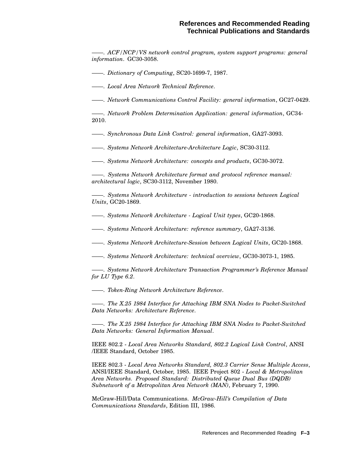——. *ACF/NCP/VS network control program, system support programs: general information*. GC30-3058.

——. *Dictionary of Computing*, SC20-1699-7, 1987.

——. *Local Area Network Technical Reference*.

——. *Network Communications Control Facility: general information*, GC27-0429.

——. *Network Problem Determination Application: general information*, GC34- 2010.

——. *Synchronous Data Link Control: general information*, GA27-3093.

——. *Systems Network Architecture-Architecture Logic*, SC30-3112.

——. *Systems Network Architecture: concepts and products*, GC30-3072.

——. *Systems Network Architecture format and protocol reference manual: architectural logic*, SC30-3112, November 1980.

——. *Systems Network Architecture - introduction to sessions between Logical Units*, GC20-1869.

——. *Systems Network Architecture - Logical Unit types*, GC20-1868.

——. *Systems Network Architecture: reference summary*, GA27-3136.

——. *Systems Network Architecture-Session between Logical Units*, GC20-1868.

——. *Systems Network Architecture: technical overview*, GC30-3073-1, 1985.

——. *Systems Network Architecture Transaction Programmer's Reference Manual for LU Type 6.2*.

——. *Token-Ring Network Architecture Reference*.

——. *The X.25 1984 Interface for Attaching IBM SNA Nodes to Packet-Switched Data Networks: Architecture Reference*.

——. *The X.25 1984 Interface for Attaching IBM SNA Nodes to Packet-Switched Data Networks: General Information Manual*.

IEEE 802.2 - *Local Area Networks Standard, 802.2 Logical Link Control*, ANSI /IEEE Standard, October 1985.

IEEE 802.3 - *Local Area Networks Standard, 802.3 Carrier Sense Multiple Access*, ANSI/IEEE Standard, October, 1985. IEEE Project 802 - *Local & Metropolitan Area Networks. Proposed Standard: Distributed Queue Dual Bus (DQDB) Subnetwork of a Metropolitan Area Network (MAN)*, February 7, 1990.

McGraw-Hill/Data Communications. *McGraw-Hill's Compilation of Data Communications Standards*, Edition III, 1986.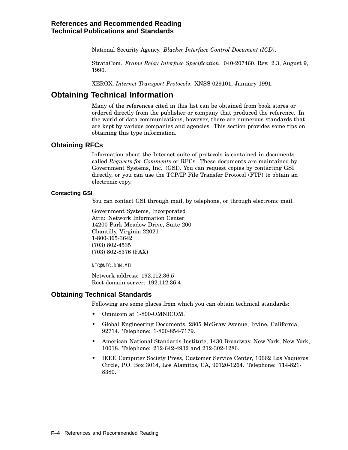National Security Agency. *Blacker Interface Control Document (ICD)*.

StrataCom. *Frame Relay Interface Specification*. 040-207460, Rev. 2.3, August 9, 1990.

XEROX. *Internet Transport Protocols*. XNSS 029101, January 1991.

# **Obtaining Technical Information**

Many of the references cited in this list can be obtained from book stores or ordered directly from the publisher or company that produced the reference. In the world of data communications, however, there are numerous standards that are kept by various companies and agencies. This section provides some tips on obtaining this type information.

### **Obtaining RFCs**

Information about the Internet suite of protocols is contained in documents called *Requests for Comments* or RFCs. These documents are maintained by Government Systems, Inc. (GSI). You can request copies by contacting GSI directly, or you can use the TCP/IP File Transfer Protocol (FTP) to obtain an electronic copy.

### **Contacting GSI**

You can contact GSI through mail, by telephone, or through electronic mail.

Government Systems, Incorporated Attn: Network Information Center 14200 Park Meadow Drive, Suite 200 Chantilly, Virginia 22021 1-800-365-3642 (703) 802-4535 (703) 802-8376 (FAX)

NIC@NIC.DDN.MIL

Network address: 192.112.36.5 Root domain server: 192.112.36.4

### **Obtaining Technical Standards**

Following are some places from which you can obtain technical standards:

- Omnicom at 1-800-OMNICOM.
- Global Engineering Documents, 2805 McGraw Avenue, Irvine, California, 92714. Telephone: 1-800-854-7179.
- American National Standards Institute, 1430 Broadway, New York, New York, 10018. Telephone: 212-642-4932 and 212-302-1286.
- IEEE Computer Society Press, Customer Service Center, 10662 Los Vaqueros Circle, P.O. Box 3014, Los Alamitos, CA, 90720-1264. Telephone: 714-821- 8380.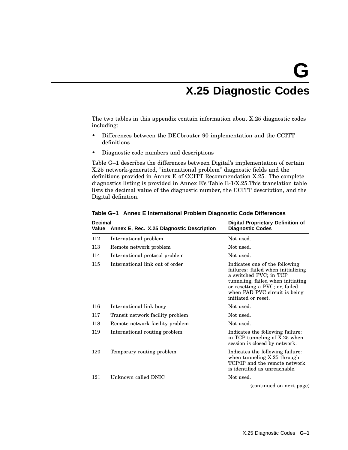# **X.25 Diagnostic Codes**

The two tables in this appendix contain information about X.25 diagnostic codes including:

- Differences between the DECbrouter 90 implementation and the CCITT definitions
- Diagnostic code numbers and descriptions

Table G–1 describes the differences between Digital's implementation of certain X.25 network-generated, "international problem" diagnostic fields and the definitions provided in Annex E of CCITT Recommendation X.25. The complete diagnostics listing is provided in Annex E's Table E-1/X.25.This translation table lists the decimal value of the diagnostic number, the CCITT description, and the Digital definition.

| 112<br>Not used.<br>International problem<br>113<br>Not used.<br>Remote network problem<br>114<br>International protocol problem<br>Not used.<br>International link out of order<br>115<br>Indicates one of the following |  |
|---------------------------------------------------------------------------------------------------------------------------------------------------------------------------------------------------------------------------|--|
|                                                                                                                                                                                                                           |  |
|                                                                                                                                                                                                                           |  |
|                                                                                                                                                                                                                           |  |
| failures: failed when initializing<br>a switched PVC; in TCP<br>tunneling, failed when initiating<br>or resetting a PVC; or, failed<br>when PAD PVC circuit is being<br>initiated or reset.                               |  |
| 116<br>International link busy<br>Not used.                                                                                                                                                                               |  |
| Not used.<br>117<br>Transit network facility problem                                                                                                                                                                      |  |
| 118<br>Not used.<br>Remote network facility problem                                                                                                                                                                       |  |
| 119<br>International routing problem<br>Indicates the following failure:<br>in TCP tunneling of X.25 when<br>session is closed by network.                                                                                |  |
| 120<br>Temporary routing problem<br>Indicates the following failure:<br>when tunneling X.25 through<br>TCP/IP and the remote network<br>is identified as unreachable.                                                     |  |
| Unknown called DNIC<br>121<br>Not used.                                                                                                                                                                                   |  |
| (continued on next page)                                                                                                                                                                                                  |  |

**Table G–1 Annex E International Problem Diagnostic Code Differences**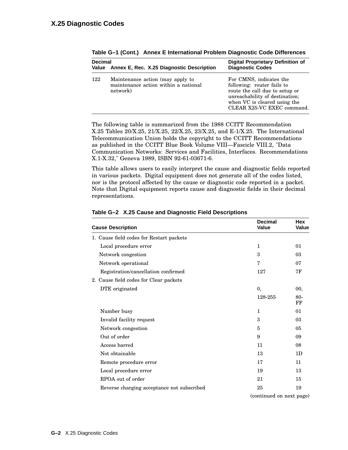| <b>Decimal</b>                                  |                                                                                      | Digital Proprietary Definition of                                                                                                                                                       |  |  |
|-------------------------------------------------|--------------------------------------------------------------------------------------|-----------------------------------------------------------------------------------------------------------------------------------------------------------------------------------------|--|--|
| Value Annex E, Rec. X.25 Diagnostic Description |                                                                                      | <b>Diagnostic Codes</b>                                                                                                                                                                 |  |  |
| 122                                             | Maintenance action (may apply to<br>maintenance action within a national<br>network) | For CMNS, indicates the<br>following: router fails to<br>route the call due to setup or<br>unreachability of destination;<br>when VC is cleared using the<br>CLEAR X25-VC EXEC command. |  |  |

**Table G–1 (Cont.) Annex E International Problem Diagnostic Code Differences**

The following table is summarized from the 1988 CCITT Recommendation X.25 Tables 20/X.25, 21/X.25, 22/X.25, 23/X.25, and E-1/X.25. The International Telecommunication Union holds the copyright to the CCITT Recommendations as published in the CCITT Blue Book Volume VIII—Fascicle VIII.2, "Data Communication Networks: Services and Facilities, Interfaces. Recommendations X.1-X.32," Geneva 1989, ISBN 92-61-03671-6.

This table allows users to easily interpret the cause and diagnostic fields reported in various packets. Digital equipment does not generate all of the codes listed, nor is the protocol affected by the cause or diagnostic code reported in a packet. Note that Digital equipment reports cause and diagnostic fields in their decimal representations.

| <b>Cause Description</b>                   | <b>Decimal</b><br><b>Value</b> | <b>Hex</b><br><b>Value</b> |
|--------------------------------------------|--------------------------------|----------------------------|
| 1. Cause field codes for Restart packets   |                                |                            |
| Local procedure error                      | 1                              | 01                         |
| Network congestion                         | 3                              | 03                         |
| Network operational                        | 7                              | 07                         |
| Registration/cancellation confirmed        | 127                            | 7F                         |
| 2. Cause field codes for Clear packets     |                                |                            |
| DTE originated                             | 0,                             | 00,                        |
|                                            | 128-255                        | $80 -$<br>FF               |
| Number busy                                | $\mathbf{1}$                   | 01                         |
| Invalid facility request                   | 3                              | 03                         |
| Network congestion                         | 5                              | 05                         |
| Out of order                               | 9                              | 09                         |
| Access barred                              | 11                             | 08                         |
| Not obtainable                             | 13                             | 1 <sub>D</sub>             |
| Remote procedure error                     | 17                             | 11                         |
| Local procedure error                      | 19                             | 13                         |
| RPOA out of order                          | 21                             | 15                         |
| Reverse charging acceptance not subscribed | 25                             | 19                         |

### **Table G–2 X.25 Cause and Diagnostic Field Descriptions**

(continued on next page)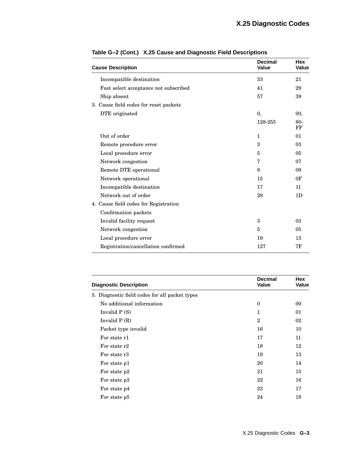| <b>Cause Description</b>               | <b>Decimal</b><br><b>Value</b> | <b>Hex</b><br><b>Value</b> |
|----------------------------------------|--------------------------------|----------------------------|
| Incompatible destination               | 33                             | 21                         |
| Fast select acceptance not subscribed  | 41                             | 29                         |
| Ship absent                            | 57                             | 39                         |
| 3. Cause field codes for reset packets |                                |                            |
| DTE originated                         | 0,                             | 00,                        |
|                                        | 128-255                        | 80-<br>FF                  |
| Out of order                           | 1                              | 01                         |
| Remote procedure error                 | 3                              | 03                         |
| Local procedure error                  | 5                              | 05                         |
| Network congestion                     | 7                              | 07                         |
| Remote DTE operational                 | 9                              | 09                         |
| Network operational                    | 15                             | 0 <sub>F</sub>             |
| Incompatible destination               | 17                             | 11                         |
| Network out of order                   | 29                             | 1 <sub>D</sub>             |
| 4. Cause field codes for Registration  |                                |                            |
| Confirmation packets                   |                                |                            |
| Invalid facility request               | 3                              | 03                         |
| Network congestion                     | 5                              | 05                         |
| Local procedure error                  | 19                             | 13                         |
| Registration/cancellation confirmed    | 127                            | 7F                         |

| Table G-2 (Cont.) X.25 Cause and Diagnostic Field Descriptions |
|----------------------------------------------------------------|
|                                                                |

| <b>Diagnostic Description</b>                  | <b>Decimal</b><br>Value | Hex<br>Value |
|------------------------------------------------|-------------------------|--------------|
| 5. Diagnostic field codes for all packet types |                         |              |
| No additional information                      | $\theta$                | 00           |
| Invalid $P(S)$                                 | 1                       | 01           |
| Invalid $P(R)$                                 | $\overline{2}$          | 02           |
| Packet type invalid                            | 16                      | 10           |
| For state r1                                   | 17                      | 11           |
| For state r2                                   | 18                      | 12           |
| For state r3                                   | 19                      | 13           |
| For state p1                                   | 20                      | 14           |
| For state p2                                   | 21                      | 15           |
| For state p3                                   | 22                      | 16           |
| For state p4                                   | 23                      | 17           |
| For state p5                                   | 24                      | 18           |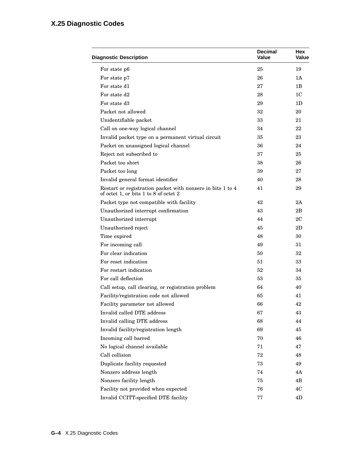# **X.25 Diagnostic Codes**

| <b>Diagnostic Description</b>                                                                       | <b>Decimal</b><br><b>Value</b> | Hex<br><b>Value</b> |
|-----------------------------------------------------------------------------------------------------|--------------------------------|---------------------|
| For state p6                                                                                        | 25                             | 19                  |
| For state p7                                                                                        | 26                             | 1A                  |
| For state d1                                                                                        | 27                             | 1B                  |
| For state d2                                                                                        | 28                             | 1C                  |
| For state d3                                                                                        | 29                             | 1D                  |
| Packet not allowed                                                                                  | 32                             | 20                  |
| Unidentifiable packet                                                                               | 33                             | 21                  |
| Call on one-way logical channel                                                                     | 34                             | 22                  |
| Invalid packet type on a permanent virtual circuit                                                  | 35                             | 23                  |
| Packet on unassigned logical channel                                                                | 36                             | 24                  |
| Reject not subscribed to                                                                            | 37                             | 25                  |
| Packet too short                                                                                    | 38                             | 26                  |
| Packet too long                                                                                     | 39                             | 27                  |
| Invalid general format identifier                                                                   | 40                             | 28                  |
| Restart or registration packet with nonzero in bits 1 to 4<br>of octet 1, or bits 1 to 8 of octet 2 | 41                             | 29                  |
| Packet type not compatible with facility                                                            | 42                             | 2A                  |
| Unauthorized interrupt confirmation                                                                 | 43                             | 2B                  |
| Unauthorized interrupt                                                                              | 44                             | 2C                  |
| Unauthorized reject                                                                                 | 45                             | 2D                  |
| Time expired                                                                                        | 48                             | 30                  |
| For incoming call                                                                                   | 49                             | 31                  |
| For clear indication                                                                                | 50                             | 32                  |
| For reset indication                                                                                | 51                             | 33                  |
| For restart indication                                                                              | 52                             | 34                  |
| For call deflection                                                                                 | 53                             | 35                  |
| Call setup, call clearing, or registration problem                                                  | 64                             | 40                  |
| Facility/registration code not allowed                                                              | 65                             | 41                  |
| Facility parameter not allowed                                                                      | 66                             | 42                  |
| Invalid called DTE address                                                                          | 67                             | 43                  |
| Invalid calling DTE address                                                                         | 68                             | 44                  |
| Invalid facility/registration length                                                                | 69                             | 45                  |
| Incoming call barred                                                                                | 70                             | 46                  |
| No logical channel available                                                                        | 71                             | 47                  |
| Call collision                                                                                      | 72                             | 48                  |
| Duplicate facility requested                                                                        | 73                             | 49                  |
| Nonzero address length                                                                              | 74                             | 4A                  |
| Nonzero facility length                                                                             | 75                             | 4B                  |
| Facility not provided when expected                                                                 | 76                             | 4C                  |
| Invalid CCITT-specified DTE facility                                                                | 77                             | 4D                  |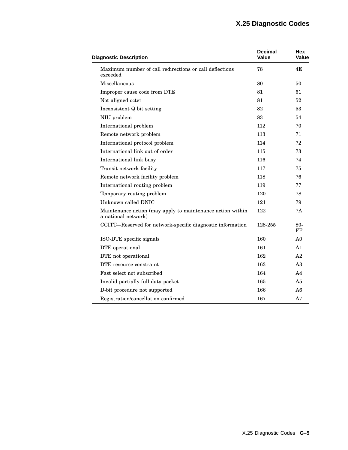| <b>Diagnostic Description</b>                                                     | <b>Decimal</b><br>Value | Hex<br>Value   |
|-----------------------------------------------------------------------------------|-------------------------|----------------|
| Maximum number of call redirections or call deflections<br>exceeded               | 78                      | 4E             |
| Miscellaneous                                                                     | 80                      | 50             |
| Improper cause code from DTE                                                      | 81                      | 51             |
| Not aligned octet                                                                 | 81                      | 52             |
| Inconsistent Q bit setting                                                        | 82                      | 53             |
| NIU problem                                                                       | 83                      | 54             |
| International problem                                                             | 112                     | 70             |
| Remote network problem                                                            | 113                     | 71             |
| International protocol problem                                                    | 114                     | 72             |
| International link out of order                                                   | 115                     | 73             |
| International link busy                                                           | 116                     | 74             |
| Transit network facility                                                          | 117                     | 75             |
| Remote network facility problem                                                   | 118                     | 76             |
| International routing problem                                                     | 119                     | 77             |
| Temporary routing problem                                                         | 120                     | 78             |
| Unknown called DNIC                                                               | 121                     | 79             |
| Maintenance action (may apply to maintenance action within<br>a national network) | 122                     | 7Α             |
| CCITT-Reserved for network-specific diagnostic information                        | 128-255                 | 80-<br>FF      |
| ISO-DTE specific signals                                                          | 160                     | A <sub>0</sub> |
| DTE operational                                                                   | 161                     | A <sub>1</sub> |
| DTE not operational                                                               | 162                     | A <sub>2</sub> |
| DTE resource constraint                                                           | 163                     | A3             |
| Fast select not subscribed                                                        | 164                     | A4             |
| Invalid partially full data packet                                                | 165                     | A5             |
| D-bit procedure not supported                                                     | 166                     | A6             |
| Registration/cancellation confirmed                                               | 167                     | A7             |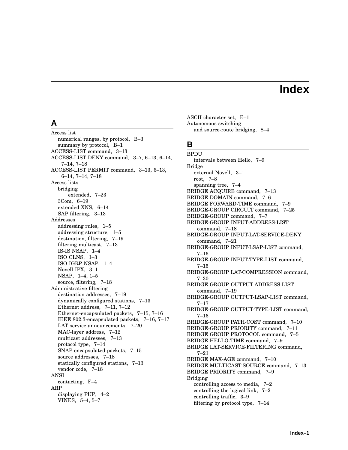# **Index**

# **A**

Access list numerical ranges, by protocol, B–3 summary by protocol, B–1 ACCESS-LIST command, 3–13 ACCESS-LIST DENY command, 3–7, 6–13, 6–14, 7–14, 7–18 ACCESS-LIST PERMIT command, 3–13, 6–13, 6–14, 7–14, 7–18 Access lists bridging extended, 7–23 3Com, 6–19 extended XNS, 6–14 SAP filtering, 3–13 Addresses addressing rules, 1–5 addressing structure, 1–5 destination, filtering, 7–19 filtering multicast, 7–13 IS-IS NSAP, 1–4 ISO CLNS, 1–3 ISO-IGRP NSAP, 1–4 Novell IPX, 3–1 NSAP, 1–4, 1–5 source, filtering, 7–18 Administrative filtering destination addresses, 7–19 dynamically configured stations, 7–13 Ethernet address, 7–11, 7–12 Ethernet-encapsulated packets, 7–15, 7–16 IEEE 802.3-encapsulated packets, 7–16, 7–17 LAT service announcements, 7–20 MAC-layer address, 7–12 multicast addresses, 7–13 protocol type, 7–14 SNAP-encapsulated packets, 7–15 source addresses, 7–18 statically configured stations, 7–13 vendor code, 7–18 ANSI contacting, F–4 ARP displaying PUP, 4–2 VINES, 5–4, 5–7

ASCII character set, E–1 Autonomous switching and source-route bridging, 8–4

### **B**

BPDU intervals between Hello, 7–9 Bridge external Novell, 3–1 root, 7–8 spanning tree, 7–4 BRIDGE ACQUIRE command, 7–13 BRIDGE DOMAIN command, 7–6 BRIDGE FORWARD-TIME command, 7–9 BRIDGE-GROUP CIRCUIT command, 7–25 BRIDGE-GROUP command, 7–7 BRIDGE-GROUP INPUT-ADDRESS-LIST command, 7–18 BRIDGE-GROUP INPUT-LAT-SERVICE-DENY command, 7–21 BRIDGE-GROUP INPUT-LSAP-LIST command, 7–16 BRIDGE-GROUP INPUT-TYPE-LIST command, 7–15 BRIDGE-GROUP LAT-COMPRESSION command, 7–30 BRIDGE-GROUP OUTPUT-ADDRESS-LIST command, 7–19 BRIDGE-GROUP OUTPUT-LSAP-LIST command, 7–17 BRIDGE-GROUP OUTPUT-TYPE-LIST command, 7–16 BRIDGE-GROUP PATH-COST command, 7–10 BRIDGE-GROUP PRIORITY command, 7–11 BRIDGE GROUP PROTOCOL command, 7–5 BRIDGE HELLO-TIME command, 7–9 BRIDGE LAT-SERVICE-FILTERING command, 7–21 BRIDGE MAX-AGE command, 7–10 BRIDGE MULTICAST-SOURCE command, 7–13 BRIDGE PRIORITY command, 7–9 Bridging controlling access to media, 7–2 controlling the logical link, 7–2 controlling traffic, 3–9 filtering by protocol type, 7–14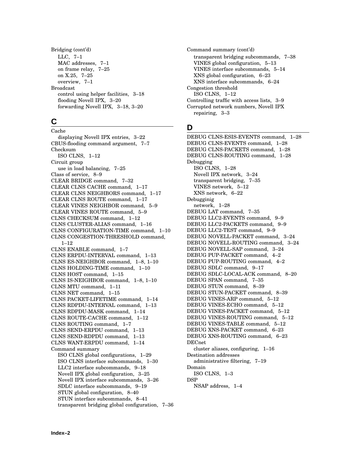Bridging (cont'd) LLC, 7–1 MAC addresses, 7–1 on frame relay, 7–25 on X.25, 7–25 overview, 7–1 Broadcast control using helper facilities, 3–18 flooding Novell IPX, 3–20 forwarding Novell IPX, 3–18, 3–20

# **C**

Cache displaying Novell IPX entries, 3–22 CBUS-flooding command argument, 7–7 Checksum ISO CLNS, 1–12 Circuit group use in load balancing, 7–25 Class of service, 8–9 CLEAR BRIDGE command, 7–32 CLEAR CLNS CACHE command, 1–17 CLEAR CLNS NEIGHBORS command, 1–17 CLEAR CLNS ROUTE command, 1–17 CLEAR VINES NEIGHBOR command, 5–9 CLEAR VINES ROUTE command, 5–9 CLNS CHECKSUM command, 1–12 CLNS CLUSTER-ALIAS command, 1–16 CLNS CONFIGURATION-TIME command, 1–10 CLNS CONGESTION-THRESHOLD command, 1–12 CLNS ENABLE command, 1–7 CLNS ERPDU-INTERVAL command, 1–13 CLNS ES-NEIGHBOR command, 1–8, 1–10 CLNS HOLDING-TIME command, 1–10 CLNS HOST command, 1–15 CLNS IS-NEIGHBOR command, 1–8, 1–10 CLNS MTU command, 1–11 CLNS NET command, 1–15 CLNS PACKET-LIFETIME command, 1–14 CLNS RDPDU-INTERVAL command, 1–13 CLNS RDPDU-MASK command, 1–14 CLNS ROUTE-CACHE command, 1–12 CLNS ROUTING command, 1–7 CLNS SEND-ERPDU command, 1–13 CLNS SEND-RDPDU command, 1–13 CLNS WANT-ERPDU command, 1–14 Command summary ISO CLNS global configurations, 1–29 ISO CLNS interface subcommands, 1–30 LLC2 interface subcommands, 9–18 Novell IPX global configuration, 3–25 Novell IPX interface subcommands, 3–26 SDLC interface subcommands, 9–19 STUN global configuration, 8–40 STUN interface subcommands, 8–41 transparent bridging global configuration, 7–36 Command summary (cont'd) transparent bridging subcommands, 7–38 VINES global configuration, 5–13 VINES interface subcommands, 5–14 XNS global configuration, 6–23 XNS interface subcommands, 6–24 Congestion threshold ISO CLNS, 1–12 Controlling traffic with access lists, 3–9 Corrupted network numbers, Novell IPX repairing, 3–3

# **D**

DEBUG CLNS-ESIS-EVENTS command, 1–28 DEBUG CLNS-EVENTS command, 1–28 DEBUG CLNS-PACKETS command, 1–28 DEBUG CLNS-ROUTING command, 1–28 Debugging ISO CLNS, 1–28 Novell IPX network, 3–24 transparent bridging, 7–35 VINES network, 5–12 XNS network, 6–22 Debugginig network, 1–28 DEBUG LAT command, 7–35 DEBUG LLC2-EVENTS command, 9–9 DEBUG LLC2-PACKETS command, 9–9 DEBUG LLC2-TEST command, 9–9 DEBUG NOVELL-PACKET command, 3–24 DEBUG NOVELL-ROUTING command, 3–24 DEBUG NOVELL-SAP command, 3–24 DEBUG PUP-PACKET command, 4–2 DEBUG PUP-ROUTING command, 4–2 DEBUG SDLC command, 9–17 DEBUG SDLC-LOCAL-ACK command, 8–20 DEBUG SPAN command, 7–35 DEBUG STUN command, 8–39 DEBUG STUN-PACKET command, 8–39 DEBUG VINES-ARP command, 5–12 DEBUG VINES-ECHO command, 5–12 DEBUG VINES-PACKET command, 5–12 DEBUG VINES-ROUTING command, 5–12 DEBUG VINES-TABLE command, 5–12 DEBUG XNS-PACKET command, 6–23 DEBUG XNS-ROUTING command, 6–23 DECnet cluster aliases, configuring, 1–16 Destination addresses administrative filtering, 7–19 Domain ISO CLNS, 1–3 DSP NSAP address, 1–4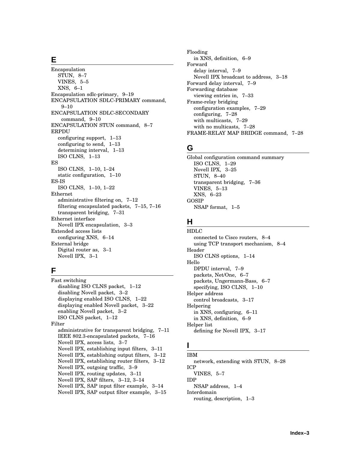# **E**

Encapsulation STUN, 8–7 VINES, 5–5 XNS, 6–1 Encapsulation sdlc-primary, 9–19 ENCAPSULATION SDLC-PRIMARY command, 9–10 ENCAPSULATION SDLC-SECONDARY command, 9–10 ENCAPSULATION STUN command, 8–7 ERPDU configuring support, 1–13 configuring to send, 1–13 determining interval, 1–13 ISO CLNS, 1–13 ES ISO CLNS, 1–10, 1–24 static configuration, 1–10 ES-IS ISO CLNS, 1–10, 1–22 Ethernet administrative filtering on, 7–12 filtering encapsulated packets, 7–15, 7–16 transparent bridging, 7–31 Ethernet interface Novell IPX encapsulation, 3–3 Extended access lists configuring XNS, 6–14 External bridge Digital router as, 3–1 Novell IPX, 3–1

# **F**

Fast switching disabling ISO CLNS packet, 1–12 disabling Novell packet, 3–2 displaying enabled ISO CLNS, 1–22 displaying enabled Novell packet, 3–22 enabling Novell packet, 3–2 ISO CLNS packet, 1–12 Filter administrative for transparent bridging, 7–11 IEEE 802.3-encapsulated packets, 7–16 Novell IPX, access lists, 3–7 Novell IPX, establishing input filters, 3–11 Novell IPX, establishing output filters, 3–12 Novell IPX, establishing router filters, 3–12 Novell IPX, outgoing traffic, 3–9 Novell IPX, routing updates, 3–11 Novell IPX, SAP filters, 3–12, 3–14 Novell IPX, SAP input filter example, 3–14 Novell IPX, SAP output filter example, 3–15

Flooding in XNS, definition, 6–9 Forward delay interval, 7–9 Novell IPX broadcast to address, 3–18 Forward delay interval, 7–9 Forwarding database viewing entries in, 7–33 Frame-relay bridging configuration examples, 7–29 configuring, 7–28 with multicasts, 7–29 with no multicasts, 7–28 FRAME-RELAY MAP BRIDGE command, 7–28

# **G**

Global configuration command summary ISO CLNS, 1–29 Novell IPX, 3–25 STUN, 8–40 transparent bridging, 7–36 VINES, 5–13 XNS, 6–23 GOSIP NSAP format, 1–5

# **H**

HDLC connected to Cisco routers, 8–4 using TCP transport mechanism, 8–4 Header ISO CLNS options, 1–14 Hello DPDU interval, 7–9 packets, Net/One, 6–7 packets, Ungermann-Bass, 6–7 specifying, ISO CLNS, 1–10 Helper address control broadcasts, 3–17 Helpering in XNS, configuring, 6–11 in XNS, definition, 6–9 Helper list defining for Novell IPX, 3–17

# **I**

IBM network, extending with STUN, 8–28 ICP VINES, 5–7 IDP NSAP address, 1–4 Interdomain routing, description, 1–3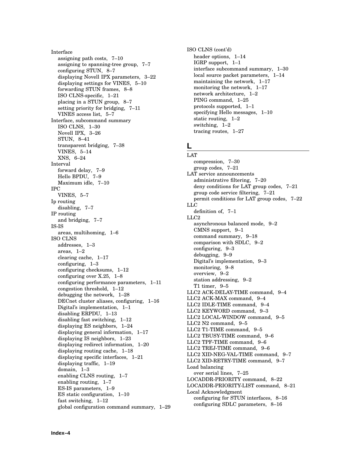Interface assigning path costs, 7–10 assigning to spanning-tree group, 7–7 configuring STUN, 8–7 displaying Novell IPX parameters, 3–22 displaying settings for VINES, 5–10 forwarding STUN frames, 8–8 ISO CLNS-specific, 1–21 placing in a STUN group, 8–7 setting priority for bridging, 7–11 VINES access list, 5–7 Interface, subcommand summary ISO CLNS, 1–30 Novell IPX, 3–26 STUN, 8–41 transparent bridging, 7–38 VINES, 5–14 XNS, 6–24 Interval forward delay, 7–9 Hello BPDU, 7–9 Maximum idle, 7–10 IPC VINES, 5–7 Ip routing disabling, 7–7 IP routing and bridging, 7–7 IS-IS areas, multihoming, 1–6 ISO CLNS addresses, 1–3 areas, 1–2 clearing cache, 1–17 configuring, 1–3 configuring checksums, 1–12 configuring over X.25, 1–8 configuring performance parameters, 1–11 congestion threshold, 1–12 debugging the network, 1–28 DECnet cluster aliases, configuring, 1–16 Digital's implementation, 1–1 disabling ERPDU, 1–13 disabling fast switching, 1–12 displaying ES neighbors, 1–24 displaying general information, 1–17 displaying IS neighbors, 1–23 displaying redirect information, 1–20 displaying routing cache, 1–18 displaying specific interfaces, 1–21 displaying traffic, 1–19 domain, 1–3 enabling CLNS routing, 1–7 enabling routing, 1–7 ES-IS parameters, 1–9 ES static configuration, 1–10 fast switching, 1–12 global configuration command summary, 1–29 ISO CLNS (cont'd) header options, 1–14 IGRP support, 1–1 interface subcommand summary, 1–30 local source packet parameters, 1–14 maintaining the network, 1–17 monitoring the network, 1–17 network architecture, 1–2 PING command, 1–25 protocols supported, 1–1 specifying Hello messages, 1–10 static routing, 1–2 switching, 1–2 tracing routes, 1–27

# **L**

LAT compression, 7–30 group codes, 7–21 LAT service announcements administrative filtering, 7–20 deny conditions for LAT group codes, 7–21 group code service filtering, 7–21 permit conditions for LAT group codes, 7–22 LLC definition of, 7–1 LLC2 asynchronous balanced mode, 9–2 CMNS support, 9–1 command summary, 9–18 comparison with SDLC, 9–2 configuring, 9–3 debugging, 9–9 Digital's implementation, 9–3 monitoring, 9–8 overview, 9–2 station addressing, 9–2 T1 timer, 9–5 LLC2 ACK-DELAY-TIME command, 9–4 LLC2 ACK-MAX command, 9–4 LLC2 IDLE-TIME command, 9–4 LLC2 KEYWORD command, 9–3 LLC2 LOCAL-WINDOW command, 9–5 LLC2 N2 command, 9–5 LLC2 T1-TIME command, 9–5 LLC2 TBUSY-TIME command, 9–6 LLC2 TPF-TIME command, 9–6 LLC2 TREJ-TIME command, 9–6 LLC2 XID-NEG-VAL-TIME command, 9–7 LLC2 XID-RETRY-TIME command, 9–7 Load balancing over serial lines, 7–25 LOCADDR-PRIORITY command, 8–22 LOCADDR-PRIORITY-LIST command, 8–21 Local Acknowledgment configuring for STUN interfaces, 8–16 configuring SDLC parameters, 8–16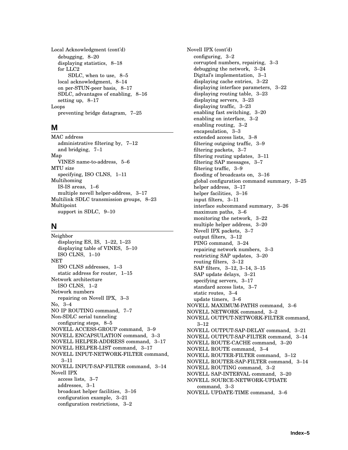Local Acknowledgment (cont'd) debugging, 8–20 displaying statistics, 8–18 for LLC2 SDLC, when to use, 8–5 local acknowledgment, 8–14 on per-STUN-peer basis, 8–17 SDLC, advantages of enabling, 8–16 setting up, 8–17 Loops preventing bridge datagram, 7–25

### **M**

MAC address administrative filtering by, 7–12 and bridging, 7–1 Map VINES name-to-address, 5–6 MTU size specifying, ISO CLNS, 1–11 Multihoming IS-IS areas, 1–6 multiple novell helper-address, 3–17 Multilink SDLC transmission groups, 8–23 Multipoint support in SDLC, 9–10

# **N**

Neighbor displaying ES, IS, 1–22, 1–23 displaying table of VINES, 5–10 ISO CLNS, 1–10 NET ISO CLNS addresses, 1–3 static address for router, 1–15 Network architecture ISO CLNS, 1–2 Network numbers repairing on Novell IPX, 3–3 No, 3–4 NO IP ROUTING command, 7–7 Non-SDLC serial tunneling configuring steps, 8–5 NOVELL ACCESS-GROUP command, 3–9 NOVELL ENCAPSULATION command, 3–3 NOVELL HELPER-ADDRESS command, 3–17 NOVELL HELPER-LIST command, 3–17 NOVELL INPUT-NETWORK-FILTER command, 3–11 NOVELL INPUT-SAP-FILTER command, 3–14 Novell IPX access lists, 3–7 addresses, 3–1 broadcast helper facilities, 3–16 configuration example, 3–21 configuration restrictions, 3–2

Novell IPX (cont'd) configuring, 3–2 corrupted numbers, repairing, 3–3 debugging the network, 3–24 Digital's implementation, 3–1 displaying cache entries, 3–22 displaying interface parameters, 3–22 displaying routing table, 3–23 displaying servers, 3–23 displaying traffic, 3–23 enabling fast switching, 3–20 enabling on interface, 3–2 enabling routing, 3–2 encapsulation, 3–3 extended access lists, 3–8 filtering outgoing traffic, 3–9 filtering packets, 3–7 filtering routing updates, 3–11 filtering SAP messages, 3–7 filtering traffic, 3–9 flooding of broadcasts on, 3–16 global configuration command summary, 3–25 helper address, 3–17 helper facilities, 3-16 input filters, 3–11 interface subcommand summary, 3–26 maximum paths, 3–6 monitoring the network, 3–22 multiple helper address, 3–20 Novell IPX packets, 3–7 output filters, 3–12 PING command, 3–24 repairing network numbers, 3–3 restricting SAP updates, 3–20 routing filters, 3–12 SAP filters, 3–12, 3–14, 3–15 SAP update delays, 3–21 specifying servers, 3–17 standard access lists, 3–7 static routes, 3–4 update timers, 3–6 NOVELL MAXIMUM-PATHS command, 3–6 NOVELL NETWORK command, 3–2 NOVELL OUTPUT-NETWORK-FILTER command, 3–12 NOVELL OUTPUT-SAP-DELAY command, 3–21 NOVELL OUTPUT-SAP-FILTER command, 3–14 NOVELL ROUTE-CACHE command, 3–20 NOVELL ROUTE command, 3–4 NOVELL ROUTER-FILTER command, 3–12 NOVELL ROUTER-SAP-FILTER command, 3–14 NOVELL ROUTING command, 3–2 NOVELL SAP-INTERVAL command, 3–20 NOVELL SOURCE-NETWORK-UPDATE command, 3–3 NOVELL UPDATE-TIME command, 3–6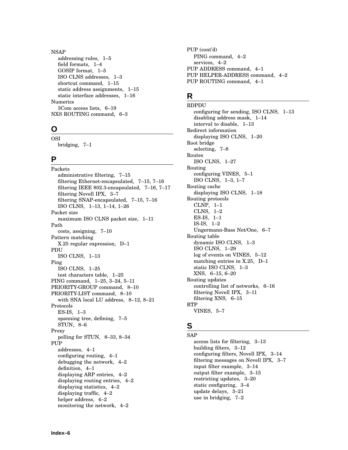### NSAP

addressing rules, 1–5 field formats, 1–4 GOSIP format, 1–5 ISO CLNS addresses, 1–3 shortcut command, 1–15 static address assignments, 1–15 static interface addresses, 1–16 Numerics 3Com access lists, 6–19 NXS ROUTING command, 6–3

# **O**

**OSI** bridging, 7–1

# **P**

Packets administrative filtering, 7–15 filtering Ethernet-encapsulated, 7–15, 7–16 filtering IEEE 802.3-encapsulated, 7–16, 7–17 filtering Novell IPX, 3–7 filtering SNAP-encapsulated, 7–15, 7–16 ISO CLNS, 1–13, 1–14, 1–26 Packet size maximum ISO CLNS packet size, 1–11 Path costs, assigning, 7–10 Pattern matching X.25 regular expression, D–1 PDU ISO CLNS, 1–13 Ping ISO CLNS, 1–25 test characters table, 1–25 PING command, 1–25, 3–24, 5–11 PRIORITY-GROUP command, 8–10 PRIORITY-LIST command, 8–10 with SNA local LU address, 8–12, 8–21 Protocols ES-IS, 1–3 spanning tree, defining, 7–5 STUN, 8–6 Proxy polling for STUN, 8–33, 8–34 PUP addresses, 4–1 configuring routing, 4–1 debugging the network, 4–2 definition, 4–1 displaying ARP entries, 4–2 displaying routing entries, 4–2 displaying statistics, 4–2 displaying traffic, 4–2 helper address, 4–2 monitoring the network, 4–2

PUP (cont'd) PING command, 4–2 services, 4–2 PUP ADDRESS command, 4–1 PUP HELPER-ADDRESS command, 4–2 PUP ROUTING command, 4–1

# **R**

RDPDU configuring for sending, ISO CLNS, 1–13 disabling address mask, 1–14 interval to disable, 1–13 Redirect information displaying ISO CLNS, 1–20 Root bridge selecting, 7–8 Routes ISO CLNS, 1–27 Routing configuring VINES, 5–1 ISO CLNS, 1–3, 1–7 Routing cache displaying ISO CLNS, 1–18 Routing protocols CLNP, 1–1 CLNS, 1–2 ES-IS, 1–1 IS-IS, 1–2 Ungermann-Bass Net/One, 6–7 Routing table dynamic ISO CLNS, 1–3 ISO CLNS, 1–29 log of events on VINES, 5–12 matching entries in X.25, D–1 static ISO CLNS, 1–3 XNS, 6–15, 6–20 Routing updates controlling list of networks, 6–16 filtering Novell IPX, 3–11 filtering XNS, 6–15 RTP VINES, 5–7

# **S**

**SAP** access lists for filtering, 3–13 building filters, 3–12 configuring filters, Novell IPX, 3–14 filtering messages on Novell IPX, 3–7 input filter example, 3–14 output filter example, 3–15 restricting updates, 3–20 static configuring, 3–4 update delays, 3–21 use in bridging, 7–2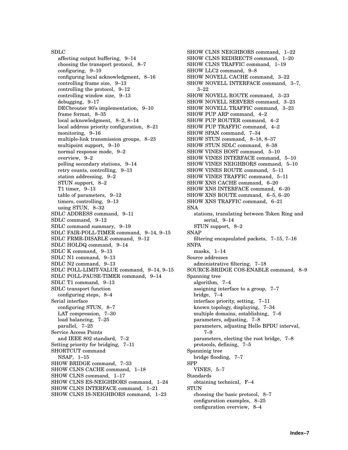SDLC affecting output buffering, 9–14 choosing the transport protocol, 8–7 configuring, 9–10 configuring local acknowledgment, 8–16 controlling frame size, 9–13 controlling the protocol, 9–12 controlling window size, 9–13 debugging, 9–17 DECbrouter 90's implementation, 9–10 frame format, 8–35 local acknowledgment, 8–2, 8–14 local address priority configuration, 8–21 monitoring, 9–16 multiple-link transmission groups, 8–23 multipoint support, 9–10 normal response mode, 9–2 overview, 9–2 polling secondary stations, 9–14 retry counts, controlling, 9–13 station addressing, 9–2 STUN support, 8–2 T1 timer, 9–13 table of parameters, 9–12 timers, controlling, 9–13 using STUN, 8–32 SDLC ADDRESS command, 9–11 SDLC command, 9–12 SDLC command summary, 9–19 SDLC FAIR-POLL-TIMER command, 9–14, 9–15 SDLC FRMR-DISABLE command, 9–12 SDLC HOLDQ command, 9–14 SDLC K command, 9–13 SDLC N1 command, 9–13 SDLC N2 command, 9–13 SDLC POLL-LIMIT-VALUE command, 9–14, 9–15 SDLC POLL-PAUSE-TIMER command, 9–14 SDLC T1 command, 9–13 SDLC transport function configuring steps, 8–4 Serial interface configuring STUN, 8–7 LAT compression, 7–30 load balancing, 7–25 parallel, 7–25 Service Access Points and IEEE 802 standard, 7–2 Setting priority for bridging, 7–11 SHORTCUT command NSAP, 1–15 SHOW BRIDGE command, 7–33 SHOW CLNS CACHE command, 1–18 SHOW CLNS command, 1–17 SHOW CLNS ES-NEIGHBORS command, 1–24 SHOW CLNS INTERFACE command, 1–21 SHOW CLNS IS-NEIGHBORS command, 1–23

SHOW CLNS NEIGHBORS command, 1–22 SHOW CLNS REDIRECTS command, 1–20 SHOW CLNS TRAFFIC command, 1–19 SHOW LLC2 command, 9–8 SHOW NOVELL CACHE command, 3–22 SHOW NOVELL INTERFACE command, 3–7, 3–22 SHOW NOVELL ROUTE command, 3–23 SHOW NOVELL SERVERS command, 3–23 SHOW NOVELL TRAFFIC command, 3–23 SHOW PUP ARP command, 4–2 SHOW PUP ROUTER command, 4–2 SHOW PUP TRAFFIC command, 4–2 SHOW SPAN command, 7–34 SHOW STUN command, 8–18, 8–37 SHOW STUN SDLC command, 8–38 SHOW VINES HOST command, 5–10 SHOW VINES INTERFACE command, 5–10 SHOW VINES NEIGHBORS command, 5–10 SHOW VINES ROUTE command, 5–11 SHOW VINES TRAFFIC command, 5–11 SHOW XNS CACHE command, 6–20 SHOW XNS INTERFACE command, 6–20 SHOW XNS ROUTE command, 6–5, 6–20 SHOW XNS TRAFFIC command, 6–21 SNA stations, translating between Token Ring and serial, 9–14 STUN support, 8–2 SNAP filtering encapsulated packets, 7–15, 7–16 **SNPA** masks, 1–14 Source addresses administrative filtering, 7–18 SOURCE-BRIDGE COS-ENABLE command, 8–9 Spanning tree algorithm, 7–4 assigning interface to a group, 7–7 bridge, 7–4 interface priority, setting, 7–11 known topology, displaying, 7–34 multiple domains, establishing, 7–6 parameters, adjusting, 7–8 parameters, adjusting Hello BPDU interval, 7–9 parameters, electing the root bridge, 7–8 protocols, defining, 7–5 Spanninig tree bridge flooding, 7–7 SPP VINES, 5–7 Standards obtaining technical, F–4 **STUN** choosing the basic protocol, 8–7 configuration examples, 8–25 configuration overview, 8–4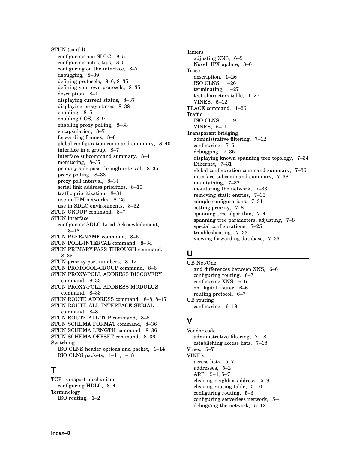STUN (cont'd) configuring non-SDLC, 8–5 configuring notes, tips, 8–5 configuring on the interface, 8–7 debugging, 8–39 defining protocols, 8–6, 8–35 defining your own protocols, 8–35 description, 8–1 displaying current status, 8–37 displaying proxy states, 8–38 enabling, 8–5 enabling COS, 8–9 enabling proxy polling, 8–33 encapsulation, 8–7 forwarding frames, 8–8 global configuration command summary, 8–40 interface in a group, 8–7 interface subcommand summary, 8–41 monitoring, 8–37 primary side pass-through interval, 8–35 proxy polling, 8–33 proxy poll interval, 8–34 serial link address priorities, 8–10 traffic prioritization, 8–31 use in IBM networks, 8–25 use in SDLC environments, 8–32 STUN GROUP command, 8–7 STUN interface configuring SDLC Local Acknowledgment, 8–16 STUN PEER-NAME command, 8–5 STUN POLL-INTERVAL command, 8–34 STUN PRIMARY-PASS-THROUGH command, 8–35 STUN priority port numbers, 8–12 STUN PROTOCOL-GROUP command, 8–6 STUN PROXY-POLL ADDRESS DISCOVERY command, 8–33 STUN PROXY-POLL ADDRESS MODULUS command, 8–33 STUN ROUTE ADDRESS command, 8–8, 8–17 STUN ROUTE ALL INTERFACE SERIAL command, 8–8 STUN ROUTE ALL TCP command, 8–8 STUN SCHEMA FORMAT command, 8–36 STUN SCHEMA LENGTH command, 8–36 STUN SCHEMA OFFSET command, 8–36 Switching ISO CLNS header options and packet, 1–14 ISO CLNS packets, 1–11, 1–18

### **T**

TCP transport mechanism configuring HDLC, 8–4 Terminology ISO routing, 1–2

Timers adjusting XNS, 6–5 Novell IPX update, 3–6 Trace description, 1–26 ISO CLNS, 1–26 terminating, 1–27 test characters table, 1–27 VINES, 5–12 TRACE command, 1–26 Traffic ISO CLNS, 1–19 VINES, 5–11 Transparent bridging administrative filtering, 7–12 configuring, 7–5 debugging, 7–35 displaying known spanning tree topology, 7–34 Ethernet, 7–31 global configuration command summary, 7–36 interface subcommand summary, 7–38 maintaining, 7–32 monitoring the network, 7–33 removing static entries, 7–33 sample configurations,  $7-31$ setting priority, 7–8 spanning tree algorithm, 7–4 spanning tree parameters, adjusting, 7–8 special configurations, 7–25 troubleshooting, 7–33 viewing forwarding database, 7–33

# **U**

UB Net/One and differences between XNS, 6–6 configuring routing, 6–7 configuring XNS, 6–6 on Digital router, 6–6 routing protocol, 6–7 UB routing configuring, 6–18

### **V**

Vendor code administrative filtering, 7–18 establishing access lists, 7–18 Vines, 5–7 VINES access lists, 5–7 addresses, 5–2 ARP, 5–4, 5–7 clearing neighbor address, 5–9 clearing routing table, 5–10 configuring routing, 5–3 configuring serverless network, 5–4 debugging the network, 5–12